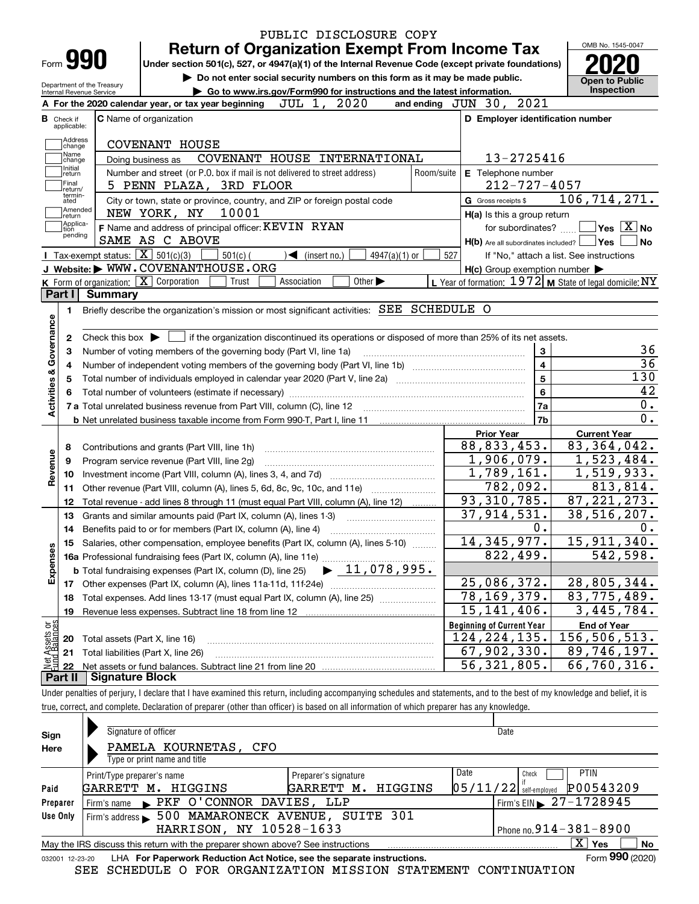|                           |                          |                                                                                                                                                |                                                                                                                                                                            |            | PUBLIC DISCLOSURE COPY                                                                |                             |                 |            |  |                                                           |                                    |                  |
|---------------------------|--------------------------|------------------------------------------------------------------------------------------------------------------------------------------------|----------------------------------------------------------------------------------------------------------------------------------------------------------------------------|------------|---------------------------------------------------------------------------------------|-----------------------------|-----------------|------------|--|-----------------------------------------------------------|------------------------------------|------------------|
|                           | Form 990                 |                                                                                                                                                |                                                                                                                                                                            |            | <b>Return of Organization Exempt From Income Tax</b>                                  |                             |                 |            |  |                                                           | OMB No. 1545-0047                  |                  |
|                           |                          |                                                                                                                                                | Under section 501(c), 527, or 4947(a)(1) of the Internal Revenue Code (except private foundations)                                                                         |            |                                                                                       |                             |                 |            |  |                                                           |                                    |                  |
|                           |                          | Department of the Treasury                                                                                                                     |                                                                                                                                                                            |            | Do not enter social security numbers on this form as it may be made public.           |                             |                 |            |  |                                                           | <b>Open to Public</b>              |                  |
|                           | Internal Revenue Service |                                                                                                                                                | A For the 2020 calendar year, or tax year beginning                                                                                                                        |            | Go to www.irs.gov/Form990 for instructions and the latest information.<br>JUL 1, 2020 |                             |                 |            |  | and ending JUN 30, 2021                                   | Inspection                         |                  |
| в                         |                          |                                                                                                                                                | C Name of organization                                                                                                                                                     |            |                                                                                       |                             |                 |            |  | D Employer identification number                          |                                    |                  |
|                           | Check if<br>applicable:  |                                                                                                                                                |                                                                                                                                                                            |            |                                                                                       |                             |                 |            |  |                                                           |                                    |                  |
|                           | Address<br>change        |                                                                                                                                                | COVENANT HOUSE                                                                                                                                                             |            |                                                                                       |                             |                 |            |  |                                                           |                                    |                  |
|                           | Name<br>change           |                                                                                                                                                | Doing business as                                                                                                                                                          |            | COVENANT HOUSE INTERNATIONAL                                                          |                             |                 |            |  | 13-2725416                                                |                                    |                  |
|                           | Initial<br>return        |                                                                                                                                                | Number and street (or P.O. box if mail is not delivered to street address)                                                                                                 |            |                                                                                       |                             |                 | Room/suite |  | E Telephone number                                        |                                    |                  |
|                           | Final<br>return/         |                                                                                                                                                | 5 PENN PLAZA, 3RD FLOOR                                                                                                                                                    |            |                                                                                       |                             |                 |            |  | $212 - 727 - 4057$                                        |                                    |                  |
|                           | termin-<br>ated          |                                                                                                                                                | City or town, state or province, country, and ZIP or foreign postal code                                                                                                   |            |                                                                                       |                             |                 |            |  | G Gross receipts \$                                       | 106, 714, 271.                     |                  |
|                           | Amended<br> return       |                                                                                                                                                | NEW YORK, NY                                                                                                                                                               | 10001      |                                                                                       |                             |                 |            |  | H(a) Is this a group return                               |                                    |                  |
|                           | Applica-<br>tion         |                                                                                                                                                | F Name and address of principal officer: KEVIN RYAN                                                                                                                        |            |                                                                                       |                             |                 |            |  | for subordinates?                                         |                                    | $Yes$ $X$ No     |
|                           | pending                  |                                                                                                                                                | SAME AS C ABOVE                                                                                                                                                            |            |                                                                                       |                             |                 |            |  | $H(b)$ Are all subordinates included?                     | ∣Yes                               | <b>No</b>        |
|                           |                          |                                                                                                                                                | Tax-exempt status: $\boxed{\mathbf{X}}$ 501(c)(3)                                                                                                                          | $501(c)$ ( | $\sqrt{\frac{1}{1}}$ (insert no.)                                                     |                             | $4947(a)(1)$ or | 527        |  | If "No," attach a list. See instructions                  |                                    |                  |
|                           |                          |                                                                                                                                                | J Website: WWW.COVENANTHOUSE.ORG                                                                                                                                           |            |                                                                                       |                             |                 |            |  | $H(c)$ Group exemption number $\blacktriangleright$       |                                    |                  |
|                           |                          |                                                                                                                                                | K Form of organization: $\boxed{\mathbf{X}}$ Corporation                                                                                                                   | Trust      | Association                                                                           | Other $\blacktriangleright$ |                 |            |  | L Year of formation: $1972$ M State of legal domicile: NY |                                    |                  |
|                           | Part I                   | <b>Summary</b>                                                                                                                                 |                                                                                                                                                                            |            |                                                                                       |                             |                 |            |  |                                                           |                                    |                  |
|                           | 1.                       |                                                                                                                                                | Briefly describe the organization's mission or most significant activities: SEE SCHEDULE O                                                                                 |            |                                                                                       |                             |                 |            |  |                                                           |                                    |                  |
|                           |                          |                                                                                                                                                |                                                                                                                                                                            |            |                                                                                       |                             |                 |            |  |                                                           |                                    |                  |
|                           | 2                        | Check this box $\triangleright$ $\blacksquare$ if the organization discontinued its operations or disposed of more than 25% of its net assets. |                                                                                                                                                                            |            |                                                                                       |                             |                 |            |  |                                                           |                                    |                  |
|                           | з                        |                                                                                                                                                | Number of voting members of the governing body (Part VI, line 1a)                                                                                                          |            |                                                                                       |                             |                 |            |  | 3                                                         |                                    |                  |
|                           |                          |                                                                                                                                                |                                                                                                                                                                            |            |                                                                                       |                             |                 |            |  | $\overline{\mathbf{4}}$                                   |                                    |                  |
|                           |                          |                                                                                                                                                | Total number of individuals employed in calendar year 2020 (Part V, line 2a) manufacture of individuals employed in calendar year 2020 (Part V, line 2a)                   |            |                                                                                       |                             |                 |            |  | $\overline{5}$                                            |                                    | 130              |
|                           |                          |                                                                                                                                                |                                                                                                                                                                            |            |                                                                                       |                             |                 |            |  | 6                                                         |                                    | 42               |
| Activities & Governance   |                          |                                                                                                                                                |                                                                                                                                                                            |            |                                                                                       |                             |                 |            |  | 7a                                                        |                                    | $\overline{0}$ . |
|                           |                          |                                                                                                                                                |                                                                                                                                                                            |            |                                                                                       |                             |                 |            |  | 7 <sub>b</sub>                                            |                                    | $\overline{0}$ . |
|                           |                          |                                                                                                                                                |                                                                                                                                                                            |            |                                                                                       |                             |                 |            |  | <b>Prior Year</b>                                         | <b>Current Year</b>                |                  |
|                           | 8                        |                                                                                                                                                | Contributions and grants (Part VIII, line 1h)                                                                                                                              |            |                                                                                       |                             |                 |            |  | 88, 833, 453.                                             | 83, 364, 042.                      |                  |
|                           | 9                        |                                                                                                                                                | Program service revenue (Part VIII, line 2g)                                                                                                                               |            |                                                                                       |                             |                 |            |  | $\overline{1}$ , 906, 079.                                | 1,523,484.                         |                  |
| Revenue                   | 10                       |                                                                                                                                                |                                                                                                                                                                            |            |                                                                                       |                             |                 |            |  | 1,789,161.                                                | 1,519,933.                         |                  |
|                           | 11                       |                                                                                                                                                |                                                                                                                                                                            |            |                                                                                       |                             |                 |            |  | 782,092.<br>93, 310, 785.                                 | 813,814.                           |                  |
|                           | 12                       |                                                                                                                                                | Total revenue - add lines 8 through 11 (must equal Part VIII, column (A), line 12)                                                                                         |            |                                                                                       |                             |                 |            |  | 37, 914, 531.                                             | 87, 221, 273.<br>38,516,207.       |                  |
|                           | 13                       |                                                                                                                                                | Grants and similar amounts paid (Part IX, column (A), lines 1-3)                                                                                                           |            |                                                                                       |                             |                 |            |  | 0.                                                        |                                    |                  |
|                           | 14                       |                                                                                                                                                | Benefits paid to or for members (Part IX, column (A), line 4)                                                                                                              |            |                                                                                       |                             |                 |            |  | 14, 345, 977.                                             | 15, 911, 340.                      | 0.               |
|                           |                          |                                                                                                                                                | 15 Salaries, other compensation, employee benefits (Part IX, column (A), lines 5-10)                                                                                       |            |                                                                                       |                             |                 |            |  | 822,499.                                                  | 542,598.                           |                  |
|                           |                          |                                                                                                                                                |                                                                                                                                                                            |            |                                                                                       |                             |                 |            |  |                                                           |                                    |                  |
| Expenses                  |                          |                                                                                                                                                |                                                                                                                                                                            |            |                                                                                       |                             |                 |            |  | 25,086,372.                                               | 28,805,344.                        |                  |
|                           |                          |                                                                                                                                                |                                                                                                                                                                            |            |                                                                                       |                             |                 |            |  | $\overline{78}$ , 169, 379.                               | 83,775,489.                        |                  |
|                           | 18                       |                                                                                                                                                | Total expenses. Add lines 13-17 (must equal Part IX, column (A), line 25)<br>Revenue less expenses. Subtract line 18 from line 12                                          |            |                                                                                       |                             |                 |            |  | $\overline{15}$ , 141, 406.                               | 3,445,784.                         |                  |
|                           | 19                       |                                                                                                                                                |                                                                                                                                                                            |            |                                                                                       |                             |                 |            |  |                                                           |                                    |                  |
| : Assets or<br>d Balances |                          |                                                                                                                                                |                                                                                                                                                                            |            |                                                                                       |                             |                 |            |  | <b>Beginning of Current Year</b><br>124, 224, 135.        | <b>End of Year</b><br>156,506,513. |                  |
|                           | 20<br>21                 |                                                                                                                                                | Total assets (Part X, line 16)<br>Total liabilities (Part X, line 26)                                                                                                      |            |                                                                                       |                             |                 |            |  | 67,902,330.                                               | 89,746,197.                        |                  |
| 鲳                         | 22                       |                                                                                                                                                |                                                                                                                                                                            |            |                                                                                       |                             |                 |            |  | 56, 321, 805.                                             | $\overline{66}$ , 760, 316.        |                  |
|                           | Part II                  | <b>Signature Block</b>                                                                                                                         |                                                                                                                                                                            |            |                                                                                       |                             |                 |            |  |                                                           |                                    |                  |
|                           |                          |                                                                                                                                                | Under penalties of perjury, I declare that I have examined this return, including accompanying schedules and statements, and to the best of my knowledge and belief, it is |            |                                                                                       |                             |                 |            |  |                                                           |                                    |                  |
|                           |                          |                                                                                                                                                | true, correct, and complete. Declaration of preparer (other than officer) is based on all information of which preparer has any knowledge.                                 |            |                                                                                       |                             |                 |            |  |                                                           |                                    |                  |
|                           |                          |                                                                                                                                                |                                                                                                                                                                            |            |                                                                                       |                             |                 |            |  |                                                           |                                    |                  |
|                           |                          |                                                                                                                                                |                                                                                                                                                                            |            |                                                                                       |                             |                 |            |  |                                                           |                                    |                  |

| Sign     | Signature of officer                                                                                                |                      | Date                         |                                        |  |  |  |  |  |
|----------|---------------------------------------------------------------------------------------------------------------------|----------------------|------------------------------|----------------------------------------|--|--|--|--|--|
| Here     | PAMELA KOURNETAS, CFO                                                                                               |                      |                              |                                        |  |  |  |  |  |
|          | Type or print name and title                                                                                        |                      |                              |                                        |  |  |  |  |  |
|          | Print/Type preparer's name                                                                                          | Preparer's signature | Date<br>Check                | <b>PTIN</b>                            |  |  |  |  |  |
| Paid     | GARRETT M. HIGGINS                                                                                                  | GARRETT M. HIGGINS   | $05/11/22$ self-employed     | P00543209                              |  |  |  |  |  |
| Preparer | PKF O'CONNOR DAVIES, LLP<br>Firm's name                                                                             |                      |                              | Firm's EIN $\triangleright$ 27-1728945 |  |  |  |  |  |
| Use Only | Firm's address 500 MAMARONECK AVENUE, SUITE 301                                                                     |                      |                              |                                        |  |  |  |  |  |
|          | HARRISON, NY 10528-1633                                                                                             |                      | Phone no. $914 - 381 - 8900$ |                                        |  |  |  |  |  |
|          | $\mathbf{x}$<br>Yes<br><b>No</b><br>May the IRS discuss this return with the preparer shown above? See instructions |                      |                              |                                        |  |  |  |  |  |
|          | Form 990 (2020)<br>LHA For Paperwork Reduction Act Notice, see the separate instructions.<br>032001 12-23-20        |                      |                              |                                        |  |  |  |  |  |

SEE SCHEDULE O FOR ORGANIZATION MISSION STATEMENT CONTINUATION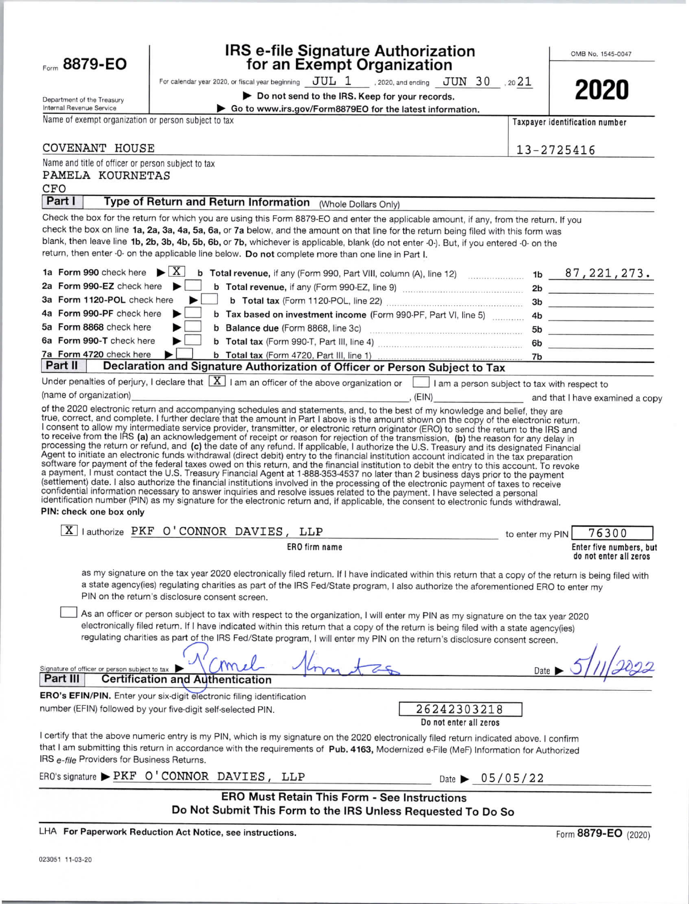| Form 8879-EO |  |  |
|--------------|--|--|
|              |  |  |

# IRS e-file Signature Authorization<br>for an Exempt Organization

For calendar year 2020, or fiscal year beginning  $JUL$  1 . 2020, and ending  $JUN$  30 . 20 21

Do not send to the IRS. Keep for your records.

| ٠<br>٠ | Ξ<br>- 1<br>v. | ٦<br>۰ | Ξ |
|--------|----------------|--------|---|

Department of the Treasury Internal Revenue Service

 $N = 1$ 

| levenue Service                                | Go to www.irs.gov/Form8879EO for the latest information. |
|------------------------------------------------|----------------------------------------------------------|
| f exempt organization or nergon subject to tax |                                                          |

| Name of exempt organization or person subject to tax                                                                                                                                                                                                                                                                                                                                                                                                                                                                                                                                                                                                                                                                                                                                                                                                                                                                                                                                                                                                                                                                                                                 | Taxpayer identification number                        |
|----------------------------------------------------------------------------------------------------------------------------------------------------------------------------------------------------------------------------------------------------------------------------------------------------------------------------------------------------------------------------------------------------------------------------------------------------------------------------------------------------------------------------------------------------------------------------------------------------------------------------------------------------------------------------------------------------------------------------------------------------------------------------------------------------------------------------------------------------------------------------------------------------------------------------------------------------------------------------------------------------------------------------------------------------------------------------------------------------------------------------------------------------------------------|-------------------------------------------------------|
| COVENANT HOUSE                                                                                                                                                                                                                                                                                                                                                                                                                                                                                                                                                                                                                                                                                                                                                                                                                                                                                                                                                                                                                                                                                                                                                       | 13-2725416                                            |
| Name and title of officer or person subject to tax<br>PAMELA KOURNETAS<br>CFO                                                                                                                                                                                                                                                                                                                                                                                                                                                                                                                                                                                                                                                                                                                                                                                                                                                                                                                                                                                                                                                                                        |                                                       |
| Part I<br>Type of Return and Return Information (Whole Dollars Only)                                                                                                                                                                                                                                                                                                                                                                                                                                                                                                                                                                                                                                                                                                                                                                                                                                                                                                                                                                                                                                                                                                 |                                                       |
| Check the box for the return for which you are using this Form 8879-EO and enter the applicable amount, if any, from the return. If you                                                                                                                                                                                                                                                                                                                                                                                                                                                                                                                                                                                                                                                                                                                                                                                                                                                                                                                                                                                                                              |                                                       |
| check the box on line 1a, 2a, 3a, 4a, 5a, 6a, or 7a below, and the amount on that line for the return being filed with this form was<br>blank, then leave line 1b, 2b, 3b, 4b, 5b, 6b, or 7b, whichever is applicable, blank (do not enter -0-). But, if you entered -0- on the<br>return, then enter -0- on the applicable line below. Do not complete more than one line in Part I.                                                                                                                                                                                                                                                                                                                                                                                                                                                                                                                                                                                                                                                                                                                                                                                |                                                       |
| 1a Form 990 check here $\blacktriangleright$ $\mid$ X $\mid$<br>b Total revenue, if any (Form 990, Part VIII, column (A), line 12) $\sim$ 1b $\sim$ 87, 221, 273.                                                                                                                                                                                                                                                                                                                                                                                                                                                                                                                                                                                                                                                                                                                                                                                                                                                                                                                                                                                                    |                                                       |
| 2a Form 990-EZ check here                                                                                                                                                                                                                                                                                                                                                                                                                                                                                                                                                                                                                                                                                                                                                                                                                                                                                                                                                                                                                                                                                                                                            |                                                       |
| $\blacktriangleright$ $\Box$<br>3a Form 1120-POL check here                                                                                                                                                                                                                                                                                                                                                                                                                                                                                                                                                                                                                                                                                                                                                                                                                                                                                                                                                                                                                                                                                                          |                                                       |
| 4a Form 990-PF check here<br>▶<br>b Tax based on investment income (Form 990-PF, Part VI, line 5) 4b                                                                                                                                                                                                                                                                                                                                                                                                                                                                                                                                                                                                                                                                                                                                                                                                                                                                                                                                                                                                                                                                 |                                                       |
| 5a Form 8868 check here<br>▶                                                                                                                                                                                                                                                                                                                                                                                                                                                                                                                                                                                                                                                                                                                                                                                                                                                                                                                                                                                                                                                                                                                                         |                                                       |
| 6a Form 990-T check here<br>▶                                                                                                                                                                                                                                                                                                                                                                                                                                                                                                                                                                                                                                                                                                                                                                                                                                                                                                                                                                                                                                                                                                                                        |                                                       |
| 7a Form 4720 check here<br>▸<br>Part II                                                                                                                                                                                                                                                                                                                                                                                                                                                                                                                                                                                                                                                                                                                                                                                                                                                                                                                                                                                                                                                                                                                              |                                                       |
| Declaration and Signature Authorization of Officer or Person Subject to Tax                                                                                                                                                                                                                                                                                                                                                                                                                                                                                                                                                                                                                                                                                                                                                                                                                                                                                                                                                                                                                                                                                          |                                                       |
| Under penalties of perjury, I declare that $\boxed{X}$ I am an officer of the above organization or $\boxed{\phantom{a}}$ I am a person subject to tax with respect to                                                                                                                                                                                                                                                                                                                                                                                                                                                                                                                                                                                                                                                                                                                                                                                                                                                                                                                                                                                               |                                                       |
| (name of organization)<br>of the 2020 electronic return and accompanying schedules and statements, and, to the best of my knowledge and belief, they are                                                                                                                                                                                                                                                                                                                                                                                                                                                                                                                                                                                                                                                                                                                                                                                                                                                                                                                                                                                                             | examined a copy (EIN) and that I have examined a copy |
| to receive from the IRS (a) an acknowledgement of receipt or reason for rejection of the transmission, (b) the reason for any delay in<br>processing the return or refund, and (c) the date of any refund. If applicable, I authorize the U.S. Treasury and its designated Financial<br>Agent to initiate an electronic funds withdrawal (direct debit) entry to the financial institution account indicated in the tax preparation<br>software for payment of the federal taxes owed on this return, and the financial institution to debit the entry to this account. To revoke<br>a payment, I must contact the U.S. Treasury Financial Agent at 1-888-353-4537 no later than 2 business days prior to the payment<br>(settlement) date. I also authorize the financial institutions involved in the processing of the electronic payment of taxes to receive<br>confidential information necessary to answer inquiries and resolve issues related to the payment. I have selected a personal<br>identification number (PIN) as my signature for the electronic return and, if applicable, the consent to electronic funds withdrawal.<br>PIN: check one box only |                                                       |
| X lauthorize PKF O'CONNOR DAVIES, LLP<br>the contract of the contract of the contract of the contract of the contract of                                                                                                                                                                                                                                                                                                                                                                                                                                                                                                                                                                                                                                                                                                                                                                                                                                                                                                                                                                                                                                             | to enter my PIN 76300                                 |
| ERO firm name                                                                                                                                                                                                                                                                                                                                                                                                                                                                                                                                                                                                                                                                                                                                                                                                                                                                                                                                                                                                                                                                                                                                                        | Enter five numbers, but<br>do not enter all zeros     |
| as my signature on the tax year 2020 electronically filed return. If I have indicated within this return that a copy of the return is being filed with<br>a state agency(ies) regulating charities as part of the IRS Fed/State program, I also authorize the aforementioned ERO to enter my<br>PIN on the return's disclosure consent screen.                                                                                                                                                                                                                                                                                                                                                                                                                                                                                                                                                                                                                                                                                                                                                                                                                       |                                                       |
| As an officer or person subject to tax with respect to the organization, I will enter my PIN as my signature on the tax year 2020<br>electronically filed return. If I have indicated within this return that a copy of the return is being filed with a state agency(ies)<br>regulating charities as part of the IRS Fed/State program, I will enter my PIN on the return's disclosure consent screen.                                                                                                                                                                                                                                                                                                                                                                                                                                                                                                                                                                                                                                                                                                                                                              |                                                       |
| Signature of officer or person subject to tax<br><b>Certification and Authentication</b><br>Part III                                                                                                                                                                                                                                                                                                                                                                                                                                                                                                                                                                                                                                                                                                                                                                                                                                                                                                                                                                                                                                                                 | Date                                                  |
| ERO's EFIN/PIN. Enter your six-digit electronic filing identification                                                                                                                                                                                                                                                                                                                                                                                                                                                                                                                                                                                                                                                                                                                                                                                                                                                                                                                                                                                                                                                                                                |                                                       |
| number (EFIN) followed by your five-digit self-selected PIN.                                                                                                                                                                                                                                                                                                                                                                                                                                                                                                                                                                                                                                                                                                                                                                                                                                                                                                                                                                                                                                                                                                         | 26242303218<br>Do not enter all zeros                 |
| I certify that the above numeric entry is my PIN, which is my signature on the 2020 electronically filed return indicated above. I confirm<br>that I am submitting this return in accordance with the requirements of Pub. 4163, Modernized e-File (MeF) Information for Authorized<br>IRS e-file Providers for Business Returns.                                                                                                                                                                                                                                                                                                                                                                                                                                                                                                                                                                                                                                                                                                                                                                                                                                    |                                                       |
| ERO's signature > PKF O'CONNOR DAVIES, LLP                                                                                                                                                                                                                                                                                                                                                                                                                                                                                                                                                                                                                                                                                                                                                                                                                                                                                                                                                                                                                                                                                                                           | Date $\triangleright$ 05/05/22                        |
| <b>ERO Must Retain This Form - See Instructions</b>                                                                                                                                                                                                                                                                                                                                                                                                                                                                                                                                                                                                                                                                                                                                                                                                                                                                                                                                                                                                                                                                                                                  |                                                       |
| Do Not Submit This Form to the IRS Unless Requested To Do So                                                                                                                                                                                                                                                                                                                                                                                                                                                                                                                                                                                                                                                                                                                                                                                                                                                                                                                                                                                                                                                                                                         |                                                       |

LHA For Paperwork Reduction Act Notice, see instructions.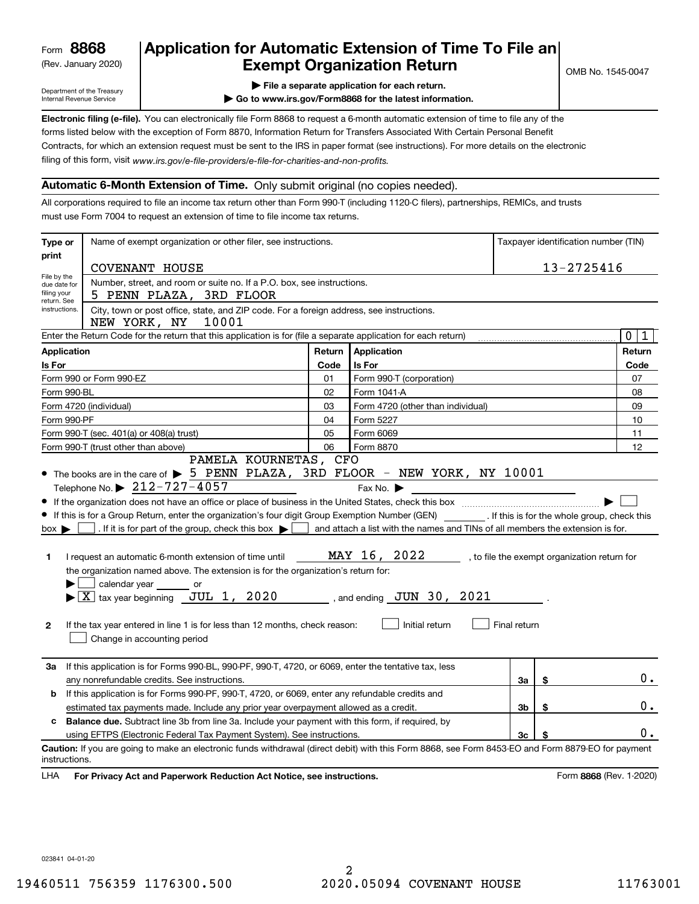(Rev. January 2020)

# **Application for Automatic Extension of Time To File an Exempt Organization Return**

Department of the Treasury Internal Revenue Service

**| File a separate application for each return.**

**| Go to www.irs.gov/Form8868 for the latest information.**

**Electronic filing (e-file).**  You can electronically file Form 8868 to request a 6-month automatic extension of time to file any of the filing of this form, visit www.irs.gov/e-file-providers/e-file-for-charities-and-non-profits. forms listed below with the exception of Form 8870, Information Return for Transfers Associated With Certain Personal Benefit Contracts, for which an extension request must be sent to the IRS in paper format (see instructions). For more details on the electronic

### **Automatic 6-Month Extension of Time.** Only submit original (no copies needed).

All corporations required to file an income tax return other than Form 990-T (including 1120-C filers), partnerships, REMICs, and trusts must use Form 7004 to request an extension of time to file income tax returns.

| Type or<br>Name of exempt organization or other filer, see instructions.                                                           |                                                                                                                                                                                                                                                                                                                                                                                                                                                                                                                                                                                                                                                                                                                                                                                                                                                                                                                                                                                                                                                                 |        |                                   |                |    | Taxpayer identification number (TIN) |  |
|------------------------------------------------------------------------------------------------------------------------------------|-----------------------------------------------------------------------------------------------------------------------------------------------------------------------------------------------------------------------------------------------------------------------------------------------------------------------------------------------------------------------------------------------------------------------------------------------------------------------------------------------------------------------------------------------------------------------------------------------------------------------------------------------------------------------------------------------------------------------------------------------------------------------------------------------------------------------------------------------------------------------------------------------------------------------------------------------------------------------------------------------------------------------------------------------------------------|--------|-----------------------------------|----------------|----|--------------------------------------|--|
| print                                                                                                                              | 13-2725416<br>COVENANT HOUSE                                                                                                                                                                                                                                                                                                                                                                                                                                                                                                                                                                                                                                                                                                                                                                                                                                                                                                                                                                                                                                    |        |                                   |                |    |                                      |  |
| File by the<br>due date for<br>filing your<br>return. See                                                                          | Number, street, and room or suite no. If a P.O. box, see instructions.<br>5 PENN PLAZA, 3RD FLOOR                                                                                                                                                                                                                                                                                                                                                                                                                                                                                                                                                                                                                                                                                                                                                                                                                                                                                                                                                               |        |                                   |                |    |                                      |  |
| City, town or post office, state, and ZIP code. For a foreign address, see instructions.<br>instructions.<br>NEW YORK, NY<br>10001 |                                                                                                                                                                                                                                                                                                                                                                                                                                                                                                                                                                                                                                                                                                                                                                                                                                                                                                                                                                                                                                                                 |        |                                   |                |    |                                      |  |
|                                                                                                                                    | Enter the Return Code for the return that this application is for (file a separate application for each return)                                                                                                                                                                                                                                                                                                                                                                                                                                                                                                                                                                                                                                                                                                                                                                                                                                                                                                                                                 |        |                                   |                |    | 0 <sup>1</sup><br>$\vert$ 1          |  |
| <b>Application</b>                                                                                                                 |                                                                                                                                                                                                                                                                                                                                                                                                                                                                                                                                                                                                                                                                                                                                                                                                                                                                                                                                                                                                                                                                 | Return | <b>Application</b>                |                |    | Return                               |  |
| Is For                                                                                                                             |                                                                                                                                                                                                                                                                                                                                                                                                                                                                                                                                                                                                                                                                                                                                                                                                                                                                                                                                                                                                                                                                 | Code   | Is For                            |                |    | Code                                 |  |
|                                                                                                                                    | Form 990 or Form 990-EZ                                                                                                                                                                                                                                                                                                                                                                                                                                                                                                                                                                                                                                                                                                                                                                                                                                                                                                                                                                                                                                         | 01     | Form 990-T (corporation)          |                |    | 07                                   |  |
|                                                                                                                                    | Form 990-BL                                                                                                                                                                                                                                                                                                                                                                                                                                                                                                                                                                                                                                                                                                                                                                                                                                                                                                                                                                                                                                                     | 02     | Form 1041-A                       |                |    | 08                                   |  |
|                                                                                                                                    | Form 4720 (individual)                                                                                                                                                                                                                                                                                                                                                                                                                                                                                                                                                                                                                                                                                                                                                                                                                                                                                                                                                                                                                                          | 03     | Form 4720 (other than individual) |                |    | 09                                   |  |
|                                                                                                                                    | Form 990-PF                                                                                                                                                                                                                                                                                                                                                                                                                                                                                                                                                                                                                                                                                                                                                                                                                                                                                                                                                                                                                                                     | 04     | Form 5227                         |                |    | 10                                   |  |
|                                                                                                                                    | Form 990-T (sec. 401(a) or 408(a) trust)                                                                                                                                                                                                                                                                                                                                                                                                                                                                                                                                                                                                                                                                                                                                                                                                                                                                                                                                                                                                                        | 05     | Form 6069                         |                |    | 11                                   |  |
| 06<br>Form 990-T (trust other than above)<br>Form 8870                                                                             |                                                                                                                                                                                                                                                                                                                                                                                                                                                                                                                                                                                                                                                                                                                                                                                                                                                                                                                                                                                                                                                                 |        |                                   | 12             |    |                                      |  |
| 1<br>$\mathbf{2}$                                                                                                                  | PAMELA KOURNETAS, CFO<br>$\bullet$ The books are in the care of $\triangleright$ 5 PENN PLAZA, 3RD FLOOR - NEW YORK, NY 10001<br>Telephone No. $\triangleright$ 212-727-4057<br>Fax No. $\blacktriangleright$<br>If this is for a Group Return, enter the organization's four digit Group Exemption Number (GEN) [f this is for the whole group, check this<br>. If it is for part of the group, check this box $\bullet$   and attach a list with the names and TINs of all members the extension is for.<br>$box \blacktriangleright$<br>MAY 16, 2022<br>, to file the exempt organization return for<br>I request an automatic 6-month extension of time until<br>the organization named above. The extension is for the organization's return for:<br>calendar year _______ or<br>$\blacktriangleright$ $\underline{X}$ tax year beginning $\underline{JUL}$ 1, 2020<br>$\_$ , and ending $\_JUN$ 30 , 2021<br>Initial return<br>Final return<br>If the tax year entered in line 1 is for less than 12 months, check reason:<br>Change in accounting period |        |                                   |                |    |                                      |  |
| За                                                                                                                                 | If this application is for Forms 990-BL, 990-PF, 990-T, 4720, or 6069, enter the tentative tax, less<br>any nonrefundable credits. See instructions.                                                                                                                                                                                                                                                                                                                                                                                                                                                                                                                                                                                                                                                                                                                                                                                                                                                                                                            |        |                                   | За             | \$ | $0$ .                                |  |
| b                                                                                                                                  | If this application is for Forms 990-PF, 990-T, 4720, or 6069, enter any refundable credits and                                                                                                                                                                                                                                                                                                                                                                                                                                                                                                                                                                                                                                                                                                                                                                                                                                                                                                                                                                 |        |                                   |                |    |                                      |  |
|                                                                                                                                    | estimated tax payments made. Include any prior year overpayment allowed as a credit.                                                                                                                                                                                                                                                                                                                                                                                                                                                                                                                                                                                                                                                                                                                                                                                                                                                                                                                                                                            |        |                                   | 3b             | \$ | 0.                                   |  |
| c                                                                                                                                  | <b>Balance due.</b> Subtract line 3b from line 3a. Include your payment with this form, if required, by                                                                                                                                                                                                                                                                                                                                                                                                                                                                                                                                                                                                                                                                                                                                                                                                                                                                                                                                                         |        |                                   |                |    |                                      |  |
|                                                                                                                                    | using EFTPS (Electronic Federal Tax Payment System). See instructions.                                                                                                                                                                                                                                                                                                                                                                                                                                                                                                                                                                                                                                                                                                                                                                                                                                                                                                                                                                                          |        |                                   | 3 <sub>c</sub> | \$ | $0$ .                                |  |
| instructions.<br>LHA                                                                                                               | Caution: If you are going to make an electronic funds withdrawal (direct debit) with this Form 8868, see Form 8453-EO and Form 8879-EO for payment<br>For Privacy Act and Paperwork Reduction Act Notice, see instructions.                                                                                                                                                                                                                                                                                                                                                                                                                                                                                                                                                                                                                                                                                                                                                                                                                                     |        |                                   |                |    | Form 8868 (Rev. 1-2020)              |  |

023841 04-01-20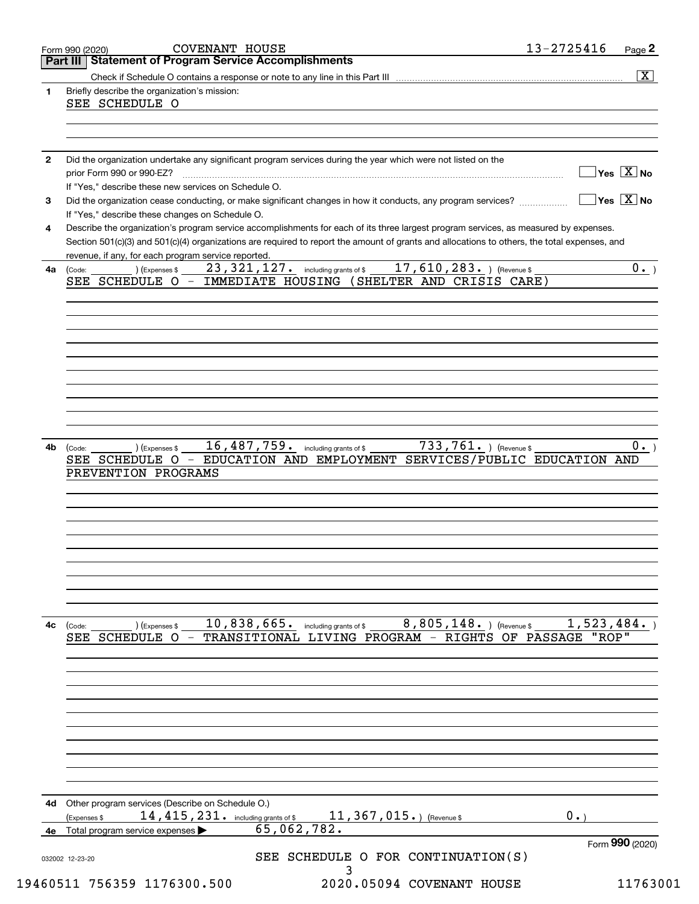|              | Part III   Statement of Program Service Accomplishments                                                                                                                |
|--------------|------------------------------------------------------------------------------------------------------------------------------------------------------------------------|
|              | $\overline{\mathbf{x}}$                                                                                                                                                |
| $\mathbf{1}$ | Briefly describe the organization's mission:                                                                                                                           |
|              | SEE SCHEDULE O                                                                                                                                                         |
|              |                                                                                                                                                                        |
|              |                                                                                                                                                                        |
| $\mathbf{2}$ | Did the organization undertake any significant program services during the year which were not listed on the                                                           |
|              | $\overline{\ }$ Yes $\overline{\phantom{a}X}$ No<br>prior Form 990 or 990-EZ?                                                                                          |
|              | If "Yes," describe these new services on Schedule O.                                                                                                                   |
| 3            | $\overline{\mathsf{Yes} \mathrel{\;\; X} \mathsf{No}}$<br>Did the organization cease conducting, or make significant changes in how it conducts, any program services? |
|              | If "Yes," describe these changes on Schedule O.                                                                                                                        |
| 4            | Describe the organization's program service accomplishments for each of its three largest program services, as measured by expenses.                                   |
|              | Section 501(c)(3) and 501(c)(4) organizations are required to report the amount of grants and allocations to others, the total expenses, and                           |
|              | revenue, if any, for each program service reported.                                                                                                                    |
| 4a           | 17, 610, 283. ) (Revenue \$<br>$23$ , $321$ , $127$ and including grants of \$<br>0.<br>) (Expenses \$<br>(Code:                                                       |
|              | IMMEDIATE HOUSING (SHELTER AND CRISIS CARE)<br>SEE SCHEDULE O -                                                                                                        |
|              |                                                                                                                                                                        |
|              |                                                                                                                                                                        |
|              |                                                                                                                                                                        |
|              |                                                                                                                                                                        |
|              |                                                                                                                                                                        |
|              |                                                                                                                                                                        |
|              |                                                                                                                                                                        |
|              |                                                                                                                                                                        |
|              |                                                                                                                                                                        |
|              |                                                                                                                                                                        |
| 4b           | 733,761. Revenue \$<br>16, 487, 759. including grants of \$<br>0.<br>) (Expenses \$<br>(Code:                                                                          |
|              | EDUCATION AND EMPLOYMENT SERVICES/PUBLIC EDUCATION AND<br>SEE SCHEDULE O -                                                                                             |
|              | PREVENTION PROGRAMS                                                                                                                                                    |
|              |                                                                                                                                                                        |
|              |                                                                                                                                                                        |
|              |                                                                                                                                                                        |
|              |                                                                                                                                                                        |
|              |                                                                                                                                                                        |
|              |                                                                                                                                                                        |
|              |                                                                                                                                                                        |
|              |                                                                                                                                                                        |
|              |                                                                                                                                                                        |
|              |                                                                                                                                                                        |
| 4c           | 10,838,665. including grants of \$<br>$8$ , $805$ , $148$ . ) (Revenue \$<br>1,523,484.<br>) (Expenses \$<br>(Code:                                                    |
|              | "ROP"<br>- TRANSITIONAL LIVING PROGRAM - RIGHTS OF PASSAGE<br>SEE SCHEDULE O                                                                                           |
|              |                                                                                                                                                                        |
|              |                                                                                                                                                                        |
|              |                                                                                                                                                                        |
|              |                                                                                                                                                                        |
|              |                                                                                                                                                                        |
|              |                                                                                                                                                                        |
|              |                                                                                                                                                                        |
|              |                                                                                                                                                                        |
|              |                                                                                                                                                                        |
|              |                                                                                                                                                                        |
|              |                                                                                                                                                                        |
| 4d           |                                                                                                                                                                        |
|              | Other program services (Describe on Schedule O.)<br>11, 367, 015.) (Revenue \$<br>$0 \cdot$                                                                            |
| 4е           | 14, 415, 231. including grants of \$<br>(Expenses \$<br>65,062,782.<br>Total program service expenses                                                                  |
|              | Form 990 (2020)                                                                                                                                                        |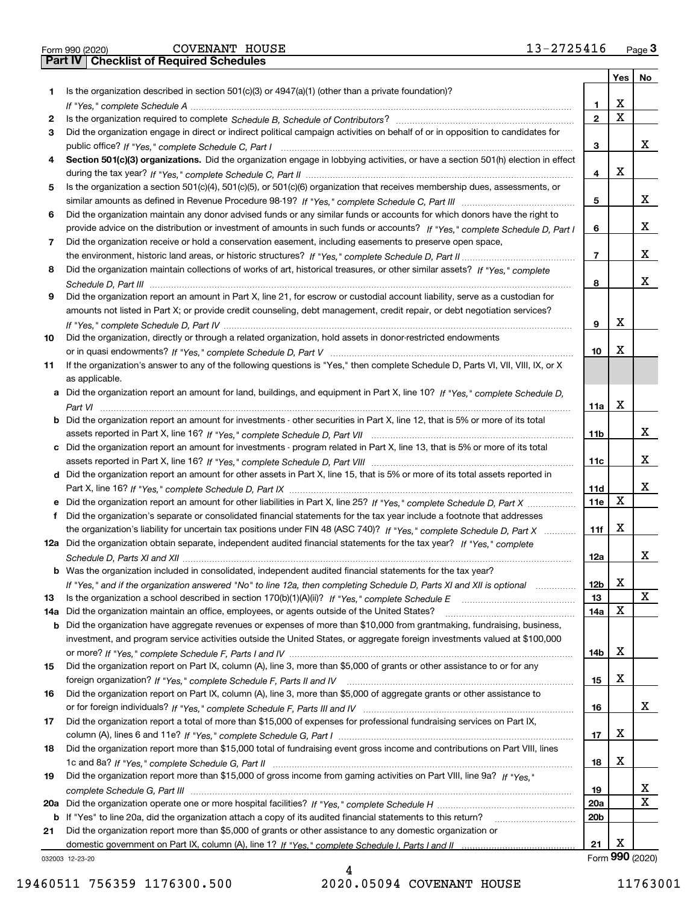|  | Form 990 (2020) |
|--|-----------------|

|     |                                                                                                                                                                                                                                |                 | Yes         | No          |
|-----|--------------------------------------------------------------------------------------------------------------------------------------------------------------------------------------------------------------------------------|-----------------|-------------|-------------|
| 1   | Is the organization described in section $501(c)(3)$ or $4947(a)(1)$ (other than a private foundation)?                                                                                                                        |                 |             |             |
|     |                                                                                                                                                                                                                                | 1               | х           |             |
| 2   | Is the organization required to complete Schedule B, Schedule of Contributors? [11] Content of Content of Content of Contributors? [11] All of Contributors and Content of Content of the Organization required to complete th | $\mathbf{2}$    | $\mathbf X$ |             |
| 3   | Did the organization engage in direct or indirect political campaign activities on behalf of or in opposition to candidates for                                                                                                |                 |             |             |
|     |                                                                                                                                                                                                                                | 3               |             | x           |
| 4   | Section 501(c)(3) organizations. Did the organization engage in lobbying activities, or have a section 501(h) election in effect                                                                                               |                 |             |             |
|     |                                                                                                                                                                                                                                | 4               | х           |             |
| 5   | Is the organization a section 501(c)(4), 501(c)(5), or 501(c)(6) organization that receives membership dues, assessments, or                                                                                                   |                 |             |             |
|     |                                                                                                                                                                                                                                | 5               |             | х           |
| 6   | Did the organization maintain any donor advised funds or any similar funds or accounts for which donors have the right to                                                                                                      |                 |             |             |
|     | provide advice on the distribution or investment of amounts in such funds or accounts? If "Yes," complete Schedule D, Part I                                                                                                   | 6               |             | х           |
| 7   | Did the organization receive or hold a conservation easement, including easements to preserve open space,                                                                                                                      |                 |             |             |
|     |                                                                                                                                                                                                                                | 7               |             | х           |
| 8   | Did the organization maintain collections of works of art, historical treasures, or other similar assets? If "Yes," complete                                                                                                   |                 |             |             |
|     |                                                                                                                                                                                                                                | 8               |             | х           |
| 9   | Did the organization report an amount in Part X, line 21, for escrow or custodial account liability, serve as a custodian for                                                                                                  |                 |             |             |
|     | amounts not listed in Part X; or provide credit counseling, debt management, credit repair, or debt negotiation services?                                                                                                      |                 |             |             |
|     |                                                                                                                                                                                                                                | 9               | х           |             |
| 10  | Did the organization, directly or through a related organization, hold assets in donor-restricted endowments                                                                                                                   |                 |             |             |
|     |                                                                                                                                                                                                                                | 10              | X           |             |
|     |                                                                                                                                                                                                                                |                 |             |             |
| 11  | If the organization's answer to any of the following questions is "Yes," then complete Schedule D, Parts VI, VII, VIII, IX, or X                                                                                               |                 |             |             |
|     | as applicable.                                                                                                                                                                                                                 |                 |             |             |
|     | a Did the organization report an amount for land, buildings, and equipment in Part X, line 10? If "Yes," complete Schedule D,                                                                                                  |                 | x           |             |
|     |                                                                                                                                                                                                                                | 11a             |             |             |
|     | <b>b</b> Did the organization report an amount for investments - other securities in Part X, line 12, that is 5% or more of its total                                                                                          |                 |             | х           |
|     |                                                                                                                                                                                                                                | 11b             |             |             |
|     | c Did the organization report an amount for investments - program related in Part X, line 13, that is 5% or more of its total                                                                                                  |                 |             |             |
|     |                                                                                                                                                                                                                                | 11c             |             | х           |
|     | d Did the organization report an amount for other assets in Part X, line 15, that is 5% or more of its total assets reported in                                                                                                |                 |             |             |
|     |                                                                                                                                                                                                                                | 11d             |             | х           |
|     | e Did the organization report an amount for other liabilities in Part X, line 25? If "Yes," complete Schedule D, Part X                                                                                                        | 11e             | x           |             |
| f   | Did the organization's separate or consolidated financial statements for the tax year include a footnote that addresses                                                                                                        |                 |             |             |
|     | the organization's liability for uncertain tax positions under FIN 48 (ASC 740)? If "Yes," complete Schedule D, Part X                                                                                                         | 11f             | х           |             |
|     | 12a Did the organization obtain separate, independent audited financial statements for the tax year? If "Yes," complete                                                                                                        |                 |             |             |
|     |                                                                                                                                                                                                                                | 12a             |             | х           |
|     | <b>b</b> Was the organization included in consolidated, independent audited financial statements for the tax year?                                                                                                             |                 |             |             |
|     | If "Yes," and if the organization answered "No" to line 12a, then completing Schedule D, Parts XI and XII is optional                                                                                                          | 12 <sub>b</sub> | х           |             |
| 13  |                                                                                                                                                                                                                                | 13              |             | $\mathbf X$ |
|     | 14a Did the organization maintain an office, employees, or agents outside of the United States?                                                                                                                                | 14a             | х           |             |
|     | <b>b</b> Did the organization have aggregate revenues or expenses of more than \$10,000 from grantmaking, fundraising, business,                                                                                               |                 |             |             |
|     | investment, and program service activities outside the United States, or aggregate foreign investments valued at \$100,000                                                                                                     |                 |             |             |
|     |                                                                                                                                                                                                                                | 14b             | х           |             |
| 15  | Did the organization report on Part IX, column (A), line 3, more than \$5,000 of grants or other assistance to or for any                                                                                                      |                 |             |             |
|     |                                                                                                                                                                                                                                | 15              | х           |             |
| 16  | Did the organization report on Part IX, column (A), line 3, more than \$5,000 of aggregate grants or other assistance to                                                                                                       |                 |             |             |
|     |                                                                                                                                                                                                                                | 16              |             | x           |
| 17  | Did the organization report a total of more than \$15,000 of expenses for professional fundraising services on Part IX,                                                                                                        |                 |             |             |
|     |                                                                                                                                                                                                                                | 17              | х           |             |
| 18  | Did the organization report more than \$15,000 total of fundraising event gross income and contributions on Part VIII, lines                                                                                                   |                 |             |             |
|     |                                                                                                                                                                                                                                | 18              | X           |             |
| 19  | Did the organization report more than \$15,000 of gross income from gaming activities on Part VIII, line 9a? If "Yes."                                                                                                         |                 |             |             |
|     |                                                                                                                                                                                                                                | 19              |             | x           |
| 20a |                                                                                                                                                                                                                                | 20a             |             | X           |
|     | b If "Yes" to line 20a, did the organization attach a copy of its audited financial statements to this return?                                                                                                                 | 20 <sub>b</sub> |             |             |
| 21  | Did the organization report more than \$5,000 of grants or other assistance to any domestic organization or                                                                                                                    |                 |             |             |
|     |                                                                                                                                                                                                                                | 21              | х           |             |
|     |                                                                                                                                                                                                                                |                 |             |             |

032003 12-23-20

Form (2020) **990**

4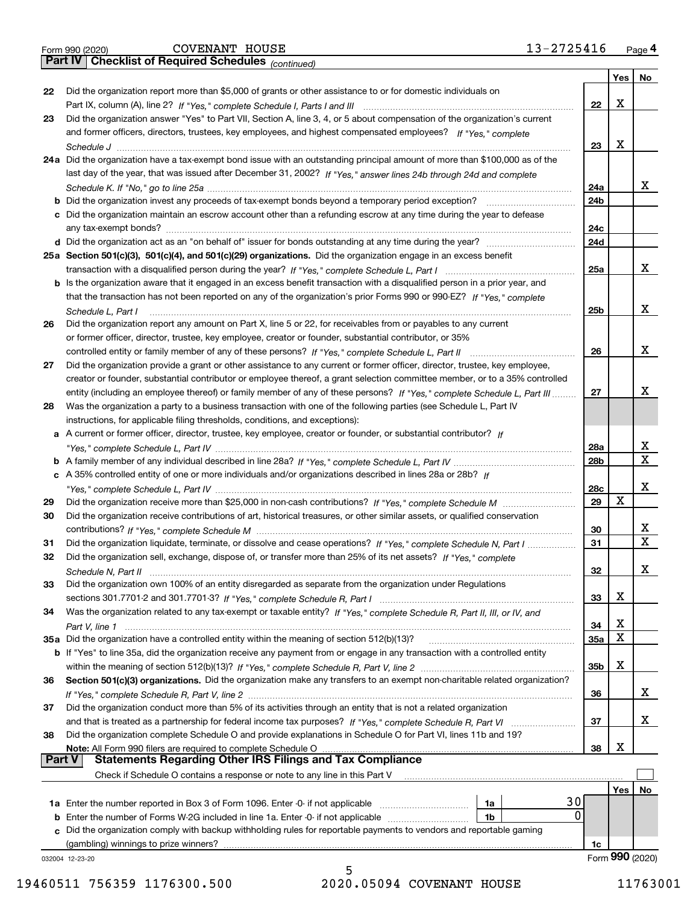|  | Form 990 (2020) |
|--|-----------------|
|  |                 |

*(continued)*

|          |                                                                                                                                                                                                                                        |          | Yes | No              |
|----------|----------------------------------------------------------------------------------------------------------------------------------------------------------------------------------------------------------------------------------------|----------|-----|-----------------|
| 22       | Did the organization report more than \$5,000 of grants or other assistance to or for domestic individuals on                                                                                                                          |          |     |                 |
|          |                                                                                                                                                                                                                                        | 22       | X   |                 |
| 23       | Did the organization answer "Yes" to Part VII, Section A, line 3, 4, or 5 about compensation of the organization's current                                                                                                             |          |     |                 |
|          | and former officers, directors, trustees, key employees, and highest compensated employees? If "Yes," complete                                                                                                                         |          |     |                 |
|          |                                                                                                                                                                                                                                        | 23       | X   |                 |
|          | 24a Did the organization have a tax-exempt bond issue with an outstanding principal amount of more than \$100,000 as of the                                                                                                            |          |     |                 |
|          | last day of the year, that was issued after December 31, 2002? If "Yes," answer lines 24b through 24d and complete                                                                                                                     |          |     | х               |
|          |                                                                                                                                                                                                                                        | 24a      |     |                 |
|          | <b>b</b> Did the organization invest any proceeds of tax-exempt bonds beyond a temporary period exception?                                                                                                                             | 24b      |     |                 |
|          | c Did the organization maintain an escrow account other than a refunding escrow at any time during the year to defease<br>any tax-exempt bonds?                                                                                        | 24c      |     |                 |
|          |                                                                                                                                                                                                                                        | 24d      |     |                 |
|          | 25a Section 501(c)(3), 501(c)(4), and 501(c)(29) organizations. Did the organization engage in an excess benefit                                                                                                                       |          |     |                 |
|          |                                                                                                                                                                                                                                        | 25a      |     | x               |
|          | <b>b</b> Is the organization aware that it engaged in an excess benefit transaction with a disqualified person in a prior year, and                                                                                                    |          |     |                 |
|          | that the transaction has not been reported on any of the organization's prior Forms 990 or 990-EZ? If "Yes," complete                                                                                                                  |          |     |                 |
|          | Schedule L, Part I                                                                                                                                                                                                                     | 25b      |     | x               |
| 26       | Did the organization report any amount on Part X, line 5 or 22, for receivables from or payables to any current                                                                                                                        |          |     |                 |
|          | or former officer, director, trustee, key employee, creator or founder, substantial contributor, or 35%                                                                                                                                |          |     |                 |
|          |                                                                                                                                                                                                                                        | 26       |     | Х               |
| 27       | Did the organization provide a grant or other assistance to any current or former officer, director, trustee, key employee,                                                                                                            |          |     |                 |
|          | creator or founder, substantial contributor or employee thereof, a grant selection committee member, or to a 35% controlled                                                                                                            |          |     |                 |
|          | entity (including an employee thereof) or family member of any of these persons? If "Yes," complete Schedule L, Part III                                                                                                               | 27       |     | x               |
| 28       | Was the organization a party to a business transaction with one of the following parties (see Schedule L, Part IV                                                                                                                      |          |     |                 |
|          | instructions, for applicable filing thresholds, conditions, and exceptions):                                                                                                                                                           |          |     |                 |
|          | a A current or former officer, director, trustee, key employee, creator or founder, or substantial contributor? If                                                                                                                     |          |     |                 |
|          |                                                                                                                                                                                                                                        | 28a      |     | х               |
|          |                                                                                                                                                                                                                                        | 28b      |     | $\mathbf X$     |
|          | c A 35% controlled entity of one or more individuals and/or organizations described in lines 28a or 28b? If                                                                                                                            |          |     |                 |
|          |                                                                                                                                                                                                                                        | 28c      |     | x               |
| 29       |                                                                                                                                                                                                                                        | 29       | X   |                 |
| 30       | Did the organization receive contributions of art, historical treasures, or other similar assets, or qualified conservation                                                                                                            |          |     | х               |
|          |                                                                                                                                                                                                                                        | 30<br>31 |     | $\mathbf X$     |
| 31<br>32 | Did the organization liquidate, terminate, or dissolve and cease operations? If "Yes," complete Schedule N, Part I<br>Did the organization sell, exchange, dispose of, or transfer more than 25% of its net assets? If "Yes," complete |          |     |                 |
|          |                                                                                                                                                                                                                                        | 32       |     | X               |
| 33       | Schedule N, Part II<br>Did the organization own 100% of an entity disregarded as separate from the organization under Regulations                                                                                                      |          |     |                 |
|          |                                                                                                                                                                                                                                        | 33       | X   |                 |
| 34       | Was the organization related to any tax-exempt or taxable entity? If "Yes," complete Schedule R, Part II, III, or IV, and                                                                                                              |          |     |                 |
|          |                                                                                                                                                                                                                                        | 34       | X   |                 |
|          | 35a Did the organization have a controlled entity within the meaning of section 512(b)(13)?                                                                                                                                            | 35a      | X   |                 |
|          | <b>b</b> If "Yes" to line 35a, did the organization receive any payment from or engage in any transaction with a controlled entity                                                                                                     |          |     |                 |
|          |                                                                                                                                                                                                                                        | 35b      | X   |                 |
| 36       | Section 501(c)(3) organizations. Did the organization make any transfers to an exempt non-charitable related organization?                                                                                                             |          |     |                 |
|          |                                                                                                                                                                                                                                        | 36       |     | X               |
| 37       | Did the organization conduct more than 5% of its activities through an entity that is not a related organization                                                                                                                       |          |     |                 |
|          | and that is treated as a partnership for federal income tax purposes? If "Yes," complete Schedule R, Part VI                                                                                                                           | 37       |     | X               |
| 38       | Did the organization complete Schedule O and provide explanations in Schedule O for Part VI, lines 11b and 19?                                                                                                                         |          |     |                 |
|          | Note: All Form 990 filers are required to complete Schedule O                                                                                                                                                                          | 38       | X   |                 |
| ∣ Part V | <b>Statements Regarding Other IRS Filings and Tax Compliance</b>                                                                                                                                                                       |          |     |                 |
|          | Check if Schedule O contains a response or note to any line in this Part V                                                                                                                                                             |          |     |                 |
|          |                                                                                                                                                                                                                                        |          | Yes | No              |
|          | 30<br>1a                                                                                                                                                                                                                               |          |     |                 |
|          | 0<br><b>b</b> Enter the number of Forms W-2G included in line 1a. Enter -0- if not applicable<br>1b                                                                                                                                    |          |     |                 |
| c        | Did the organization comply with backup withholding rules for reportable payments to vendors and reportable gaming                                                                                                                     |          |     |                 |
|          | (gambling) winnings to prize winners?                                                                                                                                                                                                  | 1c       |     | Form 990 (2020) |
|          | 032004 12-23-20                                                                                                                                                                                                                        |          |     |                 |

5 19460511 756359 1176300.500 2020.05094 COVENANT HOUSE 11763001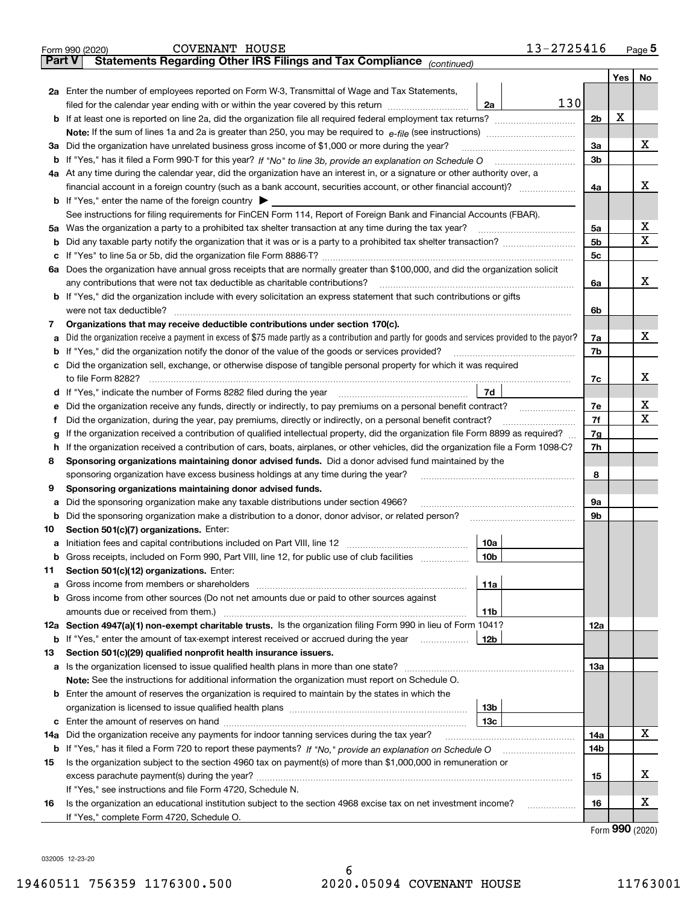|               | 13-2725416<br>COVENANT HOUSE<br>Form 990 (2020)                                                                                                 |                |             | $Page$ <sup>5</sup> |
|---------------|-------------------------------------------------------------------------------------------------------------------------------------------------|----------------|-------------|---------------------|
| <b>Part V</b> | Statements Regarding Other IRS Filings and Tax Compliance (continued)                                                                           |                |             |                     |
|               |                                                                                                                                                 |                | Yes $ $     | No                  |
|               | 2a Enter the number of employees reported on Form W-3, Transmittal of Wage and Tax Statements,                                                  |                |             |                     |
|               | 130<br>filed for the calendar year ending with or within the year covered by this return <i>manumumumum</i><br>2a                               |                |             |                     |
|               |                                                                                                                                                 | 2 <sub>b</sub> | Х           |                     |
|               |                                                                                                                                                 |                |             |                     |
| За            | Did the organization have unrelated business gross income of \$1,000 or more during the year?                                                   | 3a             |             | х                   |
|               |                                                                                                                                                 | 3b             |             |                     |
|               | 4a At any time during the calendar year, did the organization have an interest in, or a signature or other authority over, a                    |                |             |                     |
|               |                                                                                                                                                 | 4a             |             | x                   |
|               | <b>b</b> If "Yes," enter the name of the foreign country $\blacktriangleright$                                                                  |                |             |                     |
|               |                                                                                                                                                 |                |             |                     |
|               | See instructions for filing requirements for FinCEN Form 114, Report of Foreign Bank and Financial Accounts (FBAR).                             |                |             | х                   |
|               |                                                                                                                                                 | 5a             |             |                     |
|               |                                                                                                                                                 | 5b             |             | х                   |
|               |                                                                                                                                                 | 5c             |             |                     |
|               | 6a Does the organization have annual gross receipts that are normally greater than \$100,000, and did the organization solicit                  |                |             |                     |
|               |                                                                                                                                                 | 6a             |             | х                   |
|               | <b>b</b> If "Yes," did the organization include with every solicitation an express statement that such contributions or gifts                   |                |             |                     |
|               |                                                                                                                                                 | 6b             |             |                     |
| 7             | Organizations that may receive deductible contributions under section 170(c).                                                                   |                |             |                     |
| а             | Did the organization receive a payment in excess of \$75 made partly as a contribution and partly for goods and services provided to the payor? | 7a             |             | х                   |
|               | <b>b</b> If "Yes," did the organization notify the donor of the value of the goods or services provided?                                        | 7b             |             |                     |
|               | c Did the organization sell, exchange, or otherwise dispose of tangible personal property for which it was required                             |                |             |                     |
|               |                                                                                                                                                 | 7c             |             | x                   |
|               | 7d                                                                                                                                              |                |             |                     |
| е             | Did the organization receive any funds, directly or indirectly, to pay premiums on a personal benefit contract?                                 | 7e             |             | X                   |
| f             | Did the organization, during the year, pay premiums, directly or indirectly, on a personal benefit contract?                                    | 7f             |             | X                   |
| g             | If the organization received a contribution of qualified intellectual property, did the organization file Form 8899 as required?                | 7g             |             |                     |
| h.            | If the organization received a contribution of cars, boats, airplanes, or other vehicles, did the organization file a Form 1098-C?              | 7h             |             |                     |
| 8             | Sponsoring organizations maintaining donor advised funds. Did a donor advised fund maintained by the                                            |                |             |                     |
|               | sponsoring organization have excess business holdings at any time during the year?                                                              | 8              |             |                     |
| 9             | Sponsoring organizations maintaining donor advised funds.                                                                                       |                |             |                     |
|               |                                                                                                                                                 |                |             |                     |
| а             | Did the sponsoring organization make any taxable distributions under section 4966?                                                              | 9а             |             |                     |
|               | <b>b</b> Did the sponsoring organization make a distribution to a donor, donor advisor, or related person?                                      | 9b             |             |                     |
| 10            | Section 501(c)(7) organizations. Enter:                                                                                                         |                |             |                     |
|               | 10a                                                                                                                                             |                |             |                     |
|               | 10 <sub>b</sub><br>Gross receipts, included on Form 990, Part VIII, line 12, for public use of club facilities                                  |                |             |                     |
| 11            | Section 501(c)(12) organizations. Enter:                                                                                                        |                |             |                     |
|               | 11a                                                                                                                                             |                |             |                     |
|               | b Gross income from other sources (Do not net amounts due or paid to other sources against                                                      |                |             |                     |
|               | 11b                                                                                                                                             |                |             |                     |
|               | 12a Section 4947(a)(1) non-exempt charitable trusts. Is the organization filing Form 990 in lieu of Form 1041?                                  | 12a            |             |                     |
|               | 12b<br><b>b</b> If "Yes," enter the amount of tax-exempt interest received or accrued during the year <i>manument</i>                           |                |             |                     |
| 13            | Section 501(c)(29) qualified nonprofit health insurance issuers.                                                                                |                |             |                     |
|               | <b>a</b> Is the organization licensed to issue qualified health plans in more than one state?                                                   | 13а            |             |                     |
|               | Note: See the instructions for additional information the organization must report on Schedule O.                                               |                |             |                     |
|               | <b>b</b> Enter the amount of reserves the organization is required to maintain by the states in which the                                       |                |             |                     |
|               | 13b                                                                                                                                             |                |             |                     |
|               | 13с                                                                                                                                             |                |             |                     |
| 14a           | Did the organization receive any payments for indoor tanning services during the tax year?                                                      | 14a            |             | х                   |
|               | <b>b</b> If "Yes," has it filed a Form 720 to report these payments? If "No," provide an explanation on Schedule O                              | 14b            |             |                     |
|               | Is the organization subject to the section 4960 tax on payment(s) of more than \$1,000,000 in remuneration or                                   |                |             |                     |
| 15            |                                                                                                                                                 |                |             | X                   |
|               |                                                                                                                                                 | 15             |             |                     |
|               | If "Yes," see instructions and file Form 4720, Schedule N.                                                                                      |                |             |                     |
| 16            | Is the organization an educational institution subject to the section 4968 excise tax on net investment income?                                 | 16             |             | X                   |
|               | If "Yes," complete Form 4720, Schedule O.                                                                                                       |                | <u>nnn </u> |                     |

| Form 990 (2020) |  |
|-----------------|--|
|-----------------|--|

032005 12-23-20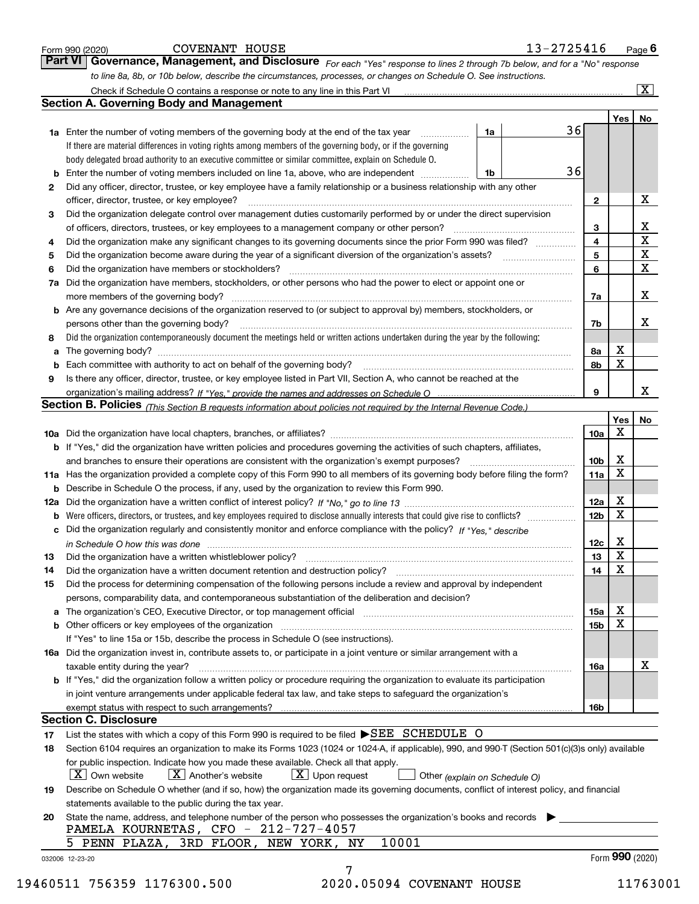|          | Check if Schedule O contains a response or note to any line in this Part VI [11] [12] Check if Schedule O contains a response or note to any line in this Part VI                                                                         |                 |                         | $\overline{\mathbf{X}}$     |
|----------|-------------------------------------------------------------------------------------------------------------------------------------------------------------------------------------------------------------------------------------------|-----------------|-------------------------|-----------------------------|
|          | <b>Section A. Governing Body and Management</b>                                                                                                                                                                                           |                 |                         |                             |
|          |                                                                                                                                                                                                                                           |                 | Yes                     | No                          |
|          | <b>1a</b> Enter the number of voting members of the governing body at the end of the tax year <i>manumum</i><br>1a                                                                                                                        | 36              |                         |                             |
|          | If there are material differences in voting rights among members of the governing body, or if the governing                                                                                                                               |                 |                         |                             |
|          | body delegated broad authority to an executive committee or similar committee, explain on Schedule O.                                                                                                                                     |                 |                         |                             |
|          | Enter the number of voting members included on line 1a, above, who are independent<br>1b                                                                                                                                                  | 36              |                         |                             |
| 2        | Did any officer, director, trustee, or key employee have a family relationship or a business relationship with any other                                                                                                                  |                 |                         |                             |
|          | officer, director, trustee, or key employee?                                                                                                                                                                                              | $\mathbf{2}$    |                         | Х                           |
| 3        | Did the organization delegate control over management duties customarily performed by or under the direct supervision                                                                                                                     |                 |                         |                             |
|          |                                                                                                                                                                                                                                           | 3               |                         | $\frac{\text{X}}{\text{X}}$ |
| 4        | Did the organization make any significant changes to its governing documents since the prior Form 990 was filed?                                                                                                                          | 4               |                         |                             |
| 5        |                                                                                                                                                                                                                                           | 5               |                         | $\overline{\textbf{X}}$     |
| 6        | Did the organization have members or stockholders?                                                                                                                                                                                        | 6               |                         | $\overline{\mathbf{x}}$     |
| 7a       | Did the organization have members, stockholders, or other persons who had the power to elect or appoint one or                                                                                                                            |                 |                         |                             |
|          |                                                                                                                                                                                                                                           | 7a              |                         | х                           |
|          | <b>b</b> Are any governance decisions of the organization reserved to (or subject to approval by) members, stockholders, or                                                                                                               |                 |                         |                             |
|          | persons other than the governing body?                                                                                                                                                                                                    | 7b              |                         | X                           |
| 8        | Did the organization contemporaneously document the meetings held or written actions undertaken during the year by the following:                                                                                                         |                 |                         |                             |
| а        |                                                                                                                                                                                                                                           | 8а              | x                       |                             |
|          |                                                                                                                                                                                                                                           | 8b              | $\mathbf x$             |                             |
| 9        | Is there any officer, director, trustee, or key employee listed in Part VII, Section A, who cannot be reached at the                                                                                                                      |                 |                         |                             |
|          |                                                                                                                                                                                                                                           | 9               |                         | X                           |
|          | Section B. Policies (This Section B requests information about policies not required by the Internal Revenue Code.)                                                                                                                       |                 |                         |                             |
|          |                                                                                                                                                                                                                                           |                 | Yes                     | No                          |
|          |                                                                                                                                                                                                                                           | 10a             | X                       |                             |
|          | b If "Yes," did the organization have written policies and procedures governing the activities of such chapters, affiliates,                                                                                                              |                 |                         |                             |
|          |                                                                                                                                                                                                                                           | 10b             | X                       |                             |
|          | 11a Has the organization provided a complete copy of this Form 990 to all members of its governing body before filing the form?                                                                                                           | 11a             | X                       |                             |
|          | <b>b</b> Describe in Schedule O the process, if any, used by the organization to review this Form 990.                                                                                                                                    |                 |                         |                             |
|          |                                                                                                                                                                                                                                           | 12a             | х                       |                             |
| b        | Were officers, directors, or trustees, and key employees required to disclose annually interests that could give rise to conflicts?                                                                                                       | 12 <sub>b</sub> | X                       |                             |
|          | c Did the organization regularly and consistently monitor and enforce compliance with the policy? If "Yes," describe                                                                                                                      |                 |                         |                             |
|          | in Schedule O how this was done manufactured and continuum control of the Schedule O how this was done                                                                                                                                    | 12c             | х                       |                             |
| 13       | Did the organization have a written whistleblower policy?                                                                                                                                                                                 | 13              | $\overline{\textbf{X}}$ |                             |
| 14       | Did the organization have a written document retention and destruction policy? manufactured and the organization have a written document retention and destruction policy?                                                                | 14              | X                       |                             |
| 15       | Did the process for determining compensation of the following persons include a review and approval by independent                                                                                                                        |                 |                         |                             |
|          | persons, comparability data, and contemporaneous substantiation of the deliberation and decision?                                                                                                                                         |                 |                         |                             |
|          |                                                                                                                                                                                                                                           |                 | x                       |                             |
| а        | The organization's CEO, Executive Director, or top management official manufactured content content of the organization's CEO, Executive Director, or top management official manufactured content of the original content of             | 15a             | X                       |                             |
|          | <b>b</b> Other officers or key employees of the organization <i>manufacture content of the content of the content of the content of the content of the content of the content of the content of the content of the content of the con</i> | 15 <sub>b</sub> |                         |                             |
|          | If "Yes" to line 15a or 15b, describe the process in Schedule O (see instructions).                                                                                                                                                       |                 |                         |                             |
|          | 16a Did the organization invest in, contribute assets to, or participate in a joint venture or similar arrangement with a                                                                                                                 |                 |                         |                             |
|          | taxable entity during the year?                                                                                                                                                                                                           | 16a             |                         | х                           |
|          |                                                                                                                                                                                                                                           |                 |                         |                             |
|          | <b>b</b> If "Yes," did the organization follow a written policy or procedure requiring the organization to evaluate its participation                                                                                                     |                 |                         |                             |
|          | in joint venture arrangements under applicable federal tax law, and take steps to safeguard the organization's                                                                                                                            |                 |                         |                             |
|          |                                                                                                                                                                                                                                           | 16b             |                         |                             |
|          | <b>Section C. Disclosure</b>                                                                                                                                                                                                              |                 |                         |                             |
|          | List the states with which a copy of this Form 990 is required to be filed SEE SCHEDULE O                                                                                                                                                 |                 |                         |                             |
| 17<br>18 | Section 6104 requires an organization to make its Forms 1023 (1024 or 1024-A, if applicable), 990, and 990-T (Section 501(c)(3)s only) available                                                                                          |                 |                         |                             |
|          | for public inspection. Indicate how you made these available. Check all that apply.                                                                                                                                                       |                 |                         |                             |
|          | $\boxed{\text{X}}$ Upon request<br>$X$ Own website<br>$X$ Another's website<br>Other (explain on Schedule O)                                                                                                                              |                 |                         |                             |
| 19       | Describe on Schedule O whether (and if so, how) the organization made its governing documents, conflict of interest policy, and financial                                                                                                 |                 |                         |                             |
|          | statements available to the public during the tax year.                                                                                                                                                                                   |                 |                         |                             |
| 20       | State the name, address, and telephone number of the person who possesses the organization's books and records                                                                                                                            |                 |                         |                             |
|          | PAMELA KOURNETAS, CFO - 212-727-4057<br>10001<br>5 PENN PLAZA, 3RD FLOOR, NEW YORK, NY                                                                                                                                                    |                 |                         |                             |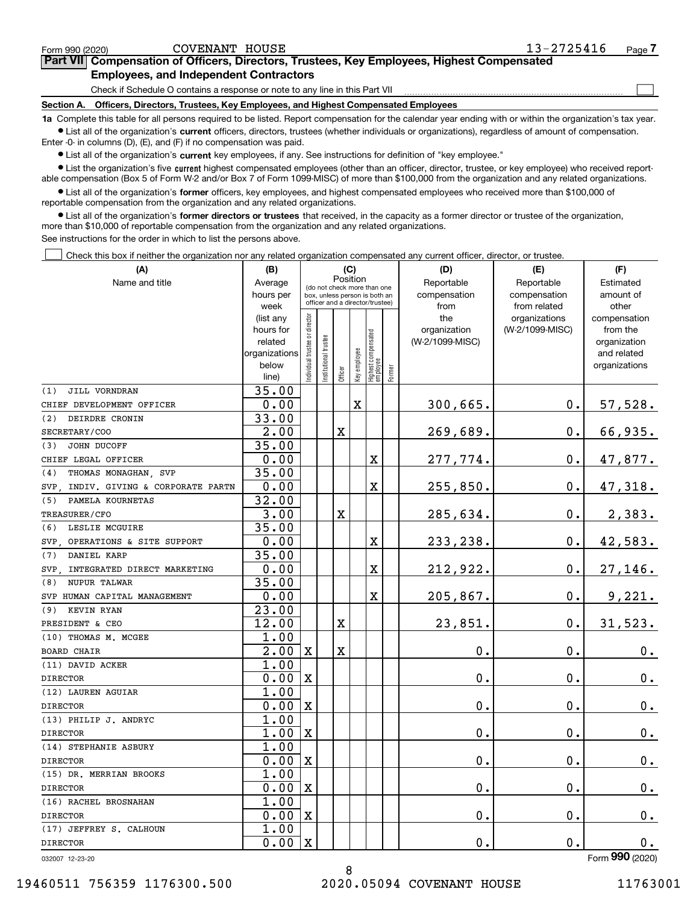| 0010111111011011 |                             |  |
|------------------|-----------------------------|--|
|                  | 19460511 756359 1176300.500 |  |

| Form 990 (2020) | HOUSE<br><b>COVENANT</b> | 2725416<br>19 | Paɑe |
|-----------------|--------------------------|---------------|------|
|                 |                          |               |      |

**7Part VII Compensation of Officers, Directors, Trustees, Key Employees, Highest Compensated Employees, and Independent Contractors** 13-2725416

Check if Schedule O contains a response or note to any line in this Part VII

**Section A. Officers, Directors, Trustees, Key Employees, and Highest Compensated Employees**

**1a**  Complete this table for all persons required to be listed. Report compensation for the calendar year ending with or within the organization's tax year. **•** List all of the organization's current officers, directors, trustees (whether individuals or organizations), regardless of amount of compensation.

Enter -0- in columns (D), (E), and (F) if no compensation was paid.

 $\bullet$  List all of the organization's  $\,$ current key employees, if any. See instructions for definition of "key employee."

**•** List the organization's five current highest compensated employees (other than an officer, director, trustee, or key employee) who received reportable compensation (Box 5 of Form W-2 and/or Box 7 of Form 1099-MISC) of more than \$100,000 from the organization and any related organizations.

**•** List all of the organization's former officers, key employees, and highest compensated employees who received more than \$100,000 of reportable compensation from the organization and any related organizations.

**former directors or trustees**  ¥ List all of the organization's that received, in the capacity as a former director or trustee of the organization, more than \$10,000 of reportable compensation from the organization and any related organizations.

See instructions for the order in which to list the persons above.

Check this box if neither the organization nor any related organization compensated any current officer, director, or trustee.  $\mathcal{L}^{\text{max}}$ 

| (A)                                    | (B)                      | (C)                           |                                                                                                 |             |              |                                           |           | (D)                             | (E)             | (F)                         |  |  |  |
|----------------------------------------|--------------------------|-------------------------------|-------------------------------------------------------------------------------------------------|-------------|--------------|-------------------------------------------|-----------|---------------------------------|-----------------|-----------------------------|--|--|--|
| Name and title                         | Average                  |                               |                                                                                                 |             | Position     |                                           |           | Reportable                      | Reportable      | Estimated                   |  |  |  |
|                                        | hours per                |                               | (do not check more than one<br>box, unless person is both an<br>officer and a director/trustee) |             | compensation | compensation                              | amount of |                                 |                 |                             |  |  |  |
|                                        | week                     |                               |                                                                                                 |             |              |                                           |           | from                            | from related    | other                       |  |  |  |
|                                        | (list any                |                               |                                                                                                 |             |              |                                           |           | the                             | organizations   | compensation                |  |  |  |
|                                        | hours for                |                               |                                                                                                 |             |              |                                           |           | organization<br>(W-2/1099-MISC) | (W-2/1099-MISC) | from the                    |  |  |  |
|                                        | related<br>organizations |                               |                                                                                                 |             |              |                                           |           |                                 |                 | organization<br>and related |  |  |  |
|                                        | below                    |                               |                                                                                                 |             |              |                                           |           |                                 |                 | organizations               |  |  |  |
|                                        | line)                    | ndividual trustee or director | nstitutional trustee                                                                            | Officer     | Key employee | Highest compensated<br>employee<br>Former |           |                                 |                 |                             |  |  |  |
| JILL VORNDRAN<br>(1)                   | 35.00                    |                               |                                                                                                 |             |              |                                           |           |                                 |                 |                             |  |  |  |
| CHIEF DEVELOPMENT OFFICER              | 0.00                     |                               |                                                                                                 |             | $\mathbf X$  |                                           |           | 300,665.                        | $0$ .           | 57,528.                     |  |  |  |
| DEIRDRE CRONIN<br>(2)                  | 33.00                    |                               |                                                                                                 |             |              |                                           |           |                                 |                 |                             |  |  |  |
| SECRETARY/COO                          | 2.00                     |                               |                                                                                                 | X           |              |                                           |           | 269,689.                        | 0.              | 66,935.                     |  |  |  |
| JOHN DUCOFF<br>(3)                     | 35.00                    |                               |                                                                                                 |             |              |                                           |           |                                 |                 |                             |  |  |  |
| CHIEF LEGAL OFFICER                    | 0.00                     |                               |                                                                                                 |             |              | $\overline{\textbf{X}}$                   |           | 277,774.                        | 0.              | 47,877.                     |  |  |  |
| (4)<br>THOMAS MONAGHAN SVP             | 35.00                    |                               |                                                                                                 |             |              |                                           |           |                                 |                 |                             |  |  |  |
| INDIV. GIVING & CORPORATE PARTN<br>SVP | 0.00                     |                               |                                                                                                 |             |              | $\overline{\textbf{X}}$                   |           | 255,850.                        | 0.              | 47,318.                     |  |  |  |
| (5)<br>PAMELA KOURNETAS                | 32.00                    |                               |                                                                                                 |             |              |                                           |           |                                 |                 |                             |  |  |  |
| TREASURER/CFO                          | 3.00                     |                               |                                                                                                 | $\mathbf X$ |              |                                           |           | 285,634.                        | 0.              | 2,383.                      |  |  |  |
| LESLIE MCGUIRE<br>(6)                  | 35.00                    |                               |                                                                                                 |             |              |                                           |           |                                 |                 |                             |  |  |  |
| SVP OPERATIONS & SITE SUPPORT          | 0.00                     |                               |                                                                                                 |             |              | X                                         |           | 233, 238.                       | 0.              | 42,583.                     |  |  |  |
| DANIEL KARP<br>(7)                     | 35.00                    |                               |                                                                                                 |             |              |                                           |           |                                 |                 |                             |  |  |  |
| SVP . INTEGRATED DIRECT MARKETING      | 0.00                     |                               |                                                                                                 |             |              | X                                         |           | 212,922.                        | 0.              | 27,146.                     |  |  |  |
| NUPUR TALWAR<br>(8)                    | 35.00                    |                               |                                                                                                 |             |              |                                           |           |                                 |                 |                             |  |  |  |
| SVP HUMAN CAPITAL MANAGEMENT           | 0.00                     |                               |                                                                                                 |             |              | X                                         |           | 205,867.                        | 0.              | 9,221.                      |  |  |  |
| KEVIN RYAN<br>(9)                      | 23.00                    |                               |                                                                                                 |             |              |                                           |           |                                 |                 |                             |  |  |  |
| PRESIDENT & CEO                        | 12.00                    |                               |                                                                                                 | X           |              |                                           |           | 23,851.                         | 0.              | 31,523.                     |  |  |  |
| (10) THOMAS M. MCGEE                   | 1.00                     |                               |                                                                                                 |             |              |                                           |           |                                 |                 |                             |  |  |  |
| <b>BOARD CHAIR</b>                     | $\overline{2.00}$        | $\mathbf X$                   |                                                                                                 | X           |              |                                           |           | 0.                              | 0.              | 0.                          |  |  |  |
| (11) DAVID ACKER                       | 1.00                     |                               |                                                                                                 |             |              |                                           |           |                                 |                 |                             |  |  |  |
| <b>DIRECTOR</b>                        | 0.00                     | X                             |                                                                                                 |             |              |                                           |           | Ο.                              | 0.              | 0.                          |  |  |  |
| (12) LAUREN AGUIAR                     | 1.00                     |                               |                                                                                                 |             |              |                                           |           |                                 |                 |                             |  |  |  |
| <b>DIRECTOR</b>                        | 0.00                     | $\mathbf X$                   |                                                                                                 |             |              |                                           |           | 0.                              | 0.              | $\mathbf 0$ .               |  |  |  |
| (13) PHILIP J. ANDRYC                  | 1.00                     |                               |                                                                                                 |             |              |                                           |           |                                 |                 |                             |  |  |  |
| <b>DIRECTOR</b>                        | 1.00                     | $\mathbf x$                   |                                                                                                 |             |              |                                           |           | $0$ .                           | 0.              | 0.                          |  |  |  |
| (14) STEPHANIE ASBURY                  | 1.00                     |                               |                                                                                                 |             |              |                                           |           |                                 |                 |                             |  |  |  |
| <b>DIRECTOR</b>                        | 0.00                     | $\mathbf X$                   |                                                                                                 |             |              |                                           |           | 0.                              | 0.              | 0.                          |  |  |  |
| (15) DR. MERRIAN BROOKS                | 1.00                     |                               |                                                                                                 |             |              |                                           |           |                                 |                 |                             |  |  |  |
| <b>DIRECTOR</b>                        | 0.00                     | $\mathbf X$                   |                                                                                                 |             |              |                                           |           | 0.                              | 0.              | $\mathbf 0$ .               |  |  |  |
| (16) RACHEL BROSNAHAN                  | 1.00                     |                               |                                                                                                 |             |              |                                           |           |                                 |                 |                             |  |  |  |
| <b>DIRECTOR</b>                        | 0.00                     | $\mathbf X$                   |                                                                                                 |             |              |                                           |           | 0.                              | 0.              | 0.                          |  |  |  |
| (17) JEFFREY S. CALHOUN                | 1.00                     |                               |                                                                                                 |             |              |                                           |           |                                 |                 |                             |  |  |  |
| <b>DIRECTOR</b>                        | 0.00                     | $\mathbf X$                   |                                                                                                 |             |              |                                           |           | $\mathbf 0$ .                   | $\mathbf 0$ .   | 0.                          |  |  |  |
| 000007 10.00.00                        |                          |                               |                                                                                                 |             |              |                                           |           |                                 |                 | $F_{\text{Orm}}$ 990 (2020) |  |  |  |

8

Form (2020) **990**

 $\mathcal{L}^{\text{max}}$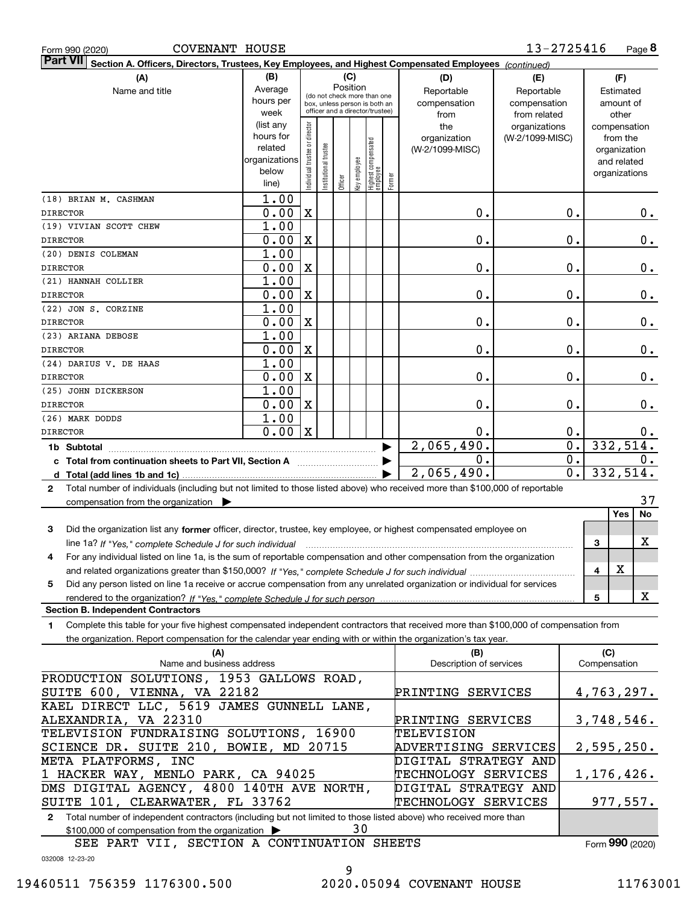| COVENANT HOUSE<br>Form 990 (2020)                                                                                                                                                                                                                                           |                   |                                                                  |                                         |         |              |                                  |        |                         | 13-2725416                       |                                   |              |                          | Page 8         |
|-----------------------------------------------------------------------------------------------------------------------------------------------------------------------------------------------------------------------------------------------------------------------------|-------------------|------------------------------------------------------------------|-----------------------------------------|---------|--------------|----------------------------------|--------|-------------------------|----------------------------------|-----------------------------------|--------------|--------------------------|----------------|
| <b>Part VII</b><br>Section A. Officers, Directors, Trustees, Key Employees, and Highest Compensated Employees (continued)                                                                                                                                                   |                   |                                                                  |                                         |         |              |                                  |        |                         |                                  |                                   |              |                          |                |
| (A)                                                                                                                                                                                                                                                                         | (B)               |                                                                  |                                         |         | (C)          |                                  |        | (D)                     | (E)                              |                                   |              | (F)                      |                |
| Name and title                                                                                                                                                                                                                                                              | Average           |                                                                  | Position<br>(do not check more than one |         |              |                                  |        | Reportable              | Reportable                       |                                   | Estimated    |                          |                |
|                                                                                                                                                                                                                                                                             | hours per         | box, unless person is both an<br>officer and a director/trustee) |                                         |         |              |                                  |        | compensation            | compensation                     |                                   | amount of    |                          |                |
|                                                                                                                                                                                                                                                                             | week<br>(list any |                                                                  |                                         |         |              |                                  |        | from                    | from related                     |                                   |              | other                    |                |
|                                                                                                                                                                                                                                                                             | hours for         |                                                                  |                                         |         |              |                                  |        | the<br>organization     | organizations<br>(W-2/1099-MISC) |                                   |              | compensation<br>from the |                |
|                                                                                                                                                                                                                                                                             | related           |                                                                  |                                         |         |              |                                  |        | (W-2/1099-MISC)         |                                  |                                   |              | organization             |                |
|                                                                                                                                                                                                                                                                             | organizations     |                                                                  |                                         |         |              |                                  |        |                         |                                  |                                   |              | and related              |                |
|                                                                                                                                                                                                                                                                             | below             | Individual trustee or director                                   | Institutional trustee                   |         | Key employee |                                  |        |                         |                                  |                                   |              | organizations            |                |
|                                                                                                                                                                                                                                                                             | line)             |                                                                  |                                         | Officer |              | Highest compensated<br> employee | Former |                         |                                  |                                   |              |                          |                |
| (18) BRIAN M. CASHMAN                                                                                                                                                                                                                                                       | 1.00              |                                                                  |                                         |         |              |                                  |        |                         |                                  |                                   |              |                          |                |
| <b>DIRECTOR</b>                                                                                                                                                                                                                                                             | 0.00              | $\mathbf X$                                                      |                                         |         |              |                                  |        | 0.                      |                                  | 0.                                |              |                          | О.             |
| (19) VIVIAN SCOTT CHEW                                                                                                                                                                                                                                                      | 1.00              |                                                                  |                                         |         |              |                                  |        |                         |                                  |                                   |              |                          |                |
| <b>DIRECTOR</b>                                                                                                                                                                                                                                                             | 0.00              | $\mathbf X$                                                      |                                         |         |              |                                  |        | 0.                      |                                  | 0.                                |              |                          | $0$ .          |
| (20) DENIS COLEMAN                                                                                                                                                                                                                                                          | 1.00              |                                                                  |                                         |         |              |                                  |        |                         |                                  |                                   |              |                          |                |
| <b>DIRECTOR</b>                                                                                                                                                                                                                                                             | 0.00              | $\mathbf X$                                                      |                                         |         |              |                                  |        | 0.                      |                                  | 0.                                |              |                          | $0$ .          |
| (21) HANNAH COLLIER                                                                                                                                                                                                                                                         | 1.00              |                                                                  |                                         |         |              |                                  |        |                         |                                  |                                   |              |                          |                |
| <b>DIRECTOR</b>                                                                                                                                                                                                                                                             | 0.00              | $\mathbf X$                                                      |                                         |         |              |                                  |        | 0.                      |                                  | 0.                                |              |                          | $0$ .          |
| (22) JON S. CORZINE                                                                                                                                                                                                                                                         | 1.00              |                                                                  |                                         |         |              |                                  |        |                         |                                  |                                   |              |                          |                |
| <b>DIRECTOR</b>                                                                                                                                                                                                                                                             | 0.00              | $\mathbf X$                                                      |                                         |         |              |                                  |        | 0.                      |                                  | 0.                                |              |                          | $0$ .          |
| (23) ARIANA DEBOSE                                                                                                                                                                                                                                                          | 1.00              |                                                                  |                                         |         |              |                                  |        |                         |                                  |                                   |              |                          |                |
| <b>DIRECTOR</b>                                                                                                                                                                                                                                                             | 0.00              | $\mathbf X$                                                      |                                         |         |              |                                  |        | 0.                      |                                  | 0.                                |              |                          | $0$ .          |
| (24) DARIUS V. DE HAAS                                                                                                                                                                                                                                                      | 1.00              |                                                                  |                                         |         |              |                                  |        |                         |                                  |                                   |              |                          |                |
| <b>DIRECTOR</b>                                                                                                                                                                                                                                                             | 0.00              | $\mathbf X$                                                      |                                         |         |              |                                  |        | 0.                      |                                  | 0.                                |              |                          | $0$ .          |
| (25) JOHN DICKERSON                                                                                                                                                                                                                                                         | 1.00              |                                                                  |                                         |         |              |                                  |        |                         |                                  |                                   |              |                          |                |
| <b>DIRECTOR</b>                                                                                                                                                                                                                                                             | 0.00              | $\mathbf X$                                                      |                                         |         |              |                                  |        | 0.                      |                                  | 0.                                |              |                          | $0$ .          |
| (26) MARK DODDS                                                                                                                                                                                                                                                             | 1.00              |                                                                  |                                         |         |              |                                  |        |                         |                                  |                                   |              |                          |                |
| <b>DIRECTOR</b>                                                                                                                                                                                                                                                             | 0.00              | $\mathbf X$                                                      |                                         |         |              |                                  |        | 0.                      |                                  | $\mathbf 0$ .<br>$\overline{0}$ . |              |                          | $0$ .          |
|                                                                                                                                                                                                                                                                             |                   |                                                                  |                                         |         |              |                                  |        | 2,065,490.              |                                  | $\overline{0}$ .                  |              |                          | 332,514.       |
| c Total from continuation sheets to Part VII, Section A                                                                                                                                                                                                                     |                   |                                                                  |                                         |         |              |                                  |        | $0$ .                   |                                  | 0.                                |              |                          | 0.<br>332,514. |
|                                                                                                                                                                                                                                                                             |                   |                                                                  |                                         |         |              |                                  |        | 2,065,490.              |                                  |                                   |              |                          |                |
| Total number of individuals (including but not limited to those listed above) who received more than \$100,000 of reportable<br>2                                                                                                                                           |                   |                                                                  |                                         |         |              |                                  |        |                         |                                  |                                   |              |                          | 37             |
| compensation from the organization $\blacktriangleright$                                                                                                                                                                                                                    |                   |                                                                  |                                         |         |              |                                  |        |                         |                                  |                                   |              | Yes                      | No             |
|                                                                                                                                                                                                                                                                             |                   |                                                                  |                                         |         |              |                                  |        |                         |                                  |                                   |              |                          |                |
| Did the organization list any former officer, director, trustee, key employee, or highest compensated employee on<br>3                                                                                                                                                      |                   |                                                                  |                                         |         |              |                                  |        |                         |                                  |                                   |              |                          | X              |
| line 1a? If "Yes," complete Schedule J for such individual manufactured contained and the 1a? If "Yes," complete Schedule J for such individual<br>For any individual listed on line 1a, is the sum of reportable compensation and other compensation from the organization |                   |                                                                  |                                         |         |              |                                  |        |                         |                                  |                                   | 3            |                          |                |
|                                                                                                                                                                                                                                                                             |                   |                                                                  |                                         |         |              |                                  |        |                         |                                  |                                   | 4            | х                        |                |
| Did any person listed on line 1a receive or accrue compensation from any unrelated organization or individual for services<br>5                                                                                                                                             |                   |                                                                  |                                         |         |              |                                  |        |                         |                                  |                                   |              |                          |                |
| rendered to the organization? If "Yes." complete Schedule J for such person.                                                                                                                                                                                                |                   |                                                                  |                                         |         |              |                                  |        |                         |                                  |                                   | 5            |                          | X              |
| <b>Section B. Independent Contractors</b>                                                                                                                                                                                                                                   |                   |                                                                  |                                         |         |              |                                  |        |                         |                                  |                                   |              |                          |                |
| Complete this table for your five highest compensated independent contractors that received more than \$100,000 of compensation from<br>1.                                                                                                                                  |                   |                                                                  |                                         |         |              |                                  |        |                         |                                  |                                   |              |                          |                |
| the organization. Report compensation for the calendar year ending with or within the organization's tax year.                                                                                                                                                              |                   |                                                                  |                                         |         |              |                                  |        |                         |                                  |                                   |              |                          |                |
| (A)                                                                                                                                                                                                                                                                         |                   |                                                                  |                                         |         |              |                                  |        | (B)                     |                                  |                                   | (C)          |                          |                |
| Name and business address                                                                                                                                                                                                                                                   |                   |                                                                  |                                         |         |              |                                  |        | Description of services |                                  |                                   | Compensation |                          |                |
| PRODUCTION SOLUTIONS, 1953 GALLOWS ROAD,                                                                                                                                                                                                                                    |                   |                                                                  |                                         |         |              |                                  |        |                         |                                  |                                   |              |                          |                |
| SUITE 600, VIENNA, VA 22182                                                                                                                                                                                                                                                 |                   |                                                                  |                                         |         |              |                                  |        | PRINTING SERVICES       |                                  |                                   | 4,763,297.   |                          |                |
| KAEL DIRECT LLC, 5619 JAMES GUNNELL LANE,                                                                                                                                                                                                                                   |                   |                                                                  |                                         |         |              |                                  |        |                         |                                  |                                   |              |                          |                |
| ALEXANDRIA, VA 22310                                                                                                                                                                                                                                                        |                   |                                                                  |                                         |         |              |                                  |        | PRINTING SERVICES       |                                  |                                   | 3,748,546.   |                          |                |
| TELEVISION FUNDRAISING SOLUTIONS, 16900                                                                                                                                                                                                                                     |                   |                                                                  |                                         |         |              |                                  |        | TELEVISION              |                                  |                                   |              |                          |                |
| SCIENCE DR. SUITE 210, BOWIE, MD 20715                                                                                                                                                                                                                                      |                   |                                                                  |                                         |         |              |                                  |        | ADVERTISING SERVICES    |                                  |                                   | 2, 595, 250. |                          |                |
| META PLATFORMS, INC                                                                                                                                                                                                                                                         |                   |                                                                  |                                         |         |              |                                  |        | DIGITAL STRATEGY AND    |                                  |                                   |              |                          |                |
| 1 HACKER WAY, MENLO PARK, CA 94025                                                                                                                                                                                                                                          |                   |                                                                  |                                         |         |              |                                  |        | TECHNOLOGY SERVICES     |                                  |                                   | 1,176,426.   |                          |                |

**2**Total number of independent contractors (including but not limited to those listed above) who received more than \$100,000 of compensation from the organization  $\blacktriangleright$ SUITE 101, CLEARWATER, FL 33762 30 TECHNOLOGY SERVICES

SEE PART VII, SECTION A CONTINUATION SHEETS

DMS DIGITAL AGENCY, 4800 140TH AVE NORTH,

Form (2020) **990**

977,557.

032008 12-23-20

DIGITAL STRATEGY AND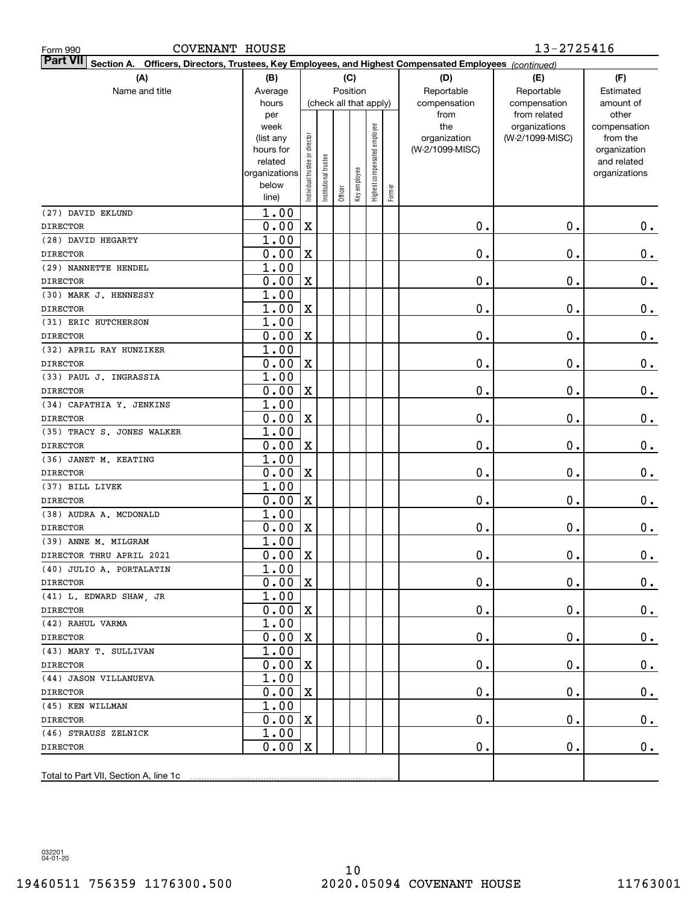| <b>COVENANT HOUSE</b><br>Form 990                                                                                    |                    |                                |                        |         |              |                              |           | 13-2725416      |                               |                       |  |  |
|----------------------------------------------------------------------------------------------------------------------|--------------------|--------------------------------|------------------------|---------|--------------|------------------------------|-----------|-----------------|-------------------------------|-----------------------|--|--|
| Part VII   Section A.<br>Officers, Directors, Trustees, Key Employees, and Highest Compensated Employees (continued) |                    |                                |                        |         |              |                              |           |                 |                               |                       |  |  |
| (A)                                                                                                                  | (B)                |                                | (C)                    |         |              |                              |           | (D)             | (E)                           | (F)                   |  |  |
| Name and title                                                                                                       | Average            |                                | Position               |         | Reportable   | Reportable                   | Estimated |                 |                               |                       |  |  |
|                                                                                                                      | hours              |                                | (check all that apply) |         | compensation | compensation                 | amount of |                 |                               |                       |  |  |
|                                                                                                                      | per<br>week        |                                |                        |         |              |                              |           | from<br>the     | from related<br>organizations | other<br>compensation |  |  |
|                                                                                                                      | (list any          |                                |                        |         |              |                              |           | organization    | (W-2/1099-MISC)               | from the              |  |  |
|                                                                                                                      | hours for          |                                |                        |         |              |                              |           | (W-2/1099-MISC) |                               | organization          |  |  |
|                                                                                                                      | related            |                                |                        |         |              |                              |           |                 |                               | and related           |  |  |
|                                                                                                                      | organizations      |                                |                        |         |              |                              |           |                 |                               | organizations         |  |  |
|                                                                                                                      | below              | Individual trustee or director | Institutional trustee  | Officer | Key employee | Highest compensated employee | Former    |                 |                               |                       |  |  |
|                                                                                                                      | line)              |                                |                        |         |              |                              |           |                 |                               |                       |  |  |
| (27) DAVID EKLUND                                                                                                    | 1.00               |                                |                        |         |              |                              |           |                 |                               |                       |  |  |
| <b>DIRECTOR</b>                                                                                                      | 0.00               | $\mathbf x$                    |                        |         |              |                              |           | 0.              | $\mathbf 0$ .                 | $\mathbf 0$ .         |  |  |
| (28) DAVID HEGARTY                                                                                                   | 1.00               |                                |                        |         |              |                              |           |                 |                               |                       |  |  |
| <b>DIRECTOR</b>                                                                                                      | 0.00               | $\mathbf X$                    |                        |         |              |                              |           | 0.              | Ο.                            | $0_{.}$               |  |  |
| (29) NANNETTE HENDEL                                                                                                 | 1.00               |                                |                        |         |              |                              |           |                 |                               |                       |  |  |
| <b>DIRECTOR</b>                                                                                                      | 0.00               | $\mathbf X$                    |                        |         |              |                              |           | 0.              | Ο.                            | $0_{.}$               |  |  |
| (30) MARK J. HENNESSY<br><b>DIRECTOR</b>                                                                             | 1.00<br>1.00       | $\mathbf X$                    |                        |         |              |                              |           | 0.              | Ο.                            |                       |  |  |
| (31) ERIC HUTCHERSON                                                                                                 | 1.00               |                                |                        |         |              |                              |           |                 |                               | $0_{.}$               |  |  |
| <b>DIRECTOR</b>                                                                                                      | 0.00               | $\mathbf X$                    |                        |         |              |                              |           | 0.              | Ο.                            | $0_{.}$               |  |  |
| (32) APRIL RAY HUNZIKER                                                                                              | 1.00               |                                |                        |         |              |                              |           |                 |                               |                       |  |  |
| <b>DIRECTOR</b>                                                                                                      | 0.00               | $\mathbf X$                    |                        |         |              |                              |           | $\mathbf 0$ .   | Ο.                            | $0_{.}$               |  |  |
| (33) PAUL J. INGRASSIA                                                                                               | 1.00               |                                |                        |         |              |                              |           |                 |                               |                       |  |  |
| <b>DIRECTOR</b>                                                                                                      | 0.00               | $\mathbf X$                    |                        |         |              |                              |           | $\mathbf 0$ .   | Ο.                            | $0_{.}$               |  |  |
| (34) CAPATHIA Y. JENKINS                                                                                             | 1.00               |                                |                        |         |              |                              |           |                 |                               |                       |  |  |
| <b>DIRECTOR</b>                                                                                                      | 0.00               | $\mathbf X$                    |                        |         |              |                              |           | 0.              | 0.                            | $0_{.}$               |  |  |
| (35) TRACY S. JONES WALKER                                                                                           | 1.00               |                                |                        |         |              |                              |           |                 |                               |                       |  |  |
| <b>DIRECTOR</b>                                                                                                      | 0.00               | $\mathbf X$                    |                        |         |              |                              |           | 0.              | 0.                            | $0_{.}$               |  |  |
| (36) JANET M. KEATING                                                                                                | 1.00               |                                |                        |         |              |                              |           |                 |                               |                       |  |  |
| <b>DIRECTOR</b>                                                                                                      | 0.00               | $\mathbf X$                    |                        |         |              |                              |           | 0.              | 0.                            | $0_{.}$               |  |  |
| (37) BILL LIVEK                                                                                                      | 1.00               |                                |                        |         |              |                              |           |                 |                               |                       |  |  |
| <b>DIRECTOR</b>                                                                                                      | 0.00               | $\mathbf X$                    |                        |         |              |                              |           | $\mathbf 0$ .   | 0.                            | 0.                    |  |  |
| (38) AUDRA A. MCDONALD                                                                                               | 1.00               |                                |                        |         |              |                              |           |                 |                               |                       |  |  |
| <b>DIRECTOR</b>                                                                                                      | 0.00               | $\mathbf X$                    |                        |         |              |                              |           | 0.              | 0.                            | 0.                    |  |  |
| (39) ANNE M. MILGRAM                                                                                                 | 1.00               |                                |                        |         |              |                              |           |                 |                               |                       |  |  |
| DIRECTOR THRU APRIL 2021                                                                                             | $0.00 \, \text{X}$ |                                |                        |         |              |                              |           | $\mathbf 0$ .   | $\mathbf 0$ .                 | 0.                    |  |  |
| (40) JULIO A. PORTALATIN                                                                                             | 1.00               |                                |                        |         |              |                              |           |                 |                               |                       |  |  |
| DIRECTOR                                                                                                             | 0.00               | $\mathbf X$                    |                        |         |              |                              |           | $\mathbf 0$ .   | $\mathfrak o$ .               | $0_{.}$               |  |  |
| (41) L. EDWARD SHAW, JR                                                                                              | 1.00               |                                |                        |         |              |                              |           |                 |                               |                       |  |  |
| <b>DIRECTOR</b>                                                                                                      | 0.00               | X                              |                        |         |              |                              |           | $\mathbf 0$ .   | $\mathfrak o$ .               | $0_{.}$               |  |  |
| (42) RAHUL VARMA                                                                                                     | 1.00               |                                |                        |         |              |                              |           |                 |                               |                       |  |  |
| <b>DIRECTOR</b>                                                                                                      | 0.00               | X                              |                        |         |              |                              |           | $\mathbf 0$ .   | $\mathbf 0$ .                 | $0_{.}$               |  |  |
| (43) MARY T. SULLIVAN                                                                                                | 1.00               |                                |                        |         |              |                              |           |                 |                               |                       |  |  |
| <b>DIRECTOR</b>                                                                                                      | 0.00               | X                              |                        |         |              |                              |           | $\mathbf 0$ .   | $\mathbf 0$ .                 | $0_{.}$               |  |  |
| (44) JASON VILLANUEVA                                                                                                | 1.00               |                                |                        |         |              |                              |           |                 |                               |                       |  |  |
| <b>DIRECTOR</b>                                                                                                      | 0.00               | X                              |                        |         |              |                              |           | $\mathfrak o$ . | $\mathfrak o$ .               | $0\cdot$              |  |  |
| (45) KEN WILLMAN                                                                                                     | 1.00               |                                |                        |         |              |                              |           |                 |                               |                       |  |  |
| <b>DIRECTOR</b>                                                                                                      | 0.00               | $\mathbf X$                    |                        |         |              |                              |           | $\mathfrak o$ . | $\mathbf 0$ .                 | $0\cdot$              |  |  |
| (46) STRAUSS ZELNICK                                                                                                 | 1.00               |                                |                        |         |              |                              |           |                 |                               |                       |  |  |
| <b>DIRECTOR</b>                                                                                                      | 0.00               | X                              |                        |         |              |                              |           | $\mathfrak o$ . | $\mathfrak o$ .               | $0_{.}$               |  |  |
|                                                                                                                      |                    |                                |                        |         |              |                              |           |                 |                               |                       |  |  |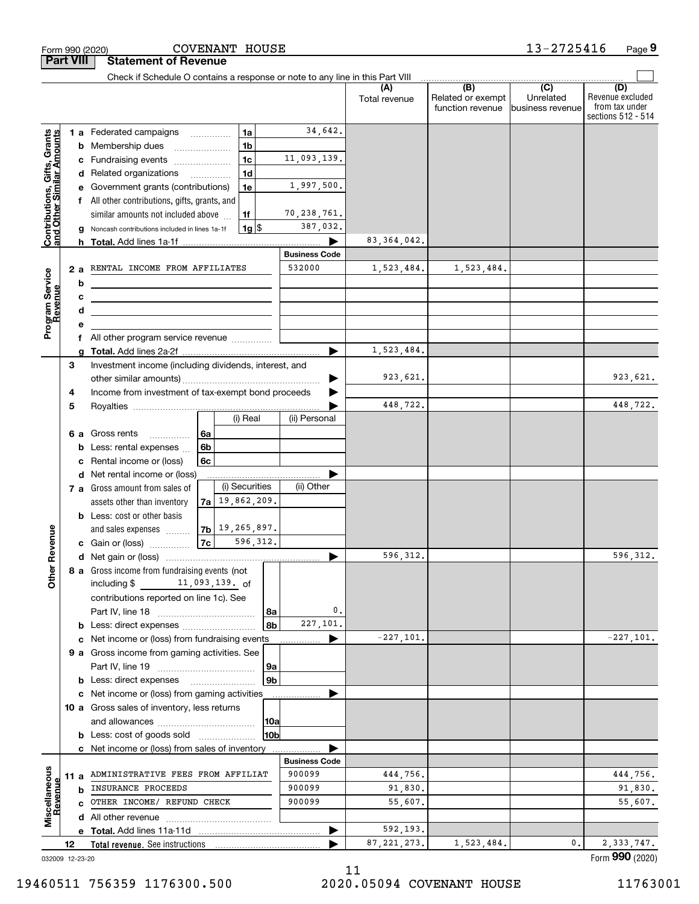|                                                                  | <b>Part VIII</b> | <b>Statement of Revenue</b>                                                                                            |                                            |                |                                |               |                                                           |                                                   |                                                                 |
|------------------------------------------------------------------|------------------|------------------------------------------------------------------------------------------------------------------------|--------------------------------------------|----------------|--------------------------------|---------------|-----------------------------------------------------------|---------------------------------------------------|-----------------------------------------------------------------|
|                                                                  |                  | Check if Schedule O contains a response or note to any line in this Part VIII                                          |                                            |                |                                |               |                                                           |                                                   |                                                                 |
|                                                                  |                  |                                                                                                                        |                                            |                |                                | Total revenue | $\overline{(B)}$<br>Related or exempt<br>function revenue | $\overline{(C)}$<br>Unrelated<br>business revenue | (D)<br>Revenue excluded<br>from tax under<br>sections 512 - 514 |
|                                                                  |                  | 1 a Federated campaigns                                                                                                | 1a                                         |                | 34,642.                        |               |                                                           |                                                   |                                                                 |
|                                                                  | b                | Membership dues                                                                                                        | 1 <sub>b</sub>                             |                |                                |               |                                                           |                                                   |                                                                 |
|                                                                  | c                | Fundraising events                                                                                                     | 1 <sub>c</sub>                             |                | 11,093,139.                    |               |                                                           |                                                   |                                                                 |
|                                                                  |                  | d Related organizations                                                                                                | 1 <sub>d</sub><br>$\overline{\phantom{a}}$ |                |                                |               |                                                           |                                                   |                                                                 |
|                                                                  |                  | Government grants (contributions)                                                                                      | 1e                                         |                | 1,997,500.                     |               |                                                           |                                                   |                                                                 |
|                                                                  | f                | All other contributions, gifts, grants, and                                                                            |                                            |                |                                |               |                                                           |                                                   |                                                                 |
|                                                                  |                  | similar amounts not included above                                                                                     | 1f                                         |                | 70,238,761.                    |               |                                                           |                                                   |                                                                 |
| <b>Contributions, Gifts, Grants</b><br>and Other Similar Amounts |                  | Noncash contributions included in lines 1a-1f                                                                          | $1g$ $\frac{1}{3}$                         |                | 387,032.                       |               |                                                           |                                                   |                                                                 |
|                                                                  | h.               |                                                                                                                        |                                            |                |                                | 83, 364, 042. |                                                           |                                                   |                                                                 |
|                                                                  |                  |                                                                                                                        |                                            |                | <b>Business Code</b>           |               |                                                           |                                                   |                                                                 |
|                                                                  | 2a               | RENTAL INCOME FROM AFFILIATES                                                                                          |                                            |                | 532000                         | 1,523,484.    | 1,523,484.                                                |                                                   |                                                                 |
|                                                                  | b                |                                                                                                                        |                                            |                |                                |               |                                                           |                                                   |                                                                 |
|                                                                  | с                | <u> 1989 - Johann Barn, mars ann an t-Amhain ann an t-Amhain an t-Amhain an t-Amhain an t-Amhain an t-Amhain an t-</u> |                                            |                |                                |               |                                                           |                                                   |                                                                 |
|                                                                  | d                |                                                                                                                        |                                            |                |                                |               |                                                           |                                                   |                                                                 |
| Program Service<br>Revenue                                       |                  |                                                                                                                        |                                            |                |                                |               |                                                           |                                                   |                                                                 |
|                                                                  |                  | f All other program service revenue                                                                                    |                                            |                |                                |               |                                                           |                                                   |                                                                 |
|                                                                  |                  |                                                                                                                        |                                            |                |                                | 1,523,484.    |                                                           |                                                   |                                                                 |
|                                                                  | 3                | Investment income (including dividends, interest, and                                                                  |                                            |                |                                |               |                                                           |                                                   |                                                                 |
|                                                                  |                  |                                                                                                                        |                                            |                |                                | 923,621.      |                                                           |                                                   | 923,621.                                                        |
|                                                                  | 4                | Income from investment of tax-exempt bond proceeds                                                                     |                                            |                |                                | 448,722.      |                                                           |                                                   | 448,722.                                                        |
|                                                                  | 5                |                                                                                                                        | (i) Real                                   |                | (ii) Personal                  |               |                                                           |                                                   |                                                                 |
|                                                                  |                  |                                                                                                                        |                                            |                |                                |               |                                                           |                                                   |                                                                 |
|                                                                  | 6а               | Gross rents<br>.<br>Less: rental expenses                                                                              | 6a<br>6b                                   |                |                                |               |                                                           |                                                   |                                                                 |
|                                                                  | b                | Rental income or (loss)                                                                                                | 6c                                         |                |                                |               |                                                           |                                                   |                                                                 |
|                                                                  | d                | Net rental income or (loss)                                                                                            |                                            |                |                                |               |                                                           |                                                   |                                                                 |
|                                                                  |                  | 7 a Gross amount from sales of                                                                                         | (i) Securities                             |                | (ii) Other                     |               |                                                           |                                                   |                                                                 |
|                                                                  |                  | assets other than inventory                                                                                            | $7a$ 19, 862, 209.                         |                |                                |               |                                                           |                                                   |                                                                 |
|                                                                  |                  | <b>b</b> Less: cost or other basis                                                                                     |                                            |                |                                |               |                                                           |                                                   |                                                                 |
|                                                                  |                  | and sales expenses                                                                                                     | $7b$ $19, 265, 897.$                       |                |                                |               |                                                           |                                                   |                                                                 |
| Revenue                                                          |                  | c Gain or (loss)                                                                                                       | 7c                                         | 596,312.       |                                |               |                                                           |                                                   |                                                                 |
|                                                                  |                  |                                                                                                                        |                                            |                |                                | 596,312.      |                                                           |                                                   | 596, 312.                                                       |
|                                                                  |                  | 8 a Gross income from fundraising events (not                                                                          |                                            |                |                                |               |                                                           |                                                   |                                                                 |
| Othe                                                             |                  | including \$                                                                                                           | 11,093,139. of                             |                |                                |               |                                                           |                                                   |                                                                 |
|                                                                  |                  | contributions reported on line 1c). See                                                                                |                                            |                |                                |               |                                                           |                                                   |                                                                 |
|                                                                  |                  |                                                                                                                        |                                            | 8a             | 0.                             |               |                                                           |                                                   |                                                                 |
|                                                                  |                  |                                                                                                                        |                                            | 8b             | 227,101.                       |               |                                                           |                                                   |                                                                 |
|                                                                  | c                | Net income or (loss) from fundraising events                                                                           |                                            |                |                                | $-227,101.$   |                                                           |                                                   | $-227,101.$                                                     |
|                                                                  |                  | 9 a Gross income from gaming activities. See                                                                           |                                            |                |                                |               |                                                           |                                                   |                                                                 |
|                                                                  |                  |                                                                                                                        |                                            | 9a             |                                |               |                                                           |                                                   |                                                                 |
|                                                                  |                  | <b>b</b> Less: direct expenses                                                                                         |                                            | 9 <sub>b</sub> |                                |               |                                                           |                                                   |                                                                 |
|                                                                  |                  | c Net income or (loss) from gaming activities                                                                          |                                            |                |                                |               |                                                           |                                                   |                                                                 |
|                                                                  |                  | 10 a Gross sales of inventory, less returns                                                                            |                                            |                |                                |               |                                                           |                                                   |                                                                 |
|                                                                  |                  |                                                                                                                        |                                            | 10a            |                                |               |                                                           |                                                   |                                                                 |
|                                                                  |                  | <b>b</b> Less: cost of goods sold                                                                                      |                                            | l10bl          |                                |               |                                                           |                                                   |                                                                 |
|                                                                  |                  | c Net income or (loss) from sales of inventory                                                                         |                                            |                |                                |               |                                                           |                                                   |                                                                 |
|                                                                  |                  | ADMINISTRATIVE FEES FROM AFFILIAT                                                                                      |                                            |                | <b>Business Code</b><br>900099 | 444,756.      |                                                           |                                                   | 444,756.                                                        |
|                                                                  | 11 a             | INSURANCE PROCEEDS                                                                                                     |                                            |                | 900099                         | 91,830.       |                                                           |                                                   | 91,830.                                                         |
| Revenue                                                          | b                | OTHER INCOME/ REFUND CHECK                                                                                             |                                            |                | 900099                         | 55,607.       |                                                           |                                                   | 55,607.                                                         |
| Miscellaneous                                                    | c.               |                                                                                                                        |                                            |                |                                |               |                                                           |                                                   |                                                                 |
|                                                                  |                  |                                                                                                                        |                                            |                |                                | 592,193.      |                                                           |                                                   |                                                                 |
|                                                                  | 12               |                                                                                                                        |                                            |                |                                | 87, 221, 273. | 1,523,484.                                                | 0.                                                | 2,333,747.                                                      |
|                                                                  | 032009 12-23-20  |                                                                                                                        |                                            |                |                                |               |                                                           |                                                   | Form 990 (2020)                                                 |

Form 990 (2020) COVENANT HOUSE 1 3-27 2 5 **4** 1 6 Page **9** 

COVENANT HOUSE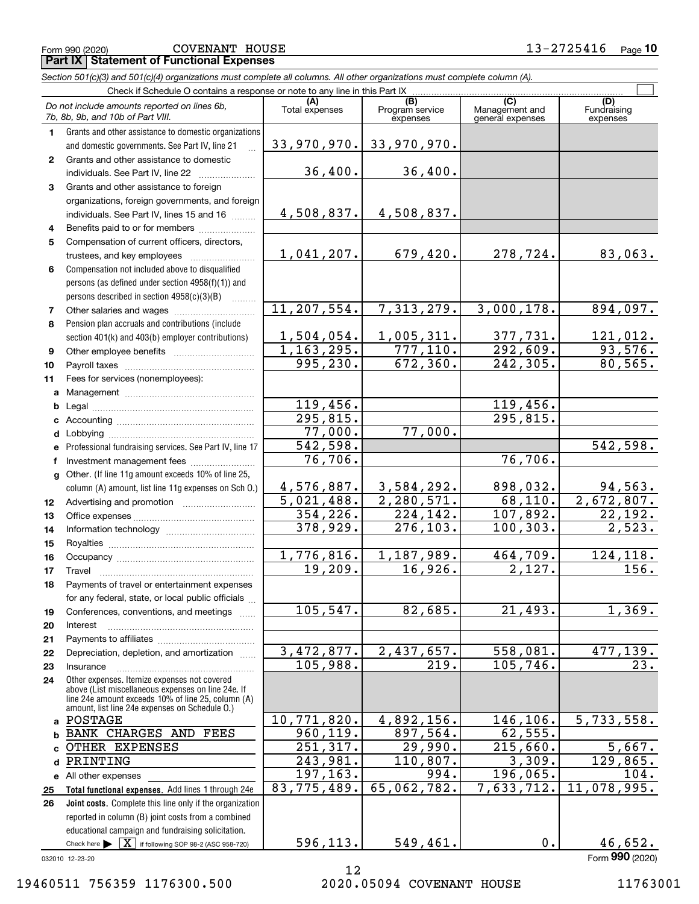|              | <b>Part IX   Statement of Functional Expenses</b>                                                                                                        |                        |                                    |                                           |                                |  |  |  |  |
|--------------|----------------------------------------------------------------------------------------------------------------------------------------------------------|------------------------|------------------------------------|-------------------------------------------|--------------------------------|--|--|--|--|
|              | Section 501(c)(3) and 501(c)(4) organizations must complete all columns. All other organizations must complete column (A).                               |                        |                                    |                                           |                                |  |  |  |  |
|              | Check if Schedule O contains a response or note to any line in this Part IX                                                                              |                        |                                    |                                           |                                |  |  |  |  |
|              | Do not include amounts reported on lines 6b,<br>7b, 8b, 9b, and 10b of Part VIII.                                                                        | (A)<br>Total expenses  | (B)<br>Program service<br>expenses | (C)<br>Management and<br>general expenses | (D)<br>Fundraising<br>expenses |  |  |  |  |
| 1.           | Grants and other assistance to domestic organizations                                                                                                    |                        |                                    |                                           |                                |  |  |  |  |
|              | and domestic governments. See Part IV, line 21                                                                                                           | 33,970,970.            | 33,970,970.                        |                                           |                                |  |  |  |  |
| $\mathbf{2}$ | Grants and other assistance to domestic                                                                                                                  |                        |                                    |                                           |                                |  |  |  |  |
|              | individuals. See Part IV, line 22                                                                                                                        | 36,400.                | 36,400.                            |                                           |                                |  |  |  |  |
| 3            | Grants and other assistance to foreign                                                                                                                   |                        |                                    |                                           |                                |  |  |  |  |
|              | organizations, foreign governments, and foreign                                                                                                          |                        |                                    |                                           |                                |  |  |  |  |
|              | individuals. See Part IV, lines 15 and 16                                                                                                                | 4,508,837.             | 4,508,837.                         |                                           |                                |  |  |  |  |
| 4            | Benefits paid to or for members                                                                                                                          |                        |                                    |                                           |                                |  |  |  |  |
| 5            | Compensation of current officers, directors,                                                                                                             |                        |                                    |                                           |                                |  |  |  |  |
|              | trustees, and key employees                                                                                                                              | 1,041,207.             | 679,420.                           | 278,724.                                  | 83,063.                        |  |  |  |  |
| 6            | Compensation not included above to disqualified                                                                                                          |                        |                                    |                                           |                                |  |  |  |  |
|              | persons (as defined under section 4958(f)(1)) and                                                                                                        |                        |                                    |                                           |                                |  |  |  |  |
|              | persons described in section 4958(c)(3)(B)                                                                                                               |                        |                                    |                                           |                                |  |  |  |  |
| 7            |                                                                                                                                                          | 11, 207, 554.          | 7,313,279.                         | 3,000,178.                                | 894,097.                       |  |  |  |  |
| 8            | Pension plan accruals and contributions (include                                                                                                         | 1,504,054.             | 1,005,311.                         | 377, 731.                                 |                                |  |  |  |  |
|              | section 401(k) and 403(b) employer contributions)                                                                                                        | 1, 163, 295.           | 777,110.                           | 292,609.                                  | 121,012.<br>93,576.            |  |  |  |  |
| 9            |                                                                                                                                                          | 995, 230.              | 672, 360.                          | $\overline{242,305}$ .                    | 80, 565.                       |  |  |  |  |
| 10<br>11     | Fees for services (nonemployees):                                                                                                                        |                        |                                    |                                           |                                |  |  |  |  |
| a            |                                                                                                                                                          |                        |                                    |                                           |                                |  |  |  |  |
| b            |                                                                                                                                                          | 119,456.               |                                    | 119,456.                                  |                                |  |  |  |  |
|              |                                                                                                                                                          | 295, 815.              |                                    | 295,815.                                  |                                |  |  |  |  |
| d            |                                                                                                                                                          | 77,000.                | 77,000.                            |                                           |                                |  |  |  |  |
|              | Professional fundraising services. See Part IV, line 17                                                                                                  | $\overline{542,598}$ . |                                    |                                           | 542,598.                       |  |  |  |  |
|              | Investment management fees                                                                                                                               | 76,706.                |                                    | 76,706.                                   |                                |  |  |  |  |
| g            | Other. (If line 11g amount exceeds 10% of line 25,                                                                                                       |                        |                                    |                                           |                                |  |  |  |  |
|              | column (A) amount, list line 11g expenses on Sch O.)                                                                                                     | 4,576,887.             | 3,584,292.                         | 898,032.                                  | 94,563.                        |  |  |  |  |
| 12           |                                                                                                                                                          | 5,021,488.             | 2, 280, 571.                       | 68,110.                                   | 2,672,807.                     |  |  |  |  |
| 13           |                                                                                                                                                          | 354, 226.              | 224,142.                           | 107,892.                                  | 22,192.                        |  |  |  |  |
| 14           |                                                                                                                                                          | 378, 929.              | 276, 103.                          | 100, 303.                                 | $\overline{2,523.}$            |  |  |  |  |
| 15           |                                                                                                                                                          |                        |                                    |                                           |                                |  |  |  |  |
| 16           |                                                                                                                                                          | 1,776,816.<br>19,209.  | 1, 187, 989.                       | 464, 709.                                 | 124, 118.                      |  |  |  |  |
| 17           | Travel                                                                                                                                                   |                        | 16,926.                            | 2,127.                                    | 156.                           |  |  |  |  |
| 18           | Payments of travel or entertainment expenses                                                                                                             |                        |                                    |                                           |                                |  |  |  |  |
| 19           | for any federal, state, or local public officials<br>Conferences, conventions, and meetings                                                              | 105, 547.              | 82,685.                            | 21,493.                                   | 1,369.                         |  |  |  |  |
| 20           | Interest                                                                                                                                                 |                        |                                    |                                           |                                |  |  |  |  |
| 21           |                                                                                                                                                          |                        |                                    |                                           |                                |  |  |  |  |
| 22           | Depreciation, depletion, and amortization                                                                                                                | 3,472,877.             | 2,437,657.                         | 558,081.                                  | 477,139.                       |  |  |  |  |
| 23           | Insurance                                                                                                                                                | 105,988.               | 219.                               | 105, 746.                                 | 23.                            |  |  |  |  |
| 24           | Other expenses. Itemize expenses not covered<br>above (List miscellaneous expenses on line 24e. If<br>line 24e amount exceeds 10% of line 25, column (A) |                        |                                    |                                           |                                |  |  |  |  |
| a            | amount, list line 24e expenses on Schedule O.)<br>POSTAGE                                                                                                | 10,771,820.            | 4,892,156.                         | 146,106.                                  | 5,733,558.                     |  |  |  |  |
| b            | BANK CHARGES AND FEES                                                                                                                                    | 960,119.               | 897,564.                           | 62, 555.                                  |                                |  |  |  |  |
|              | OTHER EXPENSES                                                                                                                                           | 251,317.               | 29,990.                            | 215,660.                                  | 5,667.                         |  |  |  |  |
| d            | PRINTING                                                                                                                                                 | 243,981.               | 110,807.                           | 3,309.                                    | 129,865.                       |  |  |  |  |
|              | e All other expenses                                                                                                                                     | 197, 163.              | 994.                               | 196,065.                                  | 104.                           |  |  |  |  |
| 25           | Total functional expenses. Add lines 1 through 24e                                                                                                       | 83,775,489.            | 65,062,782.                        | 7,633,712.                                | 11,078,995.                    |  |  |  |  |
| 26           | Joint costs. Complete this line only if the organization                                                                                                 |                        |                                    |                                           |                                |  |  |  |  |
|              | reported in column (B) joint costs from a combined                                                                                                       |                        |                                    |                                           |                                |  |  |  |  |

032010 12-23-20

Check here  $\blacktriangleright$   $\boxed{\text{X}}$  if following SOP 98-2 (ASC 958-720)

educational campaign and fundraising solicitation.

12 19460511 756359 1176300.500 2020.05094 COVENANT HOUSE 11763001

596,113.

Form (2020) **990**

 $549,461.$  0. 46,652.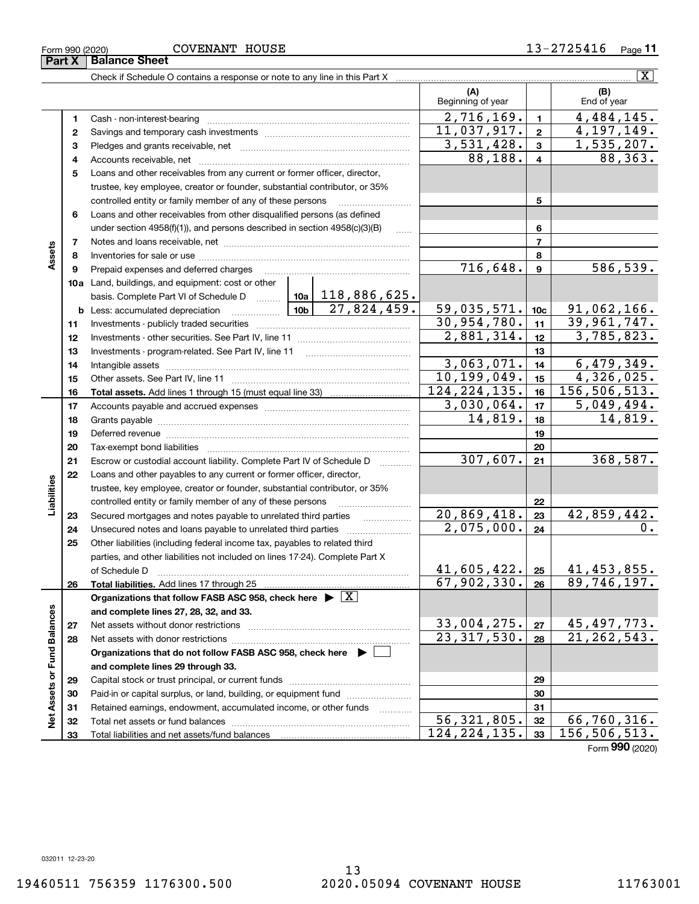**33**

Form 990 (2020) COVENAN'I' HOUSE 1 *3* − 2 7 Z 5 4 I 6 Page **Part X Balance Sheet** COVENANT HOUSE

**11**

|                             |          | Check if Schedule O contains a response or note to any line in this Part X                                                                                                                                                    |                          |                 | $\overline{\text{X}}$             |
|-----------------------------|----------|-------------------------------------------------------------------------------------------------------------------------------------------------------------------------------------------------------------------------------|--------------------------|-----------------|-----------------------------------|
|                             |          |                                                                                                                                                                                                                               | (A)<br>Beginning of year |                 | (B)<br>End of year                |
|                             | 1        |                                                                                                                                                                                                                               | 2,716,169.               | $\mathbf{1}$    | 4,484,145.                        |
|                             | 2        |                                                                                                                                                                                                                               | 11,037,917.              | $\mathbf{2}$    | 4,197,149.                        |
|                             | 3        |                                                                                                                                                                                                                               | 3,531,428.               | 3               | <u>1,535,207.</u>                 |
|                             | 4        |                                                                                                                                                                                                                               | 88, 188.                 | 4               | 88,363.                           |
|                             | 5        | Loans and other receivables from any current or former officer, director,                                                                                                                                                     |                          |                 |                                   |
|                             |          | trustee, key employee, creator or founder, substantial contributor, or 35%                                                                                                                                                    |                          |                 |                                   |
|                             |          | controlled entity or family member of any of these persons                                                                                                                                                                    |                          | 5               |                                   |
|                             | 6        | Loans and other receivables from other disqualified persons (as defined                                                                                                                                                       |                          |                 |                                   |
|                             |          | under section $4958(f)(1)$ , and persons described in section $4958(c)(3)(B)$                                                                                                                                                 |                          | 6               |                                   |
|                             | 7        |                                                                                                                                                                                                                               |                          | 7               |                                   |
| Assets                      | 8        |                                                                                                                                                                                                                               |                          | 8               |                                   |
|                             | 9        | Prepaid expenses and deferred charges [11] [11] prepaid expenses and deferred charges [11] [11] minimum materials                                                                                                             | 716,648.                 | 9               | 586,539.                          |
|                             |          | <b>10a</b> Land, buildings, and equipment: cost or other                                                                                                                                                                      |                          |                 |                                   |
|                             |          | basis. Complete Part VI of Schedule D    10a   118, 886, 625.                                                                                                                                                                 |                          |                 |                                   |
|                             |          | 27,824,459.                                                                                                                                                                                                                   | 59,035,571.              | 10 <sub>c</sub> | 91,062,166.                       |
|                             | 11       |                                                                                                                                                                                                                               | 30,954,780.              | 11              | 39,961,747.                       |
|                             | 12       |                                                                                                                                                                                                                               | 2,881,314.               | 12              | 3,785,823.                        |
|                             | 13       |                                                                                                                                                                                                                               |                          | 13              |                                   |
|                             | 14       |                                                                                                                                                                                                                               | 3,063,071.               | 14              | 6,479,349.                        |
|                             | 15       |                                                                                                                                                                                                                               | 10, 199, 049.            | 15              | 4,326,025.                        |
|                             | 16       |                                                                                                                                                                                                                               | 124, 224, 135.           | 16              | 156,506,513.                      |
|                             | 17       |                                                                                                                                                                                                                               | 3,030,064.               | 17              | 5,049,494.                        |
|                             | 18       |                                                                                                                                                                                                                               | 14,819.                  | 18              | 14,819.                           |
|                             | 19       | Deferred revenue material contracts and contracts are all the material contracts and contracts are all the contracts of the contracts of the contracts of the contracts of the contracts of the contracts of the contracts of |                          | 19              |                                   |
|                             | 20       |                                                                                                                                                                                                                               |                          | 20              |                                   |
|                             | 21       | Escrow or custodial account liability. Complete Part IV of Schedule D<br>1.1.1.1.1.1.1.1.1                                                                                                                                    | 307,607.                 | 21              | 368,587.                          |
|                             | 22       | Loans and other payables to any current or former officer, director,                                                                                                                                                          |                          |                 |                                   |
|                             |          | trustee, key employee, creator or founder, substantial contributor, or 35%                                                                                                                                                    |                          |                 |                                   |
| Liabilities                 |          | controlled entity or family member of any of these persons                                                                                                                                                                    | 20,869,418.              | 22              | 42,859,442.                       |
|                             | 23       | Secured mortgages and notes payable to unrelated third parties                                                                                                                                                                | 2,075,000.               | 23<br>24        | $\mathbf 0$ .                     |
|                             | 24<br>25 |                                                                                                                                                                                                                               |                          |                 |                                   |
|                             |          | Other liabilities (including federal income tax, payables to related third<br>parties, and other liabilities not included on lines 17-24). Complete Part X                                                                    |                          |                 |                                   |
|                             |          | of Schedule D                                                                                                                                                                                                                 | $41,605,422.$ 25         |                 |                                   |
|                             | 26       | Total liabilities. Add lines 17 through 25                                                                                                                                                                                    | 67,902,330.              | 26              | <u>41,453,855.</u><br>89,746,197. |
|                             |          | Organizations that follow FASB ASC 958, check here $\blacktriangleright \boxed{X}$                                                                                                                                            |                          |                 |                                   |
|                             |          | and complete lines 27, 28, 32, and 33.                                                                                                                                                                                        |                          |                 |                                   |
|                             | 27       | Net assets without donor restrictions                                                                                                                                                                                         | <u>33,004,275.</u>       | 27              |                                   |
|                             | 28       | Net assets with donor restrictions                                                                                                                                                                                            | 23, 317, 530.            | 28              | 45,497,773.<br>21,262,543.        |
|                             |          | Organizations that do not follow FASB ASC 958, check here $\blacktriangleright$                                                                                                                                               |                          |                 |                                   |
| Net Assets or Fund Balances |          | and complete lines 29 through 33.                                                                                                                                                                                             |                          |                 |                                   |
|                             | 29       |                                                                                                                                                                                                                               |                          | 29              |                                   |
|                             | 30       | Paid-in or capital surplus, or land, building, or equipment fund                                                                                                                                                              |                          | 30              |                                   |
|                             | 31       | Retained earnings, endowment, accumulated income, or other funds                                                                                                                                                              |                          | 31              |                                   |
|                             | 32       |                                                                                                                                                                                                                               | 56, 321, 805.            | 32              | 66,760,316.                       |
|                             |          |                                                                                                                                                                                                                               |                          |                 |                                   |

Form (2020) **990**

**33**

124,224,135. 156,506,513.

Total liabilities and net assets/fund balances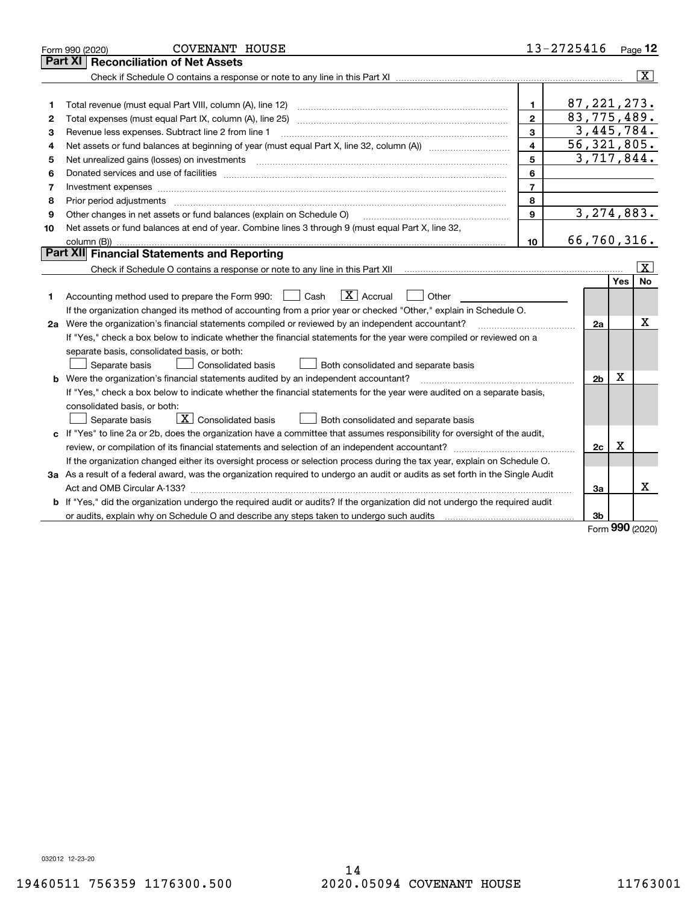|    | <b>COVENANT HOUSE</b><br>Form 990 (2020)                                                                                        |                | 13-2725416     |            | Page 12            |
|----|---------------------------------------------------------------------------------------------------------------------------------|----------------|----------------|------------|--------------------|
|    | Part XI<br><b>Reconciliation of Net Assets</b>                                                                                  |                |                |            |                    |
|    |                                                                                                                                 |                |                |            | $ \mathbf{X} $     |
|    |                                                                                                                                 |                |                |            |                    |
| 1  |                                                                                                                                 | $\mathbf{1}$   | 87, 221, 273.  |            |                    |
| 2  | Total expenses (must equal Part IX, column (A), line 25)                                                                        | $\overline{2}$ | 83,775,489.    |            |                    |
| з  | Revenue less expenses. Subtract line 2 from line 1                                                                              | 3              | 3,445,784.     |            |                    |
| 4  |                                                                                                                                 | 4              | 56, 321, 805.  |            |                    |
| 5  | Net unrealized gains (losses) on investments                                                                                    | 5              | 3,717,844.     |            |                    |
| 6  |                                                                                                                                 | 6              |                |            |                    |
| 7  | Investment expenses                                                                                                             | $\overline{7}$ |                |            |                    |
| 8  | Prior period adjustments                                                                                                        | 8              |                |            |                    |
| 9  | Other changes in net assets or fund balances (explain on Schedule O)                                                            | $\mathbf{Q}$   | 3, 274, 883.   |            |                    |
| 10 | Net assets or fund balances at end of year. Combine lines 3 through 9 (must equal Part X, line 32,                              |                |                |            |                    |
|    |                                                                                                                                 | 10             | 66,760,316.    |            |                    |
|    | Part XII Financial Statements and Reporting                                                                                     |                |                |            |                    |
|    |                                                                                                                                 |                |                |            | $\boxed{\text{X}}$ |
|    |                                                                                                                                 |                |                | Yes        | <b>No</b>          |
| 1  | $\boxed{\mathbf{X}}$ Accrual<br>Accounting method used to prepare the Form 990: [130] Cash<br>Other                             |                |                |            |                    |
|    | If the organization changed its method of accounting from a prior year or checked "Other," explain in Schedule O.               |                |                |            |                    |
|    | 2a Were the organization's financial statements compiled or reviewed by an independent accountant?                              |                | 2a             |            | X                  |
|    | If "Yes," check a box below to indicate whether the financial statements for the year were compiled or reviewed on a            |                |                |            |                    |
|    | separate basis, consolidated basis, or both:                                                                                    |                |                |            |                    |
|    | Separate basis<br>Both consolidated and separate basis<br>Consolidated basis                                                    |                |                |            |                    |
| b  | Were the organization's financial statements audited by an independent accountant?                                              |                | 2 <sub>b</sub> | X          |                    |
|    | If "Yes," check a box below to indicate whether the financial statements for the year were audited on a separate basis,         |                |                |            |                    |
|    | consolidated basis, or both:                                                                                                    |                |                |            |                    |
|    | $\boxed{\mathbf{X}}$ Consolidated basis<br>Separate basis<br>Both consolidated and separate basis                               |                |                |            |                    |
|    | c If "Yes" to line 2a or 2b, does the organization have a committee that assumes responsibility for oversight of the audit,     |                |                |            |                    |
|    |                                                                                                                                 |                | 2c             | х          |                    |
|    | If the organization changed either its oversight process or selection process during the tax year, explain on Schedule O.       |                |                |            |                    |
|    | 3a As a result of a federal award, was the organization required to undergo an audit or audits as set forth in the Single Audit |                |                |            |                    |
|    | Act and OMB Circular A-133?                                                                                                     |                | За             |            | x                  |
|    | b If "Yes," did the organization undergo the required audit or audits? If the organization did not undergo the required audit   |                |                |            |                    |
|    |                                                                                                                                 |                | 3b             | <b>nnn</b> |                    |

Form (2020) **990**

032012 12-23-20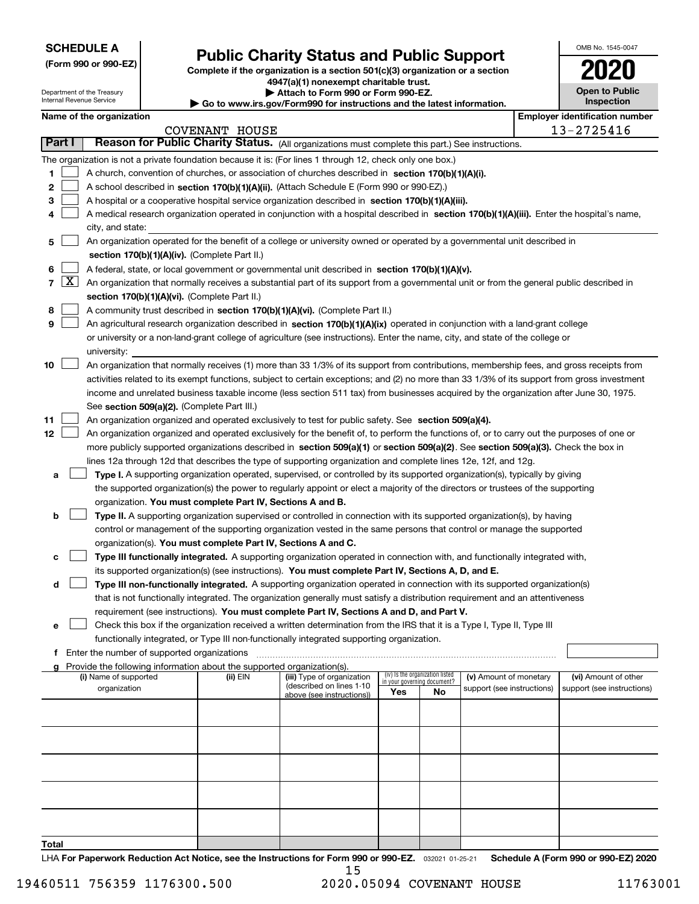Department of the Treasury Internal Revenue Service

**(Form 990 or 990-EZ)**

# **Public Charity Status and Public Support**

**Complete if the organization is a section 501(c)(3) organization or a section 4947(a)(1) nonexempt charitable trust. | Attach to Form 990 or Form 990-EZ.** 

| ▶ Go to www.irs.gov/Form990 for instructions and the latest information. |
|--------------------------------------------------------------------------|

| OMB No. 1545-0047                   |  |
|-------------------------------------|--|
| 2020                                |  |
| <b>Open to Public</b><br>Inspection |  |

|  | Name of the organization |
|--|--------------------------|
|--|--------------------------|

|                                                                                                                    | Name of the organization<br><b>Employer identification number</b> |                                                                                                                                                                                             |          |                                                       |                             |                                 |                            |  |                            |
|--------------------------------------------------------------------------------------------------------------------|-------------------------------------------------------------------|---------------------------------------------------------------------------------------------------------------------------------------------------------------------------------------------|----------|-------------------------------------------------------|-----------------------------|---------------------------------|----------------------------|--|----------------------------|
| COVENANT HOUSE<br>Reason for Public Charity Status. (All organizations must complete this part.) See instructions. |                                                                   |                                                                                                                                                                                             |          |                                                       |                             | 13-2725416                      |                            |  |                            |
| Part I                                                                                                             |                                                                   |                                                                                                                                                                                             |          |                                                       |                             |                                 |                            |  |                            |
|                                                                                                                    |                                                                   | The organization is not a private foundation because it is: (For lines 1 through 12, check only one box.)                                                                                   |          |                                                       |                             |                                 |                            |  |                            |
| 1                                                                                                                  |                                                                   | A church, convention of churches, or association of churches described in section 170(b)(1)(A)(i).                                                                                          |          |                                                       |                             |                                 |                            |  |                            |
| 2                                                                                                                  |                                                                   | A school described in section 170(b)(1)(A)(ii). (Attach Schedule E (Form 990 or 990-EZ).)                                                                                                   |          |                                                       |                             |                                 |                            |  |                            |
| з                                                                                                                  |                                                                   | A hospital or a cooperative hospital service organization described in section 170(b)(1)(A)(iii).                                                                                           |          |                                                       |                             |                                 |                            |  |                            |
| 4                                                                                                                  |                                                                   | A medical research organization operated in conjunction with a hospital described in section 170(b)(1)(A)(iii). Enter the hospital's name,                                                  |          |                                                       |                             |                                 |                            |  |                            |
|                                                                                                                    |                                                                   | city, and state:                                                                                                                                                                            |          |                                                       |                             |                                 |                            |  |                            |
| 5                                                                                                                  |                                                                   | An organization operated for the benefit of a college or university owned or operated by a governmental unit described in                                                                   |          |                                                       |                             |                                 |                            |  |                            |
|                                                                                                                    |                                                                   | section 170(b)(1)(A)(iv). (Complete Part II.)                                                                                                                                               |          |                                                       |                             |                                 |                            |  |                            |
| 6                                                                                                                  |                                                                   | A federal, state, or local government or governmental unit described in section 170(b)(1)(A)(v).                                                                                            |          |                                                       |                             |                                 |                            |  |                            |
|                                                                                                                    | $7\left[\frac{\text{X}}{\text{A}}\right]$                         | An organization that normally receives a substantial part of its support from a governmental unit or from the general public described in                                                   |          |                                                       |                             |                                 |                            |  |                            |
|                                                                                                                    |                                                                   | section 170(b)(1)(A)(vi). (Complete Part II.)                                                                                                                                               |          |                                                       |                             |                                 |                            |  |                            |
| 8                                                                                                                  |                                                                   | A community trust described in section 170(b)(1)(A)(vi). (Complete Part II.)                                                                                                                |          |                                                       |                             |                                 |                            |  |                            |
| 9                                                                                                                  |                                                                   | An agricultural research organization described in section 170(b)(1)(A)(ix) operated in conjunction with a land-grant college                                                               |          |                                                       |                             |                                 |                            |  |                            |
|                                                                                                                    |                                                                   | or university or a non-land-grant college of agriculture (see instructions). Enter the name, city, and state of the college or                                                              |          |                                                       |                             |                                 |                            |  |                            |
|                                                                                                                    |                                                                   | university:                                                                                                                                                                                 |          |                                                       |                             |                                 |                            |  |                            |
| 10                                                                                                                 |                                                                   | An organization that normally receives (1) more than 33 1/3% of its support from contributions, membership fees, and gross receipts from                                                    |          |                                                       |                             |                                 |                            |  |                            |
|                                                                                                                    |                                                                   | activities related to its exempt functions, subject to certain exceptions; and (2) no more than 33 1/3% of its support from gross investment                                                |          |                                                       |                             |                                 |                            |  |                            |
|                                                                                                                    |                                                                   | income and unrelated business taxable income (less section 511 tax) from businesses acquired by the organization after June 30, 1975.                                                       |          |                                                       |                             |                                 |                            |  |                            |
|                                                                                                                    |                                                                   | See section 509(a)(2). (Complete Part III.)                                                                                                                                                 |          |                                                       |                             |                                 |                            |  |                            |
| 11                                                                                                                 |                                                                   | An organization organized and operated exclusively to test for public safety. See section 509(a)(4).                                                                                        |          |                                                       |                             |                                 |                            |  |                            |
| 12                                                                                                                 |                                                                   | An organization organized and operated exclusively for the benefit of, to perform the functions of, or to carry out the purposes of one or                                                  |          |                                                       |                             |                                 |                            |  |                            |
|                                                                                                                    |                                                                   | more publicly supported organizations described in section 509(a)(1) or section 509(a)(2). See section 509(a)(3). Check the box in                                                          |          |                                                       |                             |                                 |                            |  |                            |
|                                                                                                                    |                                                                   | lines 12a through 12d that describes the type of supporting organization and complete lines 12e, 12f, and 12g.                                                                              |          |                                                       |                             |                                 |                            |  |                            |
| а                                                                                                                  |                                                                   | Type I. A supporting organization operated, supervised, or controlled by its supported organization(s), typically by giving                                                                 |          |                                                       |                             |                                 |                            |  |                            |
|                                                                                                                    |                                                                   | the supported organization(s) the power to regularly appoint or elect a majority of the directors or trustees of the supporting                                                             |          |                                                       |                             |                                 |                            |  |                            |
|                                                                                                                    |                                                                   | organization. You must complete Part IV, Sections A and B.                                                                                                                                  |          |                                                       |                             |                                 |                            |  |                            |
| b                                                                                                                  |                                                                   | Type II. A supporting organization supervised or controlled in connection with its supported organization(s), by having                                                                     |          |                                                       |                             |                                 |                            |  |                            |
|                                                                                                                    |                                                                   | control or management of the supporting organization vested in the same persons that control or manage the supported                                                                        |          |                                                       |                             |                                 |                            |  |                            |
|                                                                                                                    |                                                                   | organization(s). You must complete Part IV, Sections A and C.<br>Type III functionally integrated. A supporting organization operated in connection with, and functionally integrated with, |          |                                                       |                             |                                 |                            |  |                            |
| с                                                                                                                  |                                                                   | its supported organization(s) (see instructions). You must complete Part IV, Sections A, D, and E.                                                                                          |          |                                                       |                             |                                 |                            |  |                            |
| d                                                                                                                  |                                                                   | Type III non-functionally integrated. A supporting organization operated in connection with its supported organization(s)                                                                   |          |                                                       |                             |                                 |                            |  |                            |
|                                                                                                                    |                                                                   | that is not functionally integrated. The organization generally must satisfy a distribution requirement and an attentiveness                                                                |          |                                                       |                             |                                 |                            |  |                            |
|                                                                                                                    |                                                                   | requirement (see instructions). You must complete Part IV, Sections A and D, and Part V.                                                                                                    |          |                                                       |                             |                                 |                            |  |                            |
| е                                                                                                                  |                                                                   | Check this box if the organization received a written determination from the IRS that it is a Type I, Type II, Type III                                                                     |          |                                                       |                             |                                 |                            |  |                            |
|                                                                                                                    |                                                                   | functionally integrated, or Type III non-functionally integrated supporting organization.                                                                                                   |          |                                                       |                             |                                 |                            |  |                            |
| f                                                                                                                  |                                                                   | Enter the number of supported organizations                                                                                                                                                 |          |                                                       |                             |                                 |                            |  |                            |
|                                                                                                                    |                                                                   | g Provide the following information about the supported organization(s).                                                                                                                    |          |                                                       |                             |                                 |                            |  |                            |
|                                                                                                                    |                                                                   | (i) Name of supported                                                                                                                                                                       | (ii) EIN | (iii) Type of organization                            | in your governing document? | (iv) Is the organization listed | (v) Amount of monetary     |  | (vi) Amount of other       |
|                                                                                                                    |                                                                   | organization                                                                                                                                                                                |          | (described on lines 1-10<br>above (see instructions)) | Yes                         | No                              | support (see instructions) |  | support (see instructions) |
|                                                                                                                    |                                                                   |                                                                                                                                                                                             |          |                                                       |                             |                                 |                            |  |                            |
|                                                                                                                    |                                                                   |                                                                                                                                                                                             |          |                                                       |                             |                                 |                            |  |                            |
|                                                                                                                    |                                                                   |                                                                                                                                                                                             |          |                                                       |                             |                                 |                            |  |                            |
|                                                                                                                    |                                                                   |                                                                                                                                                                                             |          |                                                       |                             |                                 |                            |  |                            |
|                                                                                                                    |                                                                   |                                                                                                                                                                                             |          |                                                       |                             |                                 |                            |  |                            |
|                                                                                                                    |                                                                   |                                                                                                                                                                                             |          |                                                       |                             |                                 |                            |  |                            |
|                                                                                                                    |                                                                   |                                                                                                                                                                                             |          |                                                       |                             |                                 |                            |  |                            |
|                                                                                                                    |                                                                   |                                                                                                                                                                                             |          |                                                       |                             |                                 |                            |  |                            |
|                                                                                                                    |                                                                   |                                                                                                                                                                                             |          |                                                       |                             |                                 |                            |  |                            |
|                                                                                                                    |                                                                   |                                                                                                                                                                                             |          |                                                       |                             |                                 |                            |  |                            |
| Total                                                                                                              |                                                                   |                                                                                                                                                                                             |          |                                                       |                             |                                 |                            |  |                            |

LHA For Paperwork Reduction Act Notice, see the Instructions for Form 990 or 990-EZ. <sub>032021</sub> o1-25-21 Schedule A (Form 990 or 990-EZ) 2020 15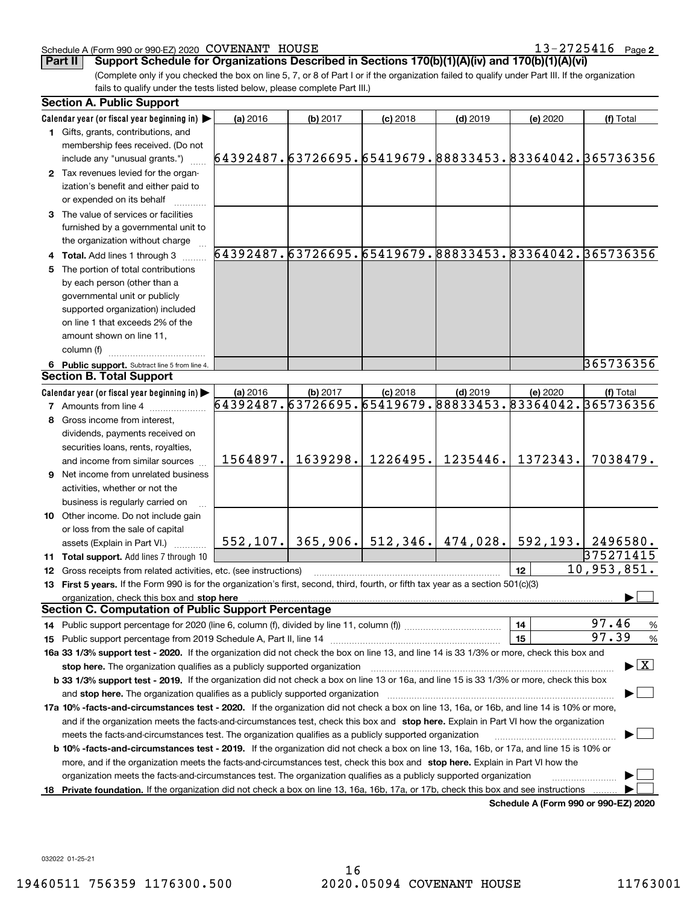### Schedule A (Form 990 or 990-EZ) 2020 Page COVENANT HOUSE 13-2725416

13-2725416 Page 2

**Part II Support Schedule for Organizations Described in Sections 170(b)(1)(A)(iv) and 170(b)(1)(A)(vi)**

(Complete only if you checked the box on line 5, 7, or 8 of Part I or if the organization failed to qualify under Part III. If the organization fails to qualify under the tests listed below, please complete Part III.)

| <b>Section A. Public Support</b>                                                                                                               |                                                        |          |                                           |            |                                      |                                                        |  |
|------------------------------------------------------------------------------------------------------------------------------------------------|--------------------------------------------------------|----------|-------------------------------------------|------------|--------------------------------------|--------------------------------------------------------|--|
| Calendar year (or fiscal year beginning in)                                                                                                    | (a) 2016                                               | (b) 2017 | $(c)$ 2018                                | $(d)$ 2019 | (e) 2020                             | (f) Total                                              |  |
| 1 Gifts, grants, contributions, and                                                                                                            |                                                        |          |                                           |            |                                      |                                                        |  |
| membership fees received. (Do not                                                                                                              |                                                        |          |                                           |            |                                      |                                                        |  |
| include any "unusual grants.")                                                                                                                 | 64392487.63726695.65419679.88833453.83364042.365736356 |          |                                           |            |                                      |                                                        |  |
| 2 Tax revenues levied for the organ-                                                                                                           |                                                        |          |                                           |            |                                      |                                                        |  |
| ization's benefit and either paid to                                                                                                           |                                                        |          |                                           |            |                                      |                                                        |  |
| or expended on its behalf                                                                                                                      |                                                        |          |                                           |            |                                      |                                                        |  |
| 3 The value of services or facilities                                                                                                          |                                                        |          |                                           |            |                                      |                                                        |  |
| furnished by a governmental unit to                                                                                                            |                                                        |          |                                           |            |                                      |                                                        |  |
| the organization without charge                                                                                                                |                                                        |          |                                           |            |                                      |                                                        |  |
| 4 Total. Add lines 1 through 3                                                                                                                 |                                                        |          |                                           |            |                                      | 64392487.63726695.65419679.88833453.83364042.365736356 |  |
| 5 The portion of total contributions                                                                                                           |                                                        |          |                                           |            |                                      |                                                        |  |
| by each person (other than a                                                                                                                   |                                                        |          |                                           |            |                                      |                                                        |  |
| governmental unit or publicly                                                                                                                  |                                                        |          |                                           |            |                                      |                                                        |  |
| supported organization) included                                                                                                               |                                                        |          |                                           |            |                                      |                                                        |  |
| on line 1 that exceeds 2% of the                                                                                                               |                                                        |          |                                           |            |                                      |                                                        |  |
| amount shown on line 11,                                                                                                                       |                                                        |          |                                           |            |                                      |                                                        |  |
| column (f)                                                                                                                                     |                                                        |          |                                           |            |                                      |                                                        |  |
| 6 Public support. Subtract line 5 from line 4.                                                                                                 |                                                        |          |                                           |            |                                      | 365736356                                              |  |
| <b>Section B. Total Support</b>                                                                                                                |                                                        |          |                                           |            |                                      |                                                        |  |
| Calendar year (or fiscal year beginning in)                                                                                                    | (a) 2016                                               | (b) 2017 | $(c)$ 2018                                | $(d)$ 2019 | (e) 2020                             | (f) Total                                              |  |
| <b>7</b> Amounts from line 4                                                                                                                   | 64392487.63726695.65419679.88833453.83364042.365736356 |          |                                           |            |                                      |                                                        |  |
| 8 Gross income from interest,                                                                                                                  |                                                        |          |                                           |            |                                      |                                                        |  |
| dividends, payments received on                                                                                                                |                                                        |          |                                           |            |                                      |                                                        |  |
| securities loans, rents, royalties,                                                                                                            |                                                        |          |                                           |            |                                      |                                                        |  |
| and income from similar sources                                                                                                                | 1564897.                                               | 1639298. | 1226495.                                  | 1235446.   | 1372343.                             | 7038479.                                               |  |
| 9 Net income from unrelated business                                                                                                           |                                                        |          |                                           |            |                                      |                                                        |  |
| activities, whether or not the                                                                                                                 |                                                        |          |                                           |            |                                      |                                                        |  |
| business is regularly carried on                                                                                                               |                                                        |          |                                           |            |                                      |                                                        |  |
| <b>10</b> Other income. Do not include gain                                                                                                    |                                                        |          |                                           |            |                                      |                                                        |  |
| or loss from the sale of capital                                                                                                               |                                                        |          |                                           |            |                                      |                                                        |  |
| assets (Explain in Part VI.)                                                                                                                   |                                                        |          | $552, 107.$ 365, 906. 512, 346. 474, 028. |            |                                      | 592, 193.   2496580.                                   |  |
| 11 Total support. Add lines 7 through 10                                                                                                       |                                                        |          |                                           |            |                                      | 375271415                                              |  |
| 12 Gross receipts from related activities, etc. (see instructions)                                                                             |                                                        |          |                                           |            | 12                                   | 10,953,851.                                            |  |
| 13 First 5 years. If the Form 990 is for the organization's first, second, third, fourth, or fifth tax year as a section 501(c)(3)             |                                                        |          |                                           |            |                                      |                                                        |  |
| organization, check this box and stop here                                                                                                     |                                                        |          |                                           |            |                                      |                                                        |  |
| <b>Section C. Computation of Public Support Percentage</b>                                                                                     |                                                        |          |                                           |            |                                      |                                                        |  |
| 14 Public support percentage for 2020 (line 6, column (f), divided by line 11, column (f) <i>mummumumum</i>                                    |                                                        |          |                                           |            | 14                                   | 97.46<br>%                                             |  |
|                                                                                                                                                |                                                        |          |                                           |            | 15                                   | 97.39<br>%                                             |  |
| 16a 33 1/3% support test - 2020. If the organization did not check the box on line 13, and line 14 is 33 1/3% or more, check this box and      |                                                        |          |                                           |            |                                      |                                                        |  |
| stop here. The organization qualifies as a publicly supported organization                                                                     |                                                        |          |                                           |            |                                      | $\blacktriangleright$ $\boxed{\text{X}}$               |  |
| b 33 1/3% support test - 2019. If the organization did not check a box on line 13 or 16a, and line 15 is 33 1/3% or more, check this box       |                                                        |          |                                           |            |                                      |                                                        |  |
| and stop here. The organization qualifies as a publicly supported organization                                                                 |                                                        |          |                                           |            |                                      |                                                        |  |
| 17a 10% -facts-and-circumstances test - 2020. If the organization did not check a box on line 13, 16a, or 16b, and line 14 is 10% or more,     |                                                        |          |                                           |            |                                      |                                                        |  |
| and if the organization meets the facts-and-circumstances test, check this box and stop here. Explain in Part VI how the organization          |                                                        |          |                                           |            |                                      |                                                        |  |
| meets the facts-and-circumstances test. The organization qualifies as a publicly supported organization                                        |                                                        |          |                                           |            |                                      |                                                        |  |
| <b>b 10% -facts-and-circumstances test - 2019.</b> If the organization did not check a box on line 13, 16a, 16b, or 17a, and line 15 is 10% or |                                                        |          |                                           |            |                                      |                                                        |  |
| more, and if the organization meets the facts-and-circumstances test, check this box and stop here. Explain in Part VI how the                 |                                                        |          |                                           |            |                                      |                                                        |  |
| organization meets the facts-and-circumstances test. The organization qualifies as a publicly supported organization                           |                                                        |          |                                           |            |                                      |                                                        |  |
| 18 Private foundation. If the organization did not check a box on line 13, 16a, 16b, 17a, or 17b, check this box and see instructions          |                                                        |          |                                           |            |                                      |                                                        |  |
|                                                                                                                                                |                                                        |          |                                           |            | Schedule A (Form 990 or 990-F7) 2020 |                                                        |  |

**Schedule A (Form 990 or 990-EZ) 2020**

032022 01-25-21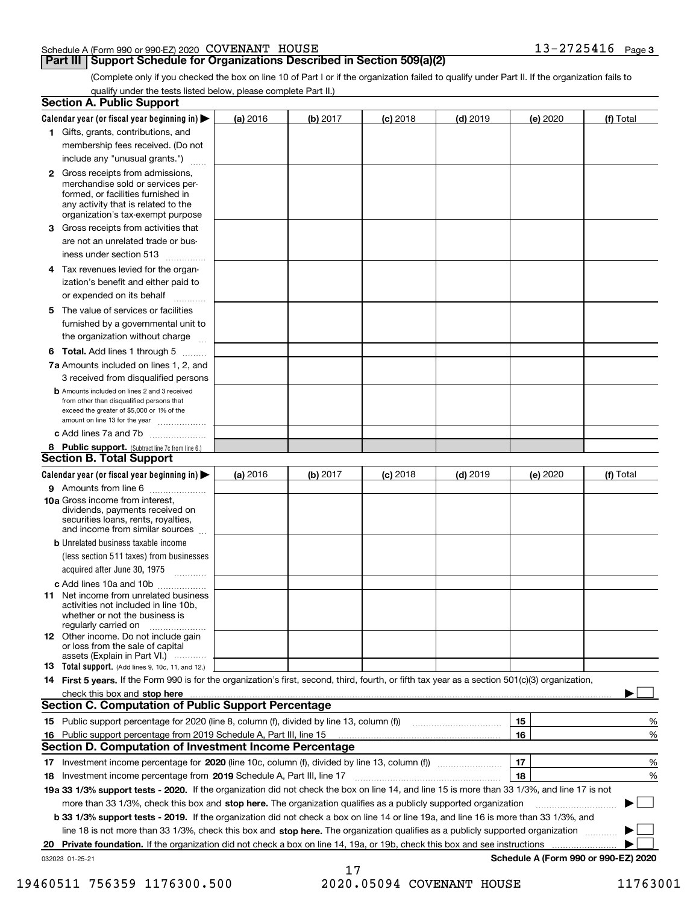### Schedule A (Form 990 or 990-EZ) 2020 Page COVENANT HOUSE 13-2725416

### **Part III | Support Schedule for Organizations Described in Section 509(a)(2)**

(Complete only if you checked the box on line 10 of Part I or if the organization failed to qualify under Part II. If the organization fails to qualify under the tests listed below, please complete Part II.)

|    | <b>Section A. Public Support</b>                                                                                                                                                                |          |          |            |            |          |                                      |
|----|-------------------------------------------------------------------------------------------------------------------------------------------------------------------------------------------------|----------|----------|------------|------------|----------|--------------------------------------|
|    | Calendar year (or fiscal year beginning in) $\blacktriangleright$                                                                                                                               | (a) 2016 | (b) 2017 | $(c)$ 2018 | $(d)$ 2019 | (e) 2020 | (f) Total                            |
|    | 1 Gifts, grants, contributions, and                                                                                                                                                             |          |          |            |            |          |                                      |
|    | membership fees received. (Do not                                                                                                                                                               |          |          |            |            |          |                                      |
|    | include any "unusual grants.")                                                                                                                                                                  |          |          |            |            |          |                                      |
|    | <b>2</b> Gross receipts from admissions,<br>merchandise sold or services per-<br>formed, or facilities furnished in<br>any activity that is related to the<br>organization's tax-exempt purpose |          |          |            |            |          |                                      |
|    | 3 Gross receipts from activities that<br>are not an unrelated trade or bus-                                                                                                                     |          |          |            |            |          |                                      |
|    | iness under section 513                                                                                                                                                                         |          |          |            |            |          |                                      |
|    | 4 Tax revenues levied for the organ-                                                                                                                                                            |          |          |            |            |          |                                      |
|    | ization's benefit and either paid to<br>or expended on its behalf<br>.                                                                                                                          |          |          |            |            |          |                                      |
|    | 5 The value of services or facilities<br>furnished by a governmental unit to                                                                                                                    |          |          |            |            |          |                                      |
|    | the organization without charge                                                                                                                                                                 |          |          |            |            |          |                                      |
|    | <b>6 Total.</b> Add lines 1 through 5 $\dots$                                                                                                                                                   |          |          |            |            |          |                                      |
|    | 7a Amounts included on lines 1, 2, and<br>3 received from disqualified persons                                                                                                                  |          |          |            |            |          |                                      |
|    | <b>b</b> Amounts included on lines 2 and 3 received<br>from other than disqualified persons that<br>exceed the greater of \$5,000 or 1% of the<br>amount on line 13 for the year                |          |          |            |            |          |                                      |
|    | c Add lines 7a and 7b                                                                                                                                                                           |          |          |            |            |          |                                      |
|    | 8 Public support. (Subtract line 7c from line 6.)<br><b>Section B. Total Support</b>                                                                                                            |          |          |            |            |          |                                      |
|    | Calendar year (or fiscal year beginning in)                                                                                                                                                     | (a) 2016 | (b) 2017 | $(c)$ 2018 | $(d)$ 2019 | (e) 2020 | (f) Total                            |
|    | 9 Amounts from line 6                                                                                                                                                                           |          |          |            |            |          |                                      |
|    | 10a Gross income from interest,<br>dividends, payments received on<br>securities loans, rents, royalties,<br>and income from similar sources                                                    |          |          |            |            |          |                                      |
|    | <b>b</b> Unrelated business taxable income                                                                                                                                                      |          |          |            |            |          |                                      |
|    | (less section 511 taxes) from businesses<br>acquired after June 30, 1975 [10001]                                                                                                                |          |          |            |            |          |                                      |
|    | c Add lines 10a and 10b                                                                                                                                                                         |          |          |            |            |          |                                      |
|    | 11 Net income from unrelated business<br>activities not included in line 10b,<br>whether or not the business is<br>regularly carried on                                                         |          |          |            |            |          |                                      |
|    | 12 Other income. Do not include gain<br>or loss from the sale of capital<br>assets (Explain in Part VI.)                                                                                        |          |          |            |            |          |                                      |
|    | 13 Total support. (Add lines 9, 10c, 11, and 12.)                                                                                                                                               |          |          |            |            |          |                                      |
|    | 14 First 5 years. If the Form 990 is for the organization's first, second, third, fourth, or fifth tax year as a section 501(c)(3) organization,                                                |          |          |            |            |          |                                      |
|    |                                                                                                                                                                                                 |          |          |            |            |          |                                      |
|    | <b>Section C. Computation of Public Support Percentage</b>                                                                                                                                      |          |          |            |            |          |                                      |
|    | 15 Public support percentage for 2020 (line 8, column (f), divided by line 13, column (f))                                                                                                      |          |          |            |            | 15       | %                                    |
| 16 | Public support percentage from 2019 Schedule A, Part III, line 15                                                                                                                               |          |          |            |            | 16       | %                                    |
|    | Section D. Computation of Investment Income Percentage                                                                                                                                          |          |          |            |            |          |                                      |
|    | 17 Investment income percentage for 2020 (line 10c, column (f), divided by line 13, column (f))                                                                                                 |          |          |            |            | 17       | %                                    |
|    | 18 Investment income percentage from 2019 Schedule A, Part III, line 17                                                                                                                         |          |          |            |            | 18       | %                                    |
|    | 19a 33 1/3% support tests - 2020. If the organization did not check the box on line 14, and line 15 is more than 33 1/3%, and line 17 is not                                                    |          |          |            |            |          |                                      |
|    | more than 33 1/3%, check this box and stop here. The organization qualifies as a publicly supported organization                                                                                |          |          |            |            |          | $\sim$                               |
|    | b 33 1/3% support tests - 2019. If the organization did not check a box on line 14 or line 19a, and line 16 is more than 33 1/3%, and                                                           |          |          |            |            |          |                                      |
|    | line 18 is not more than 33 1/3%, check this box and stop here. The organization qualifies as a publicly supported organization                                                                 |          |          |            |            |          |                                      |
| 20 | Private foundation. If the organization did not check a box on line 14, 19a, or 19b, check this box and see instructions                                                                        |          |          |            |            |          |                                      |
|    | 032023 01-25-21                                                                                                                                                                                 |          | 17       |            |            |          | Schedule A (Form 990 or 990-EZ) 2020 |

19460511 756359 1176300.500 2020.05094 COVENANT HOUSE 11763001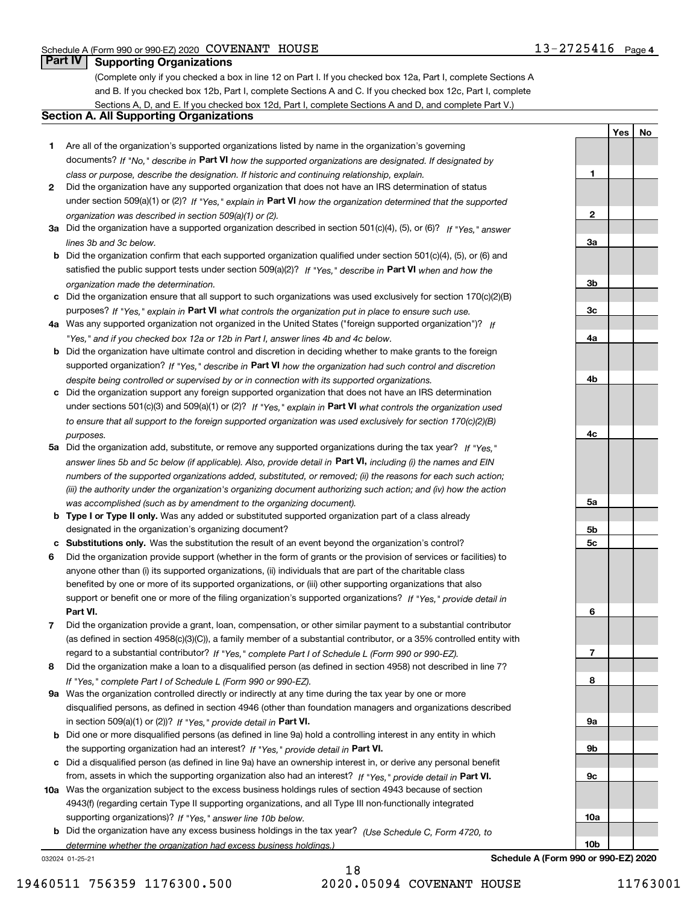**1**

**2**

**3a**

**3b**

**3c**

**4a**

**4b**

**4c**

**5a**

**5b5c**

**6**

**7**

**8**

**9a**

**9b**

**9c**

**10a**

**10b**

**YesNo**

### **Part IV Supporting Organizations**

(Complete only if you checked a box in line 12 on Part I. If you checked box 12a, Part I, complete Sections A and B. If you checked box 12b, Part I, complete Sections A and C. If you checked box 12c, Part I, complete Sections A, D, and E. If you checked box 12d, Part I, complete Sections A and D, and complete Part V.)

### **Section A. All Supporting Organizations**

- **1** Are all of the organization's supported organizations listed by name in the organization's governing documents? If "No," describe in **Part VI** how the supported organizations are designated. If designated by *class or purpose, describe the designation. If historic and continuing relationship, explain.*
- **2** Did the organization have any supported organization that does not have an IRS determination of status under section 509(a)(1) or (2)? If "Yes," explain in Part VI how the organization determined that the supported *organization was described in section 509(a)(1) or (2).*
- **3a** Did the organization have a supported organization described in section 501(c)(4), (5), or (6)? If "Yes," answer *lines 3b and 3c below.*
- **b** Did the organization confirm that each supported organization qualified under section 501(c)(4), (5), or (6) and satisfied the public support tests under section 509(a)(2)? If "Yes," describe in **Part VI** when and how the *organization made the determination.*
- **c**Did the organization ensure that all support to such organizations was used exclusively for section 170(c)(2)(B) purposes? If "Yes," explain in **Part VI** what controls the organization put in place to ensure such use.
- **4a***If* Was any supported organization not organized in the United States ("foreign supported organization")? *"Yes," and if you checked box 12a or 12b in Part I, answer lines 4b and 4c below.*
- **b** Did the organization have ultimate control and discretion in deciding whether to make grants to the foreign supported organization? If "Yes," describe in **Part VI** how the organization had such control and discretion *despite being controlled or supervised by or in connection with its supported organizations.*
- **c** Did the organization support any foreign supported organization that does not have an IRS determination under sections 501(c)(3) and 509(a)(1) or (2)? If "Yes," explain in **Part VI** what controls the organization used *to ensure that all support to the foreign supported organization was used exclusively for section 170(c)(2)(B) purposes.*
- **5a** Did the organization add, substitute, or remove any supported organizations during the tax year? If "Yes," answer lines 5b and 5c below (if applicable). Also, provide detail in **Part VI,** including (i) the names and EIN *numbers of the supported organizations added, substituted, or removed; (ii) the reasons for each such action; (iii) the authority under the organization's organizing document authorizing such action; and (iv) how the action was accomplished (such as by amendment to the organizing document).*
- **b** Type I or Type II only. Was any added or substituted supported organization part of a class already designated in the organization's organizing document?
- **cSubstitutions only.**  Was the substitution the result of an event beyond the organization's control?
- **6** Did the organization provide support (whether in the form of grants or the provision of services or facilities) to **Part VI.** *If "Yes," provide detail in* support or benefit one or more of the filing organization's supported organizations? anyone other than (i) its supported organizations, (ii) individuals that are part of the charitable class benefited by one or more of its supported organizations, or (iii) other supporting organizations that also
- **7**Did the organization provide a grant, loan, compensation, or other similar payment to a substantial contributor *If "Yes," complete Part I of Schedule L (Form 990 or 990-EZ).* regard to a substantial contributor? (as defined in section 4958(c)(3)(C)), a family member of a substantial contributor, or a 35% controlled entity with
- **8** Did the organization make a loan to a disqualified person (as defined in section 4958) not described in line 7? *If "Yes," complete Part I of Schedule L (Form 990 or 990-EZ).*
- **9a** Was the organization controlled directly or indirectly at any time during the tax year by one or more in section 509(a)(1) or (2))? If "Yes," *provide detail in* <code>Part VI.</code> disqualified persons, as defined in section 4946 (other than foundation managers and organizations described
- **b** Did one or more disqualified persons (as defined in line 9a) hold a controlling interest in any entity in which the supporting organization had an interest? If "Yes," provide detail in P**art VI**.
- **c**Did a disqualified person (as defined in line 9a) have an ownership interest in, or derive any personal benefit from, assets in which the supporting organization also had an interest? If "Yes," provide detail in P**art VI.**
- **10a** Was the organization subject to the excess business holdings rules of section 4943 because of section supporting organizations)? If "Yes," answer line 10b below. 4943(f) (regarding certain Type II supporting organizations, and all Type III non-functionally integrated
- **b** Did the organization have any excess business holdings in the tax year? (Use Schedule C, Form 4720, to *determine whether the organization had excess business holdings.)*

032024 01-25-21

**Schedule A (Form 990 or 990-EZ) 2020**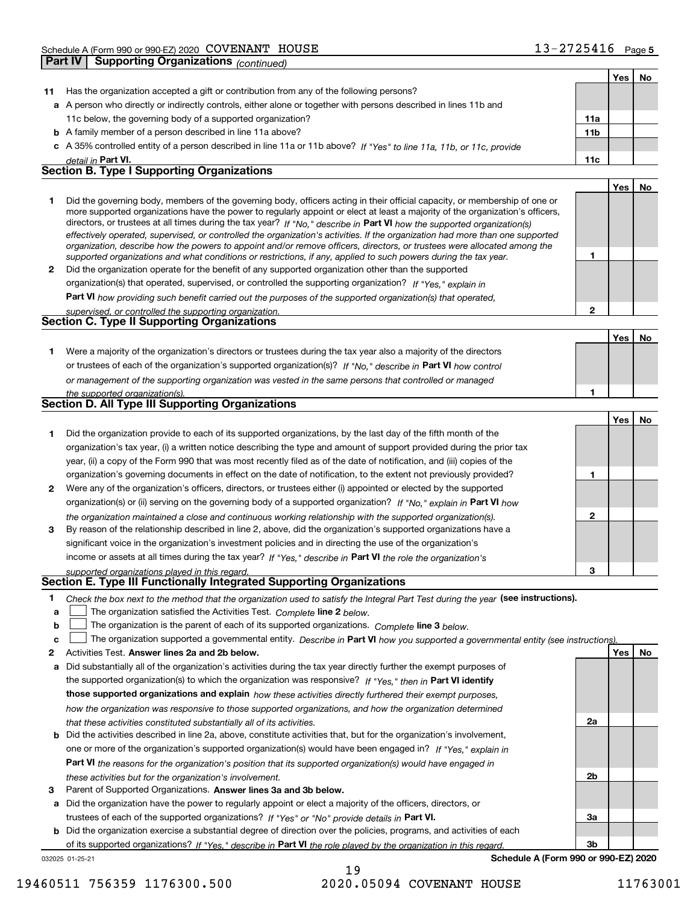| <b>Part IV</b> | <b>Supporting Organizations (continued)</b>                                                                                                                                                                                                                                                                                                                                                                                                                                                                                                                                                                                                          |                 |     |    |
|----------------|------------------------------------------------------------------------------------------------------------------------------------------------------------------------------------------------------------------------------------------------------------------------------------------------------------------------------------------------------------------------------------------------------------------------------------------------------------------------------------------------------------------------------------------------------------------------------------------------------------------------------------------------------|-----------------|-----|----|
|                |                                                                                                                                                                                                                                                                                                                                                                                                                                                                                                                                                                                                                                                      |                 | Yes | No |
| 11             | Has the organization accepted a gift or contribution from any of the following persons?                                                                                                                                                                                                                                                                                                                                                                                                                                                                                                                                                              |                 |     |    |
|                | a A person who directly or indirectly controls, either alone or together with persons described in lines 11b and                                                                                                                                                                                                                                                                                                                                                                                                                                                                                                                                     |                 |     |    |
|                | 11c below, the governing body of a supported organization?                                                                                                                                                                                                                                                                                                                                                                                                                                                                                                                                                                                           | 11a             |     |    |
|                | <b>b</b> A family member of a person described in line 11a above?                                                                                                                                                                                                                                                                                                                                                                                                                                                                                                                                                                                    | 11 <sub>b</sub> |     |    |
|                | c A 35% controlled entity of a person described in line 11a or 11b above? If "Yes" to line 11a, 11b, or 11c, provide                                                                                                                                                                                                                                                                                                                                                                                                                                                                                                                                 |                 |     |    |
|                | detail in Part VI.                                                                                                                                                                                                                                                                                                                                                                                                                                                                                                                                                                                                                                   | 11c             |     |    |
|                | <b>Section B. Type I Supporting Organizations</b>                                                                                                                                                                                                                                                                                                                                                                                                                                                                                                                                                                                                    |                 |     |    |
|                |                                                                                                                                                                                                                                                                                                                                                                                                                                                                                                                                                                                                                                                      |                 | Yes | No |
| 1              | Did the governing body, members of the governing body, officers acting in their official capacity, or membership of one or<br>more supported organizations have the power to regularly appoint or elect at least a majority of the organization's officers,<br>directors, or trustees at all times during the tax year? If "No," describe in Part VI how the supported organization(s)<br>effectively operated, supervised, or controlled the organization's activities. If the organization had more than one supported<br>organization, describe how the powers to appoint and/or remove officers, directors, or trustees were allocated among the |                 |     |    |
| $\mathbf{2}$   | supported organizations and what conditions or restrictions, if any, applied to such powers during the tax year.<br>Did the organization operate for the benefit of any supported organization other than the supported                                                                                                                                                                                                                                                                                                                                                                                                                              | 1               |     |    |
|                | organization(s) that operated, supervised, or controlled the supporting organization? If "Yes," explain in                                                                                                                                                                                                                                                                                                                                                                                                                                                                                                                                           |                 |     |    |
|                | Part VI how providing such benefit carried out the purposes of the supported organization(s) that operated,                                                                                                                                                                                                                                                                                                                                                                                                                                                                                                                                          |                 |     |    |
|                | supervised, or controlled the supporting organization.                                                                                                                                                                                                                                                                                                                                                                                                                                                                                                                                                                                               | $\overline{2}$  |     |    |
|                | Section C. Type II Supporting Organizations                                                                                                                                                                                                                                                                                                                                                                                                                                                                                                                                                                                                          |                 |     |    |
|                |                                                                                                                                                                                                                                                                                                                                                                                                                                                                                                                                                                                                                                                      |                 | Yes | No |
| 1.             | Were a majority of the organization's directors or trustees during the tax year also a majority of the directors                                                                                                                                                                                                                                                                                                                                                                                                                                                                                                                                     |                 |     |    |
|                | or trustees of each of the organization's supported organization(s)? If "No," describe in Part VI how control                                                                                                                                                                                                                                                                                                                                                                                                                                                                                                                                        |                 |     |    |
|                | or management of the supporting organization was vested in the same persons that controlled or managed                                                                                                                                                                                                                                                                                                                                                                                                                                                                                                                                               |                 |     |    |
|                | the supported organization(s).                                                                                                                                                                                                                                                                                                                                                                                                                                                                                                                                                                                                                       |                 |     |    |
|                | <b>Section D. All Type III Supporting Organizations</b>                                                                                                                                                                                                                                                                                                                                                                                                                                                                                                                                                                                              |                 |     |    |
|                |                                                                                                                                                                                                                                                                                                                                                                                                                                                                                                                                                                                                                                                      |                 | Yes | No |
| 1.             | Did the organization provide to each of its supported organizations, by the last day of the fifth month of the                                                                                                                                                                                                                                                                                                                                                                                                                                                                                                                                       |                 |     |    |
|                | organization's tax year, (i) a written notice describing the type and amount of support provided during the prior tax                                                                                                                                                                                                                                                                                                                                                                                                                                                                                                                                |                 |     |    |
|                | year, (ii) a copy of the Form 990 that was most recently filed as of the date of notification, and (iii) copies of the                                                                                                                                                                                                                                                                                                                                                                                                                                                                                                                               |                 |     |    |
|                | organization's governing documents in effect on the date of notification, to the extent not previously provided?                                                                                                                                                                                                                                                                                                                                                                                                                                                                                                                                     | 1               |     |    |
| 2              | Were any of the organization's officers, directors, or trustees either (i) appointed or elected by the supported                                                                                                                                                                                                                                                                                                                                                                                                                                                                                                                                     |                 |     |    |
|                | organization(s) or (ii) serving on the governing body of a supported organization? If "No," explain in Part VI how                                                                                                                                                                                                                                                                                                                                                                                                                                                                                                                                   |                 |     |    |
|                | the organization maintained a close and continuous working relationship with the supported organization(s).                                                                                                                                                                                                                                                                                                                                                                                                                                                                                                                                          | $\mathbf{2}$    |     |    |
| 3              | By reason of the relationship described in line 2, above, did the organization's supported organizations have a                                                                                                                                                                                                                                                                                                                                                                                                                                                                                                                                      |                 |     |    |
|                | significant voice in the organization's investment policies and in directing the use of the organization's                                                                                                                                                                                                                                                                                                                                                                                                                                                                                                                                           |                 |     |    |
|                | income or assets at all times during the tax year? If "Yes," describe in Part VI the role the organization's                                                                                                                                                                                                                                                                                                                                                                                                                                                                                                                                         |                 |     |    |
|                | supported organizations played in this regard.<br>Section E. Type III Functionally Integrated Supporting Organizations                                                                                                                                                                                                                                                                                                                                                                                                                                                                                                                               | 3               |     |    |
| 1              | Check the box next to the method that the organization used to satisfy the Integral Part Test during the year (see instructions).                                                                                                                                                                                                                                                                                                                                                                                                                                                                                                                    |                 |     |    |
| a              | The organization satisfied the Activities Test. Complete line 2 below.                                                                                                                                                                                                                                                                                                                                                                                                                                                                                                                                                                               |                 |     |    |
| b              | The organization is the parent of each of its supported organizations. Complete line 3 below.                                                                                                                                                                                                                                                                                                                                                                                                                                                                                                                                                        |                 |     |    |
| c              | The organization supported a governmental entity. Describe in Part VI how you supported a governmental entity (see instructions).                                                                                                                                                                                                                                                                                                                                                                                                                                                                                                                    |                 |     |    |
| 2              | Activities Test. Answer lines 2a and 2b below.                                                                                                                                                                                                                                                                                                                                                                                                                                                                                                                                                                                                       |                 | Yes | No |
| а              | Did substantially all of the organization's activities during the tax year directly further the exempt purposes of                                                                                                                                                                                                                                                                                                                                                                                                                                                                                                                                   |                 |     |    |
|                | the supported organization(s) to which the organization was responsive? If "Yes," then in Part VI identify                                                                                                                                                                                                                                                                                                                                                                                                                                                                                                                                           |                 |     |    |
|                | those supported organizations and explain how these activities directly furthered their exempt purposes,                                                                                                                                                                                                                                                                                                                                                                                                                                                                                                                                             |                 |     |    |
|                | how the organization was responsive to those supported organizations, and how the organization determined                                                                                                                                                                                                                                                                                                                                                                                                                                                                                                                                            |                 |     |    |
|                | that these activities constituted substantially all of its activities.                                                                                                                                                                                                                                                                                                                                                                                                                                                                                                                                                                               | 2a              |     |    |

- **b** Did the activities described in line 2a, above, constitute activities that, but for the organization's involvement, **Part VI**  *the reasons for the organization's position that its supported organization(s) would have engaged in* one or more of the organization's supported organization(s) would have been engaged in? If "Yes," e*xplain in these activities but for the organization's involvement.*
- **3** Parent of Supported Organizations. Answer lines 3a and 3b below.

**a** Did the organization have the power to regularly appoint or elect a majority of the officers, directors, or trustees of each of the supported organizations? If "Yes" or "No" provide details in **Part VI.** 

**b** Did the organization exercise a substantial degree of direction over the policies, programs, and activities of each of its supported organizations? If "Yes," describe in Part VI the role played by the organization in this regard.

**Schedule A (Form 990 or 990-EZ) 2020**

**2b**

**3a**

**3b**

032025 01-25-21

19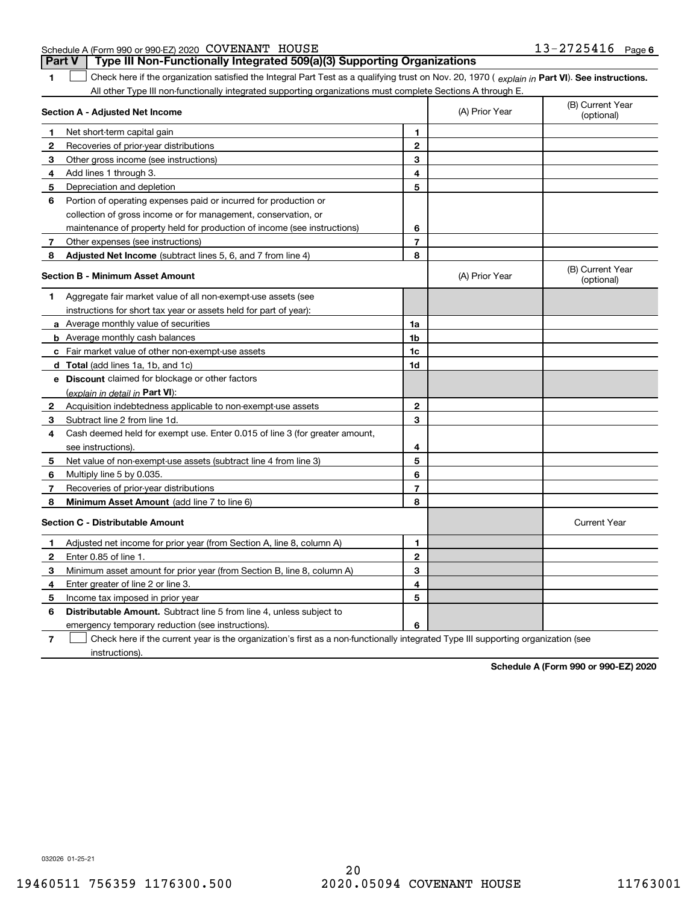| Schedule A (Form 990 or 990-EZ) 2020 COVENANT HOUSE | $13 - 2725416$ Page 6 |
|-----------------------------------------------------|-----------------------|
|-----------------------------------------------------|-----------------------|

**Part V Type III Non-Functionally Integrated 509(a)(3) Supporting Organizations** 

**1**1 Check here if the organization satisfied the Integral Part Test as a qualifying trust on Nov. 20, 1970 (explain in Part VI). See instructions. All other Type III non-functionally integrated supporting organizations must complete Sections A through E.

|              | Section A - Adjusted Net Income                                                                                                   | (A) Prior Year          | (B) Current Year<br>(optional) |                                |
|--------------|-----------------------------------------------------------------------------------------------------------------------------------|-------------------------|--------------------------------|--------------------------------|
| 1            | Net short-term capital gain                                                                                                       | 1                       |                                |                                |
| $\mathbf{2}$ | Recoveries of prior-year distributions                                                                                            | $\overline{2}$          |                                |                                |
| 3            | Other gross income (see instructions)                                                                                             | 3                       |                                |                                |
| 4            | Add lines 1 through 3.                                                                                                            | 4                       |                                |                                |
| 5            | Depreciation and depletion                                                                                                        | 5                       |                                |                                |
| 6            | Portion of operating expenses paid or incurred for production or                                                                  |                         |                                |                                |
|              | collection of gross income or for management, conservation, or                                                                    |                         |                                |                                |
|              | maintenance of property held for production of income (see instructions)                                                          | 6                       |                                |                                |
| 7            | Other expenses (see instructions)                                                                                                 | $\overline{\mathbf{r}}$ |                                |                                |
| 8            | Adjusted Net Income (subtract lines 5, 6, and 7 from line 4)                                                                      | 8                       |                                |                                |
|              | <b>Section B - Minimum Asset Amount</b>                                                                                           |                         | (A) Prior Year                 | (B) Current Year<br>(optional) |
| 1            | Aggregate fair market value of all non-exempt-use assets (see                                                                     |                         |                                |                                |
|              | instructions for short tax year or assets held for part of year):                                                                 |                         |                                |                                |
|              | <b>a</b> Average monthly value of securities                                                                                      | 1a                      |                                |                                |
|              | <b>b</b> Average monthly cash balances                                                                                            | 1 <sub>b</sub>          |                                |                                |
|              | c Fair market value of other non-exempt-use assets                                                                                | 1c                      |                                |                                |
|              | <b>d</b> Total (add lines 1a, 1b, and 1c)                                                                                         | 1d                      |                                |                                |
|              | e Discount claimed for blockage or other factors                                                                                  |                         |                                |                                |
|              | (explain in detail in Part VI):                                                                                                   |                         |                                |                                |
| 2            | Acquisition indebtedness applicable to non-exempt-use assets                                                                      | 2                       |                                |                                |
| 3            | Subtract line 2 from line 1d.                                                                                                     | 3                       |                                |                                |
| 4            | Cash deemed held for exempt use. Enter 0.015 of line 3 (for greater amount,                                                       |                         |                                |                                |
|              | see instructions)                                                                                                                 | 4                       |                                |                                |
| 5            | Net value of non-exempt-use assets (subtract line 4 from line 3)                                                                  | 5                       |                                |                                |
| 6            | Multiply line 5 by 0.035.                                                                                                         | 6                       |                                |                                |
| 7            | Recoveries of prior-year distributions                                                                                            | 7                       |                                |                                |
| 8            | <b>Minimum Asset Amount</b> (add line 7 to line 6)                                                                                | 8                       |                                |                                |
|              | <b>Section C - Distributable Amount</b>                                                                                           |                         |                                | <b>Current Year</b>            |
| 1            | Adjusted net income for prior year (from Section A, line 8, column A)                                                             | 1                       |                                |                                |
| 2            | Enter 0.85 of line 1.                                                                                                             | $\overline{2}$          |                                |                                |
| 3            | Minimum asset amount for prior year (from Section B, line 8, column A)                                                            | 3                       |                                |                                |
| 4            | Enter greater of line 2 or line 3.                                                                                                | 4                       |                                |                                |
| 5            | Income tax imposed in prior year                                                                                                  | 5                       |                                |                                |
| 6            | <b>Distributable Amount.</b> Subtract line 5 from line 4, unless subject to                                                       |                         |                                |                                |
|              | emergency temporary reduction (see instructions).                                                                                 | 6                       |                                |                                |
| 7            | Check here if the current year is the organization's first as a non-functionally integrated Type III supporting organization (see |                         |                                |                                |

instructions).

**Schedule A (Form 990 or 990-EZ) 2020**

032026 01-25-21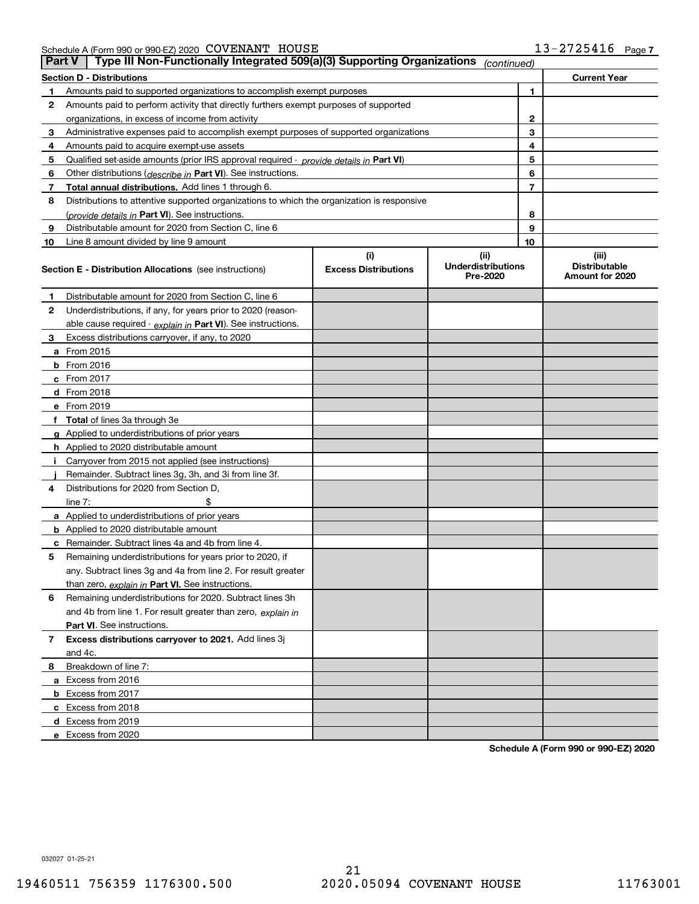Schedule A (Form 990 or 990-EZ) 2020 Page COVENANT HOUSE 13-2725416

| <b>Part V</b> | Type III Non-Functionally Integrated 509(a)(3) Supporting Organizations                    |                                    | (continued)                                   |    |                                                  |  |  |  |
|---------------|--------------------------------------------------------------------------------------------|------------------------------------|-----------------------------------------------|----|--------------------------------------------------|--|--|--|
|               | <b>Section D - Distributions</b>                                                           |                                    |                                               |    | <b>Current Year</b>                              |  |  |  |
| 1             | 1<br>Amounts paid to supported organizations to accomplish exempt purposes                 |                                    |                                               |    |                                                  |  |  |  |
| 2             | Amounts paid to perform activity that directly furthers exempt purposes of supported       |                                    |                                               |    |                                                  |  |  |  |
|               | organizations, in excess of income from activity                                           |                                    |                                               | 2  |                                                  |  |  |  |
| 3             | Administrative expenses paid to accomplish exempt purposes of supported organizations      |                                    |                                               | 3  |                                                  |  |  |  |
| 4             | Amounts paid to acquire exempt-use assets                                                  |                                    |                                               | 4  |                                                  |  |  |  |
| 5             | Qualified set-aside amounts (prior IRS approval required - provide details in Part VI)     |                                    |                                               | 5  |                                                  |  |  |  |
| 6             | Other distributions (describe in Part VI). See instructions.                               |                                    |                                               | 6  |                                                  |  |  |  |
| 7             | Total annual distributions. Add lines 1 through 6.                                         |                                    |                                               | 7  |                                                  |  |  |  |
| 8             | Distributions to attentive supported organizations to which the organization is responsive |                                    |                                               |    |                                                  |  |  |  |
|               | (provide details in Part VI). See instructions.                                            |                                    |                                               | 8  |                                                  |  |  |  |
| 9             | Distributable amount for 2020 from Section C, line 6                                       |                                    |                                               | 9  |                                                  |  |  |  |
| 10            | Line 8 amount divided by line 9 amount                                                     |                                    |                                               | 10 |                                                  |  |  |  |
|               | <b>Section E - Distribution Allocations</b> (see instructions)                             | (i)<br><b>Excess Distributions</b> | (ii)<br><b>Underdistributions</b><br>Pre-2020 |    | (iii)<br><b>Distributable</b><br>Amount for 2020 |  |  |  |
| 1             | Distributable amount for 2020 from Section C, line 6                                       |                                    |                                               |    |                                                  |  |  |  |
| 2             | Underdistributions, if any, for years prior to 2020 (reason-                               |                                    |                                               |    |                                                  |  |  |  |
|               | able cause required - explain in Part VI). See instructions.                               |                                    |                                               |    |                                                  |  |  |  |
| 3             | Excess distributions carryover, if any, to 2020                                            |                                    |                                               |    |                                                  |  |  |  |
|               | <b>a</b> From 2015                                                                         |                                    |                                               |    |                                                  |  |  |  |
|               | <b>b</b> From 2016                                                                         |                                    |                                               |    |                                                  |  |  |  |
|               | c From 2017                                                                                |                                    |                                               |    |                                                  |  |  |  |
|               | <b>d</b> From 2018                                                                         |                                    |                                               |    |                                                  |  |  |  |
|               | e From 2019                                                                                |                                    |                                               |    |                                                  |  |  |  |
|               | f Total of lines 3a through 3e                                                             |                                    |                                               |    |                                                  |  |  |  |
|               | g Applied to underdistributions of prior years                                             |                                    |                                               |    |                                                  |  |  |  |
|               | <b>h</b> Applied to 2020 distributable amount                                              |                                    |                                               |    |                                                  |  |  |  |
|               | Carryover from 2015 not applied (see instructions)                                         |                                    |                                               |    |                                                  |  |  |  |
|               | Remainder. Subtract lines 3g, 3h, and 3i from line 3f.                                     |                                    |                                               |    |                                                  |  |  |  |
| 4             | Distributions for 2020 from Section D,                                                     |                                    |                                               |    |                                                  |  |  |  |
|               | line $7:$                                                                                  |                                    |                                               |    |                                                  |  |  |  |
|               | a Applied to underdistributions of prior years                                             |                                    |                                               |    |                                                  |  |  |  |
|               | <b>b</b> Applied to 2020 distributable amount                                              |                                    |                                               |    |                                                  |  |  |  |
|               | c Remainder. Subtract lines 4a and 4b from line 4.                                         |                                    |                                               |    |                                                  |  |  |  |
| 5             | Remaining underdistributions for years prior to 2020, if                                   |                                    |                                               |    |                                                  |  |  |  |
|               | any. Subtract lines 3g and 4a from line 2. For result greater                              |                                    |                                               |    |                                                  |  |  |  |
|               | than zero, explain in Part VI. See instructions.                                           |                                    |                                               |    |                                                  |  |  |  |
| 6             | Remaining underdistributions for 2020. Subtract lines 3h                                   |                                    |                                               |    |                                                  |  |  |  |
|               | and 4b from line 1. For result greater than zero, explain in                               |                                    |                                               |    |                                                  |  |  |  |
|               | Part VI. See instructions.                                                                 |                                    |                                               |    |                                                  |  |  |  |
| 7             | Excess distributions carryover to 2021. Add lines 3j                                       |                                    |                                               |    |                                                  |  |  |  |
|               | and 4c.                                                                                    |                                    |                                               |    |                                                  |  |  |  |
| 8             | Breakdown of line 7:                                                                       |                                    |                                               |    |                                                  |  |  |  |
|               | a Excess from 2016                                                                         |                                    |                                               |    |                                                  |  |  |  |
|               | <b>b</b> Excess from 2017                                                                  |                                    |                                               |    |                                                  |  |  |  |
|               | c Excess from 2018                                                                         |                                    |                                               |    |                                                  |  |  |  |
|               | d Excess from 2019                                                                         |                                    |                                               |    |                                                  |  |  |  |
|               | e Excess from 2020                                                                         |                                    |                                               |    |                                                  |  |  |  |

**Schedule A (Form 990 or 990-EZ) 2020**

032027 01-25-21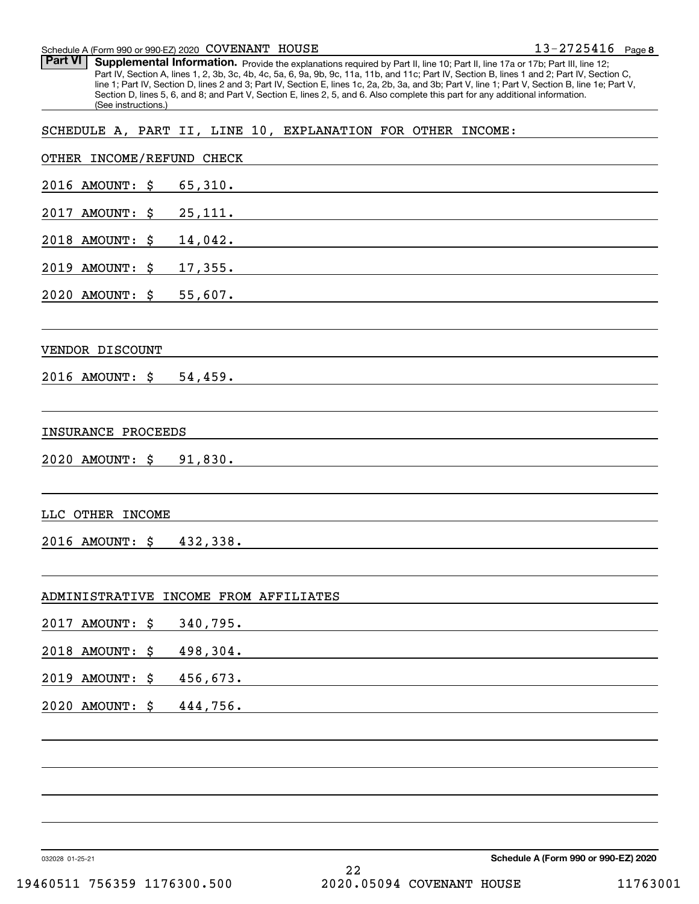### Schedule A (Form 990 or 990-EZ) 2020 Page COVENANT HOUSE

Part VI | Supplemental Information. Provide the explanations required by Part II, line 10; Part II, line 17a or 17b; Part III, line 12; Part IV, Section A, lines 1, 2, 3b, 3c, 4b, 4c, 5a, 6, 9a, 9b, 9c, 11a, 11b, and 11c; Part IV, Section B, lines 1 and 2; Part IV, Section C, line 1; Part IV, Section D, lines 2 and 3; Part IV, Section E, lines 1c, 2a, 2b, 3a, and 3b; Part V, line 1; Part V, Section B, line 1e; Part V, Section D, lines 5, 6, and 8; and Part V, Section E, lines 2, 5, and 6. Also complete this part for any additional information. (See instructions.)

### SCHEDULE A, PART II, LINE 10, EXPLANATION FOR OTHER INCOME:

| OTHER INCOME/REFUND CHECK |                                                                                                                       |                                                                                                                      |                                      |
|---------------------------|-----------------------------------------------------------------------------------------------------------------------|----------------------------------------------------------------------------------------------------------------------|--------------------------------------|
| 2016 AMOUNT: \$ 65,310.   |                                                                                                                       |                                                                                                                      |                                      |
| 2017 AMOUNT: \$ 25,111.   |                                                                                                                       |                                                                                                                      |                                      |
| 2018 AMOUNT: \$ 14,042.   |                                                                                                                       | <u> 1989 - Johann Stein, mars an deutscher Stein und der Stein und der Stein und der Stein und der Stein und der</u> |                                      |
|                           | $2019$ AMOUNT: $\zeta$ 17,355.                                                                                        |                                                                                                                      |                                      |
| 2020 AMOUNT: \$ 55,607.   |                                                                                                                       |                                                                                                                      |                                      |
|                           |                                                                                                                       |                                                                                                                      |                                      |
| VENDOR DISCOUNT           | <u> 1989 - Johann Stoff, deutscher Stoff, der Stoff, der Stoff, der Stoff, der Stoff, der Stoff, der Stoff, der S</u> |                                                                                                                      |                                      |
| 2016 AMOUNT: \$ 54,459.   |                                                                                                                       |                                                                                                                      |                                      |
|                           |                                                                                                                       |                                                                                                                      |                                      |
| INSURANCE PROCEEDS        | <u> 1989 - John Stein, Amerikaansk politiker (* 1918)</u>                                                             |                                                                                                                      |                                      |
| 2020 AMOUNT: \$ 91,830.   |                                                                                                                       | and the state of the state of the state of the state of the state of the state of the state of the state of the      |                                      |
|                           |                                                                                                                       |                                                                                                                      |                                      |
| LLC OTHER INCOME          |                                                                                                                       |                                                                                                                      |                                      |
| 2016 AMOUNT: \$ 432,338.  |                                                                                                                       |                                                                                                                      |                                      |
|                           |                                                                                                                       |                                                                                                                      |                                      |
|                           | ADMINISTRATIVE INCOME FROM AFFILIATES                                                                                 |                                                                                                                      |                                      |
| 2017 AMOUNT: \$ 340,795.  |                                                                                                                       | <u> 1980 - John Stein, Amerikaansk politiker (* 1918)</u>                                                            |                                      |
| 2018 AMOUNT: \$ 498,304.  |                                                                                                                       |                                                                                                                      |                                      |
| 2019 AMOUNT: \$           | 456,673.                                                                                                              |                                                                                                                      |                                      |
| 2020 AMOUNT: \$           | 444,756.                                                                                                              |                                                                                                                      |                                      |
|                           |                                                                                                                       |                                                                                                                      |                                      |
|                           |                                                                                                                       |                                                                                                                      |                                      |
|                           |                                                                                                                       |                                                                                                                      |                                      |
|                           |                                                                                                                       |                                                                                                                      |                                      |
|                           |                                                                                                                       |                                                                                                                      |                                      |
| 032028 01-25-21           |                                                                                                                       |                                                                                                                      | Schedule A (Form 990 or 990-EZ) 2020 |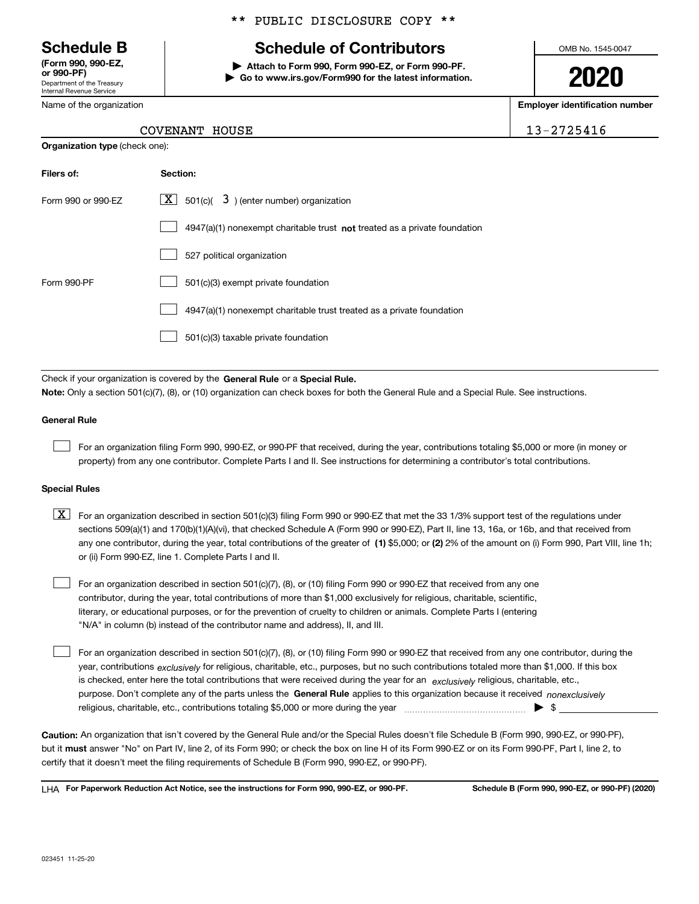Department of the Treasury Internal Revenue Service **(Form 990, 990-EZ, or 990-PF)**

Name of the organization

\*\* PUBLIC DISCLOSURE COPY \*\*

# **Schedule B Schedule of Contributors**

**| Attach to Form 990, Form 990-EZ, or Form 990-PF. | Go to www.irs.gov/Form990 for the latest information.** OMB No. 1545-0047

**2020**

**Employer identification number**

13-2725416

| COVENANT HOUSE |  |
|----------------|--|
|                |  |

| <b>Organization type (check one):</b> |                                                                           |  |  |  |  |
|---------------------------------------|---------------------------------------------------------------------------|--|--|--|--|
| Filers of:                            | Section:                                                                  |  |  |  |  |
| Form 990 or 990-EZ                    | $\underline{X}$ 501(c)( 3) (enter number) organization                    |  |  |  |  |
|                                       | 4947(a)(1) nonexempt charitable trust not treated as a private foundation |  |  |  |  |
|                                       | 527 political organization                                                |  |  |  |  |
| Form 990-PF                           | 501(c)(3) exempt private foundation                                       |  |  |  |  |
|                                       | 4947(a)(1) nonexempt charitable trust treated as a private foundation     |  |  |  |  |
|                                       | 501(c)(3) taxable private foundation                                      |  |  |  |  |

Check if your organization is covered by the **General Rule** or a **Special Rule. Note:**  Only a section 501(c)(7), (8), or (10) organization can check boxes for both the General Rule and a Special Rule. See instructions.

### **General Rule**

 $\mathcal{L}^{\text{max}}$ 

For an organization filing Form 990, 990-EZ, or 990-PF that received, during the year, contributions totaling \$5,000 or more (in money or property) from any one contributor. Complete Parts I and II. See instructions for determining a contributor's total contributions.

### **Special Rules**

any one contributor, during the year, total contributions of the greater of  $\,$  (1) \$5,000; or **(2)** 2% of the amount on (i) Form 990, Part VIII, line 1h;  $\boxed{\textbf{X}}$  For an organization described in section 501(c)(3) filing Form 990 or 990-EZ that met the 33 1/3% support test of the regulations under sections 509(a)(1) and 170(b)(1)(A)(vi), that checked Schedule A (Form 990 or 990-EZ), Part II, line 13, 16a, or 16b, and that received from or (ii) Form 990-EZ, line 1. Complete Parts I and II.

For an organization described in section 501(c)(7), (8), or (10) filing Form 990 or 990-EZ that received from any one contributor, during the year, total contributions of more than \$1,000 exclusively for religious, charitable, scientific, literary, or educational purposes, or for the prevention of cruelty to children or animals. Complete Parts I (entering "N/A" in column (b) instead of the contributor name and address), II, and III.  $\mathcal{L}^{\text{max}}$ 

purpose. Don't complete any of the parts unless the **General Rule** applies to this organization because it received *nonexclusively* year, contributions <sub>exclusively</sub> for religious, charitable, etc., purposes, but no such contributions totaled more than \$1,000. If this box is checked, enter here the total contributions that were received during the year for an  $\;$ exclusively religious, charitable, etc., For an organization described in section 501(c)(7), (8), or (10) filing Form 990 or 990-EZ that received from any one contributor, during the religious, charitable, etc., contributions totaling \$5,000 or more during the year  $\Box$ — $\Box$   $\Box$  $\mathcal{L}^{\text{max}}$ 

**Caution:**  An organization that isn't covered by the General Rule and/or the Special Rules doesn't file Schedule B (Form 990, 990-EZ, or 990-PF),  **must** but it answer "No" on Part IV, line 2, of its Form 990; or check the box on line H of its Form 990-EZ or on its Form 990-PF, Part I, line 2, to certify that it doesn't meet the filing requirements of Schedule B (Form 990, 990-EZ, or 990-PF).

**For Paperwork Reduction Act Notice, see the instructions for Form 990, 990-EZ, or 990-PF. Schedule B (Form 990, 990-EZ, or 990-PF) (2020)** LHA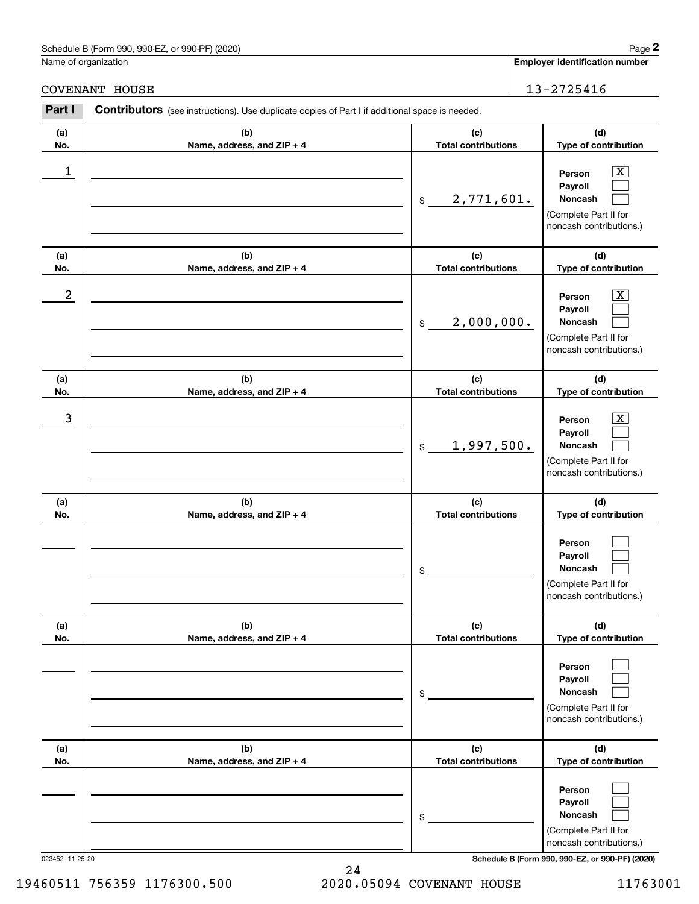### Schedule B (Form 990, 990-EZ, or 990-PF) (2020) Page 2

Name of organization

**(c) Total contributions (d)** Contributors (see instructions). Use duplicate copies of Part I if additional space is needed. **2Page 2**<br>
Iame of organization<br> **2Part I 2Part I Contributors** (see instructions). Use duplicate copies of Part I if additional space is needed. COVENANT HOUSE 2725416

| (a)              | (b)                        | (c)                         | (d)                                                                                                                                 |
|------------------|----------------------------|-----------------------------|-------------------------------------------------------------------------------------------------------------------------------------|
| No.              | Name, address, and ZIP + 4 | <b>Total contributions</b>  | Type of contribution                                                                                                                |
| 1                |                            | 2,771,601.<br>$\mathsf{\$}$ | $\mathbf{X}$<br>Person<br>Payroll<br>Noncash<br>(Complete Part II for<br>noncash contributions.)                                    |
| (a)              | (b)                        | (c)                         | (d)                                                                                                                                 |
| No.              | Name, address, and ZIP + 4 | <b>Total contributions</b>  | Type of contribution                                                                                                                |
| $\boldsymbol{2}$ |                            | 2,000,000.<br>\$            | $\mathbf{X}$<br>Person<br>Payroll<br>Noncash<br>(Complete Part II for<br>noncash contributions.)                                    |
| (a)              | (b)                        | (c)                         | (d)                                                                                                                                 |
| No.              | Name, address, and ZIP + 4 | <b>Total contributions</b>  | Type of contribution                                                                                                                |
| 3                |                            | 1,997,500.<br>\$            | $\mathbf{X}$<br>Person<br>Payroll<br>Noncash<br>(Complete Part II for<br>noncash contributions.)                                    |
| (a)              | (b)                        | (c)                         | (d)                                                                                                                                 |
| No.              | Name, address, and ZIP + 4 | <b>Total contributions</b>  | Type of contribution                                                                                                                |
|                  |                            | \$                          | Person<br>Payroll<br>Noncash<br>(Complete Part II for<br>noncash contributions.)                                                    |
| (a)              | (b)                        | (c)                         | (d)                                                                                                                                 |
| No.              | Name, address, and ZIP + 4 | <b>Total contributions</b>  | Type of contribution                                                                                                                |
|                  |                            | \$                          | Person<br>Payroll<br>Noncash<br>(Complete Part II for<br>noncash contributions.)                                                    |
| (a)              | (b)                        | (c)                         | (d)                                                                                                                                 |
| No.              | Name, address, and ZIP + 4 | <b>Total contributions</b>  | Type of contribution                                                                                                                |
| 023452 11-25-20  |                            | \$                          | Person<br>Payroll<br>Noncash<br>(Complete Part II for<br>noncash contributions.)<br>Schedule B (Form 990, 990-EZ, or 990-PF) (2020) |

24

19460511 756359 1176300.500 2020.05094 COVENANT HOUSE 11763001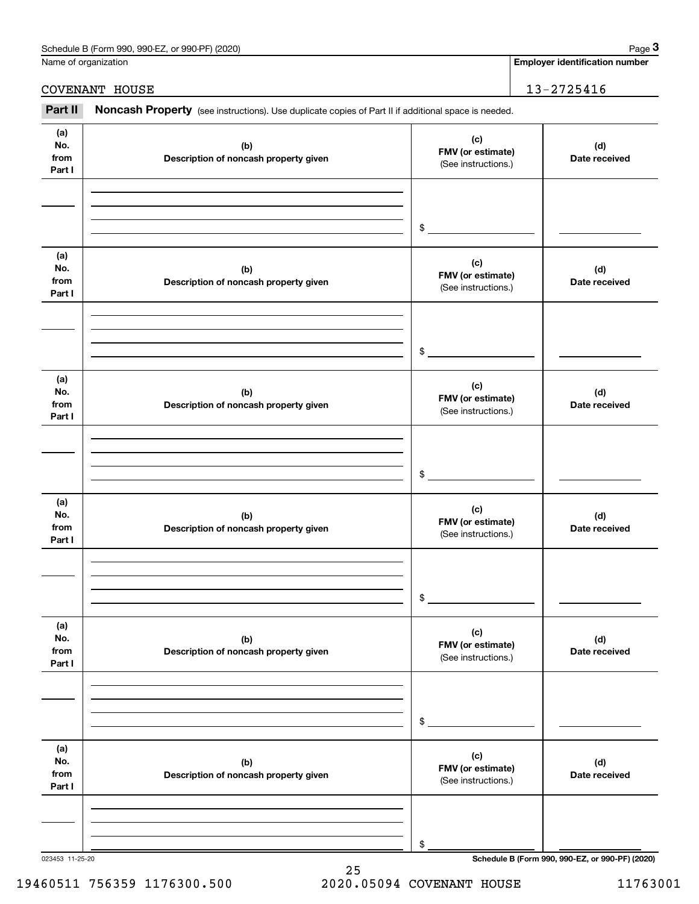| Schedule B (Form 990, 9<br>or 990-PF) (2020)<br>990-EZ<br>Page |  |
|----------------------------------------------------------------|--|
|----------------------------------------------------------------|--|

|                              | Schedule B (Form 990, 990-EZ, or 990-PF) (2020)                                                     |                                                 | Page 3                                          |
|------------------------------|-----------------------------------------------------------------------------------------------------|-------------------------------------------------|-------------------------------------------------|
|                              | Name of organization                                                                                |                                                 | <b>Employer identification number</b>           |
|                              | COVENANT HOUSE                                                                                      |                                                 | 13-2725416                                      |
| Part II                      | Noncash Property (see instructions). Use duplicate copies of Part II if additional space is needed. |                                                 |                                                 |
| (a)<br>No.<br>from<br>Part I | (b)<br>Description of noncash property given                                                        | (c)<br>FMV (or estimate)<br>(See instructions.) | (d)<br>Date received                            |
|                              |                                                                                                     | \$                                              |                                                 |
| (a)<br>No.<br>from<br>Part I | (b)<br>Description of noncash property given                                                        | (c)<br>FMV (or estimate)<br>(See instructions.) | (d)<br>Date received                            |
|                              |                                                                                                     | \$                                              |                                                 |
| (a)<br>No.<br>from<br>Part I | (b)<br>Description of noncash property given                                                        | (c)<br>FMV (or estimate)<br>(See instructions.) | (d)<br>Date received                            |
|                              |                                                                                                     | \$                                              |                                                 |
| (a)<br>No.<br>from<br>Part I | (b)<br>Description of noncash property given                                                        | (c)<br>FMV (or estimate)<br>(See instructions.) | (d)<br>Date received                            |
|                              |                                                                                                     | \$                                              |                                                 |
| (a)<br>No.<br>from<br>Part I | (b)<br>Description of noncash property given                                                        | (c)<br>FMV (or estimate)<br>(See instructions.) | (d)<br>Date received                            |
|                              |                                                                                                     | \$                                              |                                                 |
| (a)<br>No.<br>from<br>Part I | (b)<br>Description of noncash property given                                                        | (c)<br>FMV (or estimate)<br>(See instructions.) | (d)<br>Date received                            |
|                              |                                                                                                     | \$                                              |                                                 |
| 023453 11-25-20              |                                                                                                     |                                                 | Schedule B (Form 990, 990-EZ, or 990-PF) (2020) |

### 19460511 756359 1176300.500 2020.05094 COVENANT HOUSE 11763001

25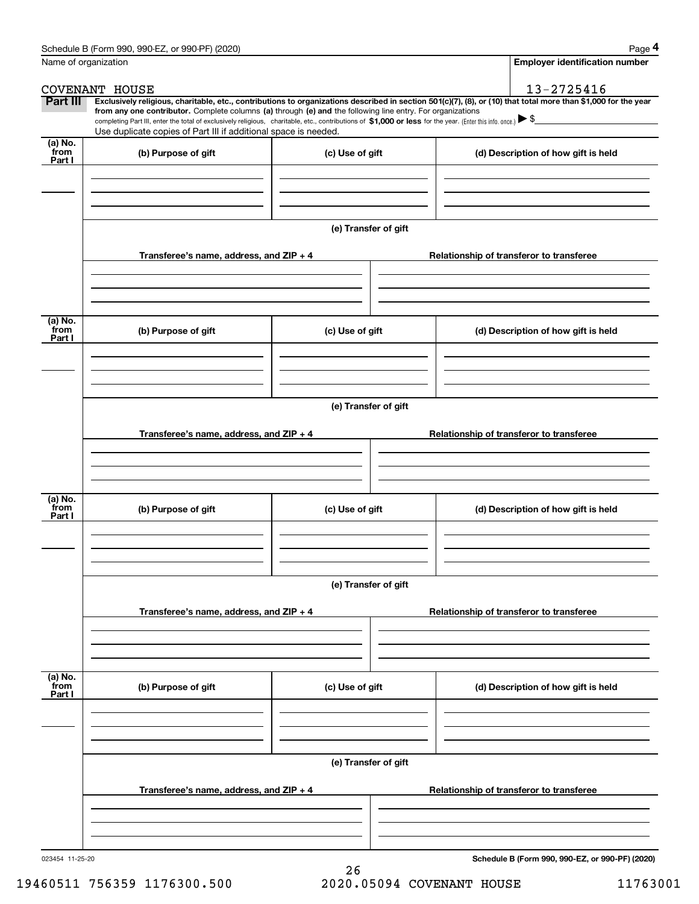|                                                                 | Page 4                                                                                                                                                                                                                                                                                                                                                                                                                                                          |
|-----------------------------------------------------------------|-----------------------------------------------------------------------------------------------------------------------------------------------------------------------------------------------------------------------------------------------------------------------------------------------------------------------------------------------------------------------------------------------------------------------------------------------------------------|
|                                                                 | <b>Employer identification number</b>                                                                                                                                                                                                                                                                                                                                                                                                                           |
|                                                                 | 13-2725416                                                                                                                                                                                                                                                                                                                                                                                                                                                      |
|                                                                 | Exclusively religious, charitable, etc., contributions to organizations described in section 501(c)(7), (8), or (10) that total more than \$1,000 for the year                                                                                                                                                                                                                                                                                                  |
|                                                                 |                                                                                                                                                                                                                                                                                                                                                                                                                                                                 |
| Use duplicate copies of Part III if additional space is needed. |                                                                                                                                                                                                                                                                                                                                                                                                                                                                 |
| (c) Use of gift                                                 | (d) Description of how gift is held                                                                                                                                                                                                                                                                                                                                                                                                                             |
|                                                                 |                                                                                                                                                                                                                                                                                                                                                                                                                                                                 |
|                                                                 |                                                                                                                                                                                                                                                                                                                                                                                                                                                                 |
| Transferee's name, address, and ZIP + 4                         | Relationship of transferor to transferee                                                                                                                                                                                                                                                                                                                                                                                                                        |
|                                                                 |                                                                                                                                                                                                                                                                                                                                                                                                                                                                 |
|                                                                 | (d) Description of how gift is held                                                                                                                                                                                                                                                                                                                                                                                                                             |
|                                                                 |                                                                                                                                                                                                                                                                                                                                                                                                                                                                 |
|                                                                 |                                                                                                                                                                                                                                                                                                                                                                                                                                                                 |
| Transferee's name, address, and ZIP + 4                         | Relationship of transferor to transferee                                                                                                                                                                                                                                                                                                                                                                                                                        |
|                                                                 |                                                                                                                                                                                                                                                                                                                                                                                                                                                                 |
|                                                                 |                                                                                                                                                                                                                                                                                                                                                                                                                                                                 |
| (c) Use of gift                                                 | (d) Description of how gift is held                                                                                                                                                                                                                                                                                                                                                                                                                             |
|                                                                 |                                                                                                                                                                                                                                                                                                                                                                                                                                                                 |
|                                                                 |                                                                                                                                                                                                                                                                                                                                                                                                                                                                 |
|                                                                 |                                                                                                                                                                                                                                                                                                                                                                                                                                                                 |
| Transferee's name, address, and $ZIP + 4$                       | Relationship of transferor to transferee                                                                                                                                                                                                                                                                                                                                                                                                                        |
|                                                                 |                                                                                                                                                                                                                                                                                                                                                                                                                                                                 |
| (c) Use of gift                                                 | (d) Description of how gift is held                                                                                                                                                                                                                                                                                                                                                                                                                             |
|                                                                 |                                                                                                                                                                                                                                                                                                                                                                                                                                                                 |
|                                                                 |                                                                                                                                                                                                                                                                                                                                                                                                                                                                 |
|                                                                 | Relationship of transferor to transferee                                                                                                                                                                                                                                                                                                                                                                                                                        |
|                                                                 |                                                                                                                                                                                                                                                                                                                                                                                                                                                                 |
|                                                                 |                                                                                                                                                                                                                                                                                                                                                                                                                                                                 |
|                                                                 | Schedule B (Form 990, 990-EZ, or 990-PF) (2020)                                                                                                                                                                                                                                                                                                                                                                                                                 |
|                                                                 | from any one contributor. Complete columns (a) through (e) and the following line entry. For organizations<br>completing Part III, enter the total of exclusively religious, charitable, etc., contributions of \$1,000 or less for the year. (Enter this info. once.) $\blacktriangleright$ \$<br>(e) Transfer of gift<br>(c) Use of gift<br>(e) Transfer of gift<br>(e) Transfer of gift<br>(e) Transfer of gift<br>Transferee's name, address, and $ZIP + 4$ |

26 19460511 756359 1176300.500 2020.05094 COVENANT HOUSE 11763001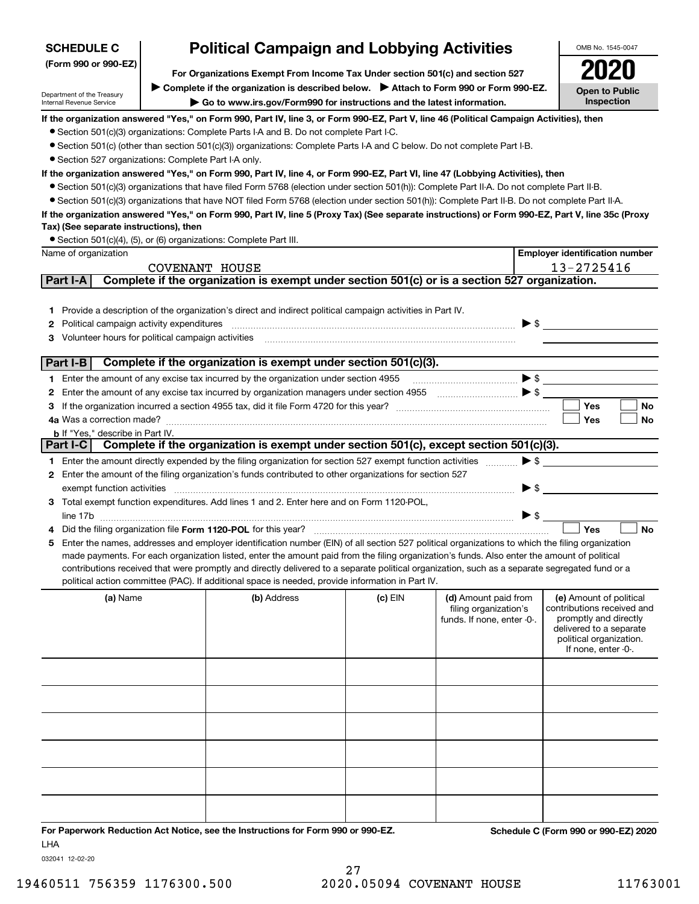| (Form 990 or 990-EZ)                                        |                | For Organizations Exempt From Income Tax Under section 501(c) and section 527                                                                                                                                          |           |                            |                          |                                                    |
|-------------------------------------------------------------|----------------|------------------------------------------------------------------------------------------------------------------------------------------------------------------------------------------------------------------------|-----------|----------------------------|--------------------------|----------------------------------------------------|
|                                                             |                | Complete if the organization is described below. > Attach to Form 990 or Form 990-EZ.                                                                                                                                  |           |                            |                          | <b>Open to Public</b>                              |
| Department of the Treasury<br>Internal Revenue Service      |                | Go to www.irs.gov/Form990 for instructions and the latest information.                                                                                                                                                 |           |                            |                          | Inspection                                         |
|                                                             |                | If the organization answered "Yes," on Form 990, Part IV, line 3, or Form 990-EZ, Part V, line 46 (Political Campaign Activities), then                                                                                |           |                            |                          |                                                    |
|                                                             |                | • Section 501(c)(3) organizations: Complete Parts I-A and B. Do not complete Part I-C.                                                                                                                                 |           |                            |                          |                                                    |
|                                                             |                | • Section 501(c) (other than section 501(c)(3)) organizations: Complete Parts I-A and C below. Do not complete Part I-B.                                                                                               |           |                            |                          |                                                    |
| • Section 527 organizations: Complete Part I-A only.        |                |                                                                                                                                                                                                                        |           |                            |                          |                                                    |
|                                                             |                | If the organization answered "Yes," on Form 990, Part IV, line 4, or Form 990-EZ, Part VI, line 47 (Lobbying Activities), then                                                                                         |           |                            |                          |                                                    |
|                                                             |                | • Section 501(c)(3) organizations that have filed Form 5768 (election under section 501(h)): Complete Part II-A. Do not complete Part II-B.                                                                            |           |                            |                          |                                                    |
|                                                             |                | • Section 501(c)(3) organizations that have NOT filed Form 5768 (election under section 501(h)): Complete Part II-B. Do not complete Part II-A.                                                                        |           |                            |                          |                                                    |
|                                                             |                | If the organization answered "Yes," on Form 990, Part IV, line 5 (Proxy Tax) (See separate instructions) or Form 990-EZ, Part V, line 35c (Proxy                                                                       |           |                            |                          |                                                    |
| Tax) (See separate instructions), then                      |                |                                                                                                                                                                                                                        |           |                            |                          |                                                    |
|                                                             |                | • Section 501(c)(4), (5), or (6) organizations: Complete Part III.                                                                                                                                                     |           |                            |                          |                                                    |
| Name of organization                                        |                |                                                                                                                                                                                                                        |           |                            |                          | <b>Employer identification number</b>              |
|                                                             | COVENANT HOUSE |                                                                                                                                                                                                                        |           |                            |                          | 13-2725416                                         |
| Part I-A                                                    |                | Complete if the organization is exempt under section 501(c) or is a section 527 organization.                                                                                                                          |           |                            |                          |                                                    |
|                                                             |                |                                                                                                                                                                                                                        |           |                            |                          |                                                    |
|                                                             |                | 1 Provide a description of the organization's direct and indirect political campaign activities in Part IV.                                                                                                            |           |                            |                          |                                                    |
| <b>2</b> Political campaign activity expenditures           |                |                                                                                                                                                                                                                        |           |                            | $\triangleright$ \$      |                                                    |
| 3 Volunteer hours for political campaign activities         |                |                                                                                                                                                                                                                        |           |                            |                          |                                                    |
|                                                             |                |                                                                                                                                                                                                                        |           |                            |                          |                                                    |
| Part I-B                                                    |                | Complete if the organization is exempt under section 501(c)(3).                                                                                                                                                        |           |                            |                          |                                                    |
|                                                             |                | 1 Enter the amount of any excise tax incurred by the organization under section 4955                                                                                                                                   |           |                            |                          |                                                    |
|                                                             |                |                                                                                                                                                                                                                        |           |                            |                          |                                                    |
| З                                                           |                |                                                                                                                                                                                                                        |           |                            |                          | Yes<br>No                                          |
|                                                             |                |                                                                                                                                                                                                                        |           |                            |                          | <b>No</b><br>Yes                                   |
| <b>b</b> If "Yes," describe in Part IV.<br>Part I-C $\vert$ |                | Complete if the organization is exempt under section 501(c), except section 501(c)(3).                                                                                                                                 |           |                            |                          |                                                    |
|                                                             |                |                                                                                                                                                                                                                        |           |                            | $\blacktriangleright$ \$ |                                                    |
|                                                             |                | 1 Enter the amount directly expended by the filing organization for section 527 exempt function activities<br>2 Enter the amount of the filing organization's funds contributed to other organizations for section 527 |           |                            |                          |                                                    |
|                                                             |                |                                                                                                                                                                                                                        |           |                            | $\blacktriangleright$ \$ |                                                    |
|                                                             |                | 3 Total exempt function expenditures. Add lines 1 and 2. Enter here and on Form 1120-POL,                                                                                                                              |           |                            |                          |                                                    |
|                                                             |                |                                                                                                                                                                                                                        |           |                            | $\triangleright$ \$      |                                                    |
| 4                                                           |                |                                                                                                                                                                                                                        |           |                            |                          | Yes<br><b>No</b>                                   |
| 5.                                                          |                | Enter the names, addresses and employer identification number (EIN) of all section 527 political organizations to which the filing organization                                                                        |           |                            |                          |                                                    |
|                                                             |                | made payments. For each organization listed, enter the amount paid from the filing organization's funds. Also enter the amount of political                                                                            |           |                            |                          |                                                    |
|                                                             |                | contributions received that were promptly and directly delivered to a separate political organization, such as a separate segregated fund or a                                                                         |           |                            |                          |                                                    |
|                                                             |                | political action committee (PAC). If additional space is needed, provide information in Part IV.                                                                                                                       |           |                            |                          |                                                    |
| (a) Name                                                    |                | (b) Address                                                                                                                                                                                                            | $(c)$ EIN | (d) Amount paid from       |                          | (e) Amount of political                            |
|                                                             |                |                                                                                                                                                                                                                        |           | filing organization's      |                          | contributions received and                         |
|                                                             |                |                                                                                                                                                                                                                        |           | funds. If none, enter -0-. |                          | promptly and directly                              |
|                                                             |                |                                                                                                                                                                                                                        |           |                            |                          | delivered to a separate<br>political organization. |
|                                                             |                |                                                                                                                                                                                                                        |           |                            |                          | If none, enter -0-.                                |
|                                                             |                |                                                                                                                                                                                                                        |           |                            |                          |                                                    |
|                                                             |                |                                                                                                                                                                                                                        |           |                            |                          |                                                    |
|                                                             |                |                                                                                                                                                                                                                        |           |                            |                          |                                                    |
|                                                             |                |                                                                                                                                                                                                                        |           |                            |                          |                                                    |
|                                                             |                |                                                                                                                                                                                                                        |           |                            |                          |                                                    |
|                                                             |                |                                                                                                                                                                                                                        |           |                            |                          |                                                    |
|                                                             |                |                                                                                                                                                                                                                        |           |                            |                          |                                                    |

# **Political Campaign and Lobbying Activities**

LHA

**For Paperwork Reduction Act Notice, see the Instructions for Form 990 or 990-EZ. Schedule C (Form 990 or 990-EZ) 2020**

OMB No. 1545-0047

**2020** 

032041 12-02-20

**SCHEDULE C**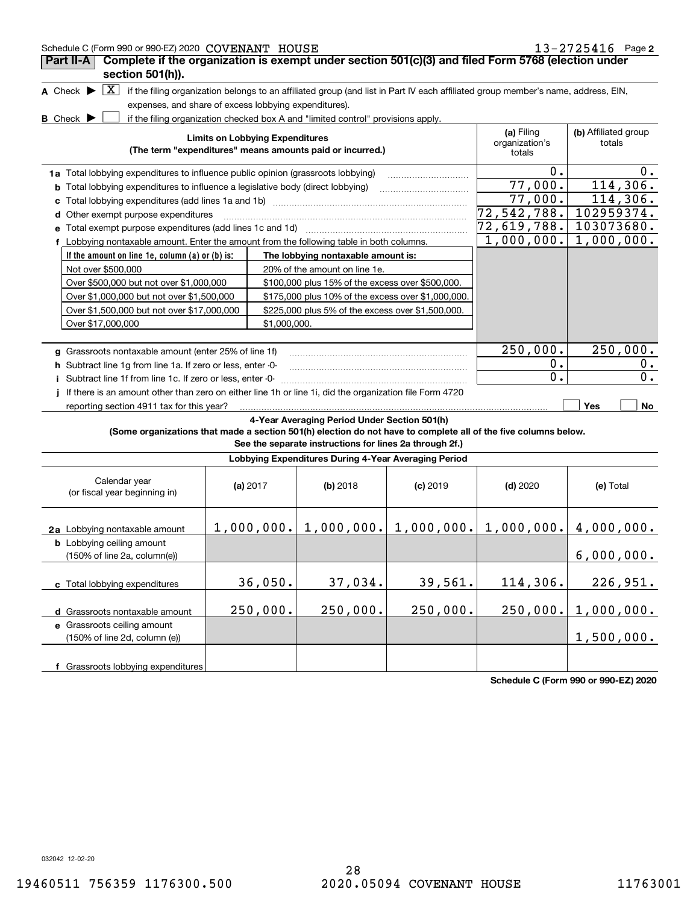| 13-2725416 Page 2<br>Schedule C (Form 990 or 990-EZ) 2020 COVENANT HOUSE                                        |                                        |              |                                                                                  |            |                                                                                                                                   |                           |  |  |
|-----------------------------------------------------------------------------------------------------------------|----------------------------------------|--------------|----------------------------------------------------------------------------------|------------|-----------------------------------------------------------------------------------------------------------------------------------|---------------------------|--|--|
| Complete if the organization is exempt under section 501(c)(3) and filed Form 5768 (election under<br>Part II-A |                                        |              |                                                                                  |            |                                                                                                                                   |                           |  |  |
|                                                                                                                 | section 501(h)).                       |              |                                                                                  |            |                                                                                                                                   |                           |  |  |
| A Check $\blacktriangleright$<br>  X                                                                            |                                        |              |                                                                                  |            | if the filing organization belongs to an affiliated group (and list in Part IV each affiliated group member's name, address, EIN, |                           |  |  |
| expenses, and share of excess lobbying expenditures).                                                           |                                        |              |                                                                                  |            |                                                                                                                                   |                           |  |  |
| <b>B</b> Check $\blacktriangleright$                                                                            |                                        |              | if the filing organization checked box A and "limited control" provisions apply. |            |                                                                                                                                   |                           |  |  |
|                                                                                                                 | <b>Limits on Lobbying Expenditures</b> |              |                                                                                  |            | (a) Filing                                                                                                                        | (b) Affiliated group      |  |  |
|                                                                                                                 |                                        |              | (The term "expenditures" means amounts paid or incurred.)                        |            | organization's<br>totals                                                                                                          | totals                    |  |  |
|                                                                                                                 |                                        |              |                                                                                  |            | $0$ .                                                                                                                             | $0 \cdot$                 |  |  |
| 1a Total lobbying expenditures to influence public opinion (grassroots lobbying)                                |                                        |              |                                                                                  |            | 77,000.                                                                                                                           | 114,306.                  |  |  |
| <b>b</b> Total lobbying expenditures to influence a legislative body (direct lobbying)                          |                                        |              |                                                                                  |            | 77,000.                                                                                                                           | 114,306.                  |  |  |
| Other exempt purpose expenditures                                                                               |                                        |              |                                                                                  |            | 72,542,788. 102959374.                                                                                                            |                           |  |  |
| Total exempt purpose expenditures (add lines 1c and 1d)                                                         |                                        |              |                                                                                  |            | 72,619,788.  103073680.                                                                                                           |                           |  |  |
| f Lobbying nontaxable amount. Enter the amount from the following table in both columns.                        |                                        |              |                                                                                  |            |                                                                                                                                   | $1,000,000.$ $1,000,000.$ |  |  |
| If the amount on line 1e, column (a) or (b) is:                                                                 |                                        |              | The lobbying nontaxable amount is:                                               |            |                                                                                                                                   |                           |  |  |
| Not over \$500,000                                                                                              |                                        |              | 20% of the amount on line 1e.                                                    |            |                                                                                                                                   |                           |  |  |
| Over \$500,000 but not over \$1,000,000                                                                         |                                        |              | \$100,000 plus 15% of the excess over \$500,000.                                 |            |                                                                                                                                   |                           |  |  |
| Over \$1,000,000 but not over \$1,500,000                                                                       |                                        |              | \$175,000 plus 10% of the excess over \$1,000,000.                               |            |                                                                                                                                   |                           |  |  |
| Over \$1,500,000 but not over \$17,000,000                                                                      |                                        |              | \$225,000 plus 5% of the excess over \$1,500,000.                                |            |                                                                                                                                   |                           |  |  |
| Over \$17,000,000                                                                                               |                                        | \$1,000,000. |                                                                                  |            |                                                                                                                                   |                           |  |  |
|                                                                                                                 |                                        |              |                                                                                  |            |                                                                                                                                   |                           |  |  |
| g Grassroots nontaxable amount (enter 25% of line 1f)                                                           |                                        |              |                                                                                  | 250,000.   | 250,000.                                                                                                                          |                           |  |  |
| h Subtract line 1g from line 1a. If zero or less, enter -0-                                                     |                                        |              |                                                                                  |            | 0.                                                                                                                                | 0.                        |  |  |
| i Subtract line 1f from line 1c. If zero or less, enter -0-                                                     |                                        |              |                                                                                  |            | $\overline{0}$ .                                                                                                                  | $\overline{0}$ .          |  |  |
| If there is an amount other than zero on either line 1h or line 1i, did the organization file Form 4720         |                                        |              |                                                                                  |            |                                                                                                                                   |                           |  |  |
| reporting section 4911 tax for this year?                                                                       |                                        |              |                                                                                  |            |                                                                                                                                   | Yes<br>No                 |  |  |
|                                                                                                                 |                                        |              | 4-Year Averaging Period Under Section 501(h)                                     |            |                                                                                                                                   |                           |  |  |
| (Some organizations that made a section 501(h) election do not have to complete all of the five columns below.  |                                        |              | See the separate instructions for lines 2a through 2f.)                          |            |                                                                                                                                   |                           |  |  |
|                                                                                                                 |                                        |              | Lobbying Expenditures During 4-Year Averaging Period                             |            |                                                                                                                                   |                           |  |  |
|                                                                                                                 |                                        |              |                                                                                  |            |                                                                                                                                   |                           |  |  |
| Calendar year<br>(or fiscal year beginning in)                                                                  | (a) $2017$                             |              | $(b)$ 2018                                                                       | $(c)$ 2019 | $(d)$ 2020                                                                                                                        | (e) Total                 |  |  |
|                                                                                                                 |                                        |              |                                                                                  |            |                                                                                                                                   |                           |  |  |
|                                                                                                                 |                                        |              |                                                                                  |            |                                                                                                                                   |                           |  |  |
| 2a Lobbying nontaxable amount                                                                                   |                                        |              | $1,000,000.$ $  1,000,000.$ $  1,000,000.$                                       |            | $1,000,000.$   $4,000,000.$                                                                                                       |                           |  |  |
| <b>b</b> Lobbying ceiling amount                                                                                |                                        |              |                                                                                  |            |                                                                                                                                   |                           |  |  |
| (150% of line 2a, column(e))                                                                                    |                                        |              |                                                                                  |            |                                                                                                                                   | 6,000,000.                |  |  |
|                                                                                                                 |                                        |              |                                                                                  |            |                                                                                                                                   |                           |  |  |
| c Total lobbying expenditures                                                                                   |                                        | 36,050.      | 37,034.                                                                          | 39,561.    | 114,306.                                                                                                                          | 226,951.                  |  |  |
| d Grassroots nontaxable amount                                                                                  | 250,000.                               |              | 250,000.                                                                         | 250,000.   | 250,000.                                                                                                                          | 1,000,000.                |  |  |
| e Grassroots ceiling amount                                                                                     |                                        |              |                                                                                  |            |                                                                                                                                   |                           |  |  |
| (150% of line 2d, column (e))                                                                                   |                                        |              |                                                                                  |            |                                                                                                                                   | 1,500,000.                |  |  |
|                                                                                                                 |                                        |              |                                                                                  |            |                                                                                                                                   |                           |  |  |

**Schedule C (Form 990 or 990-EZ) 2020**

032042 12-02-20

**f** Grassroots lobbying expenditures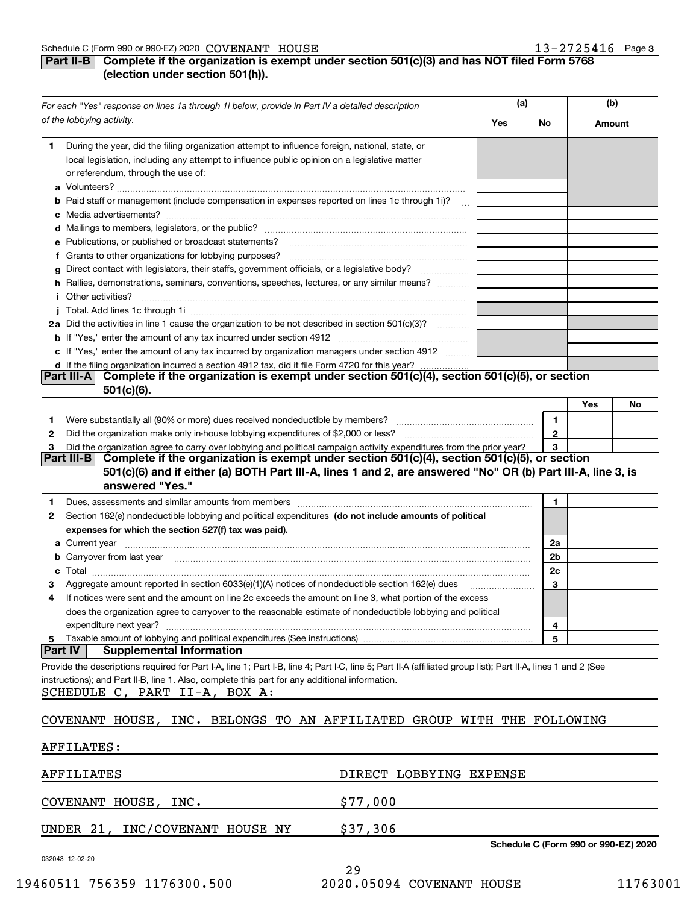### **Part II-B** Complete if the organization is exempt under section 501(c)(3) and has NOT filed Form 5768 **(election under section 501(h)).**

|    | For each "Yes" response on lines 1a through 1i below, provide in Part IV a detailed description                                                                                                                                      | (a) |              | (b)                                  |    |
|----|--------------------------------------------------------------------------------------------------------------------------------------------------------------------------------------------------------------------------------------|-----|--------------|--------------------------------------|----|
|    | of the lobbying activity.                                                                                                                                                                                                            | Yes | No           | Amount                               |    |
| 1. | During the year, did the filing organization attempt to influence foreign, national, state, or<br>local legislation, including any attempt to influence public opinion on a legislative matter<br>or referendum, through the use of: |     |              |                                      |    |
|    | b Paid staff or management (include compensation in expenses reported on lines 1c through 1i)?                                                                                                                                       |     |              |                                      |    |
|    |                                                                                                                                                                                                                                      |     |              |                                      |    |
|    |                                                                                                                                                                                                                                      |     |              |                                      |    |
|    | e Publications, or published or broadcast statements?                                                                                                                                                                                |     |              |                                      |    |
|    | f Grants to other organizations for lobbying purposes?                                                                                                                                                                               |     |              |                                      |    |
|    | Direct contact with legislators, their staffs, government officials, or a legislative body?                                                                                                                                          |     |              |                                      |    |
|    | h Rallies, demonstrations, seminars, conventions, speeches, lectures, or any similar means?                                                                                                                                          |     |              |                                      |    |
|    | <i>i</i> Other activities?                                                                                                                                                                                                           |     |              |                                      |    |
|    |                                                                                                                                                                                                                                      |     |              |                                      |    |
|    | 2a Did the activities in line 1 cause the organization to be not described in section 501(c)(3)?                                                                                                                                     |     |              |                                      |    |
|    |                                                                                                                                                                                                                                      |     |              |                                      |    |
|    | c If "Yes," enter the amount of any tax incurred by organization managers under section 4912                                                                                                                                         |     |              |                                      |    |
|    | d If the filing organization incurred a section 4912 tax, did it file Form 4720 for this year?<br>Complete if the organization is exempt under section 501(c)(4), section 501(c)(5), or section<br>Part III-A I                      |     |              |                                      |    |
|    | $501(c)(6)$ .                                                                                                                                                                                                                        |     |              |                                      |    |
|    |                                                                                                                                                                                                                                      |     |              | Yes                                  | No |
| 1. |                                                                                                                                                                                                                                      |     | 1            |                                      |    |
| 2  |                                                                                                                                                                                                                                      |     | $\mathbf{2}$ |                                      |    |
| З  | Did the organization agree to carry over lobbying and political campaign activity expenditures from the prior year?                                                                                                                  |     | 3            |                                      |    |
|    | Complete if the organization is exempt under section 501(c)(4), section 501(c)(5), or section<br><b>Part III-B</b>                                                                                                                   |     |              |                                      |    |
|    | 501(c)(6) and if either (a) BOTH Part III-A, lines 1 and 2, are answered "No" OR (b) Part III-A, line 3, is                                                                                                                          |     |              |                                      |    |
|    | answered "Yes."                                                                                                                                                                                                                      |     |              |                                      |    |
| 1  |                                                                                                                                                                                                                                      |     | 1            |                                      |    |
| 2  | Section 162(e) nondeductible lobbying and political expenditures (do not include amounts of political                                                                                                                                |     |              |                                      |    |
|    | expenses for which the section 527(f) tax was paid).                                                                                                                                                                                 |     |              |                                      |    |
|    |                                                                                                                                                                                                                                      |     | 2a           |                                      |    |
|    | b Carryover from last year manufactured and contract the contract of the contract of the contract of the contract of contract of contract of contract of contract of contract of contract of contract of contract of contract        |     | 2b           |                                      |    |
|    |                                                                                                                                                                                                                                      |     | 2c           |                                      |    |
|    | Aggregate amount reported in section 6033(e)(1)(A) notices of nondeductible section 162(e) dues                                                                                                                                      |     | 3            |                                      |    |
| 4  | If notices were sent and the amount on line 2c exceeds the amount on line 3, what portion of the excess                                                                                                                              |     |              |                                      |    |
|    | does the organization agree to carryover to the reasonable estimate of nondeductible lobbying and political                                                                                                                          |     |              |                                      |    |
|    | expenditure next year?                                                                                                                                                                                                               |     | 4            |                                      |    |
|    | 5 Taxable amount of lobbying and political expenditures (See instructions)<br><b>Part IV</b><br><b>Supplemental Information</b>                                                                                                      |     | 5            |                                      |    |
|    | Provide the descriptions required for Part I-A, line 1; Part I-B, line 4; Part I-C, line 5; Part II-A (affiliated group list); Part II-A, lines 1 and 2 (See                                                                         |     |              |                                      |    |
|    | instructions); and Part II-B, line 1. Also, complete this part for any additional information.<br>SCHEDULE C, PART II-A, BOX A:                                                                                                      |     |              |                                      |    |
|    |                                                                                                                                                                                                                                      |     |              |                                      |    |
|    | COVENANT HOUSE, INC. BELONGS TO AN AFFILIATED GROUP WITH THE FOLLOWING                                                                                                                                                               |     |              |                                      |    |
|    |                                                                                                                                                                                                                                      |     |              |                                      |    |
|    | <b>AFFILATES:</b>                                                                                                                                                                                                                    |     |              |                                      |    |
|    | AFFILIATES<br>DIRECT LOBBYING EXPENSE                                                                                                                                                                                                |     |              |                                      |    |
|    | \$77,000<br>COVENANT HOUSE, INC.                                                                                                                                                                                                     |     |              |                                      |    |
|    | \$37,306<br>UNDER 21, INC/COVENANT HOUSE NY                                                                                                                                                                                          |     |              |                                      |    |
|    |                                                                                                                                                                                                                                      |     |              | Schedule C (Form 990 or 990-EZ) 2020 |    |
|    | 032043 12-02-20<br>29                                                                                                                                                                                                                |     |              |                                      |    |

 <sup>19460511 756359 1176300.500 2020.05094</sup> COVENANT HOUSE 11763001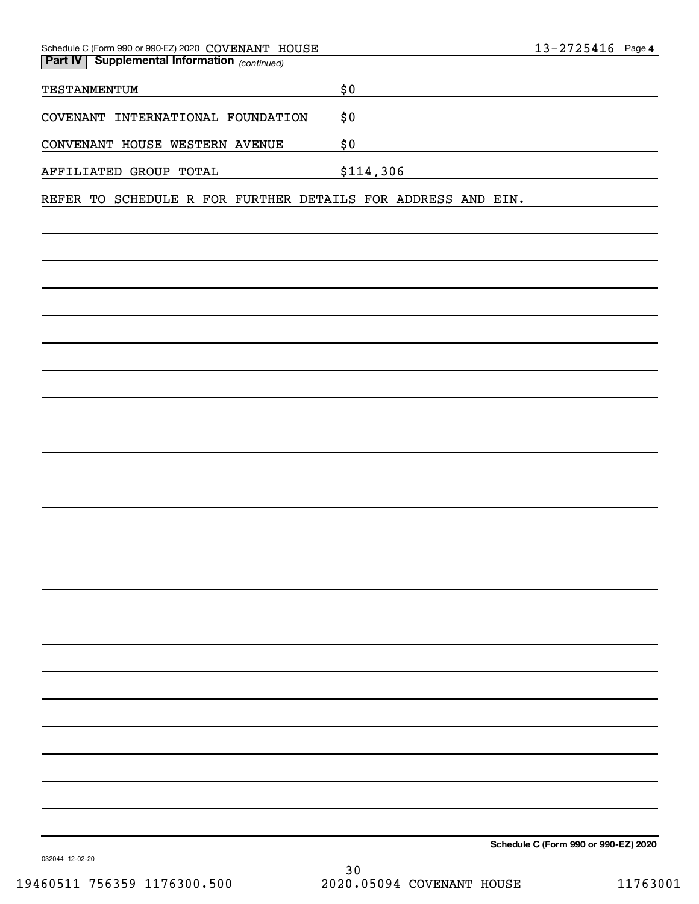| Schedule C (Form 990 or 990-EZ) 2020 COVENANT HOUSE<br><b>Part IV   Supplemental Information</b> (continued) |           | $13 - 2725416$ Page 4                                                                                                |
|--------------------------------------------------------------------------------------------------------------|-----------|----------------------------------------------------------------------------------------------------------------------|
| TESTANMENTUM                                                                                                 | \$0       |                                                                                                                      |
| COVENANT INTERNATIONAL FOUNDATION                                                                            | \$0       |                                                                                                                      |
| CONVENANT HOUSE WESTERN AVENUE                                                                               | \$0       | <u> 1989 - Johann Barn, mars ann an t-Amhain Aonaich an t-Aonaich an t-Aonaich ann an t-Aonaich ann an t-Aonaich</u> |
| AFFILIATED GROUP TOTAL                                                                                       | \$114,306 |                                                                                                                      |
| REFER TO SCHEDULE R FOR FURTHER DETAILS FOR ADDRESS AND EIN.                                                 |           |                                                                                                                      |
|                                                                                                              |           |                                                                                                                      |
|                                                                                                              |           |                                                                                                                      |
|                                                                                                              |           |                                                                                                                      |
|                                                                                                              |           |                                                                                                                      |
|                                                                                                              |           |                                                                                                                      |
|                                                                                                              |           |                                                                                                                      |
|                                                                                                              |           |                                                                                                                      |
|                                                                                                              |           |                                                                                                                      |
|                                                                                                              |           |                                                                                                                      |
|                                                                                                              |           |                                                                                                                      |
|                                                                                                              |           |                                                                                                                      |
|                                                                                                              |           |                                                                                                                      |
|                                                                                                              |           |                                                                                                                      |
|                                                                                                              |           |                                                                                                                      |
|                                                                                                              |           |                                                                                                                      |
|                                                                                                              |           |                                                                                                                      |
|                                                                                                              |           |                                                                                                                      |
|                                                                                                              |           |                                                                                                                      |
|                                                                                                              |           |                                                                                                                      |
|                                                                                                              |           |                                                                                                                      |
|                                                                                                              |           |                                                                                                                      |
|                                                                                                              |           |                                                                                                                      |
|                                                                                                              |           | Schedule C (Form 990 or 990-EZ) 2020                                                                                 |

032044 12-02-20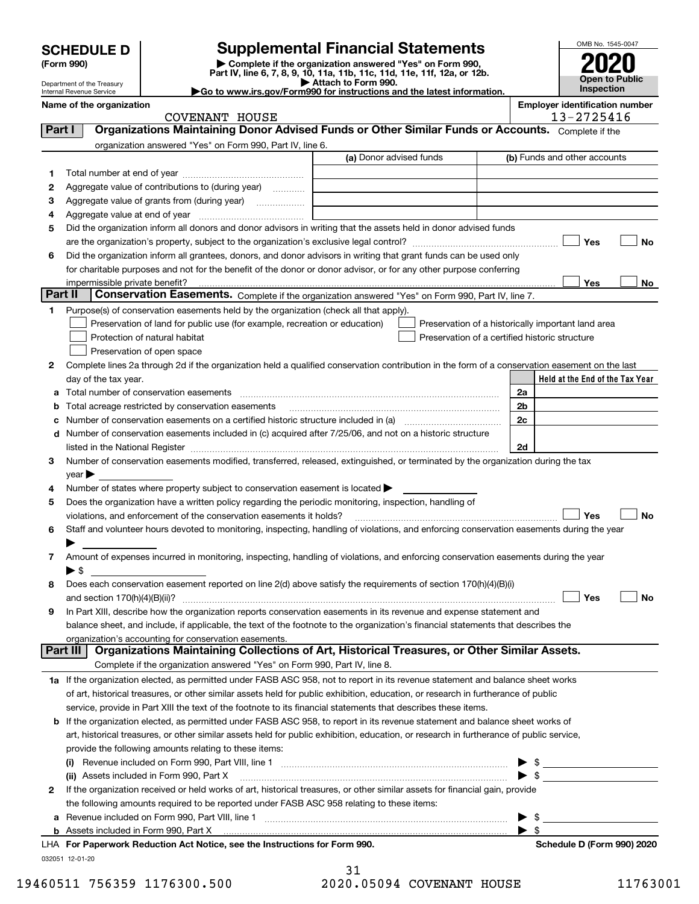| (Form 990) |  |
|------------|--|
|------------|--|

# **SCHEDULE D Supplemental Financial Statements**

(Form 990)<br>
Pepartment of the Treasury<br>
Department of the Treasury<br>
Department of the Treasury<br>
Department of the Treasury<br> **Co to www.irs.gov/Form990 for instructions and the latest information.**<br> **Co to www.irs.gov/Form9** 



Department of the Treasury Internal Revenue Service

| ►Go to www.irs.gov/Form990 for instructions and the lates |  |
|-----------------------------------------------------------|--|
|                                                           |  |

|         | Name of the organization<br><b>COVENANT HOUSE</b>                                                                                              |                         |  | <b>Employer identification number</b><br>13-2725416 |
|---------|------------------------------------------------------------------------------------------------------------------------------------------------|-------------------------|--|-----------------------------------------------------|
| Part I  | Organizations Maintaining Donor Advised Funds or Other Similar Funds or Accounts. Complete if the                                              |                         |  |                                                     |
|         | organization answered "Yes" on Form 990, Part IV, line 6.                                                                                      |                         |  |                                                     |
|         |                                                                                                                                                | (a) Donor advised funds |  | (b) Funds and other accounts                        |
| 1       |                                                                                                                                                |                         |  |                                                     |
| 2       | Aggregate value of contributions to (during year)                                                                                              |                         |  |                                                     |
| з       | Aggregate value of grants from (during year)                                                                                                   |                         |  |                                                     |
| 4       |                                                                                                                                                |                         |  |                                                     |
| 5       | Did the organization inform all donors and donor advisors in writing that the assets held in donor advised funds                               |                         |  |                                                     |
|         |                                                                                                                                                |                         |  | Yes<br>No                                           |
| 6       | Did the organization inform all grantees, donors, and donor advisors in writing that grant funds can be used only                              |                         |  |                                                     |
|         | for charitable purposes and not for the benefit of the donor or donor advisor, or for any other purpose conferring                             |                         |  |                                                     |
|         | impermissible private benefit?                                                                                                                 |                         |  | Yes<br>No                                           |
| Part II | Conservation Easements. Complete if the organization answered "Yes" on Form 990, Part IV, line 7.                                              |                         |  |                                                     |
| 1       | Purpose(s) of conservation easements held by the organization (check all that apply).                                                          |                         |  |                                                     |
|         | Preservation of land for public use (for example, recreation or education)                                                                     |                         |  | Preservation of a historically important land area  |
|         | Protection of natural habitat                                                                                                                  |                         |  | Preservation of a certified historic structure      |
|         | Preservation of open space                                                                                                                     |                         |  |                                                     |
| 2       | Complete lines 2a through 2d if the organization held a qualified conservation contribution in the form of a conservation easement on the last |                         |  |                                                     |
|         | day of the tax year.                                                                                                                           |                         |  | Held at the End of the Tax Year                     |
| а       |                                                                                                                                                |                         |  | 2a                                                  |
| b       | Total acreage restricted by conservation easements                                                                                             |                         |  | 2b                                                  |
| с       |                                                                                                                                                |                         |  | 2c                                                  |
| d       | Number of conservation easements included in (c) acquired after 7/25/06, and not on a historic structure                                       |                         |  |                                                     |
|         |                                                                                                                                                |                         |  | 2d                                                  |
| 3       | Number of conservation easements modified, transferred, released, extinguished, or terminated by the organization during the tax               |                         |  |                                                     |
|         | $year \blacktriangleright$                                                                                                                     |                         |  |                                                     |
| 4       | Number of states where property subject to conservation easement is located >                                                                  |                         |  |                                                     |
| 5       | Does the organization have a written policy regarding the periodic monitoring, inspection, handling of                                         |                         |  |                                                     |
|         | violations, and enforcement of the conservation easements it holds?                                                                            |                         |  | Yes<br><b>No</b>                                    |
| 6       | Staff and volunteer hours devoted to monitoring, inspecting, handling of violations, and enforcing conservation easements during the year      |                         |  |                                                     |
|         |                                                                                                                                                |                         |  |                                                     |
| 7       | Amount of expenses incurred in monitoring, inspecting, handling of violations, and enforcing conservation easements during the year            |                         |  |                                                     |
|         | ▶ \$                                                                                                                                           |                         |  |                                                     |
| 8       | Does each conservation easement reported on line $2(d)$ above satisfy the requirements of section $170(h)(4)(B)(i)$                            |                         |  |                                                     |
|         |                                                                                                                                                |                         |  | Yes<br>No                                           |
|         | In Part XIII, describe how the organization reports conservation easements in its revenue and expense statement and                            |                         |  |                                                     |
|         | balance sheet, and include, if applicable, the text of the footnote to the organization's financial statements that describes the              |                         |  |                                                     |
|         | organization's accounting for conservation easements.                                                                                          |                         |  |                                                     |
|         | Organizations Maintaining Collections of Art, Historical Treasures, or Other Similar Assets.<br>Part III                                       |                         |  |                                                     |
|         | Complete if the organization answered "Yes" on Form 990, Part IV, line 8.                                                                      |                         |  |                                                     |
|         | 1a If the organization elected, as permitted under FASB ASC 958, not to report in its revenue statement and balance sheet works                |                         |  |                                                     |
|         | of art, historical treasures, or other similar assets held for public exhibition, education, or research in furtherance of public              |                         |  |                                                     |
|         | service, provide in Part XIII the text of the footnote to its financial statements that describes these items.                                 |                         |  |                                                     |
| b       | If the organization elected, as permitted under FASB ASC 958, to report in its revenue statement and balance sheet works of                    |                         |  |                                                     |
|         | art, historical treasures, or other similar assets held for public exhibition, education, or research in furtherance of public service,        |                         |  |                                                     |
|         | provide the following amounts relating to these items:                                                                                         |                         |  |                                                     |
|         |                                                                                                                                                |                         |  | \$                                                  |
|         | (ii) Assets included in Form 990, Part X                                                                                                       |                         |  | $\blacktriangleright$ \$                            |
| 2       | If the organization received or held works of art, historical treasures, or other similar assets for financial gain, provide                   |                         |  |                                                     |
|         | the following amounts required to be reported under FASB ASC 958 relating to these items:                                                      |                         |  |                                                     |
| а       |                                                                                                                                                |                         |  | \$                                                  |
| b       | Assets included in Form 990, Part X                                                                                                            |                         |  | $\blacktriangleright$ s                             |
|         | LHA For Paperwork Reduction Act Notice, see the Instructions for Form 990.                                                                     |                         |  | Schedule D (Form 990) 2020                          |

032051 12-01-20

|  | 19460511 756359 1176300.500 | 2020.05094 COVENANT HOUSE | 11763001 |
|--|-----------------------------|---------------------------|----------|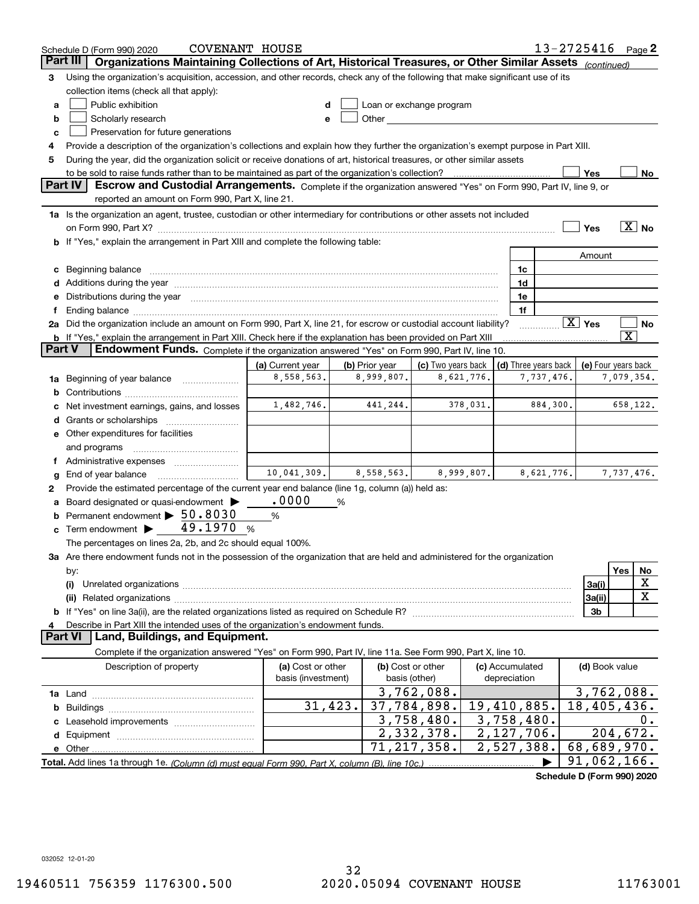|          | <b>COVENANT HOUSE</b><br>Schedule D (Form 990) 2020                                                                                                                                                                            |                    |                |                          |            |                         |                            | $13 - 2725416$ Page 2  |                         |                            |
|----------|--------------------------------------------------------------------------------------------------------------------------------------------------------------------------------------------------------------------------------|--------------------|----------------|--------------------------|------------|-------------------------|----------------------------|------------------------|-------------------------|----------------------------|
| Part III | Organizations Maintaining Collections of Art, Historical Treasures, or Other Similar Assets (continued)                                                                                                                        |                    |                |                          |            |                         |                            |                        |                         |                            |
| З        | Using the organization's acquisition, accession, and other records, check any of the following that make significant use of its                                                                                                |                    |                |                          |            |                         |                            |                        |                         |                            |
|          | collection items (check all that apply):                                                                                                                                                                                       |                    |                |                          |            |                         |                            |                        |                         |                            |
| a        | Public exhibition                                                                                                                                                                                                              |                    |                | Loan or exchange program |            |                         |                            |                        |                         |                            |
| b        | Scholarly research                                                                                                                                                                                                             |                    |                |                          |            |                         |                            |                        |                         |                            |
| c        | Preservation for future generations                                                                                                                                                                                            |                    |                |                          |            |                         |                            |                        |                         |                            |
| 4        | Provide a description of the organization's collections and explain how they further the organization's exempt purpose in Part XIII.                                                                                           |                    |                |                          |            |                         |                            |                        |                         |                            |
| 5        | During the year, did the organization solicit or receive donations of art, historical treasures, or other similar assets                                                                                                       |                    |                |                          |            |                         |                            |                        |                         |                            |
|          | to be sold to raise funds rather than to be maintained as part of the organization's collection?                                                                                                                               |                    |                |                          |            |                         |                            | Yes                    |                         | No                         |
|          | <b>Part IV</b><br>Escrow and Custodial Arrangements. Complete if the organization answered "Yes" on Form 990, Part IV, line 9, or<br>reported an amount on Form 990, Part X, line 21.                                          |                    |                |                          |            |                         |                            |                        |                         |                            |
|          |                                                                                                                                                                                                                                |                    |                |                          |            |                         |                            |                        |                         |                            |
|          | 1a Is the organization an agent, trustee, custodian or other intermediary for contributions or other assets not included                                                                                                       |                    |                |                          |            |                         |                            |                        |                         | $\overline{\mathbf{X}}$ No |
|          | on Form 990, Part X? [11] matter contracts and contracts and contracts are contracted as a form 990, Part X?                                                                                                                   |                    |                |                          |            |                         |                            | Yes                    |                         |                            |
|          | b If "Yes," explain the arrangement in Part XIII and complete the following table:                                                                                                                                             |                    |                |                          |            |                         |                            |                        |                         |                            |
|          |                                                                                                                                                                                                                                |                    |                |                          |            | 1c                      |                            | Amount                 |                         |                            |
|          | Additions during the year manufactured and an annual contract of the year manufactured and all the year manufactured and all the year manufactured and all the year manufactured and all the year manufactured and all the yea |                    |                |                          |            | 1d                      |                            |                        |                         |                            |
|          | Distributions during the year manufactured and continuum and contact the year manufactured and contact the year                                                                                                                |                    |                |                          |            | 1e                      |                            |                        |                         |                            |
|          | Ending balance manufactured and contact the contract of the contract of the contract of the contract of the contract of the contract of the contract of the contract of the contract of the contract of the contract of the co |                    |                |                          |            | 1f                      |                            |                        |                         |                            |
|          | 2a Did the organization include an amount on Form 990, Part X, line 21, for escrow or custodial account liability?                                                                                                             |                    |                |                          |            |                         |                            | $\boxed{\text{X}}$ Yes |                         | No                         |
|          | <b>b</b> If "Yes," explain the arrangement in Part XIII. Check here if the explanation has been provided on Part XIII                                                                                                          |                    |                |                          |            |                         |                            |                        | $\overline{\mathbf{X}}$ |                            |
| Part V   | Endowment Funds. Complete if the organization answered "Yes" on Form 990, Part IV, line 10.                                                                                                                                    |                    |                |                          |            |                         |                            |                        |                         |                            |
|          |                                                                                                                                                                                                                                | (a) Current year   | (b) Prior year | (c) Two years back       |            | (d) Three years back    |                            | (e) Four years back    |                         |                            |
| 1a       | Beginning of year balance                                                                                                                                                                                                      | 8,558,563.         | 8,999,807.     |                          | 8,621,776. |                         | 7,737,476.                 |                        | 7,079,354.              |                            |
| b        |                                                                                                                                                                                                                                |                    |                |                          |            |                         |                            |                        |                         |                            |
|          | Net investment earnings, gains, and losses                                                                                                                                                                                     | 1,482,746.         | 441,244.       |                          | 378,031.   |                         | 884,300.                   |                        | 658,122.                |                            |
|          | Grants or scholarships                                                                                                                                                                                                         |                    |                |                          |            |                         |                            |                        |                         |                            |
|          | e Other expenditures for facilities                                                                                                                                                                                            |                    |                |                          |            |                         |                            |                        |                         |                            |
|          | and programs                                                                                                                                                                                                                   |                    |                |                          |            |                         |                            |                        |                         |                            |
|          | Administrative expenses                                                                                                                                                                                                        |                    |                |                          |            |                         |                            |                        |                         |                            |
| g        | End of year balance                                                                                                                                                                                                            | 10,041,309.        | 8,558,563.     |                          | 8,999,807. |                         | 8,621,776.                 |                        | 7,737,476.              |                            |
| 2        | Provide the estimated percentage of the current year end balance (line 1g, column (a)) held as:                                                                                                                                |                    |                |                          |            |                         |                            |                        |                         |                            |
|          | Board designated or quasi-endowment                                                                                                                                                                                            | .0000              | %              |                          |            |                         |                            |                        |                         |                            |
| b        | Permanent endowment > 50.8030                                                                                                                                                                                                  | %                  |                |                          |            |                         |                            |                        |                         |                            |
| c        | Term endowment $\blacktriangleright$ 49.1970                                                                                                                                                                                   | %                  |                |                          |            |                         |                            |                        |                         |                            |
|          | The percentages on lines 2a, 2b, and 2c should equal 100%.                                                                                                                                                                     |                    |                |                          |            |                         |                            |                        |                         |                            |
|          | 3a Are there endowment funds not in the possession of the organization that are held and administered for the organization                                                                                                     |                    |                |                          |            |                         |                            |                        |                         |                            |
|          | by:                                                                                                                                                                                                                            |                    |                |                          |            |                         |                            |                        | Yes                     | No<br>X                    |
|          | (i)                                                                                                                                                                                                                            |                    |                |                          |            |                         |                            | 3a(i)                  |                         | $\mathbf X$                |
|          |                                                                                                                                                                                                                                |                    |                |                          |            |                         |                            | 3a(ii)<br>3b           |                         |                            |
|          | Describe in Part XIII the intended uses of the organization's endowment funds.                                                                                                                                                 |                    |                |                          |            |                         |                            |                        |                         |                            |
|          | Land, Buildings, and Equipment.<br>Part VI                                                                                                                                                                                     |                    |                |                          |            |                         |                            |                        |                         |                            |
|          | Complete if the organization answered "Yes" on Form 990, Part IV, line 11a. See Form 990, Part X, line 10.                                                                                                                     |                    |                |                          |            |                         |                            |                        |                         |                            |
|          | Description of property                                                                                                                                                                                                        | (a) Cost or other  |                | (b) Cost or other        |            | (c) Accumulated         |                            | (d) Book value         |                         |                            |
|          |                                                                                                                                                                                                                                | basis (investment) |                | basis (other)            |            | depreciation            |                            |                        |                         |                            |
|          |                                                                                                                                                                                                                                |                    |                | 3,762,088.               |            |                         |                            | 3,762,088.             |                         |                            |
| b        |                                                                                                                                                                                                                                | 31,423.            |                | 37,784,898.              |            | $19,410,885$ .          |                            | 18,405,436.            |                         |                            |
|          |                                                                                                                                                                                                                                |                    |                | 3,758,480.               |            | 3,758,480.              |                            |                        |                         | 0.                         |
| d        |                                                                                                                                                                                                                                |                    |                | 2,332,378.               |            | 2,127,706.              |                            |                        | 204, 672.               |                            |
|          |                                                                                                                                                                                                                                |                    |                | 71,217,358.              |            | $\overline{2,}527,388.$ |                            | 68,689,970.            |                         |                            |
|          |                                                                                                                                                                                                                                |                    |                |                          |            |                         |                            | 91,062,166.            |                         |                            |
|          |                                                                                                                                                                                                                                |                    |                |                          |            |                         | Cahadula D (Faum 000) 0000 |                        |                         |                            |

**Schedule D (Form 990) 2020**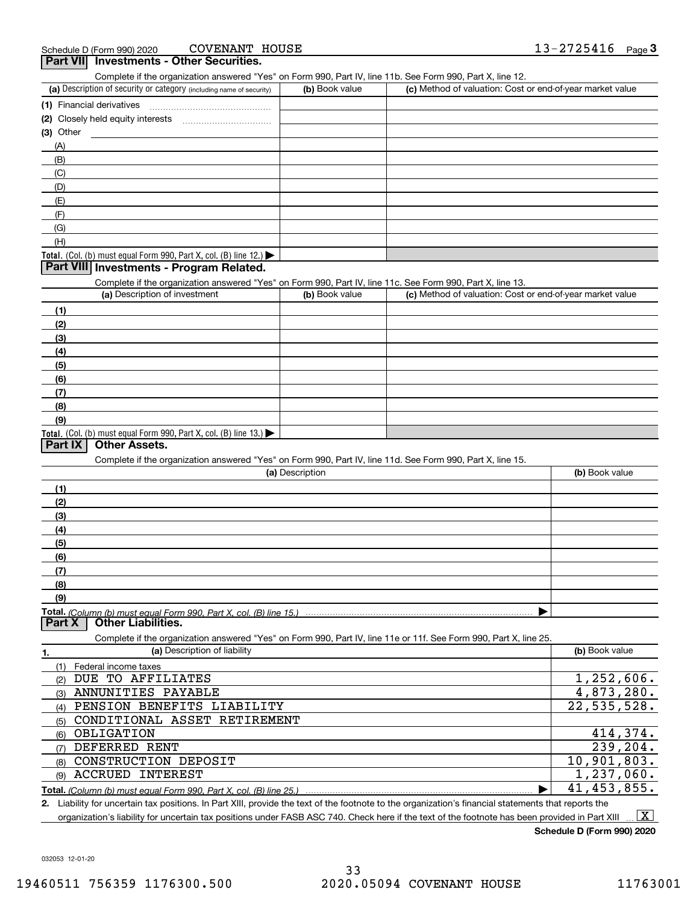| <b>COVENANT HOUSE</b><br>Schedule D (Form 990) 2020                                                                                                  |                 |                                                           | $13 - 2725416$ Page 3 |
|------------------------------------------------------------------------------------------------------------------------------------------------------|-----------------|-----------------------------------------------------------|-----------------------|
| Part VII Investments - Other Securities.                                                                                                             |                 |                                                           |                       |
| Complete if the organization answered "Yes" on Form 990, Part IV, line 11b. See Form 990, Part X, line 12.                                           |                 |                                                           |                       |
| (a) Description of security or category (including name of security)                                                                                 | (b) Book value  | (c) Method of valuation: Cost or end-of-year market value |                       |
| (1) Financial derivatives                                                                                                                            |                 |                                                           |                       |
|                                                                                                                                                      |                 |                                                           |                       |
| $(3)$ Other                                                                                                                                          |                 |                                                           |                       |
| (A)                                                                                                                                                  |                 |                                                           |                       |
| (B)                                                                                                                                                  |                 |                                                           |                       |
| (C)                                                                                                                                                  |                 |                                                           |                       |
| (D)                                                                                                                                                  |                 |                                                           |                       |
| (E)                                                                                                                                                  |                 |                                                           |                       |
| (F)                                                                                                                                                  |                 |                                                           |                       |
| (G)                                                                                                                                                  |                 |                                                           |                       |
| (H)                                                                                                                                                  |                 |                                                           |                       |
| Total. (Col. (b) must equal Form 990, Part X, col. (B) line 12.) $\blacktriangleright$                                                               |                 |                                                           |                       |
| Part VIII Investments - Program Related.                                                                                                             |                 |                                                           |                       |
| Complete if the organization answered "Yes" on Form 990, Part IV, line 11c. See Form 990, Part X, line 13.                                           |                 |                                                           |                       |
| (a) Description of investment                                                                                                                        | (b) Book value  | (c) Method of valuation: Cost or end-of-year market value |                       |
| (1)                                                                                                                                                  |                 |                                                           |                       |
| (2)                                                                                                                                                  |                 |                                                           |                       |
| (3)                                                                                                                                                  |                 |                                                           |                       |
| (4)                                                                                                                                                  |                 |                                                           |                       |
| (5)                                                                                                                                                  |                 |                                                           |                       |
| (6)                                                                                                                                                  |                 |                                                           |                       |
| (7)                                                                                                                                                  |                 |                                                           |                       |
| (8)                                                                                                                                                  |                 |                                                           |                       |
| (9)                                                                                                                                                  |                 |                                                           |                       |
| Total. (Col. (b) must equal Form 990, Part X, col. (B) line 13.)                                                                                     |                 |                                                           |                       |
| Part IX<br><b>Other Assets.</b>                                                                                                                      |                 |                                                           |                       |
| Complete if the organization answered "Yes" on Form 990, Part IV, line 11d. See Form 990, Part X, line 15.                                           |                 |                                                           |                       |
|                                                                                                                                                      | (a) Description |                                                           | (b) Book value        |
| (1)                                                                                                                                                  |                 |                                                           |                       |
| (2)                                                                                                                                                  |                 |                                                           |                       |
| (3)                                                                                                                                                  |                 |                                                           |                       |
| (4)                                                                                                                                                  |                 |                                                           |                       |
| (5)                                                                                                                                                  |                 |                                                           |                       |
| (6)                                                                                                                                                  |                 |                                                           |                       |
| (7)                                                                                                                                                  |                 |                                                           |                       |
| (8)                                                                                                                                                  |                 |                                                           |                       |
| (9)                                                                                                                                                  |                 |                                                           |                       |
| <b>Total.</b> (Column (b) must equal Form 990. Part X, col. (B) line 15.)                                                                            |                 |                                                           |                       |
| <b>Other Liabilities.</b><br>Part X                                                                                                                  |                 |                                                           |                       |
| Complete if the organization answered "Yes" on Form 990, Part IV, line 11e or 11f. See Form 990, Part X, line 25.                                    |                 |                                                           |                       |
| (a) Description of liability<br>1.                                                                                                                   |                 |                                                           | (b) Book value        |
| (1)<br>Federal income taxes                                                                                                                          |                 |                                                           |                       |
| DUE TO AFFILIATES<br>(2)                                                                                                                             |                 |                                                           | 1,252,606.            |
| ANNUNITIES PAYABLE<br>(3)                                                                                                                            |                 |                                                           | 4,873,280.            |
| PENSION BENEFITS LIABILITY<br>(4)                                                                                                                    |                 |                                                           | 22,535,528.           |
| CONDITIONAL ASSET RETIREMENT<br>(5)                                                                                                                  |                 |                                                           |                       |
| (6) OBLIGATION                                                                                                                                       |                 |                                                           | 414,374.              |
| DEFERRED RENT                                                                                                                                        |                 |                                                           | 239,204.              |
| (7)<br>CONSTRUCTION DEPOSIT                                                                                                                          |                 |                                                           | 10,901,803.           |
| (8)                                                                                                                                                  |                 |                                                           | 1,237,060.            |
| <b>ACCRUED INTEREST</b><br>(9)                                                                                                                       |                 |                                                           |                       |
| Total. (Column (b) must equal Form 990, Part X, col. (B) line 25.)                                                                                   |                 |                                                           | 41, 453, 855.         |
| 2. Liability for uncertain tax positions. In Part XIII, provide the text of the footnote to the organization's financial statements that reports the |                 |                                                           |                       |

organization's liability for uncertain tax positions under FASB ASC 740. Check here if the text of the footnote has been provided in Part XIII.  $\boxed{\text{X}}$ 

**Schedule D (Form 990) 2020**

032053 12-01-20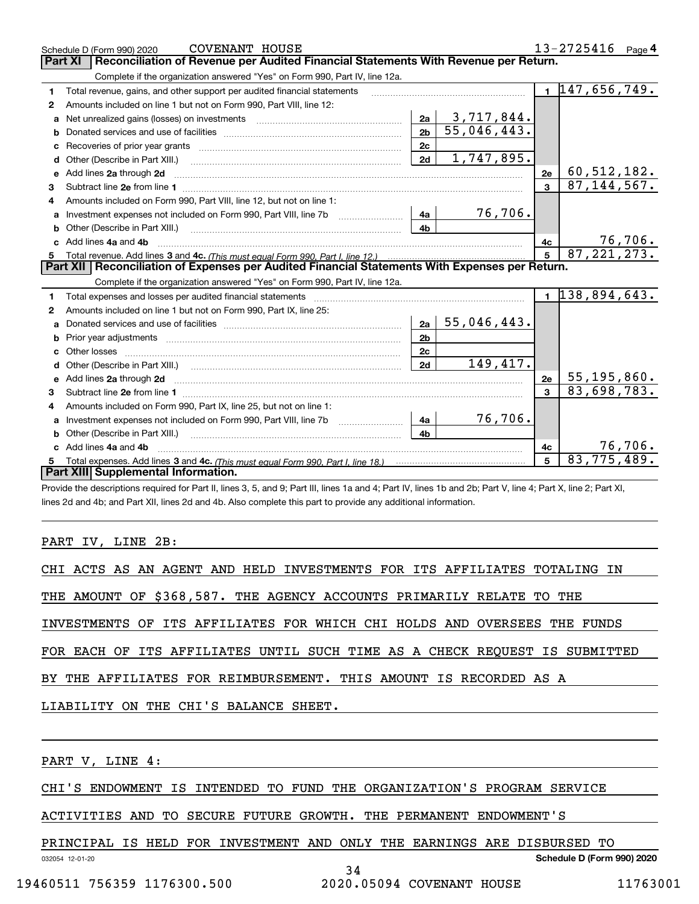|    | COVENANT HOUSE<br>Schedule D (Form 990) 2020                                                          |                |             |                 | $13 - 2725416$ Page 4       |                |
|----|-------------------------------------------------------------------------------------------------------|----------------|-------------|-----------------|-----------------------------|----------------|
|    | Reconciliation of Revenue per Audited Financial Statements With Revenue per Return.<br><b>Part XI</b> |                |             |                 |                             |                |
|    | Complete if the organization answered "Yes" on Form 990, Part IV, line 12a.                           |                |             |                 |                             |                |
| 1  | Total revenue, gains, and other support per audited financial statements                              |                |             |                 | $1\overline{147,656,749}$ . |                |
| 2  | Amounts included on line 1 but not on Form 990, Part VIII, line 12:                                   |                |             |                 |                             |                |
| a  |                                                                                                       | 2a             | 3,717,844.  |                 |                             |                |
| b  |                                                                                                       | 2 <sub>b</sub> | 55,046,443. |                 |                             |                |
| c  |                                                                                                       | 2c             |             |                 |                             |                |
| d  | Other (Describe in Part XIII.)                                                                        | 2d             | 1,747,895.  |                 |                             |                |
| e  | Add lines 2a through 2d                                                                               |                |             | 2e              | 60,512,182.                 |                |
| 3  |                                                                                                       |                |             | $\mathbf{3}$    | 87, 144, 567.               |                |
|    | Amounts included on Form 990, Part VIII, line 12, but not on line 1:                                  |                |             |                 |                             |                |
| a  | Investment expenses not included on Form 990, Part VIII, line 7b                                      | 4a             | 76,706.     |                 |                             |                |
|    |                                                                                                       | 4 <sub>b</sub> |             |                 |                             |                |
|    | Add lines 4a and 4b                                                                                   |                |             | 4c              |                             | <u>76,706.</u> |
| 5  |                                                                                                       |                |             | $5\overline{5}$ | 87, 221, 273.               |                |
|    |                                                                                                       |                |             |                 |                             |                |
|    | Part XII   Reconciliation of Expenses per Audited Financial Statements With Expenses per Return.      |                |             |                 |                             |                |
|    | Complete if the organization answered "Yes" on Form 990, Part IV, line 12a.                           |                |             |                 |                             |                |
| 1  |                                                                                                       |                |             |                 | $1 \vert 138, 894, 643.$    |                |
| 2  | Amounts included on line 1 but not on Form 990, Part IX, line 25:                                     |                |             |                 |                             |                |
| a  |                                                                                                       | 2a             | 55,046,443. |                 |                             |                |
|    |                                                                                                       | 2 <sub>b</sub> |             |                 |                             |                |
| c. |                                                                                                       | 2 <sub>c</sub> |             |                 |                             |                |
|    |                                                                                                       | 2d             | 149,417.    |                 |                             |                |
|    | e Add lines 2a through 2d                                                                             |                |             | 2e              | $55, 195, 860$ .            |                |
| 3  |                                                                                                       |                |             |                 | 83,698,783.                 |                |
| 4  | Amounts included on Form 990, Part IX, line 25, but not on line 1:                                    |                |             |                 |                             |                |
|    |                                                                                                       | 4a             | 76,706.     |                 |                             |                |
|    |                                                                                                       | 4b             |             |                 |                             |                |
|    | Add lines 4a and 4b                                                                                   |                |             | 4c              |                             | 76,706.        |
|    | Part XIII Supplemental Information.                                                                   |                |             | 5               | 83,775,489.                 |                |

Provide the descriptions required for Part II, lines 3, 5, and 9; Part III, lines 1a and 4; Part IV, lines 1b and 2b; Part V, line 4; Part X, line 2; Part XI, lines 2d and 4b; and Part XII, lines 2d and 4b. Also complete this part to provide any additional information.

### PART IV, LINE 2B:

| CHI ACTS AS AN AGENT AND HELD INVESTMENTS FOR ITS AFFILIATES TOTALING IN   |
|----------------------------------------------------------------------------|
| THE AMOUNT OF \$368,587. THE AGENCY ACCOUNTS PRIMARILY RELATE TO THE       |
| INVESTMENTS OF ITS AFFILIATES FOR WHICH CHI HOLDS AND OVERSEES THE FUNDS   |
| FOR EACH OF ITS AFFILIATES UNTIL SUCH TIME AS A CHECK REOUEST IS SUBMITTED |
| BY THE AFFILIATES FOR REIMBURSEMENT. THIS AMOUNT IS RECORDED AS A          |
| LIABILITY ON THE CHI'S BALANCE SHEET.                                      |
|                                                                            |
| PART V, LINE 4:                                                            |

CHI'S ENDOWMENT IS INTENDED TO FUND THE ORGANIZATION'S PROGRAM SERVICE

ACTIVITIES AND TO SECURE FUTURE GROWTH. THE PERMANENT ENDOWMENT'S

PRINCIPAL IS HELD FOR INVESTMENT AND ONLY THE EARNINGS ARE DISBURSED TO

34

032054 12-01-20

**Schedule D (Form 990) 2020**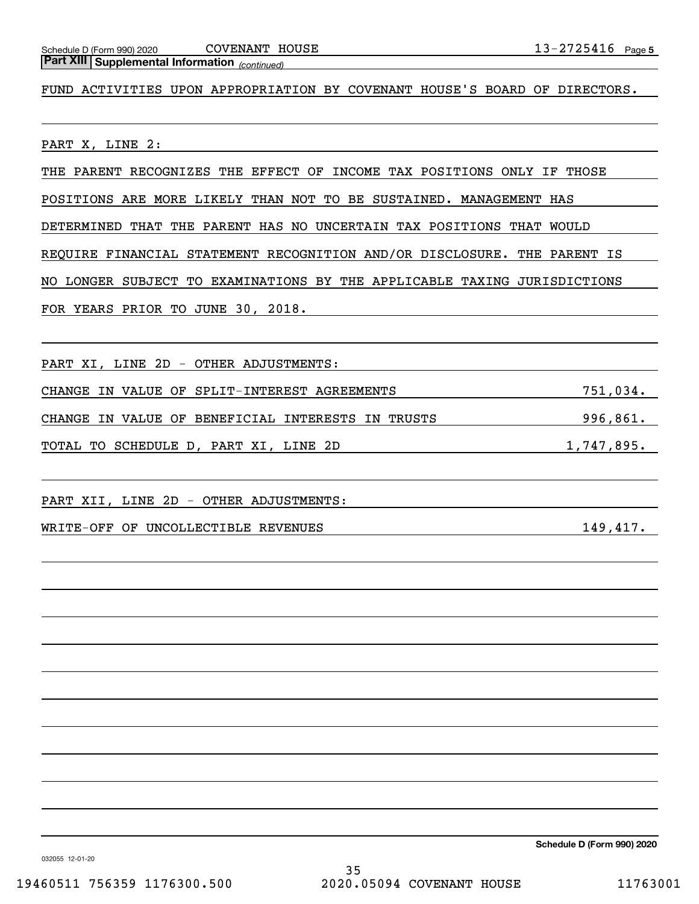## *(continued)* **Part XIII Supplemental Information**

FUND ACTIVITIES UPON APPROPRIATION BY COVENANT HOUSE'S BOARD OF DIRECTORS.

PART X, LINE 2:

THE PARENT RECOGNIZES THE EFFECT OF INCOME TAX POSITIONS ONLY IF THOSE

POSITIONS ARE MORE LIKELY THAN NOT TO BE SUSTAINED. MANAGEMENT HAS

DETERMINED THAT THE PARENT HAS NO UNCERTAIN TAX POSITIONS THAT WOULD

REQUIRE FINANCIAL STATEMENT RECOGNITION AND/OR DISCLOSURE. THE PARENT IS

NO LONGER SUBJECT TO EXAMINATIONS BY THE APPLICABLE TAXING JURISDICTIONS

FOR YEARS PRIOR TO JUNE 30, 2018.

PART XI, LINE 2D - OTHER ADJUSTMENTS:

CHANGE IN VALUE OF SPLIT-INTEREST AGREEMENTS 751,034. CHANGE IN VALUE OF BENEFICIAL INTERESTS IN TRUSTS 996,861. TOTAL TO SCHEDULE D, PART XI, LINE 2D 1,747,895.

PART XII, LINE 2D - OTHER ADJUSTMENTS:

WRITE-OFF OF UNCOLLECTIBLE REVENUES 149,417.

**Schedule D (Form 990) 2020**

032055 12-01-20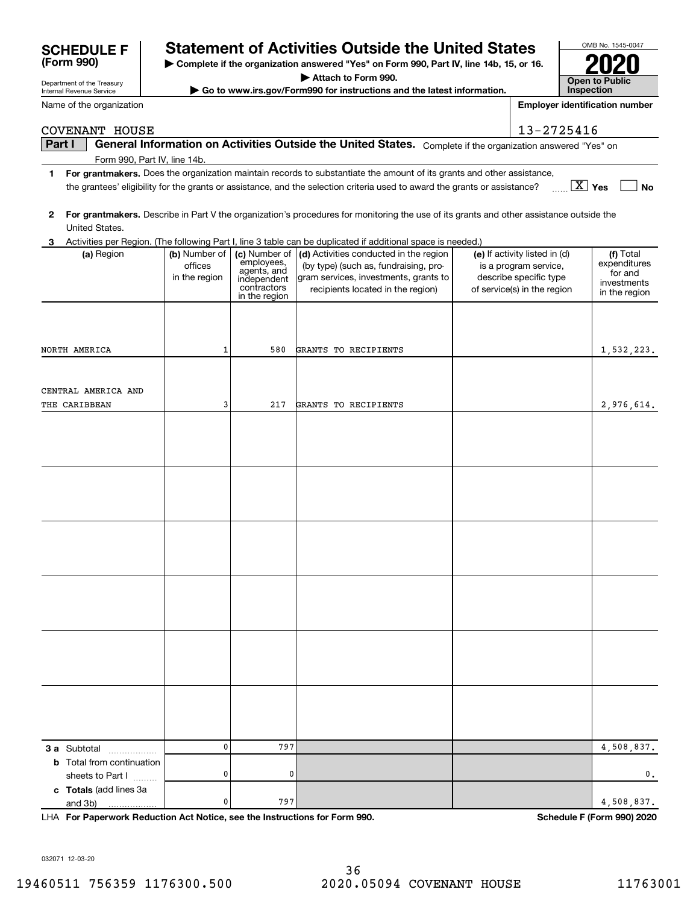032071 12-03-20

## **SCHEDULE F Statement of Activities Outside the United States**

**| Complete if the organization answered "Yes" on Form 990, Part IV, line 14b, 15, or 16.**

**| Attach to Form 990.**

**| Go to www.irs.gov/Form990 for instructions and the latest information.**

**Part I**  $\parallel$  General Information on Activities Outside the United States. Complete if the organization answered "Yes" on

COVENANT HOUSE 2725416

**1For grantmakers.**  Does the organization maintain records to substantiate the amount of its grants and other assistance,

|              |                                                      |                                           |                                                                                           | the grantees' eligibility for the grants or assistance, and the selection criteria used to award the grants or assistance?                                    |                                                                                                                 | $\boxed{\text{X}}$ Yes<br><b>No</b>                                  |
|--------------|------------------------------------------------------|-------------------------------------------|-------------------------------------------------------------------------------------------|---------------------------------------------------------------------------------------------------------------------------------------------------------------|-----------------------------------------------------------------------------------------------------------------|----------------------------------------------------------------------|
| $\mathbf{2}$ |                                                      |                                           |                                                                                           | For grantmakers. Describe in Part V the organization's procedures for monitoring the use of its grants and other assistance outside the                       |                                                                                                                 |                                                                      |
|              | United States.                                       |                                           |                                                                                           |                                                                                                                                                               |                                                                                                                 |                                                                      |
| 3            |                                                      |                                           |                                                                                           | Activities per Region. (The following Part I, line 3 table can be duplicated if additional space is needed.)                                                  |                                                                                                                 |                                                                      |
|              | (a) Region                                           | (b) Number of<br>offices<br>in the region | (c) Number of<br>employees,<br>agents, and<br>independent<br>contractors<br>in the region | (d) Activities conducted in the region<br>(by type) (such as, fundraising, pro-<br>gram services, investments, grants to<br>recipients located in the region) | (e) If activity listed in (d)<br>is a program service,<br>describe specific type<br>of service(s) in the region | (f) Total<br>expenditures<br>for and<br>investments<br>in the region |
|              | NORTH AMERICA                                        | 1                                         | 580                                                                                       | GRANTS TO RECIPIENTS                                                                                                                                          |                                                                                                                 | 1,532,223.                                                           |
|              |                                                      |                                           |                                                                                           |                                                                                                                                                               |                                                                                                                 |                                                                      |
|              | CENTRAL AMERICA AND<br>THE CARIBBEAN                 | 3                                         | 217                                                                                       | GRANTS TO RECIPIENTS                                                                                                                                          |                                                                                                                 | 2,976,614.                                                           |
|              |                                                      |                                           |                                                                                           |                                                                                                                                                               |                                                                                                                 |                                                                      |
|              |                                                      |                                           |                                                                                           |                                                                                                                                                               |                                                                                                                 |                                                                      |
|              |                                                      |                                           |                                                                                           |                                                                                                                                                               |                                                                                                                 |                                                                      |
|              |                                                      |                                           |                                                                                           |                                                                                                                                                               |                                                                                                                 |                                                                      |
|              |                                                      |                                           |                                                                                           |                                                                                                                                                               |                                                                                                                 |                                                                      |
|              | 3 a Subtotal                                         | 0                                         | 797                                                                                       |                                                                                                                                                               |                                                                                                                 | 4,508,837.                                                           |
|              | <b>b</b> Total from continuation<br>sheets to Part I | 0                                         | 0                                                                                         |                                                                                                                                                               |                                                                                                                 | 0.                                                                   |
|              | c Totals (add lines 3a<br>and 3b)                    | 0                                         | 797                                                                                       |                                                                                                                                                               |                                                                                                                 | 4,508,837.                                                           |

**For Paperwork Reduction Act Notice, see the Instructions for Form 990. Schedule F (Form 990) 2020** LHA

| OMB No. 1545-0047                   |
|-------------------------------------|
|                                     |
| <b>Open to Public</b><br>Inspection |

**Employer identification number**

Department of the Treasury Internal Revenue Service

**(Form 990)**

|  | Name of the organization |
|--|--------------------------|
|  |                          |

Form 990, Part IV, line 14b.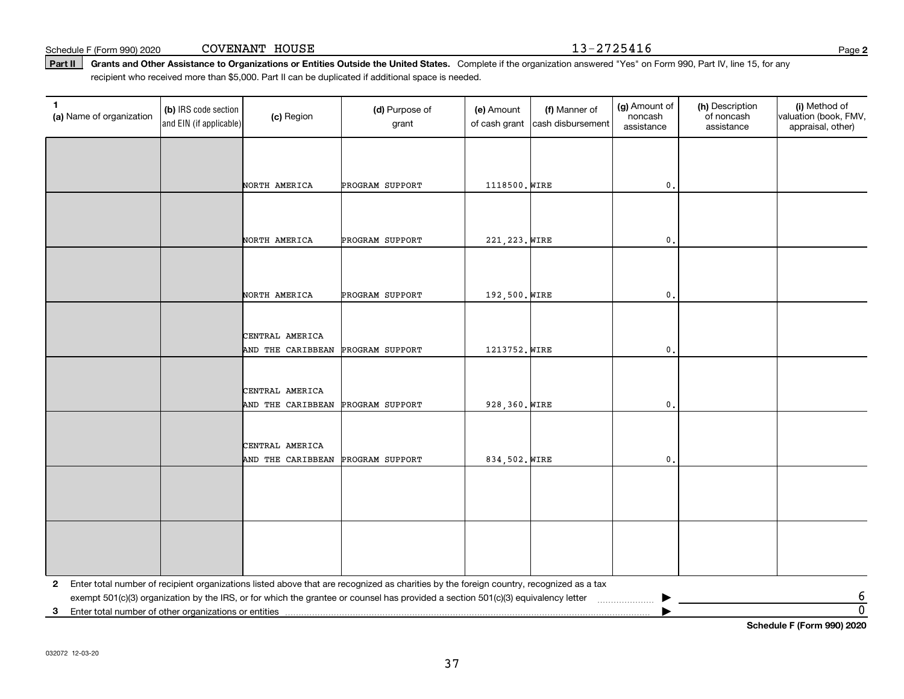Schedule F (Form 990) 2020 COVENANT HOUSE 1 3-2 7 2 5 4 1 6 Page

Part II | Grants and Other Assistance to Organizations or Entities Outside the United States. Complete if the organization answered "Yes" on Form 990, Part IV, line 15, for any recipient who received more than \$5,000. Part II can be duplicated if additional space is needed.

| $\mathbf{1}$<br>(a) Name of organization | (b) IRS code section<br>and EIN (if applicable) | (c) Region        | (d) Purpose of<br>grant                                                                                                                 | (e) Amount<br>of cash grant | (f) Manner of<br>cash disbursement | (g) Amount of<br>noncash<br>assistance | (h) Description<br>of noncash<br>assistance | (i) Method of<br>valuation (book, FMV,<br>appraisal, other) |
|------------------------------------------|-------------------------------------------------|-------------------|-----------------------------------------------------------------------------------------------------------------------------------------|-----------------------------|------------------------------------|----------------------------------------|---------------------------------------------|-------------------------------------------------------------|
|                                          |                                                 |                   |                                                                                                                                         |                             |                                    |                                        |                                             |                                                             |
|                                          |                                                 |                   |                                                                                                                                         |                             |                                    |                                        |                                             |                                                             |
|                                          |                                                 | NORTH AMERICA     | PROGRAM SUPPORT                                                                                                                         | 1118500. WIRE               |                                    | $\mathbf{0}$ .                         |                                             |                                                             |
|                                          |                                                 |                   |                                                                                                                                         |                             |                                    |                                        |                                             |                                                             |
|                                          |                                                 |                   |                                                                                                                                         |                             |                                    |                                        |                                             |                                                             |
|                                          |                                                 | NORTH AMERICA     | PROGRAM SUPPORT                                                                                                                         | 221, 223. WIRE              |                                    | $\mathfrak o$ .                        |                                             |                                                             |
|                                          |                                                 |                   |                                                                                                                                         |                             |                                    |                                        |                                             |                                                             |
|                                          |                                                 |                   |                                                                                                                                         |                             |                                    |                                        |                                             |                                                             |
|                                          |                                                 | NORTH AMERICA     | PROGRAM SUPPORT                                                                                                                         | 192,500. WIRE               |                                    | $\mathbf{0}$ .                         |                                             |                                                             |
|                                          |                                                 |                   |                                                                                                                                         |                             |                                    |                                        |                                             |                                                             |
|                                          |                                                 | CENTRAL AMERICA   |                                                                                                                                         |                             |                                    |                                        |                                             |                                                             |
|                                          |                                                 | AND THE CARIBBEAN | PROGRAM SUPPORT                                                                                                                         | 1213752. WIRE               |                                    | $\mathbf{0}$ .                         |                                             |                                                             |
|                                          |                                                 |                   |                                                                                                                                         |                             |                                    |                                        |                                             |                                                             |
|                                          |                                                 | CENTRAL AMERICA   |                                                                                                                                         |                             |                                    |                                        |                                             |                                                             |
|                                          |                                                 | AND THE CARIBBEAN | PROGRAM SUPPORT                                                                                                                         | 928, 360. WIRE              |                                    | $\mathbf{0}$                           |                                             |                                                             |
|                                          |                                                 |                   |                                                                                                                                         |                             |                                    |                                        |                                             |                                                             |
|                                          |                                                 | CENTRAL AMERICA   |                                                                                                                                         |                             |                                    |                                        |                                             |                                                             |
|                                          |                                                 | AND THE CARIBBEAN | PROGRAM SUPPORT                                                                                                                         | 834,502. WIRE               |                                    | $\mathbf{0}$ .                         |                                             |                                                             |
|                                          |                                                 |                   |                                                                                                                                         |                             |                                    |                                        |                                             |                                                             |
|                                          |                                                 |                   |                                                                                                                                         |                             |                                    |                                        |                                             |                                                             |
|                                          |                                                 |                   |                                                                                                                                         |                             |                                    |                                        |                                             |                                                             |
|                                          |                                                 |                   |                                                                                                                                         |                             |                                    |                                        |                                             |                                                             |
|                                          |                                                 |                   |                                                                                                                                         |                             |                                    |                                        |                                             |                                                             |
|                                          |                                                 |                   |                                                                                                                                         |                             |                                    |                                        |                                             |                                                             |
| $\mathbf{2}$                             |                                                 |                   | Enter total number of recipient organizations listed above that are recognized as charities by the foreign country, recognized as a tax |                             |                                    |                                        |                                             |                                                             |
|                                          |                                                 |                   | exempt 501(c)(3) organization by the IRS, or for which the grantee or counsel has provided a section 501(c)(3) equivalency letter       |                             |                                    |                                        |                                             | $\frac{6}{0}$                                               |
|                                          |                                                 |                   |                                                                                                                                         |                             |                                    |                                        |                                             |                                                             |

**Schedule F (Form 990) 2020**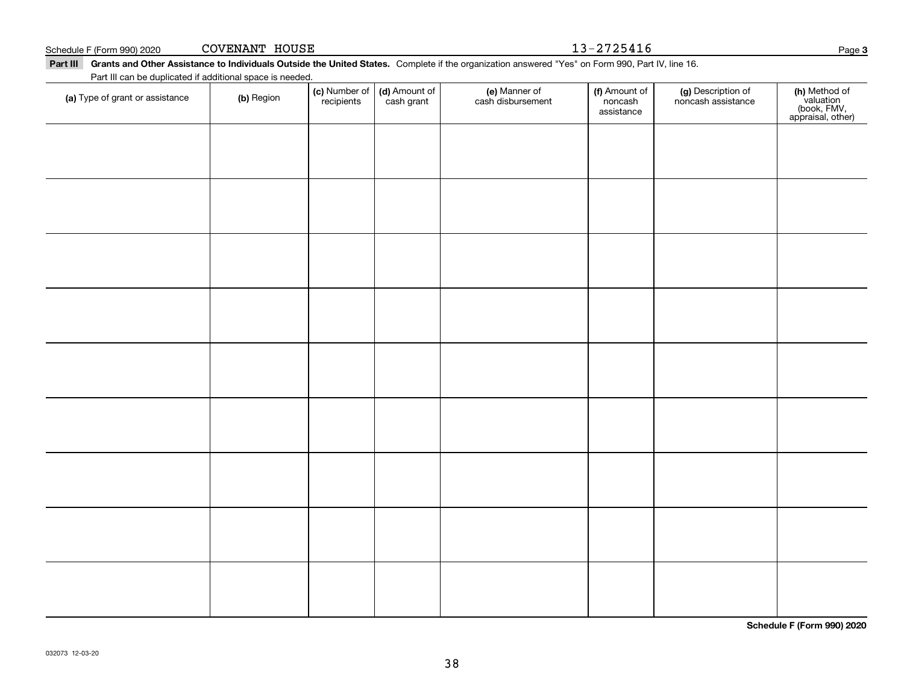**Schedule F (Form 990) 2020**

| Part III can be duplicated if additional space is needed. |            |                             |                             |                                    |                                        |                                          |                                                                |  |  |  |
|-----------------------------------------------------------|------------|-----------------------------|-----------------------------|------------------------------------|----------------------------------------|------------------------------------------|----------------------------------------------------------------|--|--|--|
| (a) Type of grant or assistance                           | (b) Region | (c) Number of<br>recipients | (d) Amount of<br>cash grant | (e) Manner of<br>cash disbursement | (f) Amount of<br>noncash<br>assistance | (g) Description of<br>noncash assistance | (h) Method of<br>valuation<br>(book, FMV,<br>appraisal, other) |  |  |  |
|                                                           |            |                             |                             |                                    |                                        |                                          |                                                                |  |  |  |
|                                                           |            |                             |                             |                                    |                                        |                                          |                                                                |  |  |  |
|                                                           |            |                             |                             |                                    |                                        |                                          |                                                                |  |  |  |
|                                                           |            |                             |                             |                                    |                                        |                                          |                                                                |  |  |  |
|                                                           |            |                             |                             |                                    |                                        |                                          |                                                                |  |  |  |
|                                                           |            |                             |                             |                                    |                                        |                                          |                                                                |  |  |  |
|                                                           |            |                             |                             |                                    |                                        |                                          |                                                                |  |  |  |
|                                                           |            |                             |                             |                                    |                                        |                                          |                                                                |  |  |  |
|                                                           |            |                             |                             |                                    |                                        |                                          |                                                                |  |  |  |

38

Part III Grants and Other Assistance to Individuals Outside the United States. Complete if the organization answered "Yes" on Form 990, Part IV, line 16.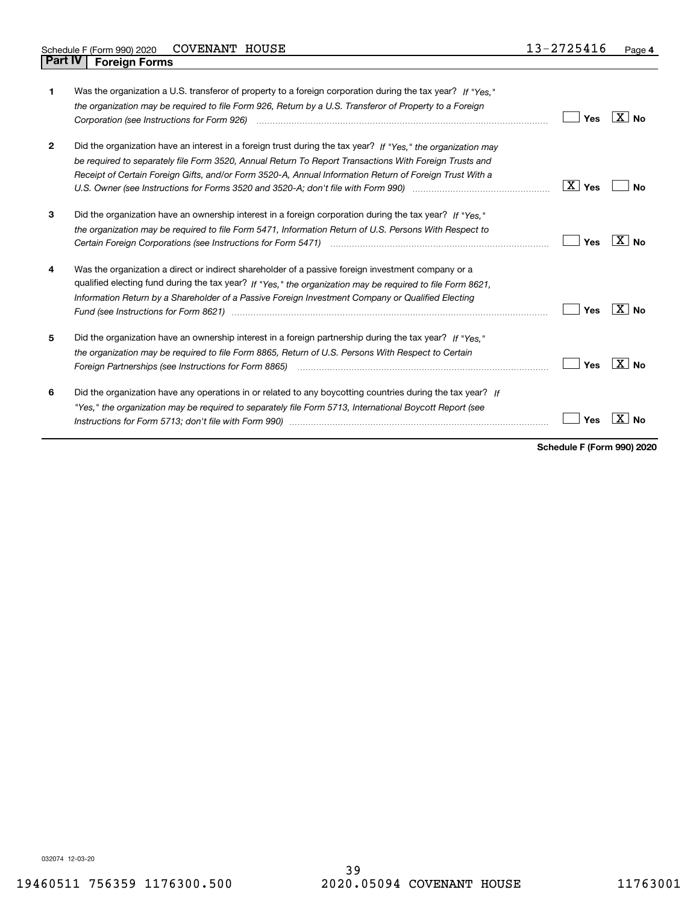| 1            | Was the organization a U.S. transferor of property to a foreign corporation during the tax year? If "Yes."<br>the organization may be required to file Form 926, Return by a U.S. Transferor of Property to a Foreign<br>Corporation (see Instructions for Form 926) <i>manual content content corporation</i> (see Instructions for Form 926) | Yes                    | ∣X∣No                      |
|--------------|------------------------------------------------------------------------------------------------------------------------------------------------------------------------------------------------------------------------------------------------------------------------------------------------------------------------------------------------|------------------------|----------------------------|
| $\mathbf{2}$ | Did the organization have an interest in a foreign trust during the tax year? If "Yes." the organization may<br>be required to separately file Form 3520, Annual Return To Report Transactions With Foreign Trusts and<br>Receipt of Certain Foreign Gifts, and/or Form 3520-A, Annual Information Return of Foreign Trust With a              | $\boxed{\text{X}}$ Yes | Nο                         |
| 3            | Did the organization have an ownership interest in a foreign corporation during the tax year? If "Yes."<br>the organization may be required to file Form 5471, Information Return of U.S. Persons With Respect to                                                                                                                              | Yes                    | X∣No                       |
| 4            | Was the organization a direct or indirect shareholder of a passive foreign investment company or a<br>qualified electing fund during the tax year? If "Yes," the organization may be required to file Form 8621,<br>Information Return by a Shareholder of a Passive Foreign Investment Company or Qualified Electing                          | Yes                    | $\overline{\text{X}}$   No |
| 5            | Did the organization have an ownership interest in a foreign partnership during the tax year? If "Yes."<br>the organization may be required to file Form 8865, Return of U.S. Persons With Respect to Certain<br>Foreign Partnerships (see Instructions for Form 8865) <i>manual content content content content content content</i> co        | Yes                    | X∣No                       |
| 6            | Did the organization have any operations in or related to any boycotting countries during the tax year? If<br>"Yes," the organization may be required to separately file Form 5713, International Boycott Report (see                                                                                                                          | Yes                    |                            |

**Schedule F (Form 990) 2020**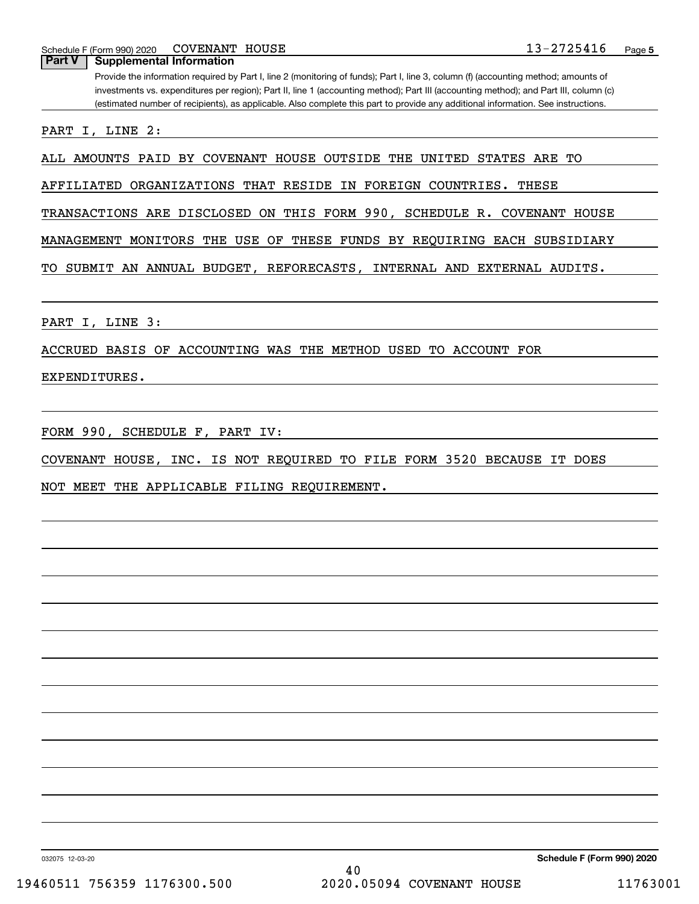Schedule F (Form 990) 2020 COVENANT HOUSE  $13-2725416$ COVENANT HOUSE

## Provide the information required by Part I, line 2 (monitoring of funds); Part I, line 3, column (f) (accounting method; amounts of investments vs. expenditures per region); Part II, line 1 (accounting method); Part III (accounting method); and Part III, column (c) (estimated number of recipients), as applicable. Also complete this part to provide any additional information. See instructions. **Part V Supplemental Information**

PART I, LINE 2:

ALL AMOUNTS PAID BY COVENANT HOUSE OUTSIDE THE UNITED STATES ARE TO

AFFILIATED ORGANIZATIONS THAT RESIDE IN FOREIGN COUNTRIES. THESE

TRANSACTIONS ARE DISCLOSED ON THIS FORM 990, SCHEDULE R. COVENANT HOUSE

MANAGEMENT MONITORS THE USE OF THESE FUNDS BY REQUIRING EACH SUBSIDIARY

TO SUBMIT AN ANNUAL BUDGET, REFORECASTS, INTERNAL AND EXTERNAL AUDITS.

PART I, LINE 3:

ACCRUED BASIS OF ACCOUNTING WAS THE METHOD USED TO ACCOUNT FOR

EXPENDITURES.

FORM 990, SCHEDULE F, PART IV:

COVENANT HOUSE, INC. IS NOT REQUIRED TO FILE FORM 3520 BECAUSE IT DOES

NOT MEET THE APPLICABLE FILING REQUIREMENT.

032075 12-03-20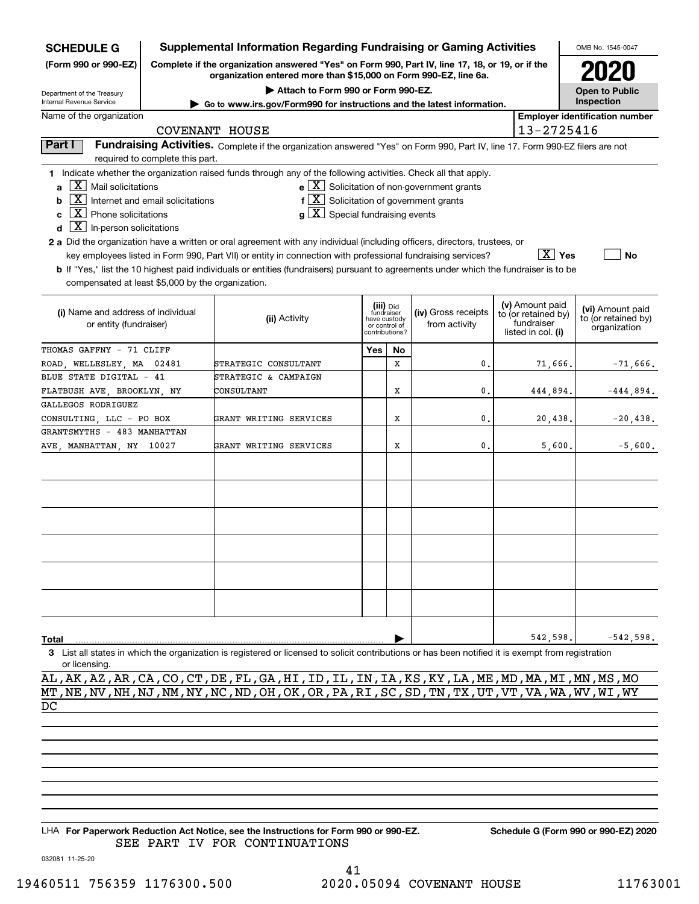| <b>SCHEDULE G</b>                                    |                                                                                                                                                                     | <b>Supplemental Information Regarding Fundraising or Gaming Activities</b>                                                                         |                                         |         |                                                                      |  |                                  | OMB No. 1545-0047                     |
|------------------------------------------------------|---------------------------------------------------------------------------------------------------------------------------------------------------------------------|----------------------------------------------------------------------------------------------------------------------------------------------------|-----------------------------------------|---------|----------------------------------------------------------------------|--|----------------------------------|---------------------------------------|
| (Form 990 or 990-EZ)                                 | Complete if the organization answered "Yes" on Form 990, Part IV, line 17, 18, or 19, or if the<br>organization entered more than \$15,000 on Form 990-EZ, line 6a. |                                                                                                                                                    |                                         |         |                                                                      |  |                                  |                                       |
| Department of the Treasury                           |                                                                                                                                                                     |                                                                                                                                                    | <b>Open to Public</b>                   |         |                                                                      |  |                                  |                                       |
| Internal Revenue Service                             |                                                                                                                                                                     | ► Go to www.irs.gov/Form990 for instructions and the latest information.                                                                           |                                         |         |                                                                      |  |                                  | Inspection                            |
| Name of the organization                             |                                                                                                                                                                     |                                                                                                                                                    |                                         |         |                                                                      |  |                                  | <b>Employer identification number</b> |
|                                                      |                                                                                                                                                                     | <b>COVENANT HOUSE</b>                                                                                                                              |                                         |         |                                                                      |  | 13-2725416                       |                                       |
| Part I                                               | required to complete this part.                                                                                                                                     | Fundraising Activities. Complete if the organization answered "Yes" on Form 990, Part IV, line 17. Form 990-EZ filers are not                      |                                         |         |                                                                      |  |                                  |                                       |
|                                                      |                                                                                                                                                                     | 1 Indicate whether the organization raised funds through any of the following activities. Check all that apply.                                    |                                         |         |                                                                      |  |                                  |                                       |
| $X$ Mail solicitations<br>a                          |                                                                                                                                                                     |                                                                                                                                                    |                                         |         | $\mathbf{e} \times \mathbf{X}$ Solicitation of non-government grants |  |                                  |                                       |
| b                                                    | $\overline{\mathbf{X}}$ Internet and email solicitations                                                                                                            | $f\left[\frac{X}{X}\right]$ Solicitation of government grants                                                                                      |                                         |         |                                                                      |  |                                  |                                       |
| $\overline{\mathbf{X}}$ Phone solicitations<br>C     |                                                                                                                                                                     | $g\mid X$ Special fundraising events                                                                                                               |                                         |         |                                                                      |  |                                  |                                       |
| $\overline{\mathbf{X}}$ In-person solicitations<br>d |                                                                                                                                                                     |                                                                                                                                                    |                                         |         |                                                                      |  |                                  |                                       |
|                                                      |                                                                                                                                                                     | 2 a Did the organization have a written or oral agreement with any individual (including officers, directors, trustees, or                         |                                         |         |                                                                      |  |                                  |                                       |
|                                                      |                                                                                                                                                                     | key employees listed in Form 990, Part VII) or entity in connection with professional fundraising services?                                        |                                         |         |                                                                      |  | $\boxed{\text{X}}$ Yes           | <b>No</b>                             |
|                                                      |                                                                                                                                                                     | b If "Yes," list the 10 highest paid individuals or entities (fundraisers) pursuant to agreements under which the fundraiser is to be              |                                         |         |                                                                      |  |                                  |                                       |
|                                                      |                                                                                                                                                                     |                                                                                                                                                    |                                         |         |                                                                      |  |                                  |                                       |
| compensated at least \$5,000 by the organization.    |                                                                                                                                                                     |                                                                                                                                                    |                                         |         |                                                                      |  |                                  |                                       |
|                                                      |                                                                                                                                                                     |                                                                                                                                                    |                                         |         |                                                                      |  | (v) Amount paid                  | (vi) Amount paid                      |
| (i) Name and address of individual                   |                                                                                                                                                                     | (ii) Activity                                                                                                                                      | (iii) Did<br>fundraiser<br>have custody |         | (iv) Gross receipts                                                  |  | to (or retained by)              | to (or retained by)                   |
| or entity (fundraiser)                               |                                                                                                                                                                     |                                                                                                                                                    | or control of<br>contributions?         |         | from activity                                                        |  | fundraiser<br>listed in col. (i) | organization                          |
| THOMAS GAFFNY - 71 CLIFF                             |                                                                                                                                                                     |                                                                                                                                                    | Yes                                     |         |                                                                      |  |                                  |                                       |
|                                                      |                                                                                                                                                                     |                                                                                                                                                    |                                         | No<br>X |                                                                      |  |                                  |                                       |
| ROAD WELLESLEY MA                                    | 02481                                                                                                                                                               | STRATEGIC CONSULTANT                                                                                                                               |                                         |         | 0.                                                                   |  | 71,666.                          | $-71,666$ .                           |
| BLUE STATE DIGITAL - 41                              |                                                                                                                                                                     | STRATEGIC & CAMPAIGN                                                                                                                               |                                         |         |                                                                      |  |                                  |                                       |
| FLATBUSH AVE, BROOKLYN, NY                           |                                                                                                                                                                     | CONSULTANT                                                                                                                                         |                                         | X       | 0.                                                                   |  | 444,894.                         | $-444,894.$                           |
| GALLEGOS RODRIGUEZ                                   |                                                                                                                                                                     |                                                                                                                                                    |                                         |         |                                                                      |  |                                  |                                       |
| CONSULTING, LLC - PO BOX                             |                                                                                                                                                                     | GRANT WRITING SERVICES                                                                                                                             |                                         | X       | $\mathbf{0}$                                                         |  | 20,438.                          | $-20, 438.$                           |
| GRANTSMYTHS - 483 MANHATTAN                          |                                                                                                                                                                     |                                                                                                                                                    |                                         |         |                                                                      |  |                                  |                                       |
| AVE, MANHATTAN, NY 10027                             |                                                                                                                                                                     | GRANT WRITING SERVICES                                                                                                                             |                                         | X       | $\mathbf{0}$                                                         |  | 5,600.                           | $-5,600.$                             |
|                                                      |                                                                                                                                                                     |                                                                                                                                                    |                                         |         |                                                                      |  |                                  |                                       |
|                                                      |                                                                                                                                                                     |                                                                                                                                                    |                                         |         |                                                                      |  |                                  |                                       |
|                                                      |                                                                                                                                                                     |                                                                                                                                                    |                                         |         |                                                                      |  |                                  |                                       |
|                                                      |                                                                                                                                                                     |                                                                                                                                                    |                                         |         |                                                                      |  |                                  |                                       |
|                                                      |                                                                                                                                                                     |                                                                                                                                                    |                                         |         |                                                                      |  |                                  |                                       |
|                                                      |                                                                                                                                                                     |                                                                                                                                                    |                                         |         |                                                                      |  |                                  |                                       |
|                                                      |                                                                                                                                                                     |                                                                                                                                                    |                                         |         |                                                                      |  |                                  |                                       |
|                                                      |                                                                                                                                                                     |                                                                                                                                                    |                                         |         |                                                                      |  |                                  |                                       |
|                                                      |                                                                                                                                                                     |                                                                                                                                                    |                                         |         |                                                                      |  |                                  |                                       |
|                                                      |                                                                                                                                                                     |                                                                                                                                                    |                                         |         |                                                                      |  |                                  |                                       |
|                                                      |                                                                                                                                                                     |                                                                                                                                                    |                                         |         |                                                                      |  |                                  |                                       |
|                                                      |                                                                                                                                                                     |                                                                                                                                                    |                                         |         |                                                                      |  |                                  |                                       |
|                                                      |                                                                                                                                                                     |                                                                                                                                                    |                                         |         |                                                                      |  |                                  |                                       |
| Total                                                |                                                                                                                                                                     |                                                                                                                                                    |                                         |         |                                                                      |  | 542,598.                         | $-542,598.$                           |
|                                                      |                                                                                                                                                                     | 3 List all states in which the organization is registered or licensed to solicit contributions or has been notified it is exempt from registration |                                         |         |                                                                      |  |                                  |                                       |
| or licensing.                                        |                                                                                                                                                                     |                                                                                                                                                    |                                         |         |                                                                      |  |                                  |                                       |

AL,AK,AZ,AR,CA,CO,CT,DE,FL,GA,HI,ID,IL,IN,IA,KS,KY,LA,ME,MD,MA,MI,MN,MS,MO MT,NE,NV,NH,NJ,NM,NY,NC,ND,OH,OK,OR,PA,RI,SC,SD,TN,TX,UT,VT,VA,WA,WV,WI,WY DC

LHA For Paperwork Reduction Act Notice, see the Instructions for Form 990 or 990-EZ. Schedule G (Form 990 or 990-EZ) 2020 SEE PART IV FOR CONTINUATIONS

032081 11-25-20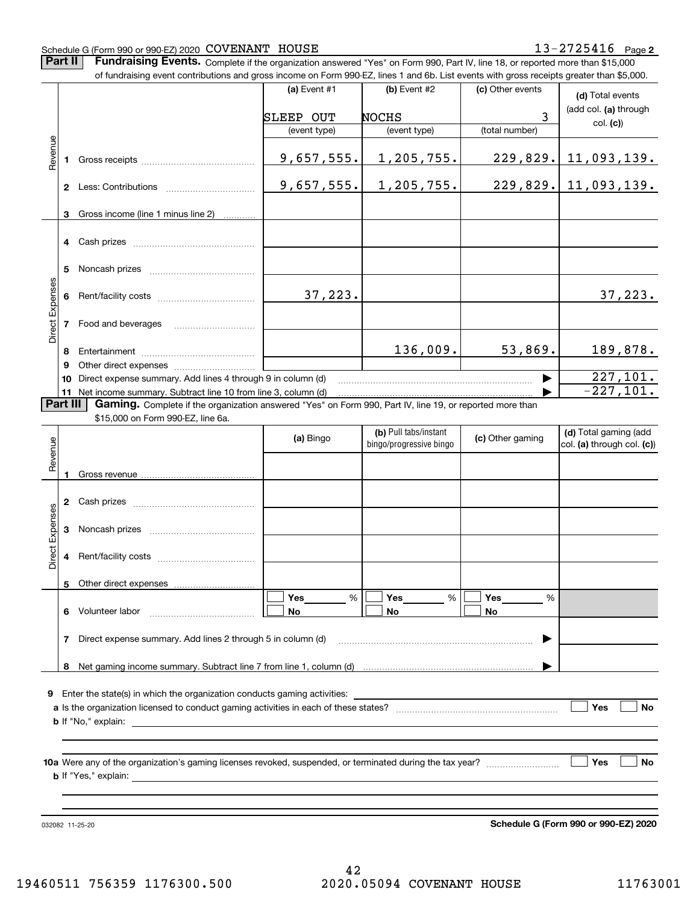#### Schedule G (Form 990 or 990-EZ) 2020 Page COVENANT HOUSE 13-2725416

**Part II** | Fundraising Events. Complete if the organization answered "Yes" on Form 990, Part IV, line 18, or reported more than \$15,000

|                 |    | of fundraising event contributions and gross income on Form 990-EZ, lines 1 and 6b. List events with gross receipts greater than \$5,000.                                   |              |                         |                  |                            |
|-----------------|----|-----------------------------------------------------------------------------------------------------------------------------------------------------------------------------|--------------|-------------------------|------------------|----------------------------|
|                 |    |                                                                                                                                                                             | (a) Event #1 | $(b)$ Event #2          | (c) Other events | (d) Total events           |
|                 |    |                                                                                                                                                                             |              |                         |                  | (add col. (a) through      |
|                 |    |                                                                                                                                                                             | SLEEP OUT    | <b>NOCHS</b>            | 3                | col. (c)                   |
|                 |    |                                                                                                                                                                             | (event type) | (event type)            | (total number)   |                            |
| Revenue         | 1. |                                                                                                                                                                             | 9,657,555.   | 1,205,755.              | 229,829.         | 11,093,139.                |
|                 |    |                                                                                                                                                                             | 9,657,555.   | 1, 205, 755.            |                  | $229,829.$ 11,093,139.     |
|                 | 3  | Gross income (line 1 minus line 2)                                                                                                                                          |              |                         |                  |                            |
|                 |    |                                                                                                                                                                             |              |                         |                  |                            |
|                 |    |                                                                                                                                                                             |              |                         |                  |                            |
|                 | 5  |                                                                                                                                                                             |              |                         |                  |                            |
| Direct Expenses | 6  |                                                                                                                                                                             | 37,223.      |                         |                  | 37,223.                    |
|                 | 7  | Food and beverages                                                                                                                                                          |              |                         |                  |                            |
|                 | 8  |                                                                                                                                                                             |              | 136,009.                | 53,869.          | 189,878.                   |
|                 | 9  |                                                                                                                                                                             |              |                         |                  |                            |
|                 | 10 | Direct expense summary. Add lines 4 through 9 in column (d)                                                                                                                 |              |                         |                  | 227,101.<br>$-227,101.$    |
| <b>Part III</b> |    | 11 Net income summary. Subtract line 10 from line 3, column (d)<br>Gaming. Complete if the organization answered "Yes" on Form 990, Part IV, line 19, or reported more than |              |                         |                  |                            |
|                 |    | \$15,000 on Form 990-EZ, line 6a.                                                                                                                                           |              |                         |                  |                            |
|                 |    |                                                                                                                                                                             |              | (b) Pull tabs/instant   |                  | (d) Total gaming (add      |
| Revenue         |    |                                                                                                                                                                             | (a) Bingo    | bingo/progressive bingo | (c) Other gaming | col. (a) through col. (c)) |
|                 |    |                                                                                                                                                                             |              |                         |                  |                            |
|                 |    |                                                                                                                                                                             |              |                         |                  |                            |
|                 |    |                                                                                                                                                                             |              |                         |                  |                            |
|                 | 2  |                                                                                                                                                                             |              |                         |                  |                            |
| Expenses        | 3  |                                                                                                                                                                             |              |                         |                  |                            |
| <b>Direct</b>   | 4  |                                                                                                                                                                             |              |                         |                  |                            |
|                 |    | 5 Other direct expenses                                                                                                                                                     |              |                         |                  |                            |
|                 |    |                                                                                                                                                                             | %<br>Yes     | %<br>Yes                | Yes<br>%         |                            |
|                 |    | 6 Volunteer labor                                                                                                                                                           | No           | No                      | No               |                            |
|                 | 7  | Direct expense summary. Add lines 2 through 5 in column (d)                                                                                                                 |              |                         | ▶                |                            |
|                 |    |                                                                                                                                                                             |              |                         |                  |                            |
|                 |    |                                                                                                                                                                             |              |                         |                  |                            |
|                 |    |                                                                                                                                                                             |              |                         |                  |                            |
|                 |    |                                                                                                                                                                             |              |                         |                  | Yes<br>No                  |
|                 |    |                                                                                                                                                                             |              |                         |                  |                            |
|                 |    |                                                                                                                                                                             |              |                         |                  |                            |
|                 |    |                                                                                                                                                                             |              |                         |                  |                            |
|                 |    |                                                                                                                                                                             |              |                         |                  | Yes<br>No                  |
|                 |    |                                                                                                                                                                             |              |                         |                  |                            |
|                 |    |                                                                                                                                                                             |              |                         |                  |                            |
|                 |    |                                                                                                                                                                             |              |                         |                  |                            |

032082 11-25-20

**Schedule G (Form 990 or 990-EZ) 2020**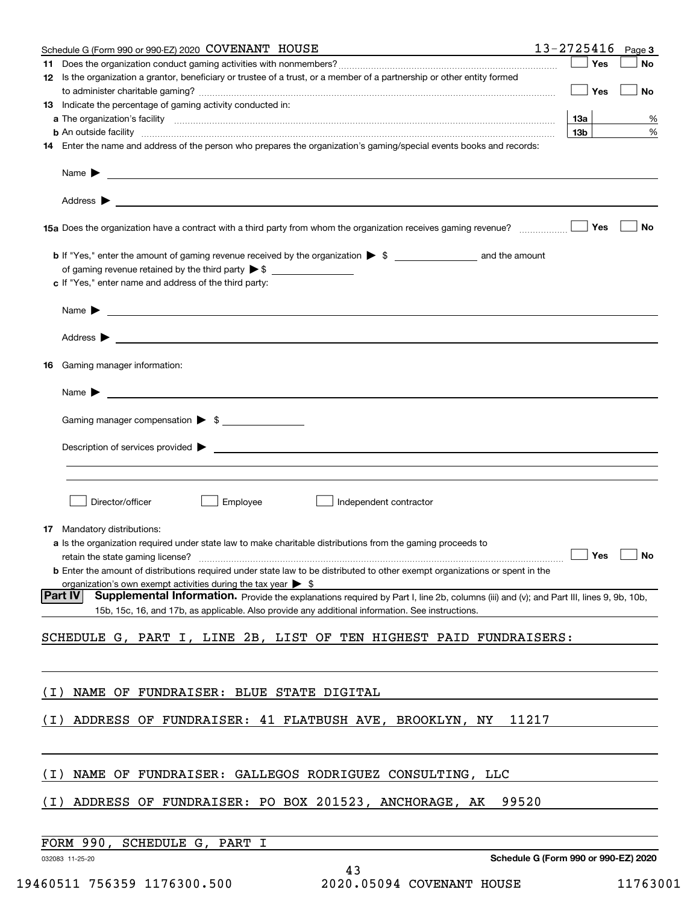| Schedule G (Form 990 or 990-EZ) 2020 COVENANT HOUSE                                                                                                                                                                                                                    | $13 - 2725416$ Page 3                |
|------------------------------------------------------------------------------------------------------------------------------------------------------------------------------------------------------------------------------------------------------------------------|--------------------------------------|
| 11<br>12 Is the organization a grantor, beneficiary or trustee of a trust, or a member of a partnership or other entity formed                                                                                                                                         | Yes<br>No                            |
|                                                                                                                                                                                                                                                                        | Yes<br>No                            |
| 13 Indicate the percentage of gaming activity conducted in:                                                                                                                                                                                                            |                                      |
|                                                                                                                                                                                                                                                                        | 13а<br>%                             |
| <b>b</b> An outside facility <b>contained a contract and a contract of the contract of the contract of the contract of the contract of the contract of the contract of the contract of the contract of the contract of the contract o</b>                              | 13 <sub>b</sub><br>%                 |
| 14 Enter the name and address of the person who prepares the organization's gaming/special events books and records:                                                                                                                                                   |                                      |
|                                                                                                                                                                                                                                                                        |                                      |
|                                                                                                                                                                                                                                                                        |                                      |
| 15a Does the organization have a contract with a third party from whom the organization receives gaming revenue?                                                                                                                                                       | Yes<br>No                            |
| <b>b</b> If "Yes," enter the amount of gaming revenue received by the organization $\triangleright$ \$                                                                                                                                                                 |                                      |
|                                                                                                                                                                                                                                                                        |                                      |
| c If "Yes," enter name and address of the third party:                                                                                                                                                                                                                 |                                      |
| Name $\blacktriangleright$ $\frac{1}{\sqrt{1-\frac{1}{2}}\left(\frac{1}{2}-\frac{1}{2}\right)}$                                                                                                                                                                        |                                      |
|                                                                                                                                                                                                                                                                        |                                      |
| 16 Gaming manager information:                                                                                                                                                                                                                                         |                                      |
|                                                                                                                                                                                                                                                                        |                                      |
|                                                                                                                                                                                                                                                                        |                                      |
| Gaming manager compensation > \$                                                                                                                                                                                                                                       |                                      |
| $Description of services provided$ $\triangleright$                                                                                                                                                                                                                    |                                      |
|                                                                                                                                                                                                                                                                        |                                      |
|                                                                                                                                                                                                                                                                        |                                      |
| Employee<br>Director/officer<br>Independent contractor                                                                                                                                                                                                                 |                                      |
|                                                                                                                                                                                                                                                                        |                                      |
| 17 Mandatory distributions:<br>a Is the organization required under state law to make charitable distributions from the gaming proceeds to                                                                                                                             |                                      |
| <b>No.</b> 2010 Pres ∴ No. 2010 Pres ∴ No. 2010 Pres ∴ No. 2010 Pres ∴ No. 2010 Pres ∴ No. 2010 Pres ∴ No. 2010 Pres ∴ No. 2010 Pres ∴ No. 2010 Pres ∴ No. 2010 Pres ∴ No. 2010 Pres ∴ No. 2010 Pres ∴ No. 2010 Pres ∴ No. 2010 Pr<br>retain the state gaming license? |                                      |
| <b>b</b> Enter the amount of distributions required under state law to be distributed to other exempt organizations or spent in the                                                                                                                                    |                                      |
| organization's own exempt activities during the tax year $\triangleright$ \$                                                                                                                                                                                           |                                      |
| <b>Part IV</b><br>Supplemental Information. Provide the explanations required by Part I, line 2b, columns (iii) and (v); and Part III, lines 9, 9b, 10b,<br>15b, 15c, 16, and 17b, as applicable. Also provide any additional information. See instructions.           |                                      |
| SCHEDULE G, PART I, LINE 2B, LIST OF TEN HIGHEST PAID FUNDRAISERS:                                                                                                                                                                                                     |                                      |
|                                                                                                                                                                                                                                                                        |                                      |
| NAME OF FUNDRAISER: BLUE STATE DIGITAL<br>( L )                                                                                                                                                                                                                        |                                      |
|                                                                                                                                                                                                                                                                        |                                      |
| ADDRESS OF FUNDRAISER: 41 FLATBUSH AVE, BROOKLYN, NY<br>11217<br>( I )                                                                                                                                                                                                 |                                      |
|                                                                                                                                                                                                                                                                        |                                      |
| NAME OF FUNDRAISER: GALLEGOS RODRIGUEZ CONSULTING, LLC<br>( I )                                                                                                                                                                                                        |                                      |
| ADDRESS OF FUNDRAISER: PO BOX 201523, ANCHORAGE, AK<br>99520<br>( I )                                                                                                                                                                                                  |                                      |
|                                                                                                                                                                                                                                                                        |                                      |
| FORM 990,<br>SCHEDULE G, PART I                                                                                                                                                                                                                                        |                                      |
| 032083 11-25-20<br>43                                                                                                                                                                                                                                                  | Schedule G (Form 990 or 990-EZ) 2020 |
|                                                                                                                                                                                                                                                                        |                                      |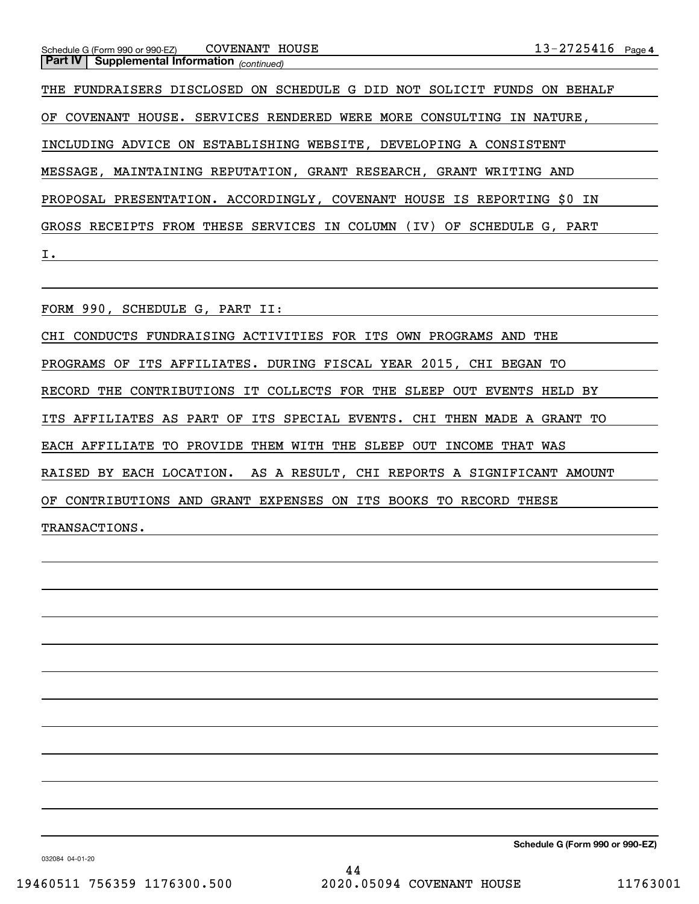#### *(continued)* **Part IV Supplemental Information**  Schedule G (Form 990 or 990-EZ) COVENANT HOUSE

OF COVENANT HOUSE. SERVICES RENDERED WERE MORE CONSULTING IN NATURE, INCLUDING ADVICE ON ESTABLISHING WEBSITE, DEVELOPING A CONSISTENT MESSAGE, MAINTAINING REPUTATION, GRANT RESEARCH, GRANT WRITING AND PROPOSAL PRESENTATION. ACCORDINGLY, COVENANT HOUSE IS REPORTING \$0 IN GROSS RECEIPTS FROM THESE SERVICES IN COLUMN (IV) OF SCHEDULE G, PART I. THE FUNDRAISERS DISCLOSED ON SCHEDULE G DID NOT SOLICIT FUNDS ON BEHALF

FORM 990, SCHEDULE G, PART II:

CHI CONDUCTS FUNDRAISING ACTIVITIES FOR ITS OWN PROGRAMS AND THE PROGRAMS OF ITS AFFILIATES. DURING FISCAL YEAR 2015, CHI BEGAN TO RECORD THE CONTRIBUTIONS IT COLLECTS FOR THE SLEEP OUT EVENTS HELD BY ITS AFFILIATES AS PART OF ITS SPECIAL EVENTS. CHI THEN MADE A GRANT TO EACH AFFILIATE TO PROVIDE THEM WITH THE SLEEP OUT INCOME THAT WAS RAISED BY EACH LOCATION. AS A RESULT, CHI REPORTS A SIGNIFICANT AMOUNT OF CONTRIBUTIONS AND GRANT EXPENSES ON ITS BOOKS TO RECORD THESE TRANSACTIONS.

**Schedule G (Form 990 or 990-EZ)**

032084 04-01-20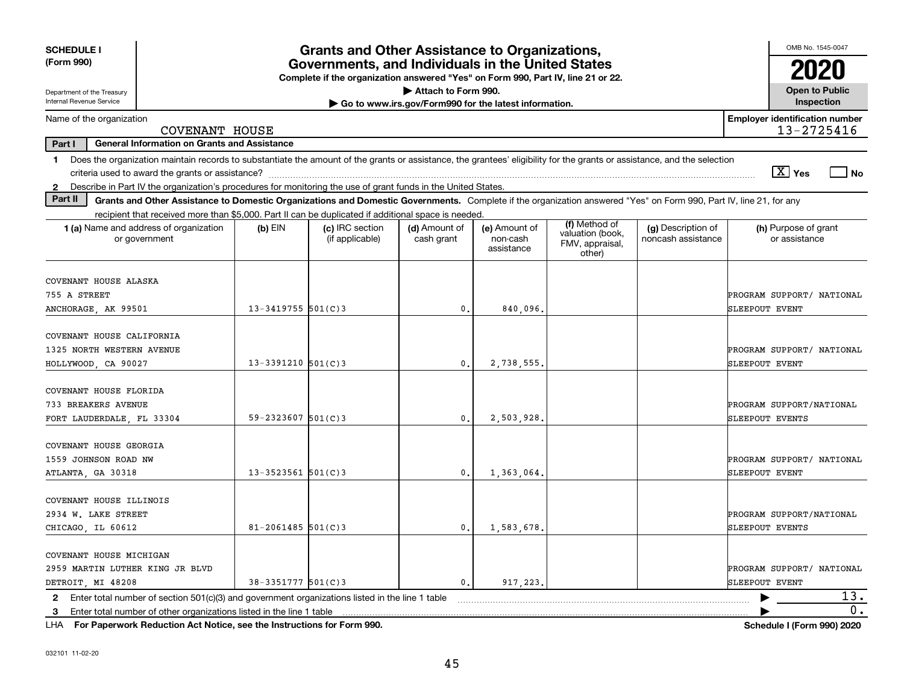| <b>SCHEDULE I</b><br>(Form 990)<br>Department of the Treasury                                                                                                                                                                                                             | <b>Grants and Other Assistance to Organizations,</b><br>Governments, and Individuals in the United States<br>Complete if the organization answered "Yes" on Form 990, Part IV, line 21 or 22.<br>Attach to Form 990. |                                    |                                                       |                                         |                                                                |                                          |                                                     |  |  |  |  |
|---------------------------------------------------------------------------------------------------------------------------------------------------------------------------------------------------------------------------------------------------------------------------|----------------------------------------------------------------------------------------------------------------------------------------------------------------------------------------------------------------------|------------------------------------|-------------------------------------------------------|-----------------------------------------|----------------------------------------------------------------|------------------------------------------|-----------------------------------------------------|--|--|--|--|
| Internal Revenue Service                                                                                                                                                                                                                                                  |                                                                                                                                                                                                                      |                                    | Go to www.irs.gov/Form990 for the latest information. |                                         |                                                                |                                          | Inspection                                          |  |  |  |  |
| Name of the organization                                                                                                                                                                                                                                                  | COVENANT HOUSE                                                                                                                                                                                                       |                                    |                                                       |                                         |                                                                |                                          | <b>Employer identification number</b><br>13-2725416 |  |  |  |  |
| Part I<br><b>General Information on Grants and Assistance</b>                                                                                                                                                                                                             |                                                                                                                                                                                                                      |                                    |                                                       |                                         |                                                                |                                          |                                                     |  |  |  |  |
| Does the organization maintain records to substantiate the amount of the grants or assistance, the grantees' eligibility for the grants or assistance, and the selection<br>1.                                                                                            |                                                                                                                                                                                                                      |                                    |                                                       |                                         |                                                                |                                          | $\boxed{\text{X}}$ Yes<br>  No                      |  |  |  |  |
| Describe in Part IV the organization's procedures for monitoring the use of grant funds in the United States.<br>$\mathbf{2}$<br>Part II                                                                                                                                  |                                                                                                                                                                                                                      |                                    |                                                       |                                         |                                                                |                                          |                                                     |  |  |  |  |
| Grants and Other Assistance to Domestic Organizations and Domestic Governments. Complete if the organization answered "Yes" on Form 990, Part IV, line 21, for any<br>recipient that received more than \$5,000. Part II can be duplicated if additional space is needed. |                                                                                                                                                                                                                      |                                    |                                                       |                                         |                                                                |                                          |                                                     |  |  |  |  |
| 1 (a) Name and address of organization<br>or government                                                                                                                                                                                                                   | $(b)$ EIN                                                                                                                                                                                                            | (c) IRC section<br>(if applicable) | (d) Amount of<br>cash grant                           | (e) Amount of<br>non-cash<br>assistance | (f) Method of<br>valuation (book,<br>FMV, appraisal,<br>other) | (g) Description of<br>noncash assistance | (h) Purpose of grant<br>or assistance               |  |  |  |  |
| COVENANT HOUSE ALASKA<br>755 A STREET<br>ANCHORAGE, AK 99501                                                                                                                                                                                                              | $13 - 3419755$ 501(C)3                                                                                                                                                                                               |                                    | 0.                                                    | 840.096.                                |                                                                |                                          | PROGRAM SUPPORT/ NATIONAL<br>SLEEPOUT EVENT         |  |  |  |  |
| COVENANT HOUSE CALIFORNIA<br>1325 NORTH WESTERN AVENUE<br>HOLLYWOOD, CA 90027                                                                                                                                                                                             | $13 - 3391210$ 501(C)3                                                                                                                                                                                               |                                    | 0.                                                    | 2,738,555,                              |                                                                |                                          | PROGRAM SUPPORT/ NATIONAL<br>SLEEPOUT EVENT         |  |  |  |  |
| COVENANT HOUSE FLORIDA<br>733 BREAKERS AVENUE<br>FORT LAUDERDALE, FL 33304                                                                                                                                                                                                | $59 - 2323607$ 501(C)3                                                                                                                                                                                               |                                    | $\mathbf{0}$ .                                        | 2,503,928                               |                                                                |                                          | PROGRAM SUPPORT/NATIONAL<br>SLEEPOUT EVENTS         |  |  |  |  |
| COVENANT HOUSE GEORGIA<br>1559 JOHNSON ROAD NW<br>ATLANTA, GA 30318                                                                                                                                                                                                       | $13 - 3523561$ $501(C)3$                                                                                                                                                                                             |                                    | 0.                                                    | 1,363,064                               |                                                                |                                          | PROGRAM SUPPORT/ NATIONAL<br>SLEEPOUT EVENT         |  |  |  |  |
| COVENANT HOUSE ILLINOIS<br>2934 W. LAKE STREET<br>CHICAGO LL 60612                                                                                                                                                                                                        | $81 - 2061485$ 501(C)3                                                                                                                                                                                               |                                    | $\mathbf{0}$ .                                        | 1,583,678                               |                                                                |                                          | PROGRAM SUPPORT/NATIONAL<br>SLEEPOUT EVENTS         |  |  |  |  |
| COVENANT HOUSE MICHIGAN<br>2959 MARTIN LUTHER KING JR BLVD<br>DETROIT, MI 48208                                                                                                                                                                                           | $38 - 3351777$ 501(C)3                                                                                                                                                                                               |                                    | $\mathbf{0}$ .                                        | 917,223                                 |                                                                |                                          | PROGRAM SUPPORT/ NATIONAL<br>SLEEPOUT EVENT         |  |  |  |  |
| Enter total number of section $501(c)(3)$ and government organizations listed in the line 1 table<br>$\mathbf{2}$                                                                                                                                                         |                                                                                                                                                                                                                      |                                    |                                                       |                                         |                                                                |                                          | 13.                                                 |  |  |  |  |
| Enter total number of other organizations listed in the line 1 table<br>3                                                                                                                                                                                                 |                                                                                                                                                                                                                      |                                    |                                                       |                                         |                                                                |                                          | $\overline{0}$ .                                    |  |  |  |  |

**For Paperwork Reduction Act Notice, see the Instructions for Form 990. Schedule I (Form 990) 2020** LHA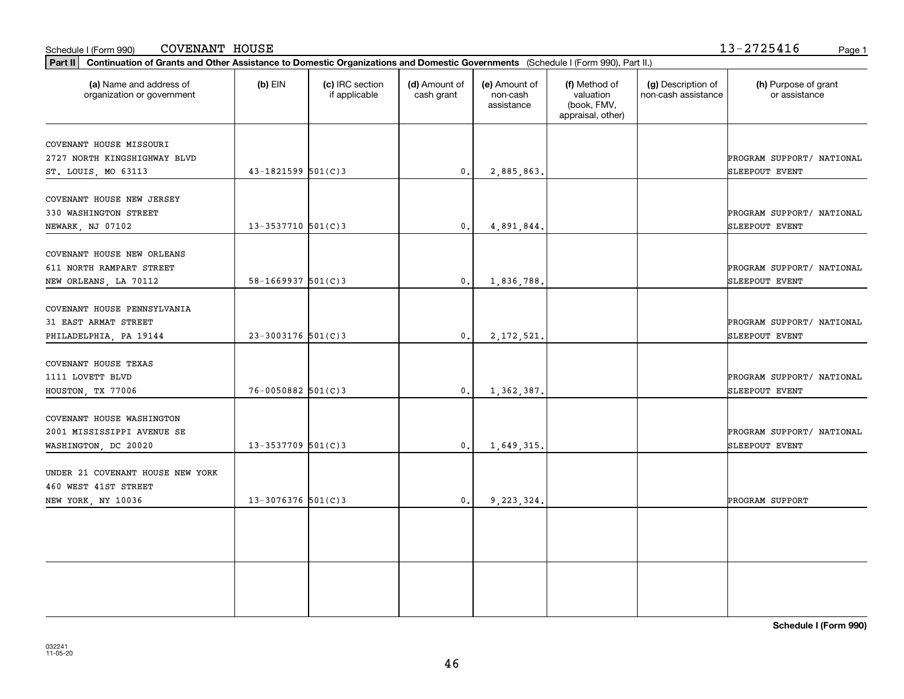| COVENANT HOUSE NEW ORLEANS       |                          |                  |              |  |                           |
|----------------------------------|--------------------------|------------------|--------------|--|---------------------------|
| 611 NORTH RAMPART STREET         |                          |                  |              |  | PROGRAM SUPPORT/ NATIONAL |
| NEW ORLEANS, LA 70112            | $58 - 1669937$ $501(C)3$ | $\mathfrak{o}$ . | 1,836,788.   |  | <b>SLEEPOUT EVENT</b>     |
|                                  |                          |                  |              |  |                           |
| COVENANT HOUSE PENNSYLVANIA      |                          |                  |              |  |                           |
| 31 EAST ARMAT STREET             |                          |                  |              |  | PROGRAM SUPPORT/ NATIONAL |
| PHILADELPHIA, PA 19144           | $23 - 3003176$ 501(C)3   | $\mathbf{0}$ .   | 2, 172, 521. |  | <b>SLEEPOUT EVENT</b>     |
| COVENANT HOUSE TEXAS             |                          |                  |              |  |                           |
| 1111 LOVETT BLVD                 |                          |                  |              |  | PROGRAM SUPPORT/ NATIONAL |
| HOUSTON, TX 77006                | $76 - 0050882$ 501(C) 3  | 0.               | 1,362,387.   |  | <b>SLEEPOUT EVENT</b>     |
|                                  |                          |                  |              |  |                           |
| COVENANT HOUSE WASHINGTON        |                          |                  |              |  |                           |
| 2001 MISSISSIPPI AVENUE SE       |                          |                  |              |  | PROGRAM SUPPORT/ NATIONAL |
| WASHINGTON, DC 20020             | $13 - 3537709$ 501(C)3   | $\mathbf{0}$ .   | 1,649,315.   |  | <b>SLEEPOUT EVENT</b>     |
| UNDER 21 COVENANT HOUSE NEW YORK |                          |                  |              |  |                           |
| 460 WEST 41ST STREET             |                          |                  |              |  |                           |
| NEW YORK, NY 10036               | $13 - 3076376$ 501(C)3   | $\mathbf{0}$ .   | 9,223,324.   |  | PROGRAM SUPPORT           |
|                                  |                          |                  |              |  |                           |
|                                  |                          |                  |              |  |                           |
|                                  |                          |                  |              |  |                           |
|                                  |                          |                  |              |  |                           |
|                                  |                          |                  |              |  |                           |

Schedule I (Form 990) Page 1 COVENANT HOUSE

organization or government

COVENANT HOUSE MISSOURI

COVENANT HOUSE NEW JERSEY

**Part II Continuation of Grants and Other Assistance to Domestic Organizations and Domestic Governments**  (Schedule I (Form 990), Part II.)

if applicable

 $(b)$  EIN  $(c)$  IRC section

**(a) (b) (c) (d) (e) (f) (g) (h)** Name and address of

ST. LOUIS, MO 63113  $\begin{vmatrix} 43-1821599 & 501(C)3 \end{vmatrix}$  0. 2,885,863.

NEWARK, NJ 07102  $\begin{vmatrix} 13-3537710 & 501(C)3 \end{vmatrix}$  0. 4,891,844.

(d) Amount of cash grant

2727 NORTH KINGSHIGHWAY BLVD PROGRAM SUPPORT/ NATIONAL

330 WASHINGTON STREET PROGRAM SUPPORT/ NATIONAL

(e) Amount of non-cashassistance

(f) Method of valuation (book, FMV, appraisal, other)

(g) Description of non-cash assistance (h) Purpose of grant or assistance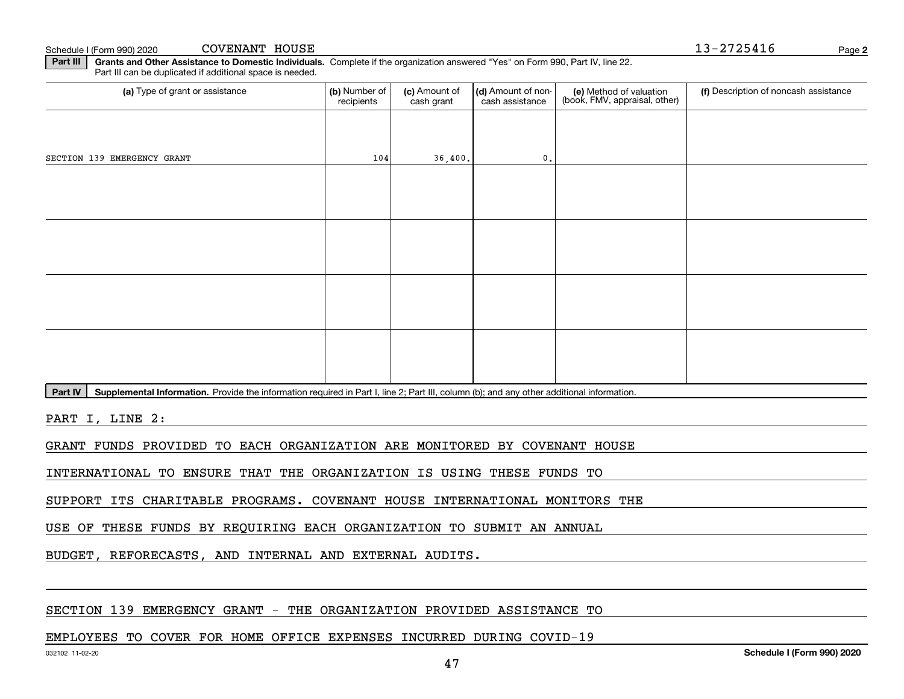Schedule I (Form 990) 2020 COVENANT HOUSE Note that the state of the state of the state of the state of the state of the state of the state of the state of the state of the state of the state of the state of the state COVENANT HOUSE

**Part III** | Grants and Other Assistance to Domestic Individuals. Complete if the organization answered "Yes" on Form 990, Part IV, line 22. Part III can be duplicated if additional space is needed.

| (b) Number of<br>recipients | (c) Amount of<br>cash grant | cash assistance | (e) Method of valuation<br>(book, FMV, appraisal, other) | (f) Description of noncash assistance |
|-----------------------------|-----------------------------|-----------------|----------------------------------------------------------|---------------------------------------|
|                             |                             |                 |                                                          |                                       |
|                             |                             | 0.              |                                                          |                                       |
|                             |                             |                 |                                                          |                                       |
|                             |                             |                 |                                                          |                                       |
|                             |                             |                 |                                                          |                                       |
|                             |                             |                 |                                                          |                                       |
|                             |                             |                 |                                                          |                                       |
|                             |                             |                 |                                                          |                                       |
|                             |                             |                 |                                                          |                                       |
|                             |                             |                 |                                                          |                                       |
|                             |                             | 104             | 36,400.                                                  | (d) Amount of non-                    |

Part IV | Supplemental Information. Provide the information required in Part I, line 2; Part III, column (b); and any other additional information.

PART I, LINE 2:

GRANT FUNDS PROVIDED TO EACH ORGANIZATION ARE MONITORED BY COVENANT HOUSE

INTERNATIONAL TO ENSURE THAT THE ORGANIZATION IS USING THESE FUNDS TO

SUPPORT ITS CHARITABLE PROGRAMS. COVENANT HOUSE INTERNATIONAL MONITORS THE

USE OF THESE FUNDS BY REQUIRING EACH ORGANIZATION TO SUBMIT AN ANNUAL

BUDGET, REFORECASTS, AND INTERNAL AND EXTERNAL AUDITS.

#### SECTION 139 EMERGENCY GRANT - THE ORGANIZATION PROVIDED ASSISTANCE TO

#### EMPLOYEES TO COVER FOR HOME OFFICE EXPENSES INCURRED DURING COVID-19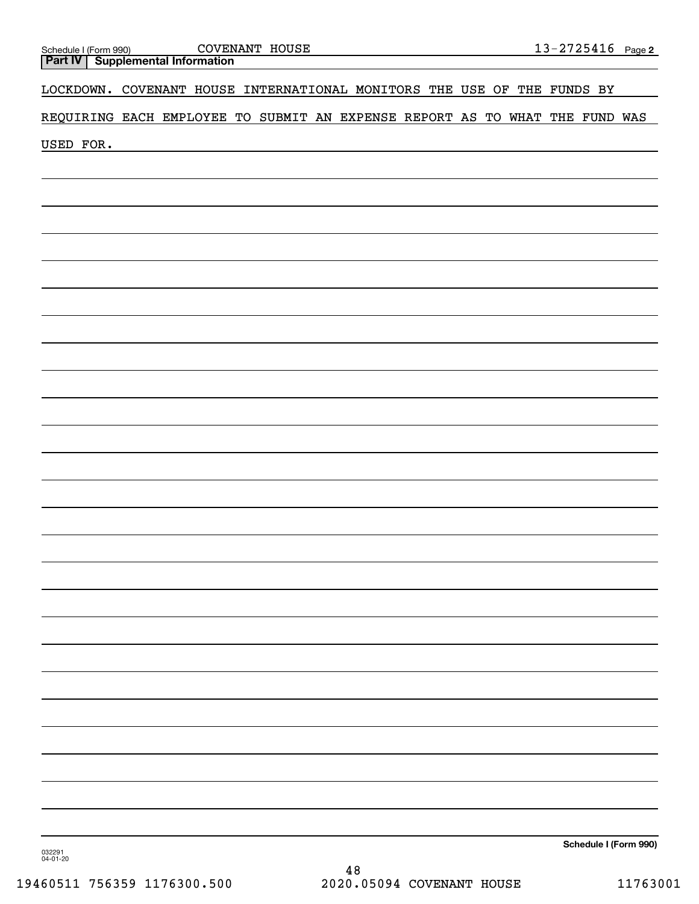|                                                                                 |  |  |  |  |  |  | <u>13-2725416 Page 2</u> |
|---------------------------------------------------------------------------------|--|--|--|--|--|--|--------------------------|
| Schedule I (Form 990) COVENANT HOUSE<br><b>Part IV</b> Supplemental Information |  |  |  |  |  |  |                          |
| LOCKDOWN. COVENANT HOUSE INTERNATIONAL MONITORS THE USE OF THE FUNDS BY         |  |  |  |  |  |  |                          |
| REQUIRING EACH EMPLOYEE TO SUBMIT AN EXPENSE REPORT AS TO WHAT THE FUND WAS     |  |  |  |  |  |  |                          |
| USED FOR.                                                                       |  |  |  |  |  |  |                          |
|                                                                                 |  |  |  |  |  |  |                          |
|                                                                                 |  |  |  |  |  |  |                          |
|                                                                                 |  |  |  |  |  |  |                          |
|                                                                                 |  |  |  |  |  |  |                          |
|                                                                                 |  |  |  |  |  |  |                          |
|                                                                                 |  |  |  |  |  |  |                          |
|                                                                                 |  |  |  |  |  |  |                          |
|                                                                                 |  |  |  |  |  |  |                          |
|                                                                                 |  |  |  |  |  |  |                          |
|                                                                                 |  |  |  |  |  |  |                          |
|                                                                                 |  |  |  |  |  |  |                          |
|                                                                                 |  |  |  |  |  |  |                          |
|                                                                                 |  |  |  |  |  |  |                          |
|                                                                                 |  |  |  |  |  |  |                          |
|                                                                                 |  |  |  |  |  |  |                          |
|                                                                                 |  |  |  |  |  |  |                          |
|                                                                                 |  |  |  |  |  |  |                          |
|                                                                                 |  |  |  |  |  |  |                          |
|                                                                                 |  |  |  |  |  |  |                          |
|                                                                                 |  |  |  |  |  |  |                          |
|                                                                                 |  |  |  |  |  |  |                          |
|                                                                                 |  |  |  |  |  |  |                          |
|                                                                                 |  |  |  |  |  |  |                          |
|                                                                                 |  |  |  |  |  |  |                          |
|                                                                                 |  |  |  |  |  |  |                          |
|                                                                                 |  |  |  |  |  |  | Schedule I (Form 990)    |

032291 04-01-20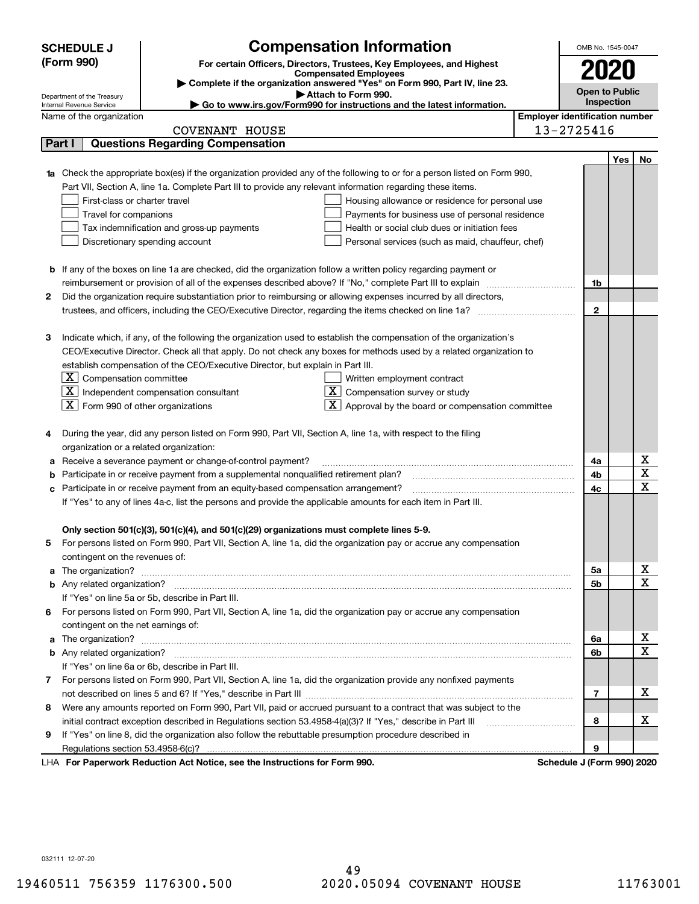|   | <b>SCHEDULE J</b>                                                                                                                                                                                      |                                                                                                                                                  | <b>Compensation Information</b>                                                                                             |  | OMB No. 1545-0047          |     |    |  |
|---|--------------------------------------------------------------------------------------------------------------------------------------------------------------------------------------------------------|--------------------------------------------------------------------------------------------------------------------------------------------------|-----------------------------------------------------------------------------------------------------------------------------|--|----------------------------|-----|----|--|
|   | (Form 990)                                                                                                                                                                                             |                                                                                                                                                  | For certain Officers, Directors, Trustees, Key Employees, and Highest                                                       |  |                            |     |    |  |
|   |                                                                                                                                                                                                        |                                                                                                                                                  | <b>Compensated Employees</b>                                                                                                |  | 2020                       |     |    |  |
|   |                                                                                                                                                                                                        |                                                                                                                                                  | Complete if the organization answered "Yes" on Form 990, Part IV, line 23.<br>Attach to Form 990.                           |  | <b>Open to Public</b>      |     |    |  |
|   | Department of the Treasury<br>Internal Revenue Service                                                                                                                                                 |                                                                                                                                                  | Go to www.irs.gov/Form990 for instructions and the latest information.                                                      |  | Inspection                 |     |    |  |
|   | Name of the organization                                                                                                                                                                               | <b>Employer identification number</b>                                                                                                            |                                                                                                                             |  |                            |     |    |  |
|   |                                                                                                                                                                                                        | <b>COVENANT HOUSE</b>                                                                                                                            |                                                                                                                             |  | 13-2725416                 |     |    |  |
|   | Part I                                                                                                                                                                                                 | <b>Questions Regarding Compensation</b>                                                                                                          |                                                                                                                             |  |                            |     |    |  |
|   |                                                                                                                                                                                                        |                                                                                                                                                  |                                                                                                                             |  |                            | Yes | No |  |
|   |                                                                                                                                                                                                        |                                                                                                                                                  | Check the appropriate box(es) if the organization provided any of the following to or for a person listed on Form 990,      |  |                            |     |    |  |
|   |                                                                                                                                                                                                        |                                                                                                                                                  | Part VII, Section A, line 1a. Complete Part III to provide any relevant information regarding these items.                  |  |                            |     |    |  |
|   | First-class or charter travel                                                                                                                                                                          |                                                                                                                                                  | Housing allowance or residence for personal use                                                                             |  |                            |     |    |  |
|   | Travel for companions                                                                                                                                                                                  |                                                                                                                                                  | Payments for business use of personal residence                                                                             |  |                            |     |    |  |
|   |                                                                                                                                                                                                        | Tax indemnification and gross-up payments                                                                                                        | Health or social club dues or initiation fees                                                                               |  |                            |     |    |  |
|   |                                                                                                                                                                                                        | Discretionary spending account                                                                                                                   | Personal services (such as maid, chauffeur, chef)                                                                           |  |                            |     |    |  |
|   |                                                                                                                                                                                                        |                                                                                                                                                  |                                                                                                                             |  |                            |     |    |  |
|   |                                                                                                                                                                                                        |                                                                                                                                                  | <b>b</b> If any of the boxes on line 1a are checked, did the organization follow a written policy regarding payment or      |  |                            |     |    |  |
|   |                                                                                                                                                                                                        |                                                                                                                                                  | reimbursement or provision of all of the expenses described above? If "No," complete Part III to explain                    |  | 1b                         |     |    |  |
| 2 |                                                                                                                                                                                                        |                                                                                                                                                  | Did the organization require substantiation prior to reimbursing or allowing expenses incurred by all directors,            |  |                            |     |    |  |
|   |                                                                                                                                                                                                        |                                                                                                                                                  |                                                                                                                             |  | $\mathbf{2}$               |     |    |  |
|   |                                                                                                                                                                                                        |                                                                                                                                                  |                                                                                                                             |  |                            |     |    |  |
| 3 |                                                                                                                                                                                                        |                                                                                                                                                  | Indicate which, if any, of the following the organization used to establish the compensation of the organization's          |  |                            |     |    |  |
|   |                                                                                                                                                                                                        |                                                                                                                                                  | CEO/Executive Director. Check all that apply. Do not check any boxes for methods used by a related organization to          |  |                            |     |    |  |
|   |                                                                                                                                                                                                        | establish compensation of the CEO/Executive Director, but explain in Part III.                                                                   |                                                                                                                             |  |                            |     |    |  |
|   | $\lfloor \texttt{X} \rfloor$ Compensation committee                                                                                                                                                    |                                                                                                                                                  | Written employment contract                                                                                                 |  |                            |     |    |  |
|   |                                                                                                                                                                                                        | $\boxed{\textbf{X}}$ Independent compensation consultant                                                                                         | $\overline{\mathbf{X}}$ Compensation survey or study                                                                        |  |                            |     |    |  |
|   | $\boxed{\textbf{X}}$ Form 990 of other organizations                                                                                                                                                   |                                                                                                                                                  | $\boxed{\text{X}}$ Approval by the board or compensation committee                                                          |  |                            |     |    |  |
|   |                                                                                                                                                                                                        |                                                                                                                                                  |                                                                                                                             |  |                            |     |    |  |
| 4 |                                                                                                                                                                                                        |                                                                                                                                                  | During the year, did any person listed on Form 990, Part VII, Section A, line 1a, with respect to the filing                |  |                            |     |    |  |
|   | organization or a related organization:                                                                                                                                                                |                                                                                                                                                  |                                                                                                                             |  |                            |     | х  |  |
| а |                                                                                                                                                                                                        | Receive a severance payment or change-of-control payment?<br>Participate in or receive payment from a supplemental nonqualified retirement plan? |                                                                                                                             |  | 4a<br>4b                   |     | X  |  |
| b |                                                                                                                                                                                                        |                                                                                                                                                  |                                                                                                                             |  | 4c                         |     | X  |  |
|   | Participate in or receive payment from an equity-based compensation arrangement?<br>с<br>If "Yes" to any of lines 4a-c, list the persons and provide the applicable amounts for each item in Part III. |                                                                                                                                                  |                                                                                                                             |  |                            |     |    |  |
|   |                                                                                                                                                                                                        |                                                                                                                                                  |                                                                                                                             |  |                            |     |    |  |
|   |                                                                                                                                                                                                        | Only section 501(c)(3), 501(c)(4), and 501(c)(29) organizations must complete lines 5-9.                                                         |                                                                                                                             |  |                            |     |    |  |
|   |                                                                                                                                                                                                        |                                                                                                                                                  | For persons listed on Form 990, Part VII, Section A, line 1a, did the organization pay or accrue any compensation           |  |                            |     |    |  |
|   | contingent on the revenues of:                                                                                                                                                                         |                                                                                                                                                  |                                                                                                                             |  |                            |     |    |  |
| a |                                                                                                                                                                                                        |                                                                                                                                                  | The organization? <b>With the organization</b> ? <b>With the organization with the organization? With the organization?</b> |  | 5а                         |     | X  |  |
|   |                                                                                                                                                                                                        |                                                                                                                                                  |                                                                                                                             |  | 5b                         |     | X  |  |
|   |                                                                                                                                                                                                        | If "Yes" on line 5a or 5b, describe in Part III.                                                                                                 |                                                                                                                             |  |                            |     |    |  |
|   |                                                                                                                                                                                                        |                                                                                                                                                  | 6 For persons listed on Form 990, Part VII, Section A, line 1a, did the organization pay or accrue any compensation         |  |                            |     |    |  |
|   | contingent on the net earnings of:                                                                                                                                                                     |                                                                                                                                                  |                                                                                                                             |  |                            |     |    |  |
| a |                                                                                                                                                                                                        |                                                                                                                                                  |                                                                                                                             |  | 6а                         |     | x  |  |
|   |                                                                                                                                                                                                        |                                                                                                                                                  |                                                                                                                             |  | 6b                         |     | X  |  |
|   |                                                                                                                                                                                                        | If "Yes" on line 6a or 6b, describe in Part III.                                                                                                 |                                                                                                                             |  |                            |     |    |  |
|   |                                                                                                                                                                                                        |                                                                                                                                                  | 7 For persons listed on Form 990, Part VII, Section A, line 1a, did the organization provide any nonfixed payments          |  |                            |     |    |  |
|   |                                                                                                                                                                                                        |                                                                                                                                                  |                                                                                                                             |  | 7                          |     | x  |  |
|   |                                                                                                                                                                                                        |                                                                                                                                                  | 8 Were any amounts reported on Form 990, Part VII, paid or accrued pursuant to a contract that was subject to the           |  |                            |     |    |  |
|   |                                                                                                                                                                                                        |                                                                                                                                                  | initial contract exception described in Regulations section 53.4958-4(a)(3)? If "Yes," describe in Part III                 |  | 8                          |     | х  |  |
| 9 |                                                                                                                                                                                                        | If "Yes" on line 8, did the organization also follow the rebuttable presumption procedure described in                                           |                                                                                                                             |  |                            |     |    |  |
|   | Regulations section 53.4958-6(c)?                                                                                                                                                                      |                                                                                                                                                  |                                                                                                                             |  | 9                          |     |    |  |
|   |                                                                                                                                                                                                        | LHA For Paperwork Reduction Act Notice, see the Instructions for Form 990.                                                                       |                                                                                                                             |  | Schedule J (Form 990) 2020 |     |    |  |

032111 12-07-20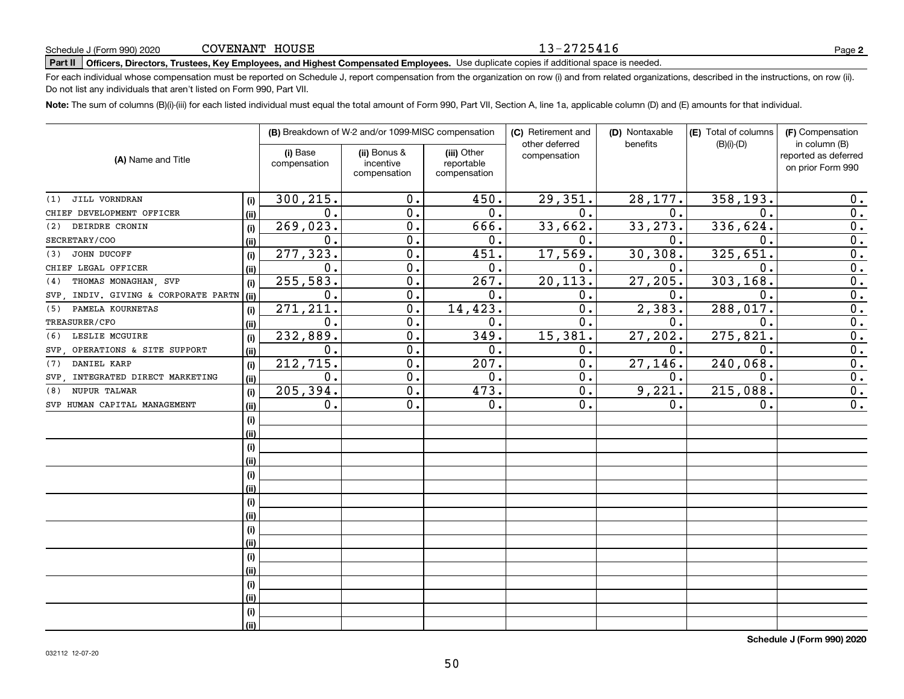#### 13-2725416

**2**

# **Part II Officers, Directors, Trustees, Key Employees, and Highest Compensated Employees.**  Schedule J (Form 990) 2020 Page Use duplicate copies if additional space is needed.

For each individual whose compensation must be reported on Schedule J, report compensation from the organization on row (i) and from related organizations, described in the instructions, on row (ii). Do not list any individuals that aren't listed on Form 990, Part VII.

**Note:**  The sum of columns (B)(i)-(iii) for each listed individual must equal the total amount of Form 990, Part VII, Section A, line 1a, applicable column (D) and (E) amounts for that individual.

|                                      |      |                          | (B) Breakdown of W-2 and/or 1099-MISC compensation |                                           | (C) Retirement and             | (D) Nontaxable | (E) Total of columns | (F) Compensation                                           |  |  |
|--------------------------------------|------|--------------------------|----------------------------------------------------|-------------------------------------------|--------------------------------|----------------|----------------------|------------------------------------------------------------|--|--|
| (A) Name and Title                   |      | (i) Base<br>compensation | (ii) Bonus &<br>incentive<br>compensation          | (iii) Other<br>reportable<br>compensation | other deferred<br>compensation | benefits       | $(B)(i)-(D)$         | in column (B)<br>reported as deferred<br>on prior Form 990 |  |  |
|                                      |      |                          |                                                    |                                           |                                |                |                      |                                                            |  |  |
| JILL VORNDRAN<br>(1)                 | (i)  | 300,215.                 | 0.                                                 | 450.                                      | 29,351.                        | 28,177.        | 358,193.             | 0.                                                         |  |  |
| CHIEF DEVELOPMENT OFFICER            | (ii) | $\mathbf 0$ .            | $0$ .                                              | 0.                                        | 0.                             | $\mathbf 0$ .  | $\Omega$ .           | 0.                                                         |  |  |
| DEIRDRE CRONIN<br>(2)                | (i)  | 269,023.                 | 0.                                                 | 666.                                      | 33,662.                        | 33, 273.       | 336,624.             | 0.                                                         |  |  |
| SECRETARY/COO                        | (ii) | $\mathbf{0}$ .           | $\overline{0}$ .                                   | 0.                                        | 0.                             | $\mathbf 0$ .  | $\mathbf 0$ .        | $\overline{0}$ .                                           |  |  |
| JOHN DUCOFF<br>(3)                   | (i)  | 277,323.                 | $\overline{0}$ .                                   | 451.                                      | 17,569.                        | 30, 308.       | 325,651.             | $\overline{0}$ .                                           |  |  |
| CHIEF LEGAL OFFICER                  | (ii) | 0.                       | $\overline{0}$ .                                   | 0.                                        | 0.                             | $\mathbf 0$ .  | $\mathbf 0$ .        | $\overline{0}$ .                                           |  |  |
| THOMAS MONAGHAN, SVP<br>(4)          | (i)  | 255, 583.                | 0.                                                 | 267.                                      | 20, 113.                       | 27,205.        | 303, 168.            | $\overline{0}$ .                                           |  |  |
| SVP, INDIV. GIVING & CORPORATE PARTN | (ii) | 0.                       | $0$ .                                              | 0.                                        | 0.                             | $\mathbf 0$ .  | 0.                   | $\overline{0}$ .                                           |  |  |
| PAMELA KOURNETAS<br>(5)              | (i)  | 271, 211.                | 0.                                                 | 14,423.                                   | $\mathbf 0$ .                  | 2,383.         | 288, 017.            | $\overline{0}$ .                                           |  |  |
| TREASURER/CFO                        | (i)  | $\mathbf 0$ .            | 0.                                                 | 0.                                        | $\mathbf{0}$ .                 | 0.             | $\mathbf 0$ .        | 0.                                                         |  |  |
| LESLIE MCGUIRE<br>(6)                | (i)  | 232,889.                 | $\overline{0}$ .                                   | 349.                                      | 15,381.                        | 27, 202.       | 275,821              | $\overline{0}$ .                                           |  |  |
| SVP, OPERATIONS & SITE SUPPORT       | (ii) | 0.                       | $\overline{0}$ .                                   | 0.                                        | 0.                             | 0.             | $\mathbf 0$ .        | $\overline{0}$ .                                           |  |  |
| DANIEL KARP<br>(7)                   | (i)  | 212,715.                 | 0.                                                 | 207.                                      | 0.                             | 27, 146.       | 240,068.             | $\overline{0}$ .                                           |  |  |
| SVP, INTEGRATED DIRECT MARKETING     | (ii) | 0.                       | 0.                                                 | $0$ .                                     | 0.                             | 0.             | $\mathbf 0$ .        | 0.                                                         |  |  |
| NUPUR TALWAR<br>(8)                  | (i)  | 205,394.                 | 0.                                                 | 473.                                      | 0.                             | 9,221.         | 215,088.             | 0.                                                         |  |  |
| SVP HUMAN CAPITAL MANAGEMENT         | (ii) | 0.                       | 0.                                                 | 0.                                        | 0.                             | 0.             | $\mathbf 0$ .        | 0.                                                         |  |  |
|                                      | (i)  |                          |                                                    |                                           |                                |                |                      |                                                            |  |  |
|                                      | (ii) |                          |                                                    |                                           |                                |                |                      |                                                            |  |  |
|                                      | (i)  |                          |                                                    |                                           |                                |                |                      |                                                            |  |  |
|                                      | (ii) |                          |                                                    |                                           |                                |                |                      |                                                            |  |  |
|                                      | (i)  |                          |                                                    |                                           |                                |                |                      |                                                            |  |  |
|                                      | (i)  |                          |                                                    |                                           |                                |                |                      |                                                            |  |  |
|                                      | (i)  |                          |                                                    |                                           |                                |                |                      |                                                            |  |  |
|                                      | (i)  |                          |                                                    |                                           |                                |                |                      |                                                            |  |  |
|                                      | (i)  |                          |                                                    |                                           |                                |                |                      |                                                            |  |  |
|                                      | (ii) |                          |                                                    |                                           |                                |                |                      |                                                            |  |  |
|                                      | (i)  |                          |                                                    |                                           |                                |                |                      |                                                            |  |  |
|                                      | (ii) |                          |                                                    |                                           |                                |                |                      |                                                            |  |  |
|                                      | (i)  |                          |                                                    |                                           |                                |                |                      |                                                            |  |  |
|                                      | (ii) |                          |                                                    |                                           |                                |                |                      |                                                            |  |  |
|                                      | (i)  |                          |                                                    |                                           |                                |                |                      |                                                            |  |  |
|                                      | (ii) |                          |                                                    |                                           |                                |                |                      |                                                            |  |  |

**Schedule J (Form 990) 2020**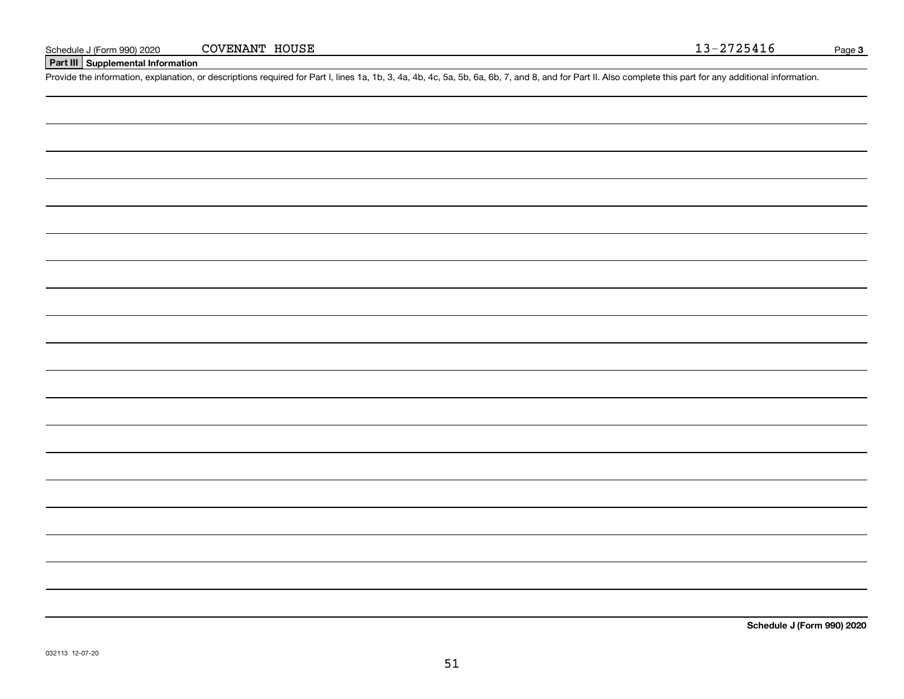### **Part III Supplemental Information**

Schedule J (Form 990) 2020 COVENANT HOUSE 13-2725416<br>Part III Supplemental Information<br>Provide the information, explanation, or descriptions required for Part I, lines 1a, 1b, 3, 4a, 4b, 4c, 5a, 5b, 6a, 6b, 7, and 8, and f

**Schedule J (Form 990) 2020**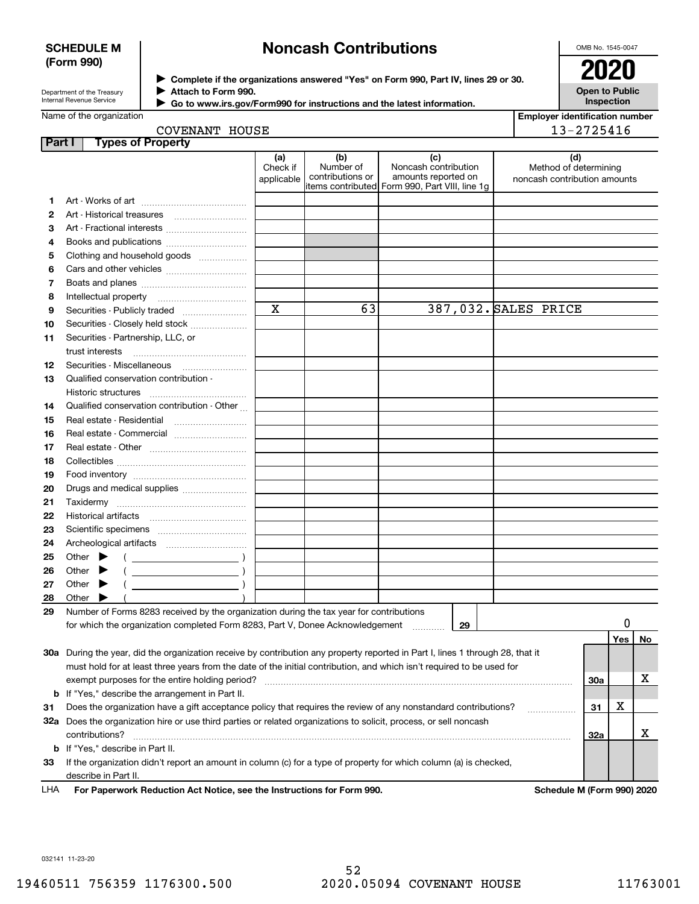### **SCHEDULE M (Form 990)**

# **Noncash Contributions**

OMB No. 1545-0047

Department of the Treasury Internal Revenue Service

L

**Complete if the organizations answered "Yes" on Form 990, Part IV, lines 29 or 30.** <sup>J</sup>**2020 Attach to Form 990.**  $\blacktriangleright$ 

**Open to Public Inspection**

| Go to www.irs.gov/Form990 for instructions and the latest information. |
|------------------------------------------------------------------------|
| Allauli lu Fuilli 990.                                                 |

| <b>Employer identification number</b> |
|---------------------------------------|
|                                       |
| 13-2725416                            |

| COVENANT HOUSE |  |
|----------------|--|
|                |  |
|                |  |

| Part I |                                                                                                                      |                                         | <b>Types of Property</b>                                                                                                                                                                                                        |                               |                                      |                                                                                                      |    |                                                              |     |     |    |
|--------|----------------------------------------------------------------------------------------------------------------------|-----------------------------------------|---------------------------------------------------------------------------------------------------------------------------------------------------------------------------------------------------------------------------------|-------------------------------|--------------------------------------|------------------------------------------------------------------------------------------------------|----|--------------------------------------------------------------|-----|-----|----|
|        |                                                                                                                      |                                         |                                                                                                                                                                                                                                 | (a)<br>Check if<br>applicable | (b)<br>Number of<br>contributions or | (c)<br>Noncash contribution<br>amounts reported on<br>items contributed Form 990, Part VIII, line 1g |    | (d)<br>Method of determining<br>noncash contribution amounts |     |     |    |
| 1      |                                                                                                                      |                                         |                                                                                                                                                                                                                                 |                               |                                      |                                                                                                      |    |                                                              |     |     |    |
| 2      |                                                                                                                      |                                         |                                                                                                                                                                                                                                 |                               |                                      |                                                                                                      |    |                                                              |     |     |    |
| 3      |                                                                                                                      |                                         | Art - Fractional interests                                                                                                                                                                                                      |                               |                                      |                                                                                                      |    |                                                              |     |     |    |
| 4      |                                                                                                                      |                                         | Books and publications                                                                                                                                                                                                          |                               |                                      |                                                                                                      |    |                                                              |     |     |    |
| 5      |                                                                                                                      |                                         | Clothing and household goods                                                                                                                                                                                                    |                               |                                      |                                                                                                      |    |                                                              |     |     |    |
| 6      |                                                                                                                      |                                         |                                                                                                                                                                                                                                 |                               |                                      |                                                                                                      |    |                                                              |     |     |    |
| 7      |                                                                                                                      |                                         |                                                                                                                                                                                                                                 |                               |                                      |                                                                                                      |    |                                                              |     |     |    |
| 8      |                                                                                                                      |                                         |                                                                                                                                                                                                                                 |                               |                                      |                                                                                                      |    |                                                              |     |     |    |
| 9      |                                                                                                                      |                                         |                                                                                                                                                                                                                                 | $\mathbf x$                   | 63                                   |                                                                                                      |    | 387,032. SALES PRICE                                         |     |     |    |
| 10     |                                                                                                                      |                                         | Securities - Closely held stock                                                                                                                                                                                                 |                               |                                      |                                                                                                      |    |                                                              |     |     |    |
| 11     |                                                                                                                      |                                         | Securities - Partnership, LLC, or                                                                                                                                                                                               |                               |                                      |                                                                                                      |    |                                                              |     |     |    |
|        |                                                                                                                      | trust interests                         |                                                                                                                                                                                                                                 |                               |                                      |                                                                                                      |    |                                                              |     |     |    |
| 12     |                                                                                                                      |                                         |                                                                                                                                                                                                                                 |                               |                                      |                                                                                                      |    |                                                              |     |     |    |
| 13     |                                                                                                                      | Historic structures                     | Qualified conservation contribution -                                                                                                                                                                                           |                               |                                      |                                                                                                      |    |                                                              |     |     |    |
| 14     |                                                                                                                      |                                         | Qualified conservation contribution - Other                                                                                                                                                                                     |                               |                                      |                                                                                                      |    |                                                              |     |     |    |
| 15     |                                                                                                                      |                                         |                                                                                                                                                                                                                                 |                               |                                      |                                                                                                      |    |                                                              |     |     |    |
| 16     | Real estate - Commercial                                                                                             |                                         |                                                                                                                                                                                                                                 |                               |                                      |                                                                                                      |    |                                                              |     |     |    |
| 17     |                                                                                                                      |                                         |                                                                                                                                                                                                                                 |                               |                                      |                                                                                                      |    |                                                              |     |     |    |
| 18     |                                                                                                                      |                                         |                                                                                                                                                                                                                                 |                               |                                      |                                                                                                      |    |                                                              |     |     |    |
| 19     |                                                                                                                      |                                         |                                                                                                                                                                                                                                 |                               |                                      |                                                                                                      |    |                                                              |     |     |    |
| 20     |                                                                                                                      |                                         | Drugs and medical supplies                                                                                                                                                                                                      |                               |                                      |                                                                                                      |    |                                                              |     |     |    |
| 21     |                                                                                                                      |                                         |                                                                                                                                                                                                                                 |                               |                                      |                                                                                                      |    |                                                              |     |     |    |
| 22     |                                                                                                                      |                                         |                                                                                                                                                                                                                                 |                               |                                      |                                                                                                      |    |                                                              |     |     |    |
| 23     |                                                                                                                      |                                         |                                                                                                                                                                                                                                 |                               |                                      |                                                                                                      |    |                                                              |     |     |    |
| 24     |                                                                                                                      |                                         |                                                                                                                                                                                                                                 |                               |                                      |                                                                                                      |    |                                                              |     |     |    |
| 25     |                                                                                                                      | Other                                   | и против се природни представи на селото на селото на селото на селото на селото на селото на селото на селото<br>Селото на селото на селото на селото на селото на селото на селото на селото на селото на селото на селото на |                               |                                      |                                                                                                      |    |                                                              |     |     |    |
| 26     |                                                                                                                      | Other                                   |                                                                                                                                                                                                                                 |                               |                                      |                                                                                                      |    |                                                              |     |     |    |
| 27     |                                                                                                                      | Other                                   |                                                                                                                                                                                                                                 |                               |                                      |                                                                                                      |    |                                                              |     |     |    |
| 28     |                                                                                                                      | Other                                   |                                                                                                                                                                                                                                 |                               |                                      |                                                                                                      |    |                                                              |     |     |    |
| 29     |                                                                                                                      |                                         | Number of Forms 8283 received by the organization during the tax year for contributions                                                                                                                                         |                               |                                      |                                                                                                      |    |                                                              |     |     |    |
|        |                                                                                                                      |                                         | for which the organization completed Form 8283, Part V, Donee Acknowledgement                                                                                                                                                   |                               |                                      |                                                                                                      | 29 |                                                              |     | 0   |    |
|        |                                                                                                                      |                                         |                                                                                                                                                                                                                                 |                               |                                      |                                                                                                      |    |                                                              |     | Yes | No |
|        |                                                                                                                      |                                         | 30a During the year, did the organization receive by contribution any property reported in Part I, lines 1 through 28, that it                                                                                                  |                               |                                      |                                                                                                      |    |                                                              |     |     |    |
|        |                                                                                                                      |                                         | must hold for at least three years from the date of the initial contribution, and which isn't required to be used for                                                                                                           |                               |                                      |                                                                                                      |    |                                                              |     |     |    |
|        | exempt purposes for the entire holding period?                                                                       |                                         |                                                                                                                                                                                                                                 |                               |                                      |                                                                                                      |    |                                                              | 30a |     | х  |
|        | <b>b</b> If "Yes," describe the arrangement in Part II.                                                              |                                         |                                                                                                                                                                                                                                 |                               |                                      |                                                                                                      |    |                                                              |     |     |    |
| 31     | Does the organization have a gift acceptance policy that requires the review of any nonstandard contributions?<br>31 |                                         |                                                                                                                                                                                                                                 |                               |                                      |                                                                                                      |    | х                                                            |     |     |    |
|        | 32a Does the organization hire or use third parties or related organizations to solicit, process, or sell noncash    |                                         |                                                                                                                                                                                                                                 |                               |                                      |                                                                                                      |    |                                                              |     |     |    |
|        |                                                                                                                      | contributions?                          |                                                                                                                                                                                                                                 |                               |                                      |                                                                                                      |    |                                                              | 32a |     | х  |
|        |                                                                                                                      | <b>b</b> If "Yes," describe in Part II. |                                                                                                                                                                                                                                 |                               |                                      |                                                                                                      |    |                                                              |     |     |    |
| 33     |                                                                                                                      |                                         | If the organization didn't report an amount in column (c) for a type of property for which column (a) is checked,                                                                                                               |                               |                                      |                                                                                                      |    |                                                              |     |     |    |
|        |                                                                                                                      | describe in Part II.                    |                                                                                                                                                                                                                                 |                               |                                      |                                                                                                      |    |                                                              |     |     |    |

For Paperwork Reduction Act Notice, see the Instructions for Form 990. **Schedule M (Form 990) 2020** LHA

032141 11-23-20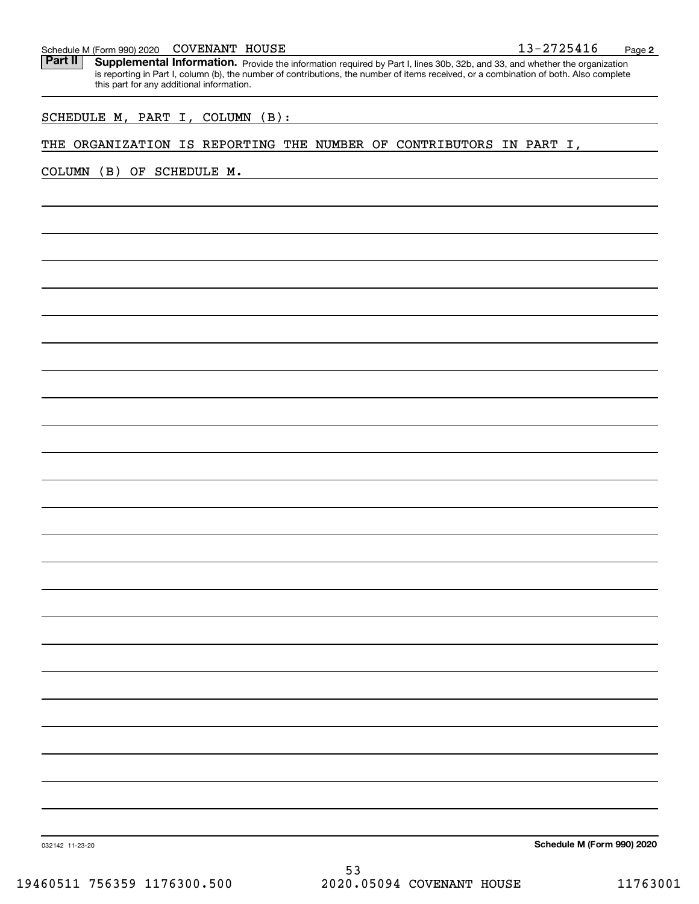#### COVENANT HOUSE

Schedule M (Form 990) 2020 COVENANT HOUSE<br>**Part II** Supplemental Information. Provide the information required by Part I. lines 30b. 32b. and 33. and whether the organ Part II | Supplemental Information. Provide the information required by Part I, lines 30b, 32b, and 33, and whether the organization is reporting in Part I, column (b), the number of contributions, the number of items received, or a combination of both. Also complete this part for any additional information.

### SCHEDULE M, PART I, COLUMN (B):

#### THE ORGANIZATION IS REPORTING THE NUMBER OF CONTRIBUTORS IN PART I,

COLUMN (B) OF SCHEDULE M.

**Schedule M (Form 990) 2020**

032142 11-23-20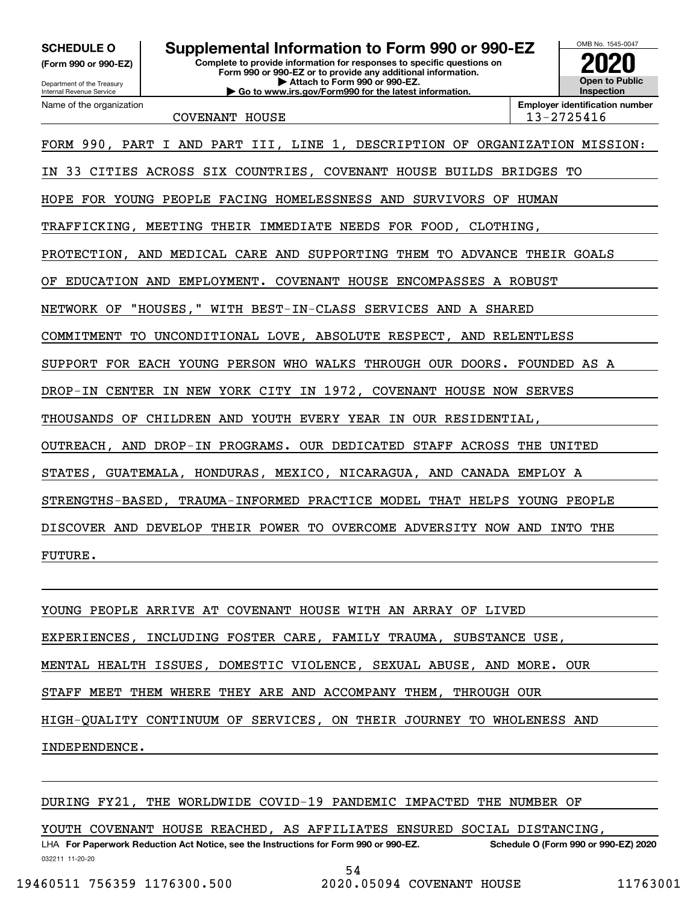**(Form 990 or 990-EZ)**

Department of the Treasury Internal Revenue Service Name of the organization

#### **Complete to provide information for responses to specific questions on Form 990 or 990-EZ or to provide any additional information. SCHEDULE O Supplemental Information to Form 990 or 990-EZ**

**| Attach to Form 990 or 990-EZ. | Go to www.irs.gov/Form990 for the latest information.**



COVENANT HOUSE 13-2725416

**Employer identification number**

FORM 990, PART I AND PART III, LINE 1, DESCRIPTION OF ORGANIZATION MISSION: IN 33 CITIES ACROSS SIX COUNTRIES, COVENANT HOUSE BUILDS BRIDGES TO HOPE FOR YOUNG PEOPLE FACING HOMELESSNESS AND SURVIVORS OF HUMAN TRAFFICKING, MEETING THEIR IMMEDIATE NEEDS FOR FOOD, CLOTHING, PROTECTION, AND MEDICAL CARE AND SUPPORTING THEM TO ADVANCE THEIR GOALS OF EDUCATION AND EMPLOYMENT. COVENANT HOUSE ENCOMPASSES A ROBUST NETWORK OF "HOUSES," WITH BEST-IN-CLASS SERVICES AND A SHARED COMMITMENT TO UNCONDITIONAL LOVE, ABSOLUTE RESPECT, AND RELENTLESS SUPPORT FOR EACH YOUNG PERSON WHO WALKS THROUGH OUR DOORS. FOUNDED AS A DROP-IN CENTER IN NEW YORK CITY IN 1972, COVENANT HOUSE NOW SERVES THOUSANDS OF CHILDREN AND YOUTH EVERY YEAR IN OUR RESIDENTIAL, OUTREACH, AND DROP-IN PROGRAMS. OUR DEDICATED STAFF ACROSS THE UNITED STATES, GUATEMALA, HONDURAS, MEXICO, NICARAGUA, AND CANADA EMPLOY A STRENGTHS-BASED, TRAUMA-INFORMED PRACTICE MODEL THAT HELPS YOUNG PEOPLE DISCOVER AND DEVELOP THEIR POWER TO OVERCOME ADVERSITY NOW AND INTO THE FUTURE.

YOUNG PEOPLE ARRIVE AT COVENANT HOUSE WITH AN ARRAY OF LIVED EXPERIENCES, INCLUDING FOSTER CARE, FAMILY TRAUMA, SUBSTANCE USE, MENTAL HEALTH ISSUES, DOMESTIC VIOLENCE, SEXUAL ABUSE, AND MORE. OUR STAFF MEET THEM WHERE THEY ARE AND ACCOMPANY THEM, THROUGH OUR HIGH-QUALITY CONTINUUM OF SERVICES, ON THEIR JOURNEY TO WHOLENESS AND INDEPENDENCE.

### DURING FY21, THE WORLDWIDE COVID-19 PANDEMIC IMPACTED THE NUMBER OF

YOUTH COVENANT HOUSE REACHED, AS AFFILIATES ENSURED SOCIAL DISTANCING,

032211 11-20-20 LHA For Paperwork Reduction Act Notice, see the Instructions for Form 990 or 990-EZ. Schedule O (Form 990 or 990-EZ) 2020 54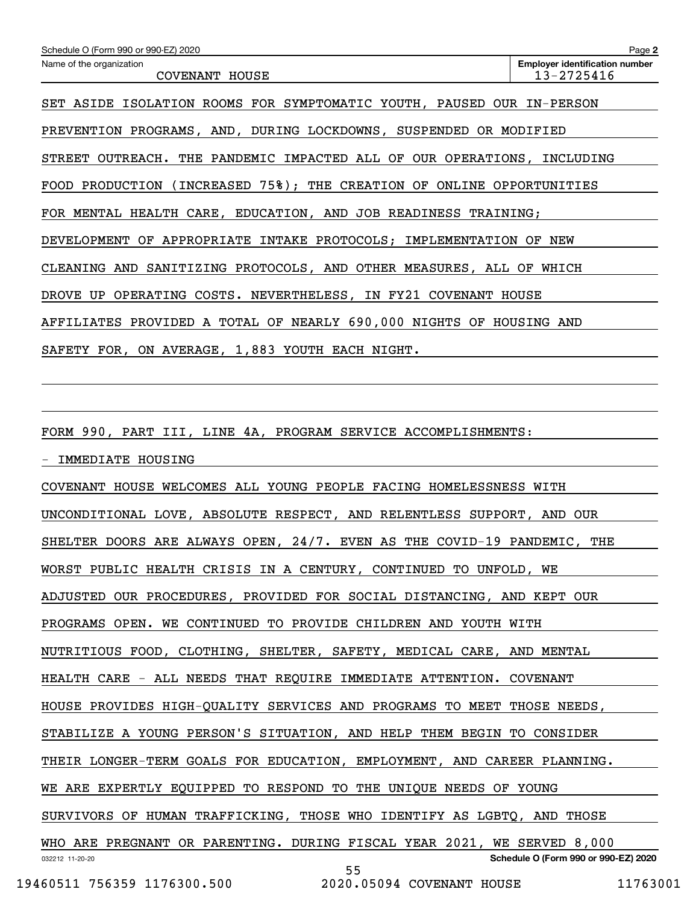| Schedule O (Form 990 or 990-EZ) 2020                                              | Page 2                                              |
|-----------------------------------------------------------------------------------|-----------------------------------------------------|
| Name of the organization<br>COVENANT HOUSE                                        | <b>Employer identification number</b><br>13-2725416 |
| SET ASIDE ISOLATION ROOMS FOR SYMPTOMATIC YOUTH, PAUSED OUR IN-PERSON             |                                                     |
| PREVENTION PROGRAMS, AND, DURING LOCKDOWNS, SUSPENDED OR MODIFIED                 |                                                     |
| STREET OUTREACH. THE PANDEMIC IMPACTED ALL OF OUR OPERATIONS, INCLUDING           |                                                     |
| FOOD PRODUCTION (INCREASED 75%); THE CREATION OF ONLINE OPPORTUNITIES             |                                                     |
| FOR MENTAL HEALTH CARE, EDUCATION, AND JOB READINESS TRAINING;                    |                                                     |
| DEVELOPMENT OF APPROPRIATE INTAKE PROTOCOLS; IMPLEMENTATION OF NEW                |                                                     |
| CLEANING AND SANITIZING PROTOCOLS, AND OTHER MEASURES, ALL OF WHICH               |                                                     |
| DROVE UP OPERATING COSTS. NEVERTHELESS, IN FY21 COVENANT HOUSE                    |                                                     |
| AFFILIATES PROVIDED A TOTAL OF NEARLY 690,000 NIGHTS OF HOUSING AND               |                                                     |
| SAFETY FOR, ON AVERAGE, 1,883 YOUTH EACH NIGHT.                                   |                                                     |
|                                                                                   |                                                     |
|                                                                                   |                                                     |
| FORM 990, PART III, LINE 4A, PROGRAM SERVICE ACCOMPLISHMENTS:                     |                                                     |
| IMMEDIATE HOUSING                                                                 |                                                     |
| COVENANT HOUSE WELCOMES ALL YOUNG PEOPLE FACING HOMELESSNESS WITH                 |                                                     |
| UNCONDITIONAL LOVE, ABSOLUTE RESPECT, AND RELENTLESS SUPPORT, AND OUR             |                                                     |
| SHELTER DOORS ARE ALWAYS OPEN, 24/7. EVEN AS THE COVID-19 PANDEMIC, THE           |                                                     |
| WORST PUBLIC HEALTH CRISIS IN A CENTURY, CONTINUED TO UNFOLD, WE                  |                                                     |
| ADJUSTED OUR PROCEDURES, PROVIDED FOR SOCIAL DISTANCING, AND KEPT OUR             |                                                     |
| PROGRAMS OPEN. WE CONTINUED TO PROVIDE CHILDREN AND YOUTH WITH                    |                                                     |
| NUTRITIOUS FOOD, CLOTHING, SHELTER, SAFETY, MEDICAL CARE, AND MENTAL              |                                                     |
| HEALTH CARE - ALL NEEDS THAT REQUIRE IMMEDIATE ATTENTION. COVENANT                |                                                     |
| HOUSE PROVIDES HIGH-QUALITY SERVICES AND PROGRAMS TO MEET THOSE NEEDS,            |                                                     |
| STABILIZE A YOUNG PERSON'S SITUATION, AND HELP THEM BEGIN TO CONSIDER             |                                                     |
| THEIR LONGER-TERM GOALS FOR EDUCATION, EMPLOYMENT, AND CAREER PLANNING.           |                                                     |
| WE ARE EXPERTLY EQUIPPED TO RESPOND TO THE UNIQUE NEEDS OF YOUNG                  |                                                     |
| SURVIVORS OF HUMAN TRAFFICKING, THOSE WHO IDENTIFY AS LGBTQ, AND THOSE            |                                                     |
| WHO ARE PREGNANT OR PARENTING. DURING FISCAL YEAR 2021, WE SERVED 8,000           |                                                     |
| 032212 11-20-20<br>55<br>19460511 756359 1176300.500<br>2020.05094 COVENANT HOUSE | Schedule O (Form 990 or 990-EZ) 2020<br>11763001    |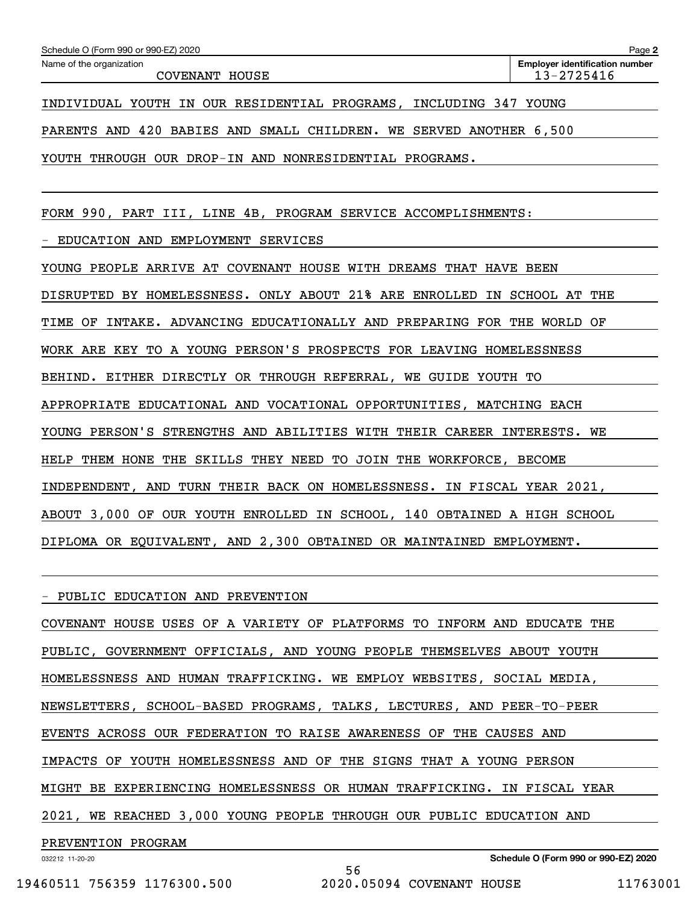| Schedule O (Form 990 or 990-EZ) 2020                                 | Page 2                                |
|----------------------------------------------------------------------|---------------------------------------|
| Name of the organization                                             | <b>Employer identification number</b> |
| COVENANT HOUSE                                                       | 13-2725416                            |
|                                                                      |                                       |
| INCLUDING 347 YOUNG<br>INDIVIDUAL YOUTH IN OUR RESIDENTIAL PROGRAMS, |                                       |
|                                                                      |                                       |

PARENTS AND 420 BABIES AND SMALL CHILDREN. WE SERVED ANOTHER 6,500

YOUTH THROUGH OUR DROP-IN AND NONRESIDENTIAL PROGRAMS.

FORM 990, PART III, LINE 4B, PROGRAM SERVICE ACCOMPLISHMENTS:

- EDUCATION AND EMPLOYMENT SERVICES

YOUNG PEOPLE ARRIVE AT COVENANT HOUSE WITH DREAMS THAT HAVE BEEN DISRUPTED BY HOMELESSNESS. ONLY ABOUT 21% ARE ENROLLED IN SCHOOL AT THE TIME OF INTAKE. ADVANCING EDUCATIONALLY AND PREPARING FOR THE WORLD OF WORK ARE KEY TO A YOUNG PERSON'S PROSPECTS FOR LEAVING HOMELESSNESS BEHIND. EITHER DIRECTLY OR THROUGH REFERRAL, WE GUIDE YOUTH TO APPROPRIATE EDUCATIONAL AND VOCATIONAL OPPORTUNITIES, MATCHING EACH YOUNG PERSON'S STRENGTHS AND ABILITIES WITH THEIR CAREER INTERESTS. WE HELP THEM HONE THE SKILLS THEY NEED TO JOIN THE WORKFORCE, BECOME INDEPENDENT, AND TURN THEIR BACK ON HOMELESSNESS. IN FISCAL YEAR 2021, ABOUT 3,000 OF OUR YOUTH ENROLLED IN SCHOOL, 140 OBTAINED A HIGH SCHOOL DIPLOMA OR EQUIVALENT, AND 2,300 OBTAINED OR MAINTAINED EMPLOYMENT.

- PUBLIC EDUCATION AND PREVENTION

COVENANT HOUSE USES OF A VARIETY OF PLATFORMS TO INFORM AND EDUCATE THE PUBLIC, GOVERNMENT OFFICIALS, AND YOUNG PEOPLE THEMSELVES ABOUT YOUTH HOMELESSNESS AND HUMAN TRAFFICKING. WE EMPLOY WEBSITES, SOCIAL MEDIA, NEWSLETTERS, SCHOOL-BASED PROGRAMS, TALKS, LECTURES, AND PEER-TO-PEER EVENTS ACROSS OUR FEDERATION TO RAISE AWARENESS OF THE CAUSES AND IMPACTS OF YOUTH HOMELESSNESS AND OF THE SIGNS THAT A YOUNG PERSON MIGHT BE EXPERIENCING HOMELESSNESS OR HUMAN TRAFFICKING. IN FISCAL YEAR 2021, WE REACHED 3,000 YOUNG PEOPLE THROUGH OUR PUBLIC EDUCATION AND PREVENTION PROGRAM

56

032212 11-20-20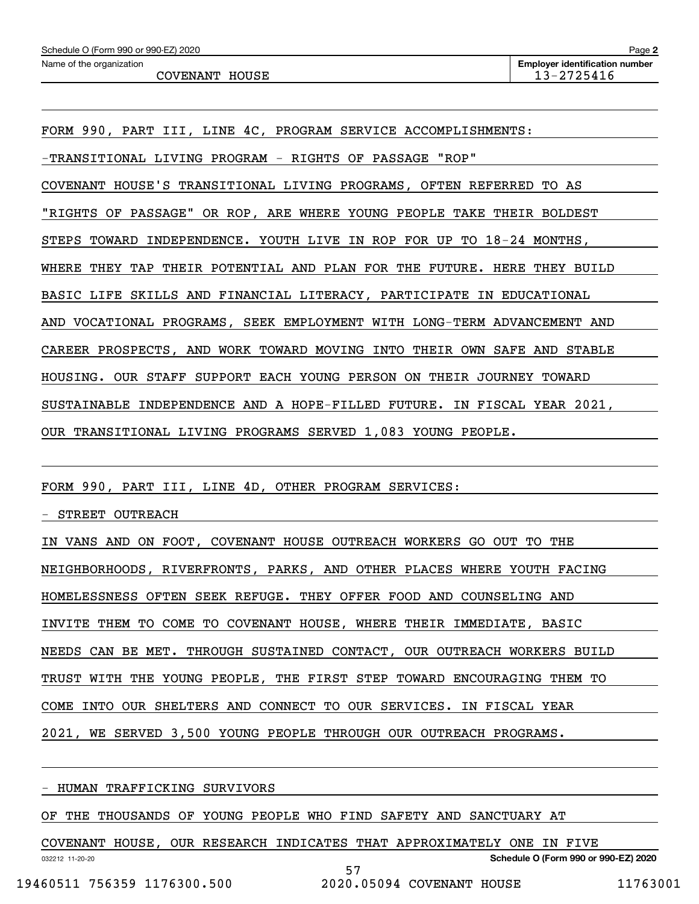COVENANT HOUSE 2725416

FORM 990, PART III, LINE 4C, PROGRAM SERVICE ACCOMPLISHMENTS:

-TRANSITIONAL LIVING PROGRAM - RIGHTS OF PASSAGE "ROP"

COVENANT HOUSE'S TRANSITIONAL LIVING PROGRAMS, OFTEN REFERRED TO AS

"RIGHTS OF PASSAGE" OR ROP, ARE WHERE YOUNG PEOPLE TAKE THEIR BOLDEST

STEPS TOWARD INDEPENDENCE. YOUTH LIVE IN ROP FOR UP TO 18-24 MONTHS,

WHERE THEY TAP THEIR POTENTIAL AND PLAN FOR THE FUTURE. HERE THEY BUILD

BASIC LIFE SKILLS AND FINANCIAL LITERACY, PARTICIPATE IN EDUCATIONAL

AND VOCATIONAL PROGRAMS, SEEK EMPLOYMENT WITH LONG-TERM ADVANCEMENT AND

CAREER PROSPECTS, AND WORK TOWARD MOVING INTO THEIR OWN SAFE AND STABLE

HOUSING. OUR STAFF SUPPORT EACH YOUNG PERSON ON THEIR JOURNEY TOWARD

SUSTAINABLE INDEPENDENCE AND A HOPE-FILLED FUTURE. IN FISCAL YEAR 2021,

OUR TRANSITIONAL LIVING PROGRAMS SERVED 1,083 YOUNG PEOPLE.

FORM 990, PART III, LINE 4D, OTHER PROGRAM SERVICES:

- STREET OUTREACH

IN VANS AND ON FOOT, COVENANT HOUSE OUTREACH WORKERS GO OUT TO THE NEIGHBORHOODS, RIVERFRONTS, PARKS, AND OTHER PLACES WHERE YOUTH FACING HOMELESSNESS OFTEN SEEK REFUGE. THEY OFFER FOOD AND COUNSELING AND INVITE THEM TO COME TO COVENANT HOUSE, WHERE THEIR IMMEDIATE, BASIC NEEDS CAN BE MET. THROUGH SUSTAINED CONTACT, OUR OUTREACH WORKERS BUILD TRUST WITH THE YOUNG PEOPLE, THE FIRST STEP TOWARD ENCOURAGING THEM TO COME INTO OUR SHELTERS AND CONNECT TO OUR SERVICES. IN FISCAL YEAR 2021, WE SERVED 3,500 YOUNG PEOPLE THROUGH OUR OUTREACH PROGRAMS.

- HUMAN TRAFFICKING SURVIVORS

OF THE THOUSANDS OF YOUNG PEOPLE WHO FIND SAFETY AND SANCTUARY AT

COVENANT HOUSE, OUR RESEARCH INDICATES THAT APPROXIMATELY ONE IN FIVE

57

032212 11-20-20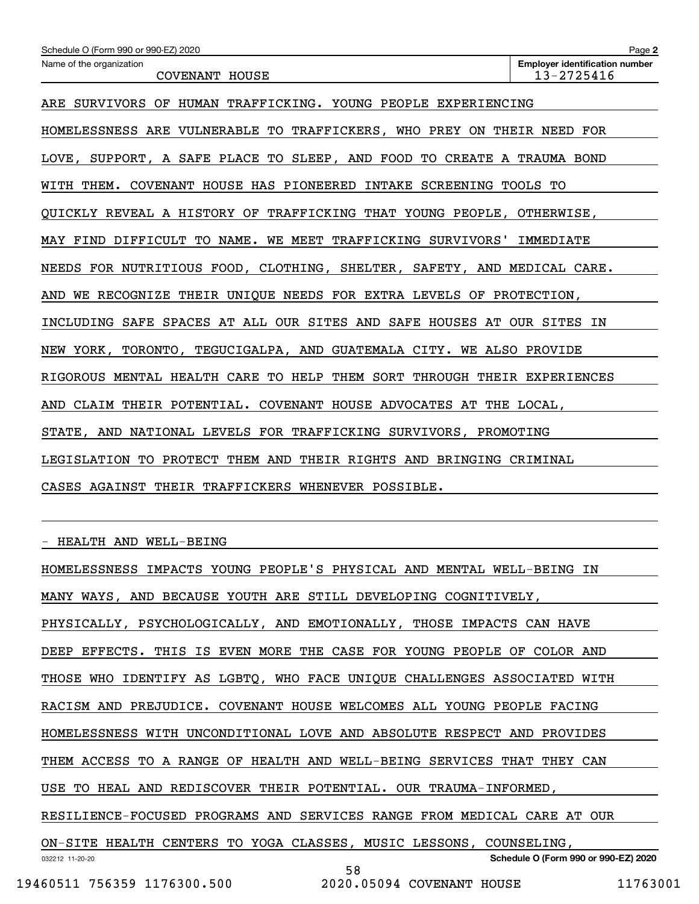| Schedule O (Form 990 or 990-EZ) 2020                                    | Page 2                                              |  |  |  |  |
|-------------------------------------------------------------------------|-----------------------------------------------------|--|--|--|--|
| Name of the organization<br>COVENANT HOUSE                              | <b>Employer identification number</b><br>13-2725416 |  |  |  |  |
| ARE SURVIVORS OF HUMAN TRAFFICKING. YOUNG PEOPLE EXPERIENCING           |                                                     |  |  |  |  |
| HOMELESSNESS ARE VULNERABLE TO TRAFFICKERS, WHO PREY ON THEIR NEED FOR  |                                                     |  |  |  |  |
| LOVE, SUPPORT, A SAFE PLACE TO SLEEP, AND FOOD TO CREATE A TRAUMA BOND  |                                                     |  |  |  |  |
| WITH THEM. COVENANT HOUSE HAS PIONEERED INTAKE SCREENING TOOLS TO       |                                                     |  |  |  |  |
| QUICKLY REVEAL A HISTORY OF TRAFFICKING THAT YOUNG PEOPLE, OTHERWISE,   |                                                     |  |  |  |  |
| MAY FIND DIFFICULT TO NAME. WE MEET TRAFFICKING SURVIVORS'              | IMMEDIATE                                           |  |  |  |  |
| NEEDS FOR NUTRITIOUS FOOD, CLOTHING, SHELTER, SAFETY, AND MEDICAL CARE. |                                                     |  |  |  |  |
| AND WE RECOGNIZE THEIR UNIQUE NEEDS FOR EXTRA LEVELS OF PROTECTION,     |                                                     |  |  |  |  |
| INCLUDING SAFE SPACES AT ALL OUR SITES AND SAFE HOUSES AT OUR SITES IN  |                                                     |  |  |  |  |
| NEW YORK, TORONTO, TEGUCIGALPA, AND GUATEMALA CITY. WE ALSO PROVIDE     |                                                     |  |  |  |  |
| RIGOROUS MENTAL HEALTH CARE TO HELP THEM SORT THROUGH THEIR EXPERIENCES |                                                     |  |  |  |  |
| AND CLAIM THEIR POTENTIAL. COVENANT HOUSE ADVOCATES AT THE LOCAL,       |                                                     |  |  |  |  |
| STATE, AND NATIONAL LEVELS FOR TRAFFICKING SURVIVORS, PROMOTING         |                                                     |  |  |  |  |
| LEGISLATION TO PROTECT THEM AND THEIR RIGHTS AND BRINGING CRIMINAL      |                                                     |  |  |  |  |
| CASES AGAINST THEIR TRAFFICKERS WHENEVER POSSIBLE.                      |                                                     |  |  |  |  |
|                                                                         |                                                     |  |  |  |  |

- HEALTH AND WELL-BEING

032212 11-20-20 **Schedule O (Form 990 or 990-EZ) 2020** HOMELESSNESS IMPACTS YOUNG PEOPLE'S PHYSICAL AND MENTAL WELL-BEING IN MANY WAYS, AND BECAUSE YOUTH ARE STILL DEVELOPING COGNITIVELY, PHYSICALLY, PSYCHOLOGICALLY, AND EMOTIONALLY, THOSE IMPACTS CAN HAVE DEEP EFFECTS. THIS IS EVEN MORE THE CASE FOR YOUNG PEOPLE OF COLOR AND THOSE WHO IDENTIFY AS LGBTQ, WHO FACE UNIQUE CHALLENGES ASSOCIATED WITH RACISM AND PREJUDICE. COVENANT HOUSE WELCOMES ALL YOUNG PEOPLE FACING HOMELESSNESS WITH UNCONDITIONAL LOVE AND ABSOLUTE RESPECT AND PROVIDES THEM ACCESS TO A RANGE OF HEALTH AND WELL-BEING SERVICES THAT THEY CAN USE TO HEAL AND REDISCOVER THEIR POTENTIAL. OUR TRAUMA-INFORMED, RESILIENCE-FOCUSED PROGRAMS AND SERVICES RANGE FROM MEDICAL CARE AT OUR ON-SITE HEALTH CENTERS TO YOGA CLASSES, MUSIC LESSONS, COUNSELING, 58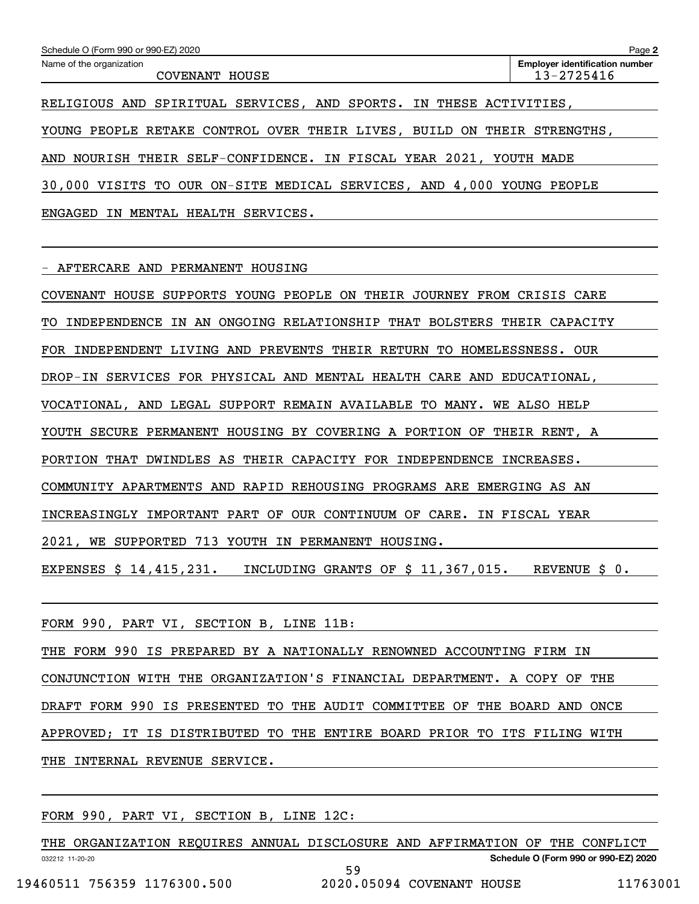| Schedule O (Form 990 or 990-EZ) 2020                                          | Page 2                                              |  |  |  |
|-------------------------------------------------------------------------------|-----------------------------------------------------|--|--|--|
| Name of the organization<br>COVENANT HOUSE                                    | <b>Employer identification number</b><br>13-2725416 |  |  |  |
| RELIGIOUS AND SPIRITUAL SERVICES, AND SPORTS. IN THESE ACTIVITIES,            |                                                     |  |  |  |
| PEOPLE RETAKE CONTROL OVER THEIR LIVES, BUILD ON THEIR<br>STRENGTHS.<br>YOUNG |                                                     |  |  |  |
| NOURISH THEIR SELF-CONFIDENCE. IN FISCAL YEAR 2021, YOUTH MADE<br>AND         |                                                     |  |  |  |
| 30,000 VISITS TO OUR ON-SITE MEDICAL SERVICES, AND 4,000 YOUNG PEOPLE         |                                                     |  |  |  |
| HEALTH<br>ENGAGED<br>MENTAL<br>SERVICES.<br>IN                                |                                                     |  |  |  |

- AFTERCARE AND PERMANENT HOUSING

COVENANT HOUSE SUPPORTS YOUNG PEOPLE ON THEIR JOURNEY FROM CRISIS CARE TO INDEPENDENCE IN AN ONGOING RELATIONSHIP THAT BOLSTERS THEIR CAPACITY FOR INDEPENDENT LIVING AND PREVENTS THEIR RETURN TO HOMELESSNESS. OUR DROP-IN SERVICES FOR PHYSICAL AND MENTAL HEALTH CARE AND EDUCATIONAL, VOCATIONAL, AND LEGAL SUPPORT REMAIN AVAILABLE TO MANY. WE ALSO HELP YOUTH SECURE PERMANENT HOUSING BY COVERING A PORTION OF THEIR RENT, A PORTION THAT DWINDLES AS THEIR CAPACITY FOR INDEPENDENCE INCREASES. COMMUNITY APARTMENTS AND RAPID REHOUSING PROGRAMS ARE EMERGING AS AN INCREASINGLY IMPORTANT PART OF OUR CONTINUUM OF CARE. IN FISCAL YEAR 2021, WE SUPPORTED 713 YOUTH IN PERMANENT HOUSING.

EXPENSES \$ 14,415,231. INCLUDING GRANTS OF \$ 11,367,015. REVENUE \$ 0.

FORM 990, PART VI, SECTION B, LINE 11B:

THE FORM 990 IS PREPARED BY A NATIONALLY RENOWNED ACCOUNTING FIRM IN CONJUNCTION WITH THE ORGANIZATION'S FINANCIAL DEPARTMENT. A COPY OF THE DRAFT FORM 990 IS PRESENTED TO THE AUDIT COMMITTEE OF THE BOARD AND ONCE APPROVED; IT IS DISTRIBUTED TO THE ENTIRE BOARD PRIOR TO ITS FILING WITH THE INTERNAL REVENUE SERVICE.

FORM 990, PART VI, SECTION B, LINE 12C:

032212 11-20-20 **Schedule O (Form 990 or 990-EZ) 2020** THE ORGANIZATION REQUIRES ANNUAL DISCLOSURE AND AFFIRMATION OF THE CONFLICT 59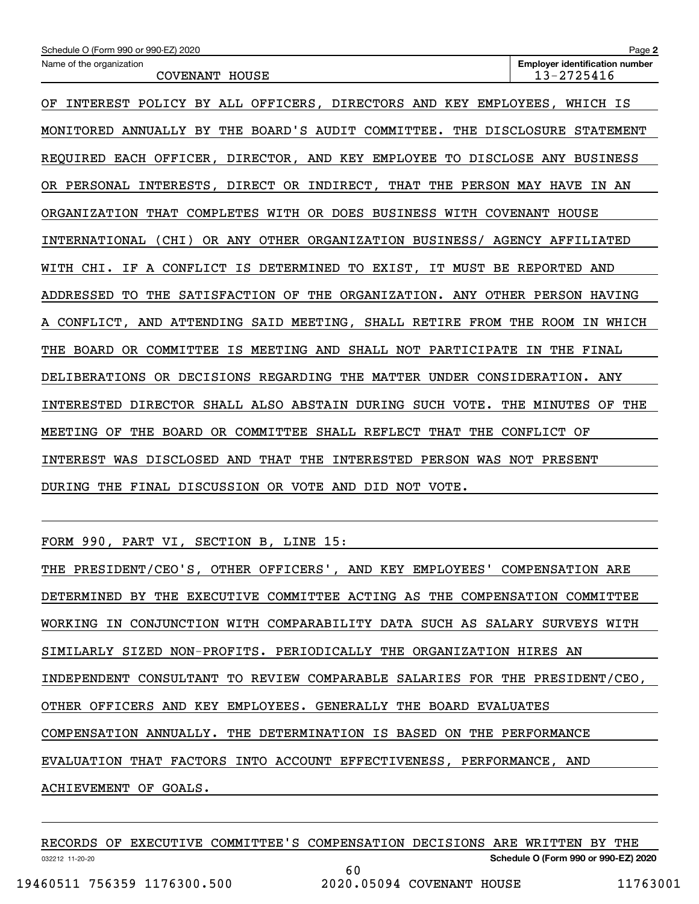| Schedule O (Form 990 or 990-EZ) 2020                                          | Page 2                                              |
|-------------------------------------------------------------------------------|-----------------------------------------------------|
| Name of the organization<br>COVENANT HOUSE                                    | <b>Employer identification number</b><br>13-2725416 |
| INTEREST POLICY BY ALL OFFICERS, DIRECTORS AND KEY EMPLOYEES, WHICH IS<br>OF  |                                                     |
| MONITORED ANNUALLY BY THE BOARD'S AUDIT COMMITTEE. THE DISCLOSURE STATEMENT   |                                                     |
| REQUIRED EACH OFFICER, DIRECTOR, AND KEY EMPLOYEE TO DISCLOSE ANY BUSINESS    |                                                     |
| OR PERSONAL INTERESTS, DIRECT OR INDIRECT, THAT THE PERSON MAY HAVE IN AN     |                                                     |
| ORGANIZATION THAT COMPLETES WITH OR DOES BUSINESS WITH COVENANT HOUSE         |                                                     |
| INTERNATIONAL (CHI)<br>OR ANY OTHER ORGANIZATION BUSINESS/ AGENCY AFFILIATED  |                                                     |
| A CONFLICT IS DETERMINED TO EXIST, IT MUST BE REPORTED AND<br>WITH CHI. IF    |                                                     |
| ADDRESSED TO<br>THE SATISFACTION OF THE ORGANIZATION. ANY OTHER PERSON HAVING |                                                     |
| A CONFLICT, AND ATTENDING SAID MEETING, SHALL RETIRE FROM THE ROOM IN WHICH   |                                                     |
| THE BOARD OR COMMITTEE IS MEETING AND SHALL NOT PARTICIPATE IN THE FINAL      |                                                     |
| DELIBERATIONS OR DECISIONS REGARDING THE MATTER UNDER CONSIDERATION. ANY      |                                                     |
| INTERESTED DIRECTOR SHALL ALSO ABSTAIN DURING SUCH VOTE. THE MINUTES          | THE<br>OF                                           |
| THE BOARD OR COMMITTEE SHALL REFLECT THAT THE CONFLICT OF<br>MEETING OF       |                                                     |
| INTEREST WAS DISCLOSED AND THAT THE INTERESTED PERSON WAS NOT PRESENT         |                                                     |
| DURING THE FINAL DISCUSSION OR VOTE AND DID NOT VOTE.                         |                                                     |

FORM 990, PART VI, SECTION B, LINE 15:

| THE PRESIDENT/CEO'S, OTHER OFFICERS', AND KEY EMPLOYEES' COMPENSATION ARE   |
|-----------------------------------------------------------------------------|
| DETERMINED BY THE EXECUTIVE COMMITTEE ACTING AS THE COMPENSATION COMMITTEE  |
| WORKING IN CONJUNCTION WITH COMPARABILITY DATA SUCH AS SALARY SURVEYS WITH  |
| SIMILARLY SIZED NON-PROFITS. PERIODICALLY THE ORGANIZATION HIRES AN         |
| INDEPENDENT CONSULTANT TO REVIEW COMPARABLE SALARIES FOR THE PRESIDENT/CEO, |
| OTHER OFFICERS AND KEY EMPLOYEES. GENERALLY THE BOARD EVALUATES             |
| COMPENSATION ANNUALLY. THE DETERMINATION IS BASED ON THE PERFORMANCE        |
| EVALUATION THAT FACTORS INTO ACCOUNT EFFECTIVENESS, PERFORMANCE, AND        |
| ACHIEVEMENT OF GOALS.                                                       |
|                                                                             |

|                 |                             | RECORDS OF EXECUTIVE COMMITTEE'S COMPENSATION DECISIONS ARE WRITTEN BY THE |  |                                      |          |
|-----------------|-----------------------------|----------------------------------------------------------------------------|--|--------------------------------------|----------|
| 032212 11-20-20 |                             |                                                                            |  | Schedule O (Form 990 or 990-EZ) 2020 |          |
|                 |                             | 60                                                                         |  |                                      |          |
|                 | 19460511 756359 1176300.500 | 2020.05094 COVENANT HOUSE                                                  |  |                                      | 11763001 |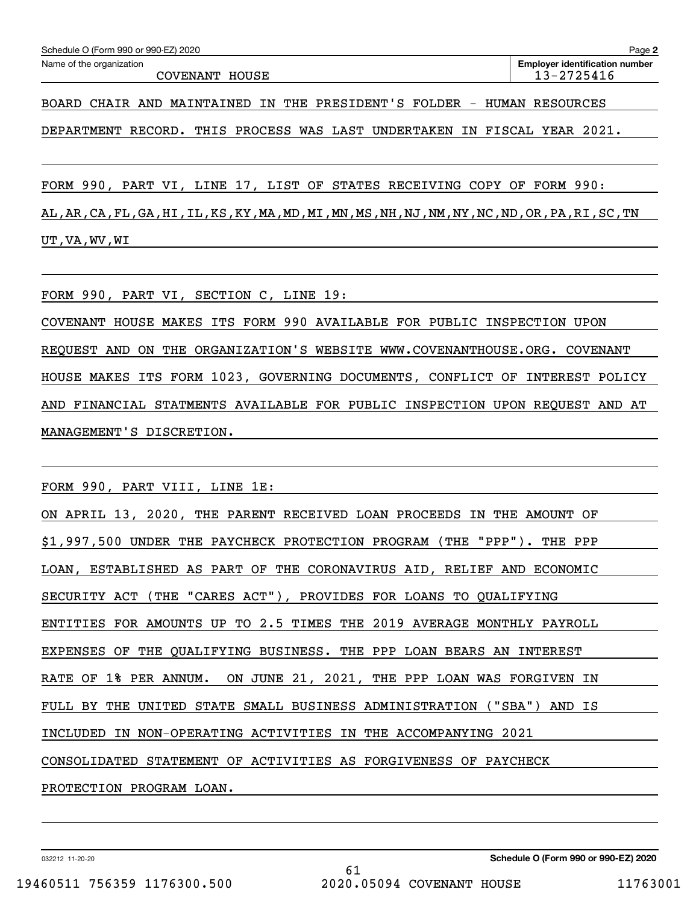| Schedule O (Form 990 or 990-EZ) 2020 | Page 2                                |
|--------------------------------------|---------------------------------------|
| Name of the organization             | <b>Employer identification number</b> |
| COVENANT HOUSE                       | 13-2725416                            |
|                                      |                                       |

BOARD CHAIR AND MAINTAINED IN THE PRESIDENT'S FOLDER - HUMAN RESOURCES

DEPARTMENT RECORD. THIS PROCESS WAS LAST UNDERTAKEN IN FISCAL YEAR 2021.

FORM 990, PART VI, LINE 17, LIST OF STATES RECEIVING COPY OF FORM 990:

AL,AR,CA,FL,GA,HI,IL,KS,KY,MA,MD,MI,MN,MS,NH,NJ,NM,NY,NC,ND,OR,PA,RI,SC,TN UT,VA,WV,WI

FORM 990, PART VI, SECTION C, LINE 19:

COVENANT HOUSE MAKES ITS FORM 990 AVAILABLE FOR PUBLIC INSPECTION UPON REQUEST AND ON THE ORGANIZATION'S WEBSITE WWW.COVENANTHOUSE.ORG. COVENANT HOUSE MAKES ITS FORM 1023, GOVERNING DOCUMENTS, CONFLICT OF INTEREST POLICY AND FINANCIAL STATMENTS AVAILABLE FOR PUBLIC INSPECTION UPON REQUEST AND AT MANAGEMENT'S DISCRETION.

FORM 990, PART VIII, LINE 1E:

| ON APRIL 13, 2020, THE PARENT RECEIVED LOAN PROCEEDS IN THE AMOUNT OF  |
|------------------------------------------------------------------------|
| \$1,997,500 UNDER THE PAYCHECK PROTECTION PROGRAM (THE "PPP"). THE PPP |
| LOAN, ESTABLISHED AS PART OF THE CORONAVIRUS AID, RELIEF AND ECONOMIC  |
| SECURITY ACT (THE "CARES ACT"), PROVIDES FOR LOANS TO QUALIFYING       |
| ENTITIES FOR AMOUNTS UP TO 2.5 TIMES THE 2019 AVERAGE MONTHLY PAYROLL  |
| EXPENSES OF THE QUALIFYING BUSINESS. THE PPP LOAN BEARS AN INTEREST    |
| RATE OF 1% PER ANNUM. ON JUNE 21, 2021, THE PPP LOAN WAS FORGIVEN IN   |
| FULL BY THE UNITED STATE SMALL BUSINESS ADMINISTRATION ("SBA") AND IS  |
| INCLUDED IN NON-OPERATING ACTIVITIES IN THE ACCOMPANYING 2021          |
| CONSOLIDATED STATEMENT OF ACTIVITIES AS FORGIVENESS OF PAYCHECK        |
| PROTECTION PROGRAM LOAN.                                               |

61

032212 11-20-20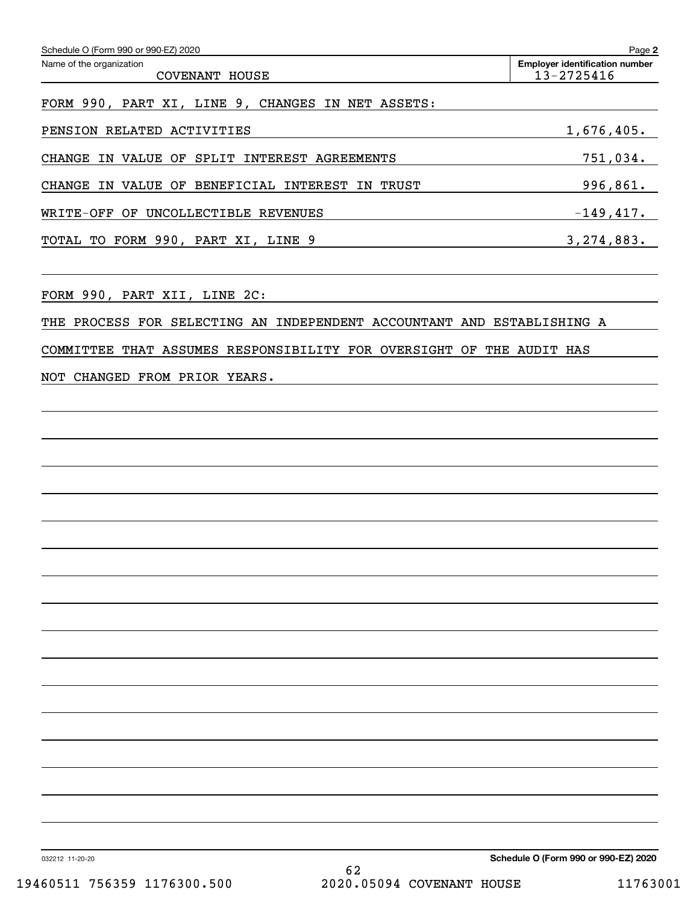| Schedule O (Form 990 or 990-EZ) 2020                            | Page 2                                              |
|-----------------------------------------------------------------|-----------------------------------------------------|
| Name of the organization<br>COVENANT HOUSE                      | <b>Employer identification number</b><br>13-2725416 |
| FORM 990, PART XI, LINE 9, CHANGES IN NET ASSETS:               |                                                     |
| PENSION RELATED ACTIVITIES                                      | 1,676,405.                                          |
| SPLIT INTEREST AGREEMENTS<br>CHANGE<br>IN VALUE<br>OF           | 751,034.                                            |
| BENEFICIAL INTEREST IN<br>TRUST<br>CHANGE<br>VALUE<br>OF<br>IN. | 996,861.                                            |
| UNCOLLECTIBLE REVENUES<br>WRITE-OFF<br>OF                       | $-149,417.$                                         |
| TOTAL TO FORM 990, PART XI, LINE 9                              | 3, 274, 883.                                        |
|                                                                 |                                                     |

FORM 990, PART XII, LINE 2C:

THE PROCESS FOR SELECTING AN INDEPENDENT ACCOUNTANT AND ESTABLISHING A

COMMITTEE THAT ASSUMES RESPONSIBILITY FOR OVERSIGHT OF THE AUDIT HAS

NOT CHANGED FROM PRIOR YEARS.

032212 11-20-20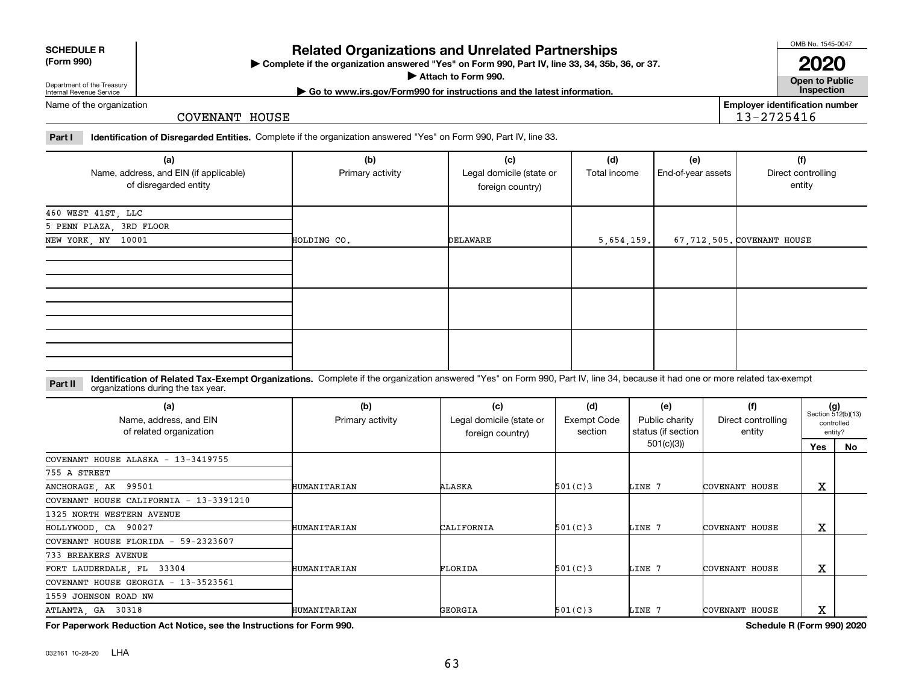032161 10-28-20 LHA

## **Related Organizations and Unrelated Partnerships**

**Complete if the organization answered "Yes" on Form 990, Part IV, line 33, 34, 35b, 36, or 37.** |

**Attach to Form 990.**  |

**(Form 990)**

# Department of the Treasury Internal Revenue Service

Name of the organization

COVENANT HOUSE

**Part I Identification of Disregarded Entities.**  Complete if the organization answered "Yes" on Form 990, Part IV, line 33.

| (a)<br>Name, address, and EIN (if applicable)<br>of disregarded entity | (b)<br>Primary activity | (c)<br>Legal domicile (state or<br>foreign country) | (d)<br>Total income | (e)<br>End-of-year assets | (f)<br>Direct controlling<br>entity |
|------------------------------------------------------------------------|-------------------------|-----------------------------------------------------|---------------------|---------------------------|-------------------------------------|
| 460 WEST 41ST, LLC                                                     |                         |                                                     |                     |                           |                                     |
| 5 PENN PLAZA, 3RD FLOOR                                                |                         |                                                     |                     |                           |                                     |
| NEW YORK, NY 10001                                                     | HOLDING CO.             | DELAWARE                                            | 5,654,159.          |                           | 67,712,505. COVENANT HOUSE          |
|                                                                        |                         |                                                     |                     |                           |                                     |
|                                                                        |                         |                                                     |                     |                           |                                     |
|                                                                        |                         |                                                     |                     |                           |                                     |

**Identification of Related Tax-Exempt Organizations.** Complete if the organization answered "Yes" on Form 990, Part IV, line 34, because it had one or more related tax-exempt **Part II** organizations during the tax year.

| Ulyanizations uunny the tax year.                        |                         |                                                     |                                      |                                             |                                     |                             |                       |
|----------------------------------------------------------|-------------------------|-----------------------------------------------------|--------------------------------------|---------------------------------------------|-------------------------------------|-----------------------------|-----------------------|
| (a)<br>Name, address, and EIN<br>of related organization | (b)<br>Primary activity | (c)<br>Legal domicile (state or<br>foreign country) | (d)<br><b>Exempt Code</b><br>section | (e)<br>Public charity<br>status (if section | (f)<br>Direct controlling<br>entity | $(g)$<br>Section 512(b)(13) | controlled<br>entity? |
|                                                          |                         |                                                     |                                      | 501(c)(3)                                   |                                     | <b>Yes</b>                  | No                    |
| COVENANT HOUSE ALASKA - 13-3419755                       |                         |                                                     |                                      |                                             |                                     |                             |                       |
| 755 A STREET                                             |                         |                                                     |                                      |                                             |                                     |                             |                       |
| ANCHORAGE, AK 99501                                      | HUMANITARIAN            | ALASKA                                              | 501(C)3                              | LINE 7                                      | COVENANT HOUSE                      | X                           |                       |
| COVENANT HOUSE CALIFORNIA - 13-3391210                   |                         |                                                     |                                      |                                             |                                     |                             |                       |
| 1325 NORTH WESTERN AVENUE                                |                         |                                                     |                                      |                                             |                                     |                             |                       |
| HOLLYWOOD, CA 90027                                      | HUMANITARIAN            | CALIFORNIA                                          | 501(C)3                              | LINE 7                                      | COVENANT HOUSE                      | X                           |                       |
| COVENANT HOUSE FLORIDA - 59-2323607                      |                         |                                                     |                                      |                                             |                                     |                             |                       |
| 733 BREAKERS AVENUE                                      |                         |                                                     |                                      |                                             |                                     |                             |                       |
| FORT LAUDERDALE, FL 33304                                | HUMANITARIAN            | FLORIDA                                             | 501(C)3                              | LINE 7                                      | COVENANT HOUSE                      | X                           |                       |
| COVENANT HOUSE GEORGIA - 13-3523561                      |                         |                                                     |                                      |                                             |                                     |                             |                       |
| 1559 JOHNSON ROAD NW                                     |                         |                                                     |                                      |                                             |                                     |                             |                       |
| ATLANTA, GA 30318                                        | HUMANITARIAN            | GEORGIA                                             | 501(C)3                              | LINE 7                                      | COVENANT HOUSE                      | X                           |                       |

**For Paperwork Reduction Act Notice, see the Instructions for Form 990. Schedule R (Form 990) 2020**

OMB No. 1545-0047

**Employer identification number**

13-2725416

**Open to Public 2020**

**| Go to www.irs.gov/Form990 for instructions and the latest information. Inspection**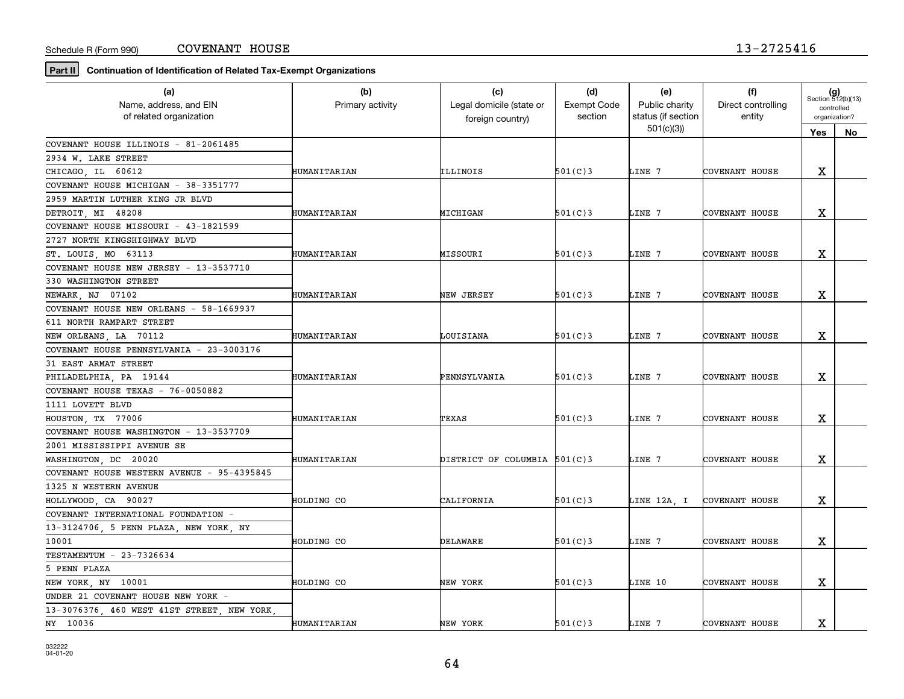**Part II Continuation of Identification of Related Tax-Exempt Organizations**

| (a)                                         | (b)              | (c)                          | (d)                | (e)                | (f)                   |                                           |    |
|---------------------------------------------|------------------|------------------------------|--------------------|--------------------|-----------------------|-------------------------------------------|----|
| Name, address, and EIN                      | Primary activity | Legal domicile (state or     | <b>Exempt Code</b> | Public charity     | Direct controlling    | $(g)$<br>Section 512(b)(13)<br>controlled |    |
| of related organization                     |                  | foreign country)             | section            | status (if section | entity                | organization?                             |    |
|                                             |                  |                              |                    | 501(c)(3)          |                       | Yes                                       | No |
| COVENANT HOUSE ILLINOIS - 81-2061485        |                  |                              |                    |                    |                       |                                           |    |
| 2934 W. LAKE STREET                         |                  |                              |                    |                    |                       |                                           |    |
| CHICAGO, IL 60612                           | HUMANITARIAN     | ILLINOIS                     | 501(C)3            | LINE 7             | COVENANT HOUSE        | X                                         |    |
| COVENANT HOUSE MICHIGAN - 38-3351777        |                  |                              |                    |                    |                       |                                           |    |
| 2959 MARTIN LUTHER KING JR BLVD             |                  |                              |                    |                    |                       |                                           |    |
| DETROIT, MI 48208                           | HUMANITARIAN     | MICHIGAN                     | 501(C)3            | LINE 7             | COVENANT HOUSE        | x                                         |    |
| COVENANT HOUSE MISSOURI - 43-1821599        |                  |                              |                    |                    |                       |                                           |    |
| 2727 NORTH KINGSHIGHWAY BLVD                |                  |                              |                    |                    |                       |                                           |    |
| ST. LOUIS, MO 63113                         | HUMANITARIAN     | MISSOURI                     | 501(C)3            | LINE 7             | COVENANT HOUSE        | X                                         |    |
| COVENANT HOUSE NEW JERSEY - 13-3537710      |                  |                              |                    |                    |                       |                                           |    |
| 330 WASHINGTON STREET                       |                  |                              |                    |                    |                       |                                           |    |
| NEWARK, NJ 07102                            | HUMANITARIAN     | NEW JERSEY                   | 501(C)3            | LINE 7             | COVENANT HOUSE        | X                                         |    |
| COVENANT HOUSE NEW ORLEANS - 58-1669937     |                  |                              |                    |                    |                       |                                           |    |
| 611 NORTH RAMPART STREET                    |                  |                              |                    |                    |                       |                                           |    |
| NEW ORLEANS, LA 70112                       | HUMANITARIAN     | LOUISIANA                    | 501(C)3            | LINE 7             | COVENANT HOUSE        | X                                         |    |
| COVENANT HOUSE PENNSYLVANIA - 23-3003176    |                  |                              |                    |                    |                       |                                           |    |
| 31 EAST ARMAT STREET                        |                  |                              |                    |                    |                       |                                           |    |
| PHILADELPHIA, PA 19144                      | HUMANITARIAN     | PENNSYLVANIA                 | 501(C)3            | LINE 7             | COVENANT HOUSE        | Χ                                         |    |
| COVENANT HOUSE TEXAS - 76-0050882           |                  |                              |                    |                    |                       |                                           |    |
| 1111 LOVETT BLVD                            |                  |                              |                    |                    |                       |                                           |    |
| HOUSTON, TX 77006                           | HUMANITARIAN     | TEXAS                        | 501(C)3            | LINE 7             | COVENANT HOUSE        | х                                         |    |
| COVENANT HOUSE WASHINGTON - 13-3537709      |                  |                              |                    |                    |                       |                                           |    |
| 2001 MISSISSIPPI AVENUE SE                  |                  |                              |                    |                    |                       |                                           |    |
| WASHINGTON DC 20020                         | HUMANITARIAN     | DISTRICT OF COLUMBIA 501(C)3 |                    | LINE 7             | COVENANT HOUSE        | X                                         |    |
| COVENANT HOUSE WESTERN AVENUE - 95-4395845  |                  |                              |                    |                    |                       |                                           |    |
| 1325 N WESTERN AVENUE                       |                  |                              |                    |                    |                       |                                           |    |
| HOLLYWOOD, CA 90027                         | HOLDING CO       | CALIFORNIA                   | 501(C)3            | LINE 12A, I        | <b>COVENANT HOUSE</b> | x                                         |    |
| COVENANT INTERNATIONAL FOUNDATION -         |                  |                              |                    |                    |                       |                                           |    |
| 13-3124706, 5 PENN PLAZA, NEW YORK, NY      |                  |                              |                    |                    |                       |                                           |    |
| 10001                                       | HOLDING CO       | DELAWARE                     | 501(C)3            | LINE 7             | COVENANT HOUSE        | X                                         |    |
| TESTAMENTUM - 23-7326634                    |                  |                              |                    |                    |                       |                                           |    |
| 5 PENN PLAZA                                |                  |                              |                    |                    |                       |                                           |    |
| NEW YORK, NY 10001                          | HOLDING CO       | NEW YORK                     | 501(C)3            | LINE 10            | COVENANT HOUSE        | X                                         |    |
| UNDER 21 COVENANT HOUSE NEW YORK -          |                  |                              |                    |                    |                       |                                           |    |
| 13-3076376, 460 WEST 41ST STREET, NEW YORK, |                  |                              |                    |                    |                       |                                           |    |
| NY 10036                                    | HUMANITARIAN     | NEW YORK                     | 501(C)3            | LINE 7             | COVENANT HOUSE        | x                                         |    |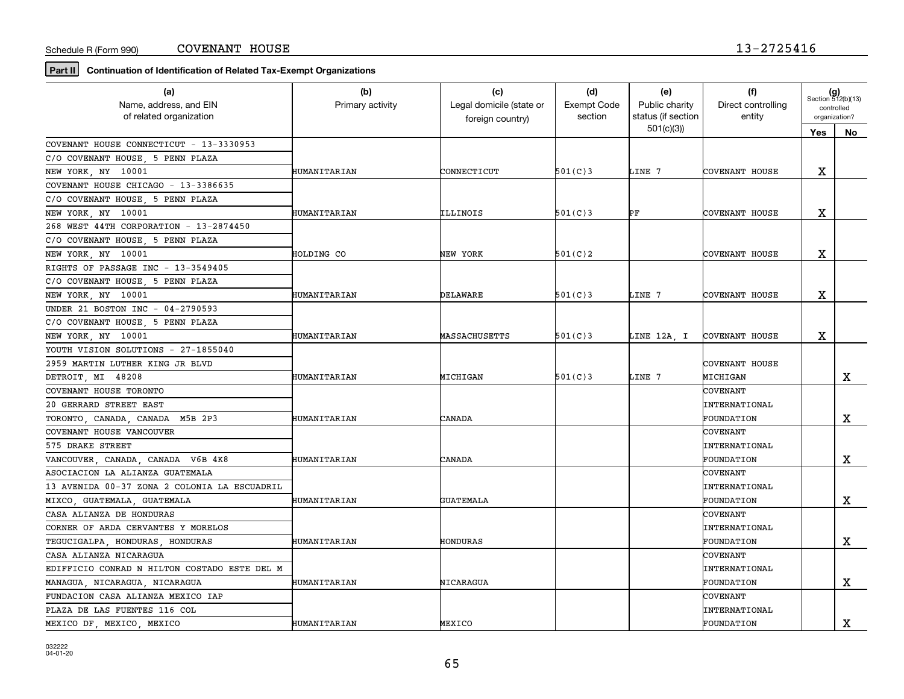**Part II Continuation of Identification of Related Tax-Exempt Organizations**

| (a)                                          | (b)              | (c)                      | (d)                | (e)                | (f)                   | $(g)$<br>Section 512(b)(13) |             |
|----------------------------------------------|------------------|--------------------------|--------------------|--------------------|-----------------------|-----------------------------|-------------|
| Name, address, and EIN                       | Primary activity | Legal domicile (state or | <b>Exempt Code</b> | Public charity     | Direct controlling    | controlled                  |             |
| of related organization                      |                  | foreign country)         | section            | status (if section | entity                | organization?               |             |
|                                              |                  |                          |                    | 501(c)(3)          |                       | Yes                         | No          |
| COVENANT HOUSE CONNECTICUT - 13-3330953      |                  |                          |                    |                    |                       |                             |             |
| C/O COVENANT HOUSE, 5 PENN PLAZA             |                  |                          |                    |                    |                       |                             |             |
| NEW YORK, NY 10001                           | HUMANITARIAN     | CONNECTICUT              | 501(C)3            | LINE 7             | COVENANT HOUSE        | X                           |             |
| COVENANT HOUSE CHICAGO - 13-3386635          |                  |                          |                    |                    |                       |                             |             |
| C/O COVENANT HOUSE, 5 PENN PLAZA             |                  |                          |                    |                    |                       |                             |             |
| NEW YORK, NY 10001                           | HUMANITARIAN     | ILLINOIS                 | 501(C)3            | PF                 | COVENANT HOUSE        | х                           |             |
| 268 WEST 44TH CORPORATION - 13-2874450       |                  |                          |                    |                    |                       |                             |             |
| C/O COVENANT HOUSE, 5 PENN PLAZA             |                  |                          |                    |                    |                       |                             |             |
| NEW YORK, NY 10001                           | HOLDING CO       | NEW YORK                 | 501(C)2            |                    | COVENANT HOUSE        | х                           |             |
| RIGHTS OF PASSAGE INC - 13-3549405           |                  |                          |                    |                    |                       |                             |             |
| C/O COVENANT HOUSE, 5 PENN PLAZA             |                  |                          |                    |                    |                       |                             |             |
| NEW YORK, NY 10001                           | HUMANITARIAN     | DELAWARE                 | 501(C)3            | LINE 7             | COVENANT HOUSE        | х                           |             |
| UNDER 21 BOSTON INC - 04-2790593             |                  |                          |                    |                    |                       |                             |             |
| C/O COVENANT HOUSE 5 PENN PLAZA              |                  |                          |                    |                    |                       |                             |             |
| NEW YORK, NY 10001                           | HUMANITARIAN     | MASSACHUSETTS            | 501(C)3            | LINE 12A, I        | <b>COVENANT HOUSE</b> | х                           |             |
| YOUTH VISION SOLUTIONS - 27-1855040          |                  |                          |                    |                    |                       |                             |             |
| 2959 MARTIN LUTHER KING JR BLVD              |                  |                          |                    |                    | COVENANT HOUSE        |                             |             |
| DETROIT, MI 48208                            | HUMANITARIAN     | MICHIGAN                 | 501(C)3            | LINE 7             | MICHIGAN              |                             | $\mathbf x$ |
| COVENANT HOUSE TORONTO                       |                  |                          |                    |                    | COVENANT              |                             |             |
| 20 GERRARD STREET EAST                       |                  |                          |                    |                    | <b>INTERNATIONAL</b>  |                             |             |
| TORONTO, CANADA, CANADA M5B 2P3              | HUMANITARIAN     | CANADA                   |                    |                    | FOUNDATION            |                             | X           |
| COVENANT HOUSE VANCOUVER                     |                  |                          |                    |                    | <b>COVENANT</b>       |                             |             |
| 575 DRAKE STREET                             |                  |                          |                    |                    | <b>INTERNATIONAL</b>  |                             |             |
| VANCOUVER CANADA CANADA V6B 4K8              | HUMANITARIAN     | CANADA                   |                    |                    | FOUNDATION            |                             | X           |
| ASOCIACION LA ALIANZA GUATEMALA              |                  |                          |                    |                    | COVENANT              |                             |             |
| 13 AVENIDA 00-37 ZONA 2 COLONIA LA ESCUADRIL |                  |                          |                    |                    | <b>INTERNATIONAL</b>  |                             |             |
| MIXCO, GUATEMALA, GUATEMALA                  | HUMANITARIAN     | <b>GUATEMALA</b>         |                    |                    | FOUNDATION            |                             | х           |
| CASA ALIANZA DE HONDURAS                     |                  |                          |                    |                    | <b>COVENANT</b>       |                             |             |
| CORNER OF ARDA CERVANTES Y MORELOS           |                  |                          |                    |                    | <b>INTERNATIONAL</b>  |                             |             |
| TEGUCIGALPA, HONDURAS, HONDURAS              | HUMANITARIAN     | HONDURAS                 |                    |                    | FOUNDATION            |                             | $\mathbf X$ |
| CASA ALIANZA NICARAGUA                       |                  |                          |                    |                    | <b>COVENANT</b>       |                             |             |
| EDIFFICIO CONRAD N HILTON COSTADO ESTE DEL M |                  |                          |                    |                    | <b>INTERNATIONAL</b>  |                             |             |
| MANAGUA, NICARAGUA, NICARAGUA                | HUMANITARIAN     | NICARAGUA                |                    |                    | FOUNDATION            |                             | $\mathbf X$ |
| FUNDACION CASA ALIANZA MEXICO IAP            |                  |                          |                    |                    | COVENANT              |                             |             |
| PLAZA DE LAS FUENTES 116 COL                 |                  |                          |                    |                    | <b>INTERNATIONAL</b>  |                             |             |
| MEXICO DF, MEXICO, MEXICO                    | HUMANITARIAN     | MEXICO                   |                    |                    | FOUNDATION            |                             | x           |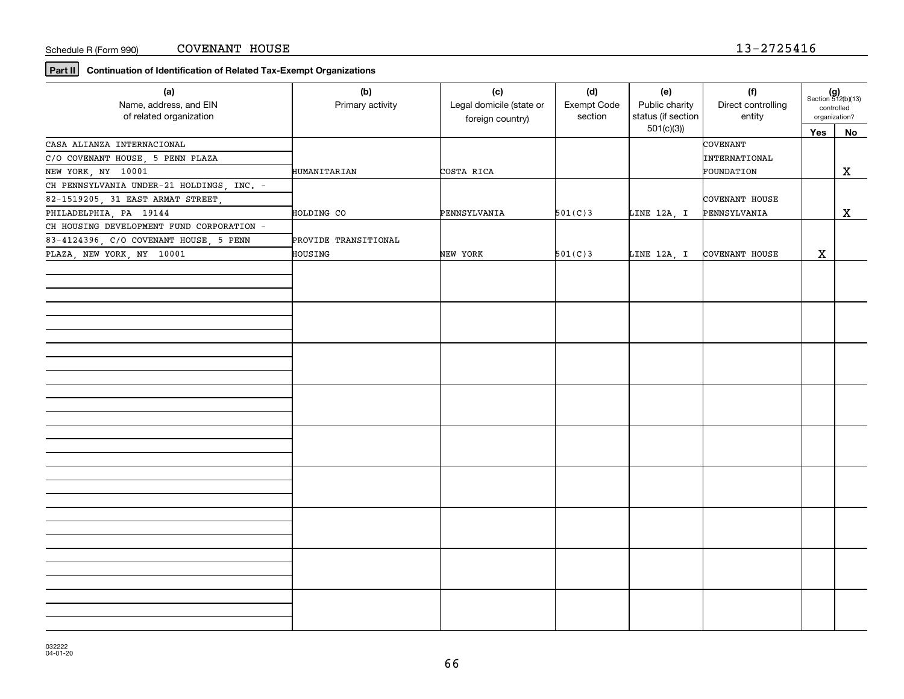**Part II Continuation of Identification of Related Tax-Exempt Organizations**

| (a)<br>Name, address, and EIN<br>of related organization | (b)<br>Primary activity | (c)<br>Legal domicile (state or<br>foreign country) | (d)<br>Exempt Code<br>section | (e)<br>Public charity<br>status (if section | (f)<br>Direct controlling<br>entity | $(g)$<br>Section 512(b)(13)<br>controlled<br>organization? |    |
|----------------------------------------------------------|-------------------------|-----------------------------------------------------|-------------------------------|---------------------------------------------|-------------------------------------|------------------------------------------------------------|----|
|                                                          |                         |                                                     |                               | 501(c)(3)                                   |                                     | Yes                                                        | No |
| CASA ALIANZA INTERNACIONAL                               |                         |                                                     |                               |                                             | COVENANT                            |                                                            |    |
| C/O COVENANT HOUSE, 5 PENN PLAZA                         |                         |                                                     |                               |                                             | INTERNATIONAL                       |                                                            |    |
| NEW YORK, NY 10001                                       | HUMANITARIAN            | COSTA RICA                                          |                               |                                             | FOUNDATION                          |                                                            | X  |
| CH PENNSYLVANIA UNDER-21 HOLDINGS, INC. -                |                         |                                                     |                               |                                             |                                     |                                                            |    |
| 82-1519205, 31 EAST ARMAT STREET,                        |                         |                                                     |                               |                                             | COVENANT HOUSE                      |                                                            |    |
| PHILADELPHIA, PA 19144                                   | HOLDING CO              | PENNSYLVANIA                                        | 501(C)3                       | LINE 12A, I                                 | PENNSYLVANIA                        |                                                            | X  |
| CH HOUSING DEVELOPMENT FUND CORPORATION -                |                         |                                                     |                               |                                             |                                     |                                                            |    |
| 83-4124396, C/O COVENANT HOUSE, 5 PENN                   | PROVIDE TRANSITIONAL    |                                                     |                               |                                             |                                     |                                                            |    |
| PLAZA, NEW YORK, NY 10001                                | HOUSING                 | NEW YORK                                            | 501(C)3                       |                                             | LINE 12A, I COVENANT HOUSE          | X                                                          |    |
|                                                          |                         |                                                     |                               |                                             |                                     |                                                            |    |
|                                                          |                         |                                                     |                               |                                             |                                     |                                                            |    |
|                                                          |                         |                                                     |                               |                                             |                                     |                                                            |    |
|                                                          |                         |                                                     |                               |                                             |                                     |                                                            |    |
|                                                          |                         |                                                     |                               |                                             |                                     |                                                            |    |
|                                                          |                         |                                                     |                               |                                             |                                     |                                                            |    |
|                                                          |                         |                                                     |                               |                                             |                                     |                                                            |    |
|                                                          |                         |                                                     |                               |                                             |                                     |                                                            |    |
|                                                          |                         |                                                     |                               |                                             |                                     |                                                            |    |
|                                                          |                         |                                                     |                               |                                             |                                     |                                                            |    |
|                                                          |                         |                                                     |                               |                                             |                                     |                                                            |    |
|                                                          |                         |                                                     |                               |                                             |                                     |                                                            |    |
|                                                          |                         |                                                     |                               |                                             |                                     |                                                            |    |
|                                                          |                         |                                                     |                               |                                             |                                     |                                                            |    |
|                                                          |                         |                                                     |                               |                                             |                                     |                                                            |    |
|                                                          |                         |                                                     |                               |                                             |                                     |                                                            |    |
|                                                          |                         |                                                     |                               |                                             |                                     |                                                            |    |
|                                                          |                         |                                                     |                               |                                             |                                     |                                                            |    |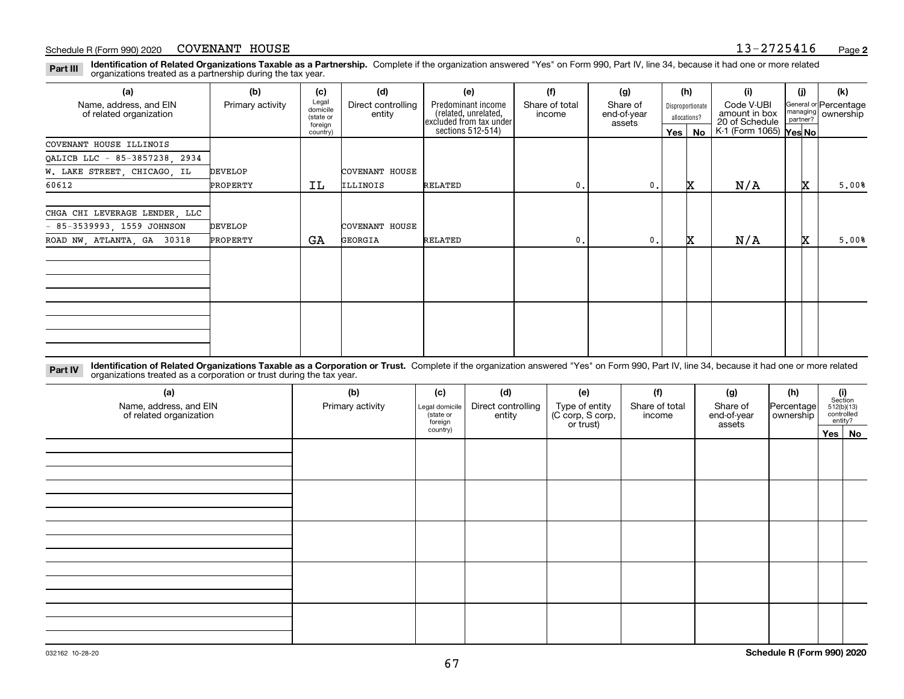**Identification of Related Organizations Taxable as a Partnership.** Complete if the organization answered "Yes" on Form 990, Part IV, line 34, because it had one or more related **Part III** organizations treated as a partnership during the tax year.

| (a)                                               | (b)              | (c)                                       | (d)                          | (e)                                                                   | (f)                      | (g)                               |     | (h)                              | (i)                                           | (i) | (k)                                         |
|---------------------------------------------------|------------------|-------------------------------------------|------------------------------|-----------------------------------------------------------------------|--------------------------|-----------------------------------|-----|----------------------------------|-----------------------------------------------|-----|---------------------------------------------|
| Name, address, and EIN<br>of related organization | Primary activity | Legal<br>domicile<br>(state or<br>foreign | Direct controlling<br>entity | Predominant income<br>(related, unrelated,<br>excluded from tax under | Share of total<br>income | Share of<br>end-of-year<br>assets |     | Disproportionate<br>allocations? | Code V-UBI<br>amount in box<br>20 of Schedule |     | General or Percentage<br>managing ownership |
|                                                   |                  | country)                                  |                              | sections 512-514)                                                     |                          |                                   | Yes | No                               | K-1 (Form 1065) Yes No                        |     |                                             |
| COVENANT HOUSE ILLINOIS                           |                  |                                           |                              |                                                                       |                          |                                   |     |                                  |                                               |     |                                             |
| QALICB LLC - 85-3857238, 2934                     |                  |                                           |                              |                                                                       |                          |                                   |     |                                  |                                               |     |                                             |
| W. LAKE STREET, CHICAGO, IL                       | <b>DEVELOP</b>   |                                           | COVENANT HOUSE               |                                                                       |                          |                                   |     |                                  |                                               |     |                                             |
| 60612                                             | PROPERTY         | ΙL                                        | ILLINOIS                     | RELATED                                                               | $^{\circ}$ .             | $\mathbf{0}$ .                    |     | x                                | N/A                                           | x   | 5,00%                                       |
|                                                   |                  |                                           |                              |                                                                       |                          |                                   |     |                                  |                                               |     |                                             |
| CHGA CHI LEVERAGE LENDER, LLC                     |                  |                                           |                              |                                                                       |                          |                                   |     |                                  |                                               |     |                                             |
| $-85-3539993, 1559$ JOHNSON                       | <b>DEVELOP</b>   |                                           | COVENANT HOUSE               |                                                                       |                          |                                   |     |                                  |                                               |     |                                             |
| ROAD NW, ATLANTA, GA 30318                        | PROPERTY         | GA                                        | GEORGIA                      | RELATED                                                               | $\mathbf{0}$ .           | $\mathbf{0}$ .                    |     | x                                | N/A                                           | x   | 5,00%                                       |
|                                                   |                  |                                           |                              |                                                                       |                          |                                   |     |                                  |                                               |     |                                             |
|                                                   |                  |                                           |                              |                                                                       |                          |                                   |     |                                  |                                               |     |                                             |
|                                                   |                  |                                           |                              |                                                                       |                          |                                   |     |                                  |                                               |     |                                             |
|                                                   |                  |                                           |                              |                                                                       |                          |                                   |     |                                  |                                               |     |                                             |
|                                                   |                  |                                           |                              |                                                                       |                          |                                   |     |                                  |                                               |     |                                             |
|                                                   |                  |                                           |                              |                                                                       |                          |                                   |     |                                  |                                               |     |                                             |
|                                                   |                  |                                           |                              |                                                                       |                          |                                   |     |                                  |                                               |     |                                             |
|                                                   |                  |                                           |                              |                                                                       |                          |                                   |     |                                  |                                               |     |                                             |

**Identification of Related Organizations Taxable as a Corporation or Trust.** Complete if the organization answered "Yes" on Form 990, Part IV, line 34, because it had one or more related **Part IV** organizations treated as a corporation or trust during the tax year.

| (a)<br>Name, address, and EIN<br>of related organization | (b)<br>Primary activity | (c)<br>Legal domicile<br>(state or<br>foreign | (d)<br>Direct controlling<br>entity | (e)<br>Type of entity<br>(C corp, S corp,<br>or trust) | (f)<br>Share of total<br>income | (g)<br>Share of<br>end-of-year<br>assets | (h)<br> Percentage <br>ownership | $\begin{array}{c} \textbf{(i)}\\ \text{Section}\\ 512 \text{(b)} \text{(13)}\\ \text{controlled}\\ \text{entity?} \end{array}$ |
|----------------------------------------------------------|-------------------------|-----------------------------------------------|-------------------------------------|--------------------------------------------------------|---------------------------------|------------------------------------------|----------------------------------|--------------------------------------------------------------------------------------------------------------------------------|
|                                                          |                         | country)                                      |                                     |                                                        |                                 |                                          |                                  | Yes No                                                                                                                         |
|                                                          |                         |                                               |                                     |                                                        |                                 |                                          |                                  |                                                                                                                                |
|                                                          |                         |                                               |                                     |                                                        |                                 |                                          |                                  |                                                                                                                                |
|                                                          |                         |                                               |                                     |                                                        |                                 |                                          |                                  |                                                                                                                                |
|                                                          |                         |                                               |                                     |                                                        |                                 |                                          |                                  |                                                                                                                                |
|                                                          |                         |                                               |                                     |                                                        |                                 |                                          |                                  |                                                                                                                                |
|                                                          |                         |                                               |                                     |                                                        |                                 |                                          |                                  |                                                                                                                                |
|                                                          |                         |                                               |                                     |                                                        |                                 |                                          |                                  |                                                                                                                                |
|                                                          |                         |                                               |                                     |                                                        |                                 |                                          |                                  |                                                                                                                                |
|                                                          |                         |                                               |                                     |                                                        |                                 |                                          |                                  |                                                                                                                                |
|                                                          |                         |                                               |                                     |                                                        |                                 |                                          |                                  |                                                                                                                                |
|                                                          |                         |                                               |                                     |                                                        |                                 |                                          |                                  |                                                                                                                                |
|                                                          |                         |                                               |                                     |                                                        |                                 |                                          |                                  |                                                                                                                                |
|                                                          |                         |                                               |                                     |                                                        |                                 |                                          |                                  |                                                                                                                                |
|                                                          |                         |                                               |                                     |                                                        |                                 |                                          |                                  |                                                                                                                                |
|                                                          |                         |                                               |                                     |                                                        |                                 |                                          |                                  |                                                                                                                                |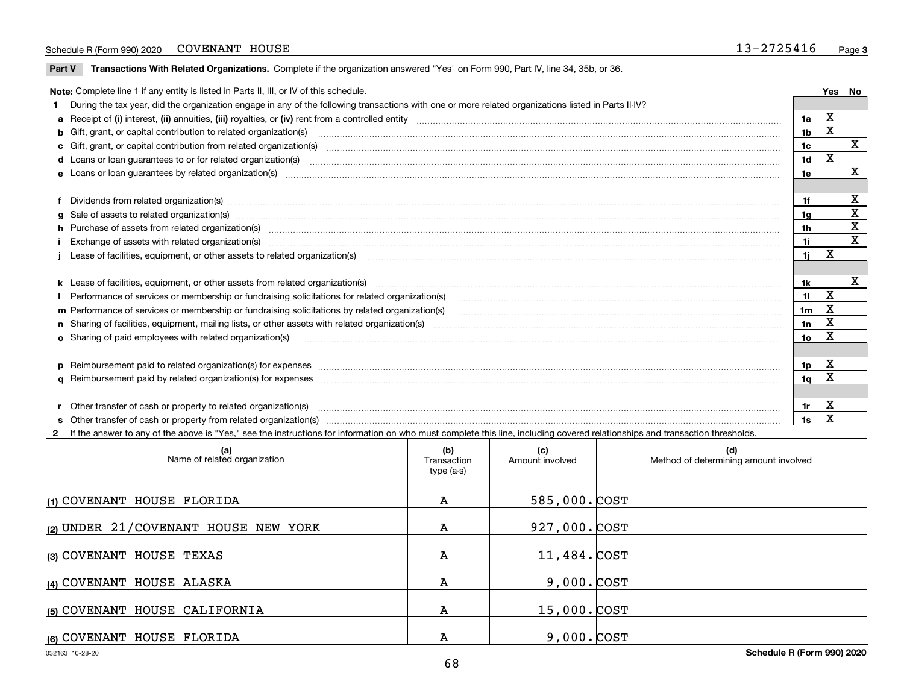#### Schedule R (Form 990) 2020 COVENANT HOUSE  $13-2725416$ COVENANT HOUSE

 $\overline{\phantom{a}}$ 

**Part V** T**ransactions With Related Organizations.** Complete if the organization answered "Yes" on Form 990, Part IV, line 34, 35b, or 36.

| Note: Complete line 1 if any entity is listed in Parts II, III, or IV of this schedule. |                                                                                                                                                                                                                                |                |             |             |  |
|-----------------------------------------------------------------------------------------|--------------------------------------------------------------------------------------------------------------------------------------------------------------------------------------------------------------------------------|----------------|-------------|-------------|--|
|                                                                                         | 1 During the tax year, did the organization engage in any of the following transactions with one or more related organizations listed in Parts II-IV?                                                                          |                |             |             |  |
|                                                                                         |                                                                                                                                                                                                                                | 1a             | X           |             |  |
|                                                                                         | <b>b</b> Gift, grant, or capital contribution to related organization(s)                                                                                                                                                       | 1b             | Χ           |             |  |
|                                                                                         | c Gift, grant, or capital contribution from related organization(s) manufaction contribution from related organization(s) manufaction contribution from related organization(s) manufaction contribution from related organiza | 1c             |             | X           |  |
|                                                                                         | <b>d</b> Loans or loan quarantees to or for related organization(s)                                                                                                                                                            | 1 <sub>d</sub> | X           |             |  |
|                                                                                         | <b>e</b> Loans or loan quarantees by related organization(s)                                                                                                                                                                   | 1e             |             | X           |  |
|                                                                                         |                                                                                                                                                                                                                                |                |             |             |  |
|                                                                                         | f Dividends from related organization(s) www.assession.com/www.assession.com/www.assession.com/www.assession.com/www.assession.com/www.assession.com/www.assession.com/www.assession.com/www.assession.com/www.assession.com/w | 1f             |             | x           |  |
|                                                                                         | g Sale of assets to related organization(s) www.assets.com/minimum/minimum/minimum/minimum/minimum/minimum/minimum/minimum/minimum/minimum/minimum/minimum/minimum/minimum/minimum/minimum/minimum/minimum/minimum/minimum/min | 1g             |             | х           |  |
|                                                                                         | h Purchase of assets from related organization(s) manufactured and content to the content of the content of the content of the content of the content of the content of the content of the content of the content of the conte | 1h             |             | X           |  |
|                                                                                         |                                                                                                                                                                                                                                | 1i             |             | $\mathbf x$ |  |
|                                                                                         |                                                                                                                                                                                                                                | 1i.            | X           |             |  |
|                                                                                         |                                                                                                                                                                                                                                |                |             |             |  |
|                                                                                         |                                                                                                                                                                                                                                | 1k             |             | х           |  |
|                                                                                         | Performance of services or membership or fundraising solicitations for related organization(s)                                                                                                                                 | 11             | $\mathbf X$ |             |  |
|                                                                                         | m Performance of services or membership or fundraising solicitations by related organization(s)                                                                                                                                | 1 <sub>m</sub> | X           |             |  |
|                                                                                         | n Sharing of facilities, equipment, mailing lists, or other assets with related organization(s)                                                                                                                                | 1n             | X           |             |  |
|                                                                                         | <b>o</b> Sharing of paid employees with related organization(s)                                                                                                                                                                | 1o             | x           |             |  |
|                                                                                         |                                                                                                                                                                                                                                |                |             |             |  |
|                                                                                         | p Reimbursement paid to related organization(s) for expenses [1111] and the content of the content of the content of the content of the content of the content of the content of the content of the content of the content of  | 1p             | х           |             |  |
|                                                                                         |                                                                                                                                                                                                                                | 1q             | х           |             |  |
|                                                                                         |                                                                                                                                                                                                                                |                |             |             |  |
|                                                                                         | r Other transfer of cash or property to related organization(s)                                                                                                                                                                | 1r             | х           |             |  |
|                                                                                         | <b>s</b> Other transfer of cash or property from related organization(s)                                                                                                                                                       | 1s             | X           |             |  |

**2**If the answer to any of the above is "Yes," see the instructions for information on who must complete this line, including covered relationships and transaction thresholds.

| (a)<br>Name of related organization  | (b)<br>Transaction<br>type (a-s) | (c)<br>Amount involved | (d)<br>Method of determining amount involved |
|--------------------------------------|----------------------------------|------------------------|----------------------------------------------|
| (1) COVENANT HOUSE FLORIDA           | А                                | 585,000. COST          |                                              |
| (2) UNDER 21/COVENANT HOUSE NEW YORK | А                                | 927,000. COST          |                                              |
| (3) COVENANT HOUSE TEXAS             | А                                | 11,484. COST           |                                              |
| (4) COVENANT HOUSE ALASKA            | А                                | $9,000.$ $COST$        |                                              |
| (5) COVENANT HOUSE CALIFORNIA        | А                                | $15,000$ . $COST$      |                                              |
| (6) COVENANT HOUSE FLORIDA           | А                                | $9,000.$ $COST$        |                                              |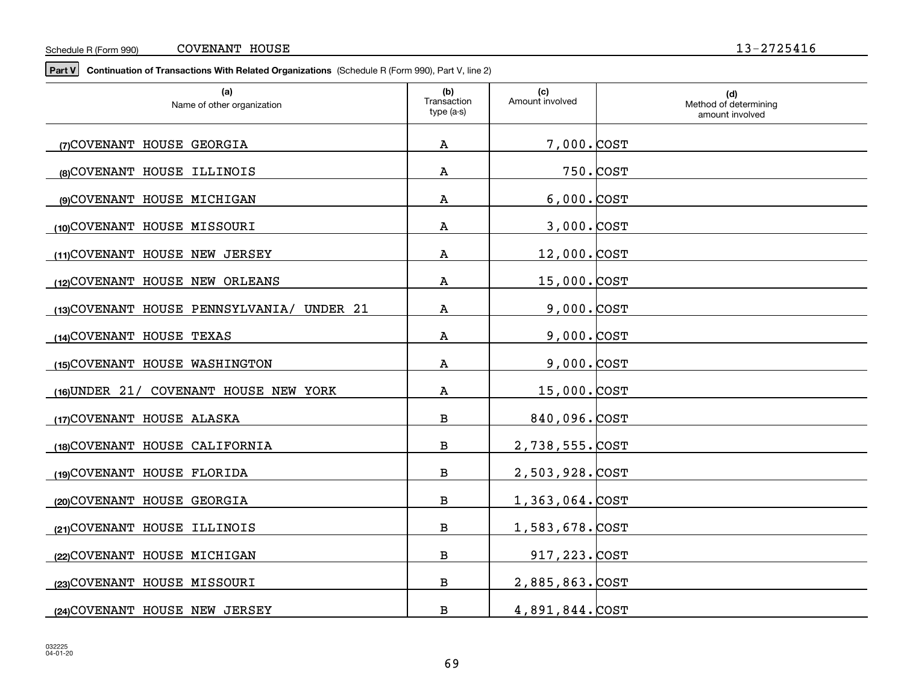**Part V Continuation of Transactions With Related Organizations**  (Schedule R (Form 990), Part V, line 2)

| (a)<br>Name of other organization          | (b)<br>Transaction<br>type (a-s) | (c)<br>Amount involved | (d)<br>Method of determining<br>amount involved |
|--------------------------------------------|----------------------------------|------------------------|-------------------------------------------------|
| (7) COVENANT HOUSE GEORGIA                 | Α                                | 7,000.COST             |                                                 |
| (8) COVENANT HOUSE ILLINOIS                | Α                                |                        | 750.COST                                        |
| (9) COVENANT HOUSE MICHIGAN                | Α                                | $6,000.$ COST          |                                                 |
| (10) COVENANT HOUSE MISSOURI               | Α                                | $3,000.$ $COST$        |                                                 |
| (11) COVENANT HOUSE NEW JERSEY             | Α                                | $12,000$ . $COST$      |                                                 |
| (12) COVENANT HOUSE NEW ORLEANS            | Α                                | 15,000. COST           |                                                 |
| (13) COVENANT HOUSE PENNSYLVANIA/ UNDER 21 | Α                                | 9,000. COST            |                                                 |
| (14) COVENANT HOUSE TEXAS                  | А                                | $9,000.$ $COST$        |                                                 |
| (15) COVENANT HOUSE WASHINGTON             | Α                                | $9,000.$ $COST$        |                                                 |
|                                            |                                  |                        |                                                 |
| (16) UNDER 21/ COVENANT HOUSE NEW YORK     | Α                                | 15,000. COST           |                                                 |
| (17) COVENANT HOUSE ALASKA                 | В                                | 840,096.COST           |                                                 |
| (18) COVENANT HOUSE CALIFORNIA             | $\, {\bf B}$                     | 2,738,555.COST         |                                                 |
| (19)COVENANT HOUSE FLORIDA                 | $\, {\bf B}$                     | 2,503,928.COST         |                                                 |
| (20)COVENANT HOUSE GEORGIA                 | $\, {\bf B}$                     | 1,363,064. COST        |                                                 |
| (21) COVENANT HOUSE ILLINOIS               | $\, {\bf B}$                     | 1,583,678.COST         |                                                 |
| (22) COVENANT HOUSE MICHIGAN               | $\, {\bf B}$                     | 917, 223. COST         |                                                 |
| (23) COVENANT HOUSE MISSOURI               | В                                | 2,885,863.COST         |                                                 |
| (24) COVENANT HOUSE NEW JERSEY             | $\, {\bf B}$                     | 4,891,844. COST        |                                                 |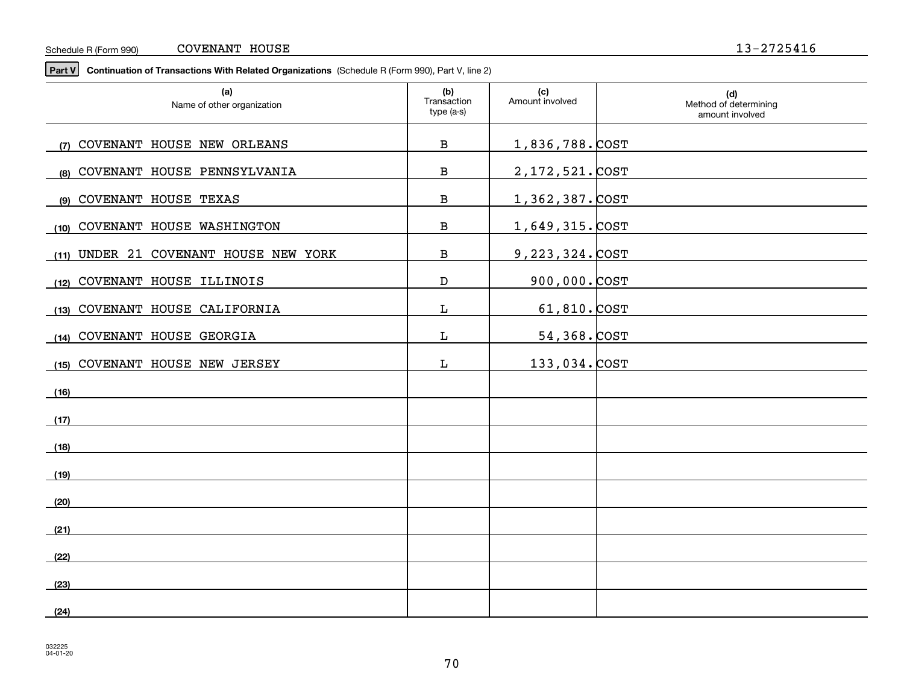#### Schedule R (Form 990) COVENANT HOUSE 13-2725416

**Part V Continuation of Transactions With Related Organizations**  (Schedule R (Form 990), Part V, line 2)

| (a)<br>Name of other organization     | (b)<br>Transaction<br>type (a-s) | (c)<br>Amount involved | (d)<br>Method of determining<br>amount involved |
|---------------------------------------|----------------------------------|------------------------|-------------------------------------------------|
| (7) COVENANT HOUSE NEW ORLEANS        | $\, {\bf B}$                     | <u>1,836,788. COST</u> |                                                 |
| (8) COVENANT HOUSE PENNSYLVANIA       | $\, {\bf B}$                     | <u>2,172,521. COST</u> |                                                 |
| (9) COVENANT HOUSE TEXAS              | $\, {\bf B}$                     | 1,362,387. COST        |                                                 |
| COVENANT HOUSE WASHINGTON<br>(10)     | В                                | 1,649,315. COST        |                                                 |
| (11) UNDER 21 COVENANT HOUSE NEW YORK | $\, {\bf B}$                     | 9, 223, 324. COST      |                                                 |
| (12) COVENANT HOUSE ILLINOIS          | $\mathbf D$                      | $900,000.$ $\cos$      |                                                 |
| (13) COVENANT HOUSE CALIFORNIA        | L                                | $61,810.$ COST         |                                                 |
| (14) COVENANT HOUSE GEORGIA           | L                                | 54,368. COST           |                                                 |
| (15) COVENANT HOUSE NEW JERSEY        | L                                | 133,034. COST          |                                                 |
| (16)                                  |                                  |                        |                                                 |
| (17)                                  |                                  |                        |                                                 |
| (18)                                  |                                  |                        |                                                 |
| (19)                                  |                                  |                        |                                                 |
| (20)                                  |                                  |                        |                                                 |
|                                       |                                  |                        |                                                 |
| (21)                                  |                                  |                        |                                                 |
| (22)                                  |                                  |                        |                                                 |
| (23)                                  |                                  |                        |                                                 |
| (24)                                  |                                  |                        |                                                 |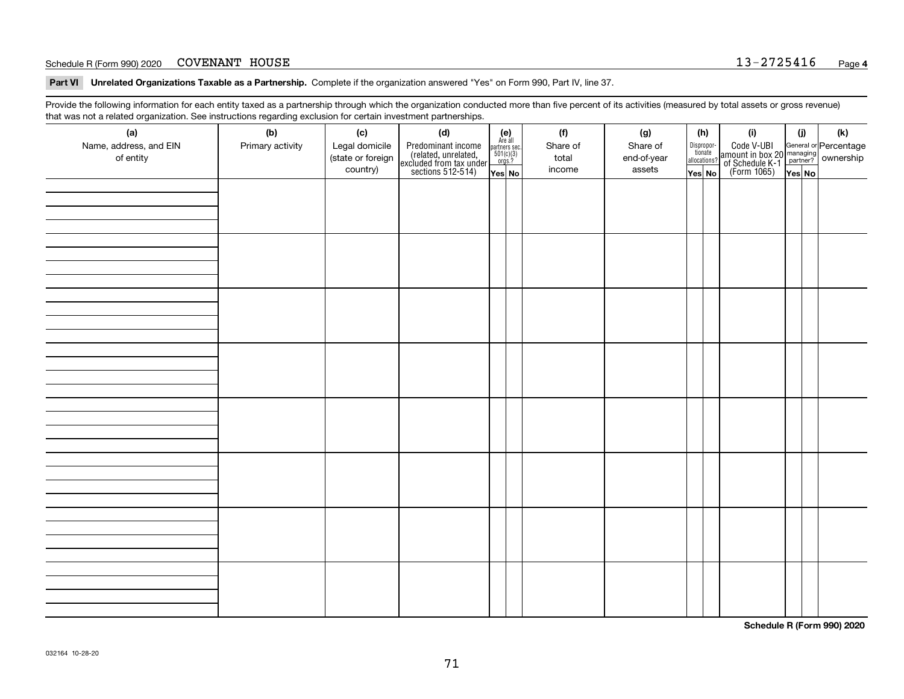#### Schedule R (Form 990) 2020  $\sim$  COVENANT HOUSE  $\sim$  13 - 2725416 COVENANT HOUSE

**Part VI Unrelated Organizations Taxable as a Partnership. Complete if the organization answered "Yes" on Form 990, Part IV, line 37.** 

Provide the following information for each entity taxed as a partnership through which the organization conducted more than five percent of its activities (measured by total assets or gross revenue) that was not a related organization. See instructions regarding exclusion for certain investment partnerships.

| ັ                      | ັ<br>ັ           |                   |                                                                                            |                                                                                               |          |             |                                  |                                                                                                  |        |     |
|------------------------|------------------|-------------------|--------------------------------------------------------------------------------------------|-----------------------------------------------------------------------------------------------|----------|-------------|----------------------------------|--------------------------------------------------------------------------------------------------|--------|-----|
| (a)                    | (b)              | (c)               | (d)                                                                                        | $(e)$<br>Are all                                                                              | (f)      | (g)         | (h)                              | (i)                                                                                              | (i)    | (k) |
| Name, address, and EIN | Primary activity | Legal domicile    | Predominant income<br>(related, unrelated,<br>excluded from tax under<br>sections 512-514) |                                                                                               | Share of | Share of    | Disproportionate<br>allocations? | Code V-UBI<br>amount in box 20 managing<br>of Schedule K-1<br>(Form 1065)<br>$\overline{Yes}$ No |        |     |
| of entity              |                  | (state or foreign |                                                                                            | $\begin{array}{c}\n\text{partners} & \text{sec.} \\ 501(c)(3) & \text{orgs.?} \\ \end{array}$ | total    | end-of-year |                                  |                                                                                                  |        |     |
|                        |                  | country)          |                                                                                            |                                                                                               | income   | assets      |                                  |                                                                                                  |        |     |
|                        |                  |                   |                                                                                            | Yes No                                                                                        |          |             | Yes No                           |                                                                                                  | Yes No |     |
|                        |                  |                   |                                                                                            |                                                                                               |          |             |                                  |                                                                                                  |        |     |
|                        |                  |                   |                                                                                            |                                                                                               |          |             |                                  |                                                                                                  |        |     |
|                        |                  |                   |                                                                                            |                                                                                               |          |             |                                  |                                                                                                  |        |     |
|                        |                  |                   |                                                                                            |                                                                                               |          |             |                                  |                                                                                                  |        |     |
|                        |                  |                   |                                                                                            |                                                                                               |          |             |                                  |                                                                                                  |        |     |
|                        |                  |                   |                                                                                            |                                                                                               |          |             |                                  |                                                                                                  |        |     |
|                        |                  |                   |                                                                                            |                                                                                               |          |             |                                  |                                                                                                  |        |     |
|                        |                  |                   |                                                                                            |                                                                                               |          |             |                                  |                                                                                                  |        |     |
|                        |                  |                   |                                                                                            |                                                                                               |          |             |                                  |                                                                                                  |        |     |
|                        |                  |                   |                                                                                            |                                                                                               |          |             |                                  |                                                                                                  |        |     |
|                        |                  |                   |                                                                                            |                                                                                               |          |             |                                  |                                                                                                  |        |     |
|                        |                  |                   |                                                                                            |                                                                                               |          |             |                                  |                                                                                                  |        |     |
|                        |                  |                   |                                                                                            |                                                                                               |          |             |                                  |                                                                                                  |        |     |
|                        |                  |                   |                                                                                            |                                                                                               |          |             |                                  |                                                                                                  |        |     |
|                        |                  |                   |                                                                                            |                                                                                               |          |             |                                  |                                                                                                  |        |     |
|                        |                  |                   |                                                                                            |                                                                                               |          |             |                                  |                                                                                                  |        |     |
|                        |                  |                   |                                                                                            |                                                                                               |          |             |                                  |                                                                                                  |        |     |
|                        |                  |                   |                                                                                            |                                                                                               |          |             |                                  |                                                                                                  |        |     |
|                        |                  |                   |                                                                                            |                                                                                               |          |             |                                  |                                                                                                  |        |     |
|                        |                  |                   |                                                                                            |                                                                                               |          |             |                                  |                                                                                                  |        |     |
|                        |                  |                   |                                                                                            |                                                                                               |          |             |                                  |                                                                                                  |        |     |
|                        |                  |                   |                                                                                            |                                                                                               |          |             |                                  |                                                                                                  |        |     |
|                        |                  |                   |                                                                                            |                                                                                               |          |             |                                  |                                                                                                  |        |     |
|                        |                  |                   |                                                                                            |                                                                                               |          |             |                                  |                                                                                                  |        |     |
|                        |                  |                   |                                                                                            |                                                                                               |          |             |                                  |                                                                                                  |        |     |
|                        |                  |                   |                                                                                            |                                                                                               |          |             |                                  |                                                                                                  |        |     |
|                        |                  |                   |                                                                                            |                                                                                               |          |             |                                  |                                                                                                  |        |     |
|                        |                  |                   |                                                                                            |                                                                                               |          |             |                                  |                                                                                                  |        |     |
|                        |                  |                   |                                                                                            |                                                                                               |          |             |                                  |                                                                                                  |        |     |
|                        |                  |                   |                                                                                            |                                                                                               |          |             |                                  |                                                                                                  |        |     |
|                        |                  |                   |                                                                                            |                                                                                               |          |             |                                  |                                                                                                  |        |     |
|                        |                  |                   |                                                                                            |                                                                                               |          |             |                                  |                                                                                                  |        |     |
|                        |                  |                   |                                                                                            |                                                                                               |          |             |                                  |                                                                                                  |        |     |
|                        |                  |                   |                                                                                            |                                                                                               |          |             |                                  |                                                                                                  |        |     |
|                        |                  |                   |                                                                                            |                                                                                               |          |             |                                  |                                                                                                  |        |     |
|                        |                  |                   |                                                                                            |                                                                                               |          |             |                                  |                                                                                                  |        |     |
|                        |                  |                   |                                                                                            |                                                                                               |          |             |                                  |                                                                                                  |        |     |
|                        |                  |                   |                                                                                            |                                                                                               |          |             |                                  |                                                                                                  |        |     |
|                        |                  |                   |                                                                                            |                                                                                               |          |             |                                  |                                                                                                  |        |     |
|                        |                  |                   |                                                                                            |                                                                                               |          |             |                                  |                                                                                                  |        |     |
|                        |                  |                   |                                                                                            |                                                                                               |          |             |                                  |                                                                                                  |        |     |
|                        |                  |                   |                                                                                            |                                                                                               |          |             |                                  |                                                                                                  |        |     |
|                        |                  |                   |                                                                                            |                                                                                               |          |             |                                  |                                                                                                  |        |     |

**Schedule R (Form 990) 2020**